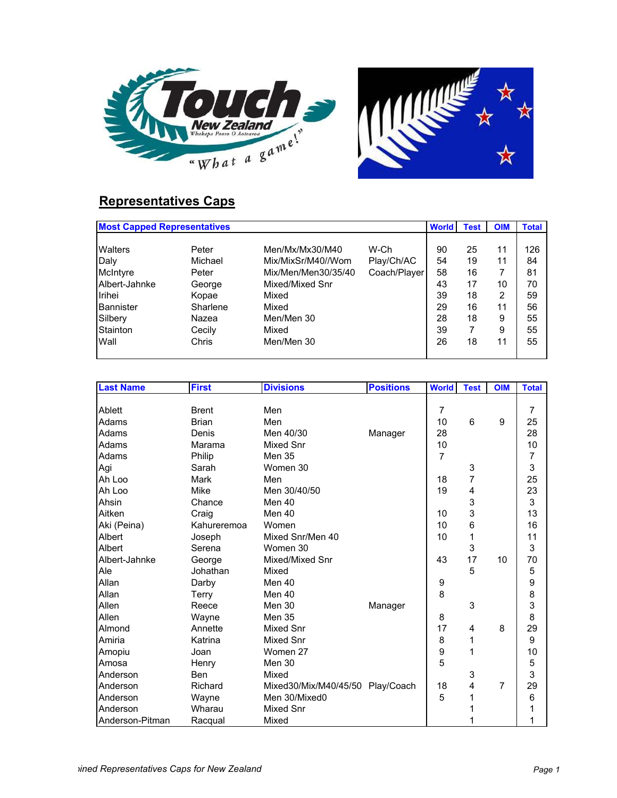



## **Representatives Caps**

| <b>Most Capped Representatives</b> |          |                     |              | <b>World</b> | <b>Test</b> | <b>OIM</b> | <b>Total</b> |
|------------------------------------|----------|---------------------|--------------|--------------|-------------|------------|--------------|
|                                    |          |                     |              |              |             |            |              |
| <b>Walters</b>                     | Peter    | Men/Mx/Mx30/M40     | W-Ch         | 90           | 25          | 11         | 126          |
| Daly                               | Michael  | Mix/MixSr/M40//Wom  | Play/Ch/AC   | 54           | 19          | 11         | 84           |
| McIntyre                           | Peter    | Mix/Men/Men30/35/40 | Coach/Player | 58           | 16          | 7          | 81           |
| Albert-Jahnke                      | George   | Mixed/Mixed Snr     |              | 43           | 17          | 10         | 70           |
| <b>Irihei</b>                      | Kopae    | Mixed               |              | 39           | 18          | 2          | 59           |
| Bannister                          | Sharlene | Mixed               |              | 29           | 16          | 11         | 56           |
| Silbery                            | Nazea    | Men/Men 30          |              | 28           | 18          | 9          | 55           |
| Stainton                           | Cecily   | Mixed               |              | 39           | 7           | 9          | 55           |
| Wall                               | Chris    | Men/Men 30          |              | 26           | 18          | 11         | 55           |
|                                    |          |                     |              |              |             |            |              |

| <b>Last Name</b> | <b>First</b> | <b>Divisions</b>                 | <b>Positions</b> | <b>World</b>   | <b>Test</b>     | <b>OIM</b> | <b>Total</b>    |
|------------------|--------------|----------------------------------|------------------|----------------|-----------------|------------|-----------------|
|                  |              |                                  |                  |                |                 |            |                 |
| Ablett           | <b>Brent</b> | Men                              |                  | 7              |                 |            | 7               |
| Adams            | <b>Brian</b> | Men                              |                  | 10             | $\,6$           | 9          | 25              |
| Adams            | Denis        | Men 40/30                        | Manager          | 28             |                 |            | 28              |
| Adams            | Marama       | <b>Mixed Snr</b>                 |                  | 10             |                 |            | 10              |
| Adams            | Philip       | Men 35                           |                  | $\overline{7}$ |                 |            | 7               |
| Agi              | Sarah        | Women 30                         |                  |                | 3               |            | 3               |
| Ah Loo           | <b>Mark</b>  | Men                              |                  | 18             | 7               |            | 25              |
| Ah Loo           | Mike         | Men 30/40/50                     |                  | 19             | 4               |            | 23              |
| Ahsin            | Chance       | Men 40                           |                  |                | 3               |            | 3               |
| Aitken           | Craig        | Men 40                           |                  | 10             | 3               |            | 13              |
| Aki (Peina)      | Kahureremoa  | Women                            |                  | 10             | $6\phantom{1}6$ |            | 16              |
| Albert           | Joseph       | Mixed Snr/Men 40                 |                  | 10             | 1               |            | 11              |
| Albert           | Serena       | Women 30                         |                  |                | 3               |            | 3               |
| Albert-Jahnke    | George       | Mixed/Mixed Snr                  |                  | 43             | 17              | 10         | 70              |
| Ale              | Johathan     | Mixed                            |                  |                | 5               |            | 5               |
| Allan            | Darby        | Men 40                           |                  | 9              |                 |            | 9               |
| Allan            | Terry        | Men 40                           |                  | 8              |                 |            | 8               |
| Allen            | Reece        | Men 30                           | Manager          |                | 3               |            | 3               |
| Allen            | Wayne        | <b>Men 35</b>                    |                  | 8              |                 |            | 8               |
| Almond           | Annette      | <b>Mixed Snr</b>                 |                  | 17             | 4               | 8          | 29              |
| Amiria           | Katrina      | <b>Mixed Snr</b>                 |                  | 8              | 1               |            | 9               |
| Amopiu           | Joan         | Women 27                         |                  | 9              | 1               |            | 10              |
| Amosa            | Henry        | Men 30                           |                  | 5              |                 |            | $\mathbf 5$     |
| Anderson         | <b>Ben</b>   | Mixed                            |                  |                | 3               |            | 3               |
| Anderson         | Richard      | Mixed30/Mix/M40/45/50 Play/Coach |                  | 18             | 4               | 7          | 29              |
| Anderson         | Wayne        | Men 30/Mixed0                    |                  | 5              | 1               |            | $6\phantom{1}6$ |
| Anderson         | Wharau       | <b>Mixed Snr</b>                 |                  |                |                 |            | 1               |
| Anderson-Pitman  | Racqual      | Mixed                            |                  |                |                 |            | 1               |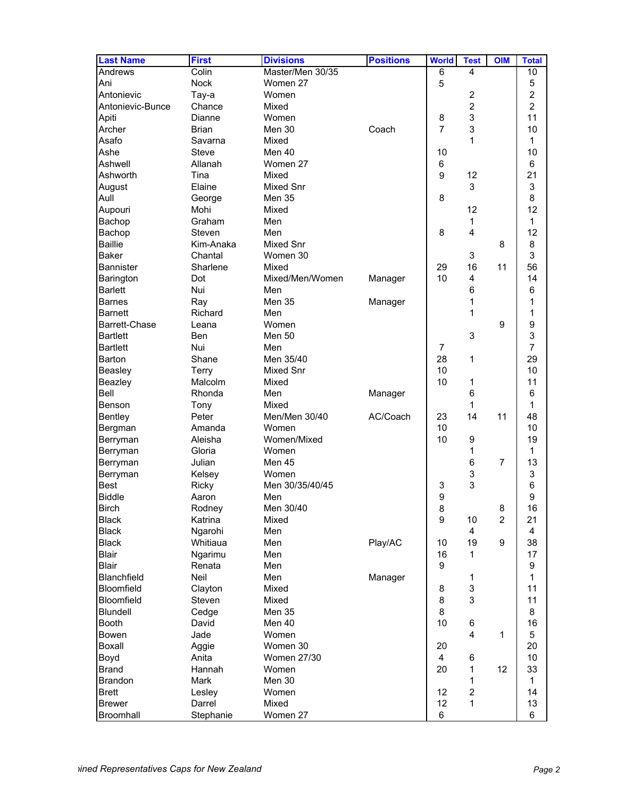| <b>Last Name</b>          | <b>First</b>      | <b>Divisions</b>        | <b>Positions</b> | <b>World</b>   | <b>Test</b>                    | <b>OIM</b>          | <b>Total</b>    |
|---------------------------|-------------------|-------------------------|------------------|----------------|--------------------------------|---------------------|-----------------|
| Andrews                   | Colin             | Master/Men 30/35        |                  | 6              | 4                              |                     | 10              |
| Ani                       | Nock              | Women 27                |                  | 5              |                                |                     | 5               |
| Antonievic                | Tay-a             | Women                   |                  |                | $\boldsymbol{2}$               |                     | $\overline{c}$  |
| Antonievic-Bunce          | Chance            | Mixed                   |                  |                | $\overline{c}$                 |                     | $\overline{c}$  |
| Apiti                     | Dianne            | Women                   |                  | 8              | 3                              |                     | 11              |
| Archer                    | <b>Brian</b>      | Men 30                  | Coach            | $\overline{7}$ | 3                              |                     | 10              |
| Asafo                     | Savarna           | Mixed                   |                  |                | 1                              |                     | 1               |
| Ashe                      | <b>Steve</b>      | Men 40                  |                  | 10             |                                |                     | 10              |
| Ashwell                   | Allanah           | Women 27                |                  | 6              |                                |                     | 6               |
| Ashworth                  | Tina              | Mixed                   |                  | 9              | 12                             |                     | 21              |
| August                    | Elaine            | <b>Mixed Snr</b>        |                  |                | 3                              |                     | 3               |
| Aull                      | George            | Men 35                  |                  | 8              |                                |                     | 8               |
| Aupouri                   | Mohi              | Mixed                   |                  |                | 12                             |                     | 12              |
| Bachop                    | Graham            | Men                     |                  |                | 1                              |                     | $\mathbf{1}$    |
| Bachop                    | Steven            | Men                     |                  | 8              | $\overline{4}$                 |                     | 12              |
| <b>Baillie</b>            | Kim-Anaka         | Mixed Snr               |                  |                |                                | 8                   | 8               |
| <b>Baker</b>              | Chantal           | Women 30                |                  |                | 3                              |                     | 3               |
| <b>Bannister</b>          | Sharlene          | Mixed                   |                  | 29             | 16                             | 11                  | 56              |
| Barington                 | Dot               | Mixed/Men/Women         | Manager          | 10             | 4                              |                     | 14              |
| <b>Barlett</b>            | Nui               | Men                     |                  |                | $\,6$                          |                     | 6               |
| <b>Barnes</b>             | Ray               | Men 35                  | Manager          |                | 1                              |                     | 1               |
| <b>Barnett</b>            | Richard           | Men                     |                  |                | 1                              |                     | 1               |
| Barrett-Chase             | Leana             | Women                   |                  |                |                                | 9                   | 9               |
| <b>Bartlett</b>           | Ben               | <b>Men 50</b>           |                  |                | 3                              |                     | 3               |
| <b>Bartlett</b>           | Nui               | Men                     |                  | $\overline{7}$ |                                |                     | $\overline{7}$  |
| <b>Barton</b>             | Shane             | Men 35/40               |                  | 28             | 1                              |                     | 29              |
| Beasley                   | Terry             | Mixed Snr               |                  | 10             |                                |                     | 10              |
| Beazley                   | Malcolm           | Mixed                   |                  | 10             | 1                              |                     | 11              |
| Bell                      | Rhonda            | Men                     | Manager          |                | $\,6$                          |                     | $6\phantom{1}6$ |
| Benson                    | Tony              | Mixed                   |                  |                | 1                              |                     | 1               |
| Bentley                   | Peter             | Men/Men 30/40           | AC/Coach         | 23             | 14                             | 11                  | 48              |
| Bergman                   | Amanda            | Women                   |                  | 10             |                                |                     | 10              |
| Berryman                  | Aleisha           | Women/Mixed             |                  | 10             | $\boldsymbol{9}$               |                     | 19              |
| Berryman                  | Gloria            | Women                   |                  |                | 1                              |                     | 1               |
| Berryman                  | Julian            | Men 45                  |                  |                | $\,6$                          | $\overline{7}$      | 13              |
| Berryman                  | Kelsey            | Women                   |                  |                | 3                              |                     | 3               |
| <b>Best</b>               | Ricky             | Men 30/35/40/45         |                  | 3              | 3                              |                     | 6               |
| <b>Biddle</b>             | Aaron             | Men                     |                  | 9              |                                |                     | 9               |
|                           |                   |                         |                  |                |                                |                     |                 |
| Birch<br><b>Black</b>     | Rodney<br>Katrina | Men 30/40<br>Mixed      |                  | 8<br>9         | 10                             | 8<br>$\overline{2}$ | 16<br>21        |
| <b>Black</b>              | Ngarohi           | Men                     |                  |                | 4                              |                     | 4               |
| <b>Black</b>              | Whitiaua          | Men                     | Play/AC          | 10             | 19                             | 9                   | 38              |
| <b>Blair</b>              |                   | Men                     |                  | 16             | 1                              |                     | 17              |
| <b>Blair</b>              | Ngarimu<br>Renata | Men                     |                  | 9              |                                |                     | 9               |
|                           | Neil              |                         |                  |                |                                |                     | $\mathbf 1$     |
| Blanchfield<br>Bloomfield |                   | Men<br>Mixed            | Manager          | 8              | 1<br>$\ensuremath{\mathsf{3}}$ |                     | 11              |
| Bloomfield                | Clayton<br>Steven | Mixed                   |                  | $\bf 8$        | 3                              |                     | 11              |
|                           |                   |                         |                  |                |                                |                     |                 |
| Blundell<br><b>Booth</b>  | Cedge             | <b>Men 35</b><br>Men 40 |                  | 8<br>10        |                                |                     | 8               |
| Bowen                     | David             | Women                   |                  |                | 6                              |                     | 16              |
|                           | Jade              |                         |                  |                | $\overline{4}$                 | $\mathbf{1}$        | 5               |
| <b>Boxall</b>             | Aggie             | Women 30                |                  | 20             |                                |                     | 20              |
| Boyd                      | Anita             | Women 27/30             |                  | $\overline{4}$ | 6                              |                     | 10              |
| <b>Brand</b>              | Hannah            | Women                   |                  | 20             | 1                              | 12                  | 33              |
| <b>Brandon</b>            | Mark              | Men 30                  |                  |                | 1                              |                     | $\mathbf{1}$    |
| <b>Brett</b>              | Lesley            | Women                   |                  | 12             | $\boldsymbol{2}$               |                     | 14              |
| <b>Brewer</b>             | Darrel            | Mixed                   |                  | 12             | 1                              |                     | 13              |
| Broomhall                 | Stephanie         | Women 27                |                  | 6              |                                |                     | 6               |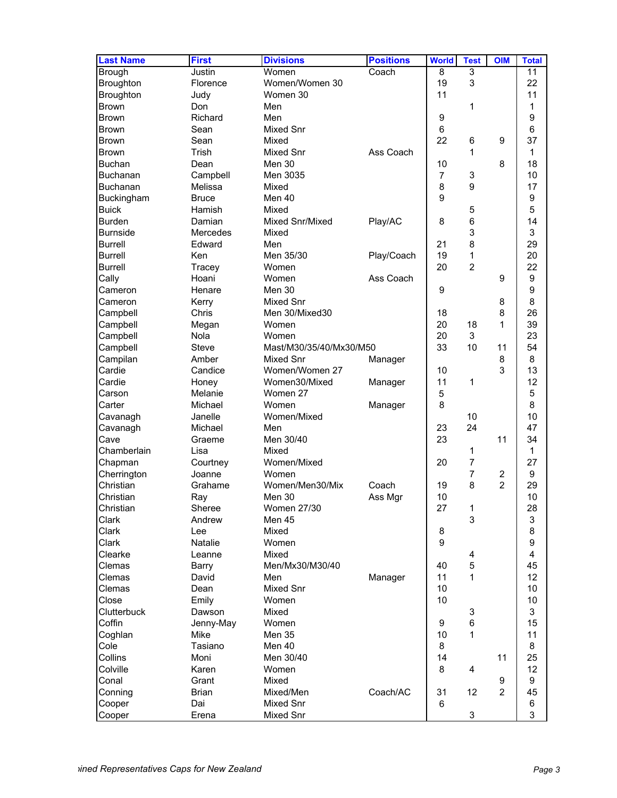| Women<br>Coach<br>Brough<br>Justin<br>8<br>3<br>11<br>19<br>3<br>22<br>Women/Women 30<br><b>Broughton</b><br>Florence<br>11<br>11<br><b>Broughton</b><br>Women 30<br>Judy<br>1<br><b>Brown</b><br>Don<br>Men<br>1<br>9<br>$\boldsymbol{9}$<br><b>Brown</b><br>Richard<br>Men<br><b>Brown</b><br><b>Mixed Snr</b><br>6<br>6<br>Sean<br>22<br>37<br><b>Brown</b><br>9<br>Sean<br>Mixed<br>6<br><b>Brown</b><br>Ass Coach<br>Trish<br><b>Mixed Snr</b><br>1<br>1<br>18<br>Men 30<br>8<br><b>Buchan</b><br>10<br>Dean<br>$\overline{7}$<br>3<br>10<br>Buchanan<br>Campbell<br>Men 3035<br>8<br>9<br>17<br><b>Buchanan</b><br>Melissa<br>Mixed<br>9<br>9<br>Buckingham<br><b>Bruce</b><br>Men 40<br>5<br>5<br><b>Buick</b><br>Hamish<br>Mixed<br>6<br>14<br>8<br><b>Burden</b><br>Mixed Snr/Mixed<br>Play/AC<br>Damian<br>3<br>3<br><b>Burnside</b><br><b>Mercedes</b><br>Mixed<br>8<br>29<br><b>Burrell</b><br>21<br>Edward<br>Men<br>19<br>20<br><b>Burrell</b><br>Men 35/30<br>Ken<br>Play/Coach<br>1<br>20<br>2<br>22<br><b>Burrell</b><br>Women<br>Tracey<br>Ass Coach<br>9<br>9<br>Cally<br>Hoani<br>Women<br>9<br>Men 30<br>$\boldsymbol{9}$<br>Cameron<br>Henare<br>8<br>Kerry<br><b>Mixed Snr</b><br>8<br>Cameron<br>8<br>26<br>Men 30/Mixed30<br>18<br>Chris<br>Campbell<br>20<br>$\mathbf{1}$<br>39<br>18<br>Campbell<br>Women<br>Megan<br>20<br>23<br>3<br>Campbell<br>Nola<br>Women<br>33<br>10<br>54<br>Mast/M30/35/40/Mx30/M50<br>11<br>Campbell<br><b>Steve</b><br>8<br>8<br>Campilan<br>Amber<br><b>Mixed Snr</b><br>Manager<br>3<br>13<br>Women/Women 27<br>Cardie<br>Candice<br>10<br>12<br>11<br>Cardie<br>Honey<br>Women30/Mixed<br>Manager<br>1<br>5<br>Carson<br>Melanie<br>Women 27<br>5<br>8<br>8<br>Carter<br>Michael<br>Women<br>Manager<br>10<br>Women/Mixed<br>10<br>Janelle<br>Cavanagh<br>24<br>47<br>23<br>Michael<br>Men<br>Cavanagh<br>23<br>34<br>11<br>Cave<br>Men 30/40<br>Graeme<br>$\mathbf{1}$<br>Chamberlain<br>Mixed<br>Lisa<br>1<br>27<br>20<br>7<br>Women/Mixed<br>Chapman<br>Courtney<br>7<br>9<br>Women<br>$\overline{c}$<br>Cherrington<br>Joanne<br>$\overline{2}$<br>8<br>29<br>Christian<br>Grahame<br>Women/Men30/Mix<br>Coach<br>19<br>10<br>10<br>Christian<br>Men 30<br>Ass Mgr<br>Ray<br>Christian<br>Sheree<br>Women 27/30<br>27<br>1<br>28<br>3<br>3<br>Clark<br>Andrew<br>Men 45<br>8<br>Mixed<br>Clark<br>8<br>Lee<br>9<br>9<br>Clark<br>Natalie<br>Women<br>$\overline{\mathbf{4}}$<br>Clearke<br>Mixed<br>4<br>Leanne<br>5<br>40<br>45<br>Clemas<br>Men/Mx30/M30/40<br><b>Barry</b><br>11<br>12<br>Clemas<br>David<br>Men<br>Manager<br>1<br>Clemas<br>Mixed Snr<br>10<br>10<br>Dean<br>Close<br>10<br>10<br>Emily<br>Women<br>3<br>Clutterbuck<br>Dawson<br>Mixed<br>3<br>6<br>15<br>Coffin<br>Jenny-May<br>Women<br>9<br>10<br>11<br>Coghlan<br>Mike<br><b>Men 35</b><br>1<br>Cole<br>Men 40<br>8<br>8<br>Tasiano<br>14<br>25<br>Collins<br>Moni<br>11<br>Men 30/40<br>12<br>Colville<br>8<br>Karen<br>Women<br>4<br>9<br>Conal<br>Grant<br>Mixed<br>9 | <b>Last Name</b> | <b>First</b> | <b>Divisions</b> | <b>Positions</b> | <b>World</b> | <b>Test</b> | <b>OIM</b>     | <b>Total</b> |
|------------------------------------------------------------------------------------------------------------------------------------------------------------------------------------------------------------------------------------------------------------------------------------------------------------------------------------------------------------------------------------------------------------------------------------------------------------------------------------------------------------------------------------------------------------------------------------------------------------------------------------------------------------------------------------------------------------------------------------------------------------------------------------------------------------------------------------------------------------------------------------------------------------------------------------------------------------------------------------------------------------------------------------------------------------------------------------------------------------------------------------------------------------------------------------------------------------------------------------------------------------------------------------------------------------------------------------------------------------------------------------------------------------------------------------------------------------------------------------------------------------------------------------------------------------------------------------------------------------------------------------------------------------------------------------------------------------------------------------------------------------------------------------------------------------------------------------------------------------------------------------------------------------------------------------------------------------------------------------------------------------------------------------------------------------------------------------------------------------------------------------------------------------------------------------------------------------------------------------------------------------------------------------------------------------------------------------------------------------------------------------------------------------------------------------------------------------------------------------------------------------------------------------------------------------------------------------------------------------------------------------------------------------------------------------------------------------------------------------------------------------------------------------------------------------------------------------------------------------------------------------------------------------------------------------------------------------------------------------------------------------------|------------------|--------------|------------------|------------------|--------------|-------------|----------------|--------------|
|                                                                                                                                                                                                                                                                                                                                                                                                                                                                                                                                                                                                                                                                                                                                                                                                                                                                                                                                                                                                                                                                                                                                                                                                                                                                                                                                                                                                                                                                                                                                                                                                                                                                                                                                                                                                                                                                                                                                                                                                                                                                                                                                                                                                                                                                                                                                                                                                                                                                                                                                                                                                                                                                                                                                                                                                                                                                                                                                                                                                                  |                  |              |                  |                  |              |             |                |              |
|                                                                                                                                                                                                                                                                                                                                                                                                                                                                                                                                                                                                                                                                                                                                                                                                                                                                                                                                                                                                                                                                                                                                                                                                                                                                                                                                                                                                                                                                                                                                                                                                                                                                                                                                                                                                                                                                                                                                                                                                                                                                                                                                                                                                                                                                                                                                                                                                                                                                                                                                                                                                                                                                                                                                                                                                                                                                                                                                                                                                                  |                  |              |                  |                  |              |             |                |              |
|                                                                                                                                                                                                                                                                                                                                                                                                                                                                                                                                                                                                                                                                                                                                                                                                                                                                                                                                                                                                                                                                                                                                                                                                                                                                                                                                                                                                                                                                                                                                                                                                                                                                                                                                                                                                                                                                                                                                                                                                                                                                                                                                                                                                                                                                                                                                                                                                                                                                                                                                                                                                                                                                                                                                                                                                                                                                                                                                                                                                                  |                  |              |                  |                  |              |             |                |              |
|                                                                                                                                                                                                                                                                                                                                                                                                                                                                                                                                                                                                                                                                                                                                                                                                                                                                                                                                                                                                                                                                                                                                                                                                                                                                                                                                                                                                                                                                                                                                                                                                                                                                                                                                                                                                                                                                                                                                                                                                                                                                                                                                                                                                                                                                                                                                                                                                                                                                                                                                                                                                                                                                                                                                                                                                                                                                                                                                                                                                                  |                  |              |                  |                  |              |             |                |              |
|                                                                                                                                                                                                                                                                                                                                                                                                                                                                                                                                                                                                                                                                                                                                                                                                                                                                                                                                                                                                                                                                                                                                                                                                                                                                                                                                                                                                                                                                                                                                                                                                                                                                                                                                                                                                                                                                                                                                                                                                                                                                                                                                                                                                                                                                                                                                                                                                                                                                                                                                                                                                                                                                                                                                                                                                                                                                                                                                                                                                                  |                  |              |                  |                  |              |             |                |              |
|                                                                                                                                                                                                                                                                                                                                                                                                                                                                                                                                                                                                                                                                                                                                                                                                                                                                                                                                                                                                                                                                                                                                                                                                                                                                                                                                                                                                                                                                                                                                                                                                                                                                                                                                                                                                                                                                                                                                                                                                                                                                                                                                                                                                                                                                                                                                                                                                                                                                                                                                                                                                                                                                                                                                                                                                                                                                                                                                                                                                                  |                  |              |                  |                  |              |             |                |              |
|                                                                                                                                                                                                                                                                                                                                                                                                                                                                                                                                                                                                                                                                                                                                                                                                                                                                                                                                                                                                                                                                                                                                                                                                                                                                                                                                                                                                                                                                                                                                                                                                                                                                                                                                                                                                                                                                                                                                                                                                                                                                                                                                                                                                                                                                                                                                                                                                                                                                                                                                                                                                                                                                                                                                                                                                                                                                                                                                                                                                                  |                  |              |                  |                  |              |             |                |              |
|                                                                                                                                                                                                                                                                                                                                                                                                                                                                                                                                                                                                                                                                                                                                                                                                                                                                                                                                                                                                                                                                                                                                                                                                                                                                                                                                                                                                                                                                                                                                                                                                                                                                                                                                                                                                                                                                                                                                                                                                                                                                                                                                                                                                                                                                                                                                                                                                                                                                                                                                                                                                                                                                                                                                                                                                                                                                                                                                                                                                                  |                  |              |                  |                  |              |             |                |              |
|                                                                                                                                                                                                                                                                                                                                                                                                                                                                                                                                                                                                                                                                                                                                                                                                                                                                                                                                                                                                                                                                                                                                                                                                                                                                                                                                                                                                                                                                                                                                                                                                                                                                                                                                                                                                                                                                                                                                                                                                                                                                                                                                                                                                                                                                                                                                                                                                                                                                                                                                                                                                                                                                                                                                                                                                                                                                                                                                                                                                                  |                  |              |                  |                  |              |             |                |              |
|                                                                                                                                                                                                                                                                                                                                                                                                                                                                                                                                                                                                                                                                                                                                                                                                                                                                                                                                                                                                                                                                                                                                                                                                                                                                                                                                                                                                                                                                                                                                                                                                                                                                                                                                                                                                                                                                                                                                                                                                                                                                                                                                                                                                                                                                                                                                                                                                                                                                                                                                                                                                                                                                                                                                                                                                                                                                                                                                                                                                                  |                  |              |                  |                  |              |             |                |              |
|                                                                                                                                                                                                                                                                                                                                                                                                                                                                                                                                                                                                                                                                                                                                                                                                                                                                                                                                                                                                                                                                                                                                                                                                                                                                                                                                                                                                                                                                                                                                                                                                                                                                                                                                                                                                                                                                                                                                                                                                                                                                                                                                                                                                                                                                                                                                                                                                                                                                                                                                                                                                                                                                                                                                                                                                                                                                                                                                                                                                                  |                  |              |                  |                  |              |             |                |              |
|                                                                                                                                                                                                                                                                                                                                                                                                                                                                                                                                                                                                                                                                                                                                                                                                                                                                                                                                                                                                                                                                                                                                                                                                                                                                                                                                                                                                                                                                                                                                                                                                                                                                                                                                                                                                                                                                                                                                                                                                                                                                                                                                                                                                                                                                                                                                                                                                                                                                                                                                                                                                                                                                                                                                                                                                                                                                                                                                                                                                                  |                  |              |                  |                  |              |             |                |              |
|                                                                                                                                                                                                                                                                                                                                                                                                                                                                                                                                                                                                                                                                                                                                                                                                                                                                                                                                                                                                                                                                                                                                                                                                                                                                                                                                                                                                                                                                                                                                                                                                                                                                                                                                                                                                                                                                                                                                                                                                                                                                                                                                                                                                                                                                                                                                                                                                                                                                                                                                                                                                                                                                                                                                                                                                                                                                                                                                                                                                                  |                  |              |                  |                  |              |             |                |              |
|                                                                                                                                                                                                                                                                                                                                                                                                                                                                                                                                                                                                                                                                                                                                                                                                                                                                                                                                                                                                                                                                                                                                                                                                                                                                                                                                                                                                                                                                                                                                                                                                                                                                                                                                                                                                                                                                                                                                                                                                                                                                                                                                                                                                                                                                                                                                                                                                                                                                                                                                                                                                                                                                                                                                                                                                                                                                                                                                                                                                                  |                  |              |                  |                  |              |             |                |              |
|                                                                                                                                                                                                                                                                                                                                                                                                                                                                                                                                                                                                                                                                                                                                                                                                                                                                                                                                                                                                                                                                                                                                                                                                                                                                                                                                                                                                                                                                                                                                                                                                                                                                                                                                                                                                                                                                                                                                                                                                                                                                                                                                                                                                                                                                                                                                                                                                                                                                                                                                                                                                                                                                                                                                                                                                                                                                                                                                                                                                                  |                  |              |                  |                  |              |             |                |              |
|                                                                                                                                                                                                                                                                                                                                                                                                                                                                                                                                                                                                                                                                                                                                                                                                                                                                                                                                                                                                                                                                                                                                                                                                                                                                                                                                                                                                                                                                                                                                                                                                                                                                                                                                                                                                                                                                                                                                                                                                                                                                                                                                                                                                                                                                                                                                                                                                                                                                                                                                                                                                                                                                                                                                                                                                                                                                                                                                                                                                                  |                  |              |                  |                  |              |             |                |              |
|                                                                                                                                                                                                                                                                                                                                                                                                                                                                                                                                                                                                                                                                                                                                                                                                                                                                                                                                                                                                                                                                                                                                                                                                                                                                                                                                                                                                                                                                                                                                                                                                                                                                                                                                                                                                                                                                                                                                                                                                                                                                                                                                                                                                                                                                                                                                                                                                                                                                                                                                                                                                                                                                                                                                                                                                                                                                                                                                                                                                                  |                  |              |                  |                  |              |             |                |              |
|                                                                                                                                                                                                                                                                                                                                                                                                                                                                                                                                                                                                                                                                                                                                                                                                                                                                                                                                                                                                                                                                                                                                                                                                                                                                                                                                                                                                                                                                                                                                                                                                                                                                                                                                                                                                                                                                                                                                                                                                                                                                                                                                                                                                                                                                                                                                                                                                                                                                                                                                                                                                                                                                                                                                                                                                                                                                                                                                                                                                                  |                  |              |                  |                  |              |             |                |              |
|                                                                                                                                                                                                                                                                                                                                                                                                                                                                                                                                                                                                                                                                                                                                                                                                                                                                                                                                                                                                                                                                                                                                                                                                                                                                                                                                                                                                                                                                                                                                                                                                                                                                                                                                                                                                                                                                                                                                                                                                                                                                                                                                                                                                                                                                                                                                                                                                                                                                                                                                                                                                                                                                                                                                                                                                                                                                                                                                                                                                                  |                  |              |                  |                  |              |             |                |              |
|                                                                                                                                                                                                                                                                                                                                                                                                                                                                                                                                                                                                                                                                                                                                                                                                                                                                                                                                                                                                                                                                                                                                                                                                                                                                                                                                                                                                                                                                                                                                                                                                                                                                                                                                                                                                                                                                                                                                                                                                                                                                                                                                                                                                                                                                                                                                                                                                                                                                                                                                                                                                                                                                                                                                                                                                                                                                                                                                                                                                                  |                  |              |                  |                  |              |             |                |              |
|                                                                                                                                                                                                                                                                                                                                                                                                                                                                                                                                                                                                                                                                                                                                                                                                                                                                                                                                                                                                                                                                                                                                                                                                                                                                                                                                                                                                                                                                                                                                                                                                                                                                                                                                                                                                                                                                                                                                                                                                                                                                                                                                                                                                                                                                                                                                                                                                                                                                                                                                                                                                                                                                                                                                                                                                                                                                                                                                                                                                                  |                  |              |                  |                  |              |             |                |              |
|                                                                                                                                                                                                                                                                                                                                                                                                                                                                                                                                                                                                                                                                                                                                                                                                                                                                                                                                                                                                                                                                                                                                                                                                                                                                                                                                                                                                                                                                                                                                                                                                                                                                                                                                                                                                                                                                                                                                                                                                                                                                                                                                                                                                                                                                                                                                                                                                                                                                                                                                                                                                                                                                                                                                                                                                                                                                                                                                                                                                                  |                  |              |                  |                  |              |             |                |              |
|                                                                                                                                                                                                                                                                                                                                                                                                                                                                                                                                                                                                                                                                                                                                                                                                                                                                                                                                                                                                                                                                                                                                                                                                                                                                                                                                                                                                                                                                                                                                                                                                                                                                                                                                                                                                                                                                                                                                                                                                                                                                                                                                                                                                                                                                                                                                                                                                                                                                                                                                                                                                                                                                                                                                                                                                                                                                                                                                                                                                                  |                  |              |                  |                  |              |             |                |              |
|                                                                                                                                                                                                                                                                                                                                                                                                                                                                                                                                                                                                                                                                                                                                                                                                                                                                                                                                                                                                                                                                                                                                                                                                                                                                                                                                                                                                                                                                                                                                                                                                                                                                                                                                                                                                                                                                                                                                                                                                                                                                                                                                                                                                                                                                                                                                                                                                                                                                                                                                                                                                                                                                                                                                                                                                                                                                                                                                                                                                                  |                  |              |                  |                  |              |             |                |              |
|                                                                                                                                                                                                                                                                                                                                                                                                                                                                                                                                                                                                                                                                                                                                                                                                                                                                                                                                                                                                                                                                                                                                                                                                                                                                                                                                                                                                                                                                                                                                                                                                                                                                                                                                                                                                                                                                                                                                                                                                                                                                                                                                                                                                                                                                                                                                                                                                                                                                                                                                                                                                                                                                                                                                                                                                                                                                                                                                                                                                                  |                  |              |                  |                  |              |             |                |              |
|                                                                                                                                                                                                                                                                                                                                                                                                                                                                                                                                                                                                                                                                                                                                                                                                                                                                                                                                                                                                                                                                                                                                                                                                                                                                                                                                                                                                                                                                                                                                                                                                                                                                                                                                                                                                                                                                                                                                                                                                                                                                                                                                                                                                                                                                                                                                                                                                                                                                                                                                                                                                                                                                                                                                                                                                                                                                                                                                                                                                                  |                  |              |                  |                  |              |             |                |              |
|                                                                                                                                                                                                                                                                                                                                                                                                                                                                                                                                                                                                                                                                                                                                                                                                                                                                                                                                                                                                                                                                                                                                                                                                                                                                                                                                                                                                                                                                                                                                                                                                                                                                                                                                                                                                                                                                                                                                                                                                                                                                                                                                                                                                                                                                                                                                                                                                                                                                                                                                                                                                                                                                                                                                                                                                                                                                                                                                                                                                                  |                  |              |                  |                  |              |             |                |              |
|                                                                                                                                                                                                                                                                                                                                                                                                                                                                                                                                                                                                                                                                                                                                                                                                                                                                                                                                                                                                                                                                                                                                                                                                                                                                                                                                                                                                                                                                                                                                                                                                                                                                                                                                                                                                                                                                                                                                                                                                                                                                                                                                                                                                                                                                                                                                                                                                                                                                                                                                                                                                                                                                                                                                                                                                                                                                                                                                                                                                                  |                  |              |                  |                  |              |             |                |              |
|                                                                                                                                                                                                                                                                                                                                                                                                                                                                                                                                                                                                                                                                                                                                                                                                                                                                                                                                                                                                                                                                                                                                                                                                                                                                                                                                                                                                                                                                                                                                                                                                                                                                                                                                                                                                                                                                                                                                                                                                                                                                                                                                                                                                                                                                                                                                                                                                                                                                                                                                                                                                                                                                                                                                                                                                                                                                                                                                                                                                                  |                  |              |                  |                  |              |             |                |              |
|                                                                                                                                                                                                                                                                                                                                                                                                                                                                                                                                                                                                                                                                                                                                                                                                                                                                                                                                                                                                                                                                                                                                                                                                                                                                                                                                                                                                                                                                                                                                                                                                                                                                                                                                                                                                                                                                                                                                                                                                                                                                                                                                                                                                                                                                                                                                                                                                                                                                                                                                                                                                                                                                                                                                                                                                                                                                                                                                                                                                                  |                  |              |                  |                  |              |             |                |              |
|                                                                                                                                                                                                                                                                                                                                                                                                                                                                                                                                                                                                                                                                                                                                                                                                                                                                                                                                                                                                                                                                                                                                                                                                                                                                                                                                                                                                                                                                                                                                                                                                                                                                                                                                                                                                                                                                                                                                                                                                                                                                                                                                                                                                                                                                                                                                                                                                                                                                                                                                                                                                                                                                                                                                                                                                                                                                                                                                                                                                                  |                  |              |                  |                  |              |             |                |              |
|                                                                                                                                                                                                                                                                                                                                                                                                                                                                                                                                                                                                                                                                                                                                                                                                                                                                                                                                                                                                                                                                                                                                                                                                                                                                                                                                                                                                                                                                                                                                                                                                                                                                                                                                                                                                                                                                                                                                                                                                                                                                                                                                                                                                                                                                                                                                                                                                                                                                                                                                                                                                                                                                                                                                                                                                                                                                                                                                                                                                                  |                  |              |                  |                  |              |             |                |              |
|                                                                                                                                                                                                                                                                                                                                                                                                                                                                                                                                                                                                                                                                                                                                                                                                                                                                                                                                                                                                                                                                                                                                                                                                                                                                                                                                                                                                                                                                                                                                                                                                                                                                                                                                                                                                                                                                                                                                                                                                                                                                                                                                                                                                                                                                                                                                                                                                                                                                                                                                                                                                                                                                                                                                                                                                                                                                                                                                                                                                                  |                  |              |                  |                  |              |             |                |              |
|                                                                                                                                                                                                                                                                                                                                                                                                                                                                                                                                                                                                                                                                                                                                                                                                                                                                                                                                                                                                                                                                                                                                                                                                                                                                                                                                                                                                                                                                                                                                                                                                                                                                                                                                                                                                                                                                                                                                                                                                                                                                                                                                                                                                                                                                                                                                                                                                                                                                                                                                                                                                                                                                                                                                                                                                                                                                                                                                                                                                                  |                  |              |                  |                  |              |             |                |              |
|                                                                                                                                                                                                                                                                                                                                                                                                                                                                                                                                                                                                                                                                                                                                                                                                                                                                                                                                                                                                                                                                                                                                                                                                                                                                                                                                                                                                                                                                                                                                                                                                                                                                                                                                                                                                                                                                                                                                                                                                                                                                                                                                                                                                                                                                                                                                                                                                                                                                                                                                                                                                                                                                                                                                                                                                                                                                                                                                                                                                                  |                  |              |                  |                  |              |             |                |              |
|                                                                                                                                                                                                                                                                                                                                                                                                                                                                                                                                                                                                                                                                                                                                                                                                                                                                                                                                                                                                                                                                                                                                                                                                                                                                                                                                                                                                                                                                                                                                                                                                                                                                                                                                                                                                                                                                                                                                                                                                                                                                                                                                                                                                                                                                                                                                                                                                                                                                                                                                                                                                                                                                                                                                                                                                                                                                                                                                                                                                                  |                  |              |                  |                  |              |             |                |              |
|                                                                                                                                                                                                                                                                                                                                                                                                                                                                                                                                                                                                                                                                                                                                                                                                                                                                                                                                                                                                                                                                                                                                                                                                                                                                                                                                                                                                                                                                                                                                                                                                                                                                                                                                                                                                                                                                                                                                                                                                                                                                                                                                                                                                                                                                                                                                                                                                                                                                                                                                                                                                                                                                                                                                                                                                                                                                                                                                                                                                                  |                  |              |                  |                  |              |             |                |              |
|                                                                                                                                                                                                                                                                                                                                                                                                                                                                                                                                                                                                                                                                                                                                                                                                                                                                                                                                                                                                                                                                                                                                                                                                                                                                                                                                                                                                                                                                                                                                                                                                                                                                                                                                                                                                                                                                                                                                                                                                                                                                                                                                                                                                                                                                                                                                                                                                                                                                                                                                                                                                                                                                                                                                                                                                                                                                                                                                                                                                                  |                  |              |                  |                  |              |             |                |              |
|                                                                                                                                                                                                                                                                                                                                                                                                                                                                                                                                                                                                                                                                                                                                                                                                                                                                                                                                                                                                                                                                                                                                                                                                                                                                                                                                                                                                                                                                                                                                                                                                                                                                                                                                                                                                                                                                                                                                                                                                                                                                                                                                                                                                                                                                                                                                                                                                                                                                                                                                                                                                                                                                                                                                                                                                                                                                                                                                                                                                                  |                  |              |                  |                  |              |             |                |              |
|                                                                                                                                                                                                                                                                                                                                                                                                                                                                                                                                                                                                                                                                                                                                                                                                                                                                                                                                                                                                                                                                                                                                                                                                                                                                                                                                                                                                                                                                                                                                                                                                                                                                                                                                                                                                                                                                                                                                                                                                                                                                                                                                                                                                                                                                                                                                                                                                                                                                                                                                                                                                                                                                                                                                                                                                                                                                                                                                                                                                                  |                  |              |                  |                  |              |             |                |              |
|                                                                                                                                                                                                                                                                                                                                                                                                                                                                                                                                                                                                                                                                                                                                                                                                                                                                                                                                                                                                                                                                                                                                                                                                                                                                                                                                                                                                                                                                                                                                                                                                                                                                                                                                                                                                                                                                                                                                                                                                                                                                                                                                                                                                                                                                                                                                                                                                                                                                                                                                                                                                                                                                                                                                                                                                                                                                                                                                                                                                                  |                  |              |                  |                  |              |             |                |              |
|                                                                                                                                                                                                                                                                                                                                                                                                                                                                                                                                                                                                                                                                                                                                                                                                                                                                                                                                                                                                                                                                                                                                                                                                                                                                                                                                                                                                                                                                                                                                                                                                                                                                                                                                                                                                                                                                                                                                                                                                                                                                                                                                                                                                                                                                                                                                                                                                                                                                                                                                                                                                                                                                                                                                                                                                                                                                                                                                                                                                                  |                  |              |                  |                  |              |             |                |              |
|                                                                                                                                                                                                                                                                                                                                                                                                                                                                                                                                                                                                                                                                                                                                                                                                                                                                                                                                                                                                                                                                                                                                                                                                                                                                                                                                                                                                                                                                                                                                                                                                                                                                                                                                                                                                                                                                                                                                                                                                                                                                                                                                                                                                                                                                                                                                                                                                                                                                                                                                                                                                                                                                                                                                                                                                                                                                                                                                                                                                                  |                  |              |                  |                  |              |             |                |              |
|                                                                                                                                                                                                                                                                                                                                                                                                                                                                                                                                                                                                                                                                                                                                                                                                                                                                                                                                                                                                                                                                                                                                                                                                                                                                                                                                                                                                                                                                                                                                                                                                                                                                                                                                                                                                                                                                                                                                                                                                                                                                                                                                                                                                                                                                                                                                                                                                                                                                                                                                                                                                                                                                                                                                                                                                                                                                                                                                                                                                                  |                  |              |                  |                  |              |             |                |              |
|                                                                                                                                                                                                                                                                                                                                                                                                                                                                                                                                                                                                                                                                                                                                                                                                                                                                                                                                                                                                                                                                                                                                                                                                                                                                                                                                                                                                                                                                                                                                                                                                                                                                                                                                                                                                                                                                                                                                                                                                                                                                                                                                                                                                                                                                                                                                                                                                                                                                                                                                                                                                                                                                                                                                                                                                                                                                                                                                                                                                                  |                  |              |                  |                  |              |             |                |              |
|                                                                                                                                                                                                                                                                                                                                                                                                                                                                                                                                                                                                                                                                                                                                                                                                                                                                                                                                                                                                                                                                                                                                                                                                                                                                                                                                                                                                                                                                                                                                                                                                                                                                                                                                                                                                                                                                                                                                                                                                                                                                                                                                                                                                                                                                                                                                                                                                                                                                                                                                                                                                                                                                                                                                                                                                                                                                                                                                                                                                                  |                  |              |                  |                  |              |             |                |              |
|                                                                                                                                                                                                                                                                                                                                                                                                                                                                                                                                                                                                                                                                                                                                                                                                                                                                                                                                                                                                                                                                                                                                                                                                                                                                                                                                                                                                                                                                                                                                                                                                                                                                                                                                                                                                                                                                                                                                                                                                                                                                                                                                                                                                                                                                                                                                                                                                                                                                                                                                                                                                                                                                                                                                                                                                                                                                                                                                                                                                                  |                  |              |                  |                  |              |             |                |              |
|                                                                                                                                                                                                                                                                                                                                                                                                                                                                                                                                                                                                                                                                                                                                                                                                                                                                                                                                                                                                                                                                                                                                                                                                                                                                                                                                                                                                                                                                                                                                                                                                                                                                                                                                                                                                                                                                                                                                                                                                                                                                                                                                                                                                                                                                                                                                                                                                                                                                                                                                                                                                                                                                                                                                                                                                                                                                                                                                                                                                                  |                  |              |                  |                  |              |             |                |              |
|                                                                                                                                                                                                                                                                                                                                                                                                                                                                                                                                                                                                                                                                                                                                                                                                                                                                                                                                                                                                                                                                                                                                                                                                                                                                                                                                                                                                                                                                                                                                                                                                                                                                                                                                                                                                                                                                                                                                                                                                                                                                                                                                                                                                                                                                                                                                                                                                                                                                                                                                                                                                                                                                                                                                                                                                                                                                                                                                                                                                                  |                  |              |                  |                  |              |             |                |              |
|                                                                                                                                                                                                                                                                                                                                                                                                                                                                                                                                                                                                                                                                                                                                                                                                                                                                                                                                                                                                                                                                                                                                                                                                                                                                                                                                                                                                                                                                                                                                                                                                                                                                                                                                                                                                                                                                                                                                                                                                                                                                                                                                                                                                                                                                                                                                                                                                                                                                                                                                                                                                                                                                                                                                                                                                                                                                                                                                                                                                                  |                  |              |                  |                  |              |             |                |              |
|                                                                                                                                                                                                                                                                                                                                                                                                                                                                                                                                                                                                                                                                                                                                                                                                                                                                                                                                                                                                                                                                                                                                                                                                                                                                                                                                                                                                                                                                                                                                                                                                                                                                                                                                                                                                                                                                                                                                                                                                                                                                                                                                                                                                                                                                                                                                                                                                                                                                                                                                                                                                                                                                                                                                                                                                                                                                                                                                                                                                                  |                  |              |                  |                  |              |             |                |              |
|                                                                                                                                                                                                                                                                                                                                                                                                                                                                                                                                                                                                                                                                                                                                                                                                                                                                                                                                                                                                                                                                                                                                                                                                                                                                                                                                                                                                                                                                                                                                                                                                                                                                                                                                                                                                                                                                                                                                                                                                                                                                                                                                                                                                                                                                                                                                                                                                                                                                                                                                                                                                                                                                                                                                                                                                                                                                                                                                                                                                                  |                  |              |                  |                  |              |             |                |              |
|                                                                                                                                                                                                                                                                                                                                                                                                                                                                                                                                                                                                                                                                                                                                                                                                                                                                                                                                                                                                                                                                                                                                                                                                                                                                                                                                                                                                                                                                                                                                                                                                                                                                                                                                                                                                                                                                                                                                                                                                                                                                                                                                                                                                                                                                                                                                                                                                                                                                                                                                                                                                                                                                                                                                                                                                                                                                                                                                                                                                                  |                  |              |                  |                  |              |             |                |              |
|                                                                                                                                                                                                                                                                                                                                                                                                                                                                                                                                                                                                                                                                                                                                                                                                                                                                                                                                                                                                                                                                                                                                                                                                                                                                                                                                                                                                                                                                                                                                                                                                                                                                                                                                                                                                                                                                                                                                                                                                                                                                                                                                                                                                                                                                                                                                                                                                                                                                                                                                                                                                                                                                                                                                                                                                                                                                                                                                                                                                                  |                  |              |                  |                  |              |             |                |              |
|                                                                                                                                                                                                                                                                                                                                                                                                                                                                                                                                                                                                                                                                                                                                                                                                                                                                                                                                                                                                                                                                                                                                                                                                                                                                                                                                                                                                                                                                                                                                                                                                                                                                                                                                                                                                                                                                                                                                                                                                                                                                                                                                                                                                                                                                                                                                                                                                                                                                                                                                                                                                                                                                                                                                                                                                                                                                                                                                                                                                                  | Conning          | <b>Brian</b> | Mixed/Men        | Coach/AC         | 31           | 12          | $\overline{2}$ | 45           |
| Mixed Snr<br>Cooper<br>Dai<br>6<br>6                                                                                                                                                                                                                                                                                                                                                                                                                                                                                                                                                                                                                                                                                                                                                                                                                                                                                                                                                                                                                                                                                                                                                                                                                                                                                                                                                                                                                                                                                                                                                                                                                                                                                                                                                                                                                                                                                                                                                                                                                                                                                                                                                                                                                                                                                                                                                                                                                                                                                                                                                                                                                                                                                                                                                                                                                                                                                                                                                                             |                  |              |                  |                  |              |             |                |              |
| 3<br>$\mathsf 3$<br>Cooper<br>Erena<br>Mixed Snr                                                                                                                                                                                                                                                                                                                                                                                                                                                                                                                                                                                                                                                                                                                                                                                                                                                                                                                                                                                                                                                                                                                                                                                                                                                                                                                                                                                                                                                                                                                                                                                                                                                                                                                                                                                                                                                                                                                                                                                                                                                                                                                                                                                                                                                                                                                                                                                                                                                                                                                                                                                                                                                                                                                                                                                                                                                                                                                                                                 |                  |              |                  |                  |              |             |                |              |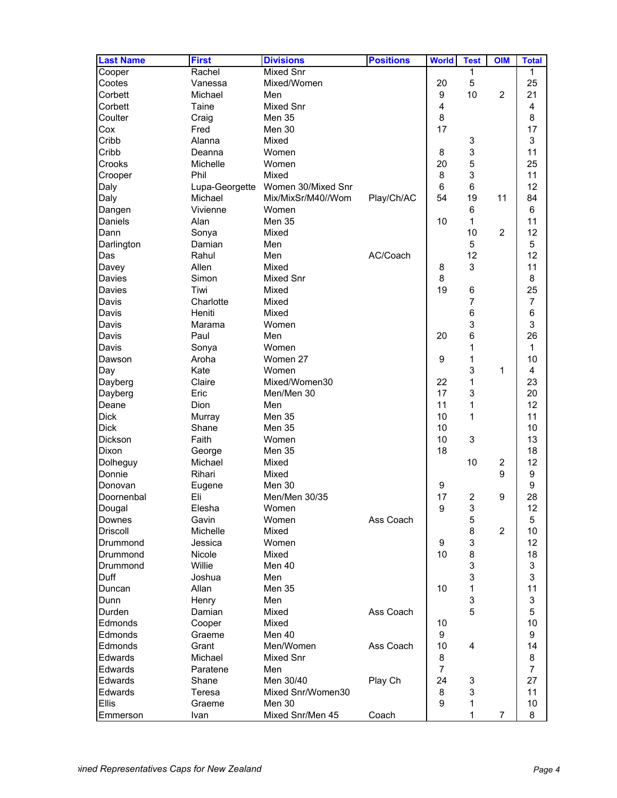| <b>Last Name</b> | <b>First</b>   | <b>Divisions</b>   | <b>Positions</b> | <b>World</b>            | <b>Test</b>    | <b>OIM</b>              | <b>Total</b>    |
|------------------|----------------|--------------------|------------------|-------------------------|----------------|-------------------------|-----------------|
| Cooper           | Rachel         | <b>Mixed Snr</b>   |                  |                         | 1              |                         | 1               |
| Cootes           | Vanessa        | Mixed/Women        |                  | 20                      | $\mathbf 5$    |                         | 25              |
| Corbett          | Michael        | Men                |                  | 9                       | 10             | $\overline{2}$          | 21              |
| Corbett          | Taine          | <b>Mixed Snr</b>   |                  | $\overline{\mathbf{4}}$ |                |                         | 4               |
| Coulter          | Craig          | Men 35             |                  | 8                       |                |                         | 8               |
| Cox              | Fred           | Men 30             |                  | 17                      |                |                         | 17              |
| Cribb            | Alanna         | Mixed              |                  |                         | 3              |                         | 3               |
| Cribb            | Deanna         | Women              |                  | 8                       | 3              |                         | 11              |
| Crooks           | Michelle       | Women              |                  | 20                      | 5              |                         | 25              |
| Crooper          | Phil           | Mixed              |                  | $\bf 8$                 | 3              |                         | 11              |
| Daly             | Lupa-Georgette | Women 30/Mixed Snr |                  | $\,6\,$                 | $\,6$          |                         | 12              |
| Daly             | Michael        | Mix/MixSr/M40//Wom | Play/Ch/AC       | 54                      | 19             | 11                      | 84              |
| Dangen           | Vivienne       | Women              |                  |                         | $\,6$          |                         | $6\phantom{1}6$ |
| Daniels          | Alan           | Men 35             |                  | 10                      | 1              |                         | 11              |
| Dann             | Sonya          | Mixed              |                  |                         | 10             | $\overline{c}$          | 12              |
| Darlington       | Damian         | Men                |                  |                         | 5              |                         | 5               |
| Das              | Rahul          | Men                | AC/Coach         |                         | 12             |                         | 12              |
| Davey            | Allen          | Mixed              |                  | 8                       | 3              |                         | 11              |
| Davies           | Simon          | <b>Mixed Snr</b>   |                  | 8                       |                |                         | 8               |
| Davies           | Tiwi           | Mixed              |                  | 19                      | $\,6$          |                         | 25              |
| Davis            | Charlotte      | Mixed              |                  |                         | $\overline{7}$ |                         | $\overline{7}$  |
| Davis            | Heniti         | Mixed              |                  |                         | $\,6$          |                         | $6\phantom{1}$  |
| Davis            | Marama         | Women              |                  |                         | 3              |                         | 3               |
| Davis            | Paul           | Men                |                  | 20                      | 6              |                         | 26              |
| Davis            | Sonya          | Women              |                  |                         | 1              |                         | $\mathbf 1$     |
| Dawson           | Aroha          | Women 27           |                  | 9                       | 1              |                         | 10              |
| Day              | Kate           | Women              |                  |                         | 3              | 1                       | 4               |
| Dayberg          | Claire         | Mixed/Women30      |                  | 22                      | 1              |                         | 23              |
| Dayberg          | Eric           | Men/Men 30         |                  | 17                      | 3              |                         | 20              |
| Deane            | Dion           | Men                |                  | 11                      | 1              |                         | 12              |
| <b>Dick</b>      | Murray         | Men 35             |                  | 10                      | 1              |                         | 11              |
| <b>Dick</b>      | Shane          | Men 35             |                  | 10                      |                |                         | 10              |
| Dickson          | Faith          | Women              |                  | 10                      | 3              |                         | 13              |
| Dixon            | George         | Men 35             |                  | 18                      |                |                         | 18              |
| Dolheguy         | Michael        | Mixed              |                  |                         | 10             | $\overline{\mathbf{c}}$ | 12              |
| Donnie           | Rihari         | Mixed              |                  |                         |                | 9                       | 9               |
| Donovan          | Eugene         | Men 30             |                  | 9                       |                |                         | 9               |
| Doornenbal       | Eli            | Men/Men 30/35      |                  | 17                      | $\overline{c}$ | 9                       | 28              |
| Dougal           | Elesha         | Women              |                  | 9                       | 3              |                         | 12              |
| Downes           | Gavin          | Women              | Ass Coach        |                         | 5              |                         | 5               |
| Driscoll         | Michelle       | Mixed              |                  |                         | 8              | $\overline{2}$          | 10              |
| Drummond         | Jessica        | Women              |                  | 9                       | 3              |                         | 12              |
| Drummond         | Nicole         | Mixed              |                  | 10                      | $\bf8$         |                         | 18              |
| Drummond         | Willie         | Men 40             |                  |                         | 3              |                         | 3               |
| Duff             | Joshua         | Men                |                  |                         | 3              |                         | 3               |
| Duncan           | Allan          | <b>Men 35</b>      |                  | 10                      | 1              |                         | 11              |
| Dunn             | Henry          | Men                |                  |                         | 3              |                         | 3               |
| Durden           | Damian         | Mixed              | Ass Coach        |                         | 5              |                         | 5               |
| Edmonds          | Cooper         | Mixed              |                  |                         |                |                         | 10              |
| Edmonds          |                | Men 40             |                  | 10<br>9                 |                |                         |                 |
|                  | Graeme         |                    |                  |                         |                |                         | 9               |
| Edmonds          | Grant          | Men/Women          | Ass Coach        | 10                      | 4              |                         | 14              |
| Edwards          | Michael        | <b>Mixed Snr</b>   |                  | 8                       |                |                         | 8               |
| Edwards          | Paratene       | Men                |                  | $\overline{7}$          |                |                         | $\overline{7}$  |
| Edwards          | Shane          | Men 30/40          | Play Ch          | 24                      | 3              |                         | 27              |
| Edwards          | Teresa         | Mixed Snr/Women30  |                  | 8                       | 3              |                         | 11              |
| Ellis            | Graeme         | Men 30             |                  | 9                       | 1              |                         | 10              |
| Emmerson         | Ivan           | Mixed Snr/Men 45   | Coach            |                         | 1              | 7                       | 8               |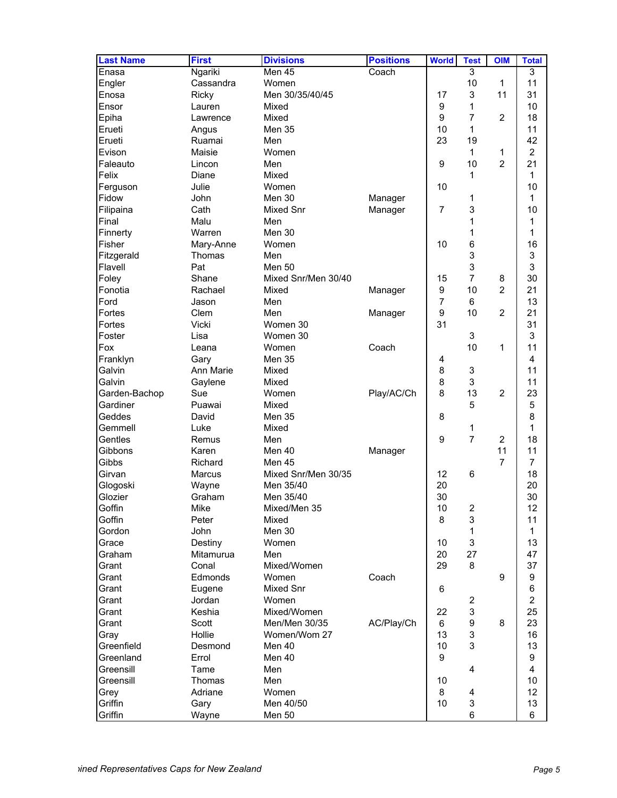| <b>Last Name</b>       | <b>First</b> | <b>Divisions</b>    | <b>Positions</b> | <b>World</b>     | <b>Test</b>             | <b>OIM</b>     | <b>Total</b>   |
|------------------------|--------------|---------------------|------------------|------------------|-------------------------|----------------|----------------|
| Enasa                  | Ngariki      | Men 45              | Coach            |                  | 3                       |                | 3              |
| Engler                 | Cassandra    | Women               |                  |                  | 10                      | $\mathbf{1}$   | 11             |
| Enosa                  | Ricky        | Men 30/35/40/45     |                  | 17               | 3                       | 11             | 31             |
| Ensor                  | Lauren       | Mixed               |                  | 9                | 1                       |                | 10             |
| Epiha                  | Lawrence     | Mixed               |                  | 9                | $\overline{7}$          | $\overline{2}$ | 18             |
| Erueti                 | Angus        | <b>Men 35</b>       |                  | 10               | 1                       |                | 11             |
| Erueti                 | Ruamai       | Men                 |                  | 23               | 19                      |                | 42             |
| Evison                 | Maisie       | Women               |                  |                  | 1                       | 1              | $\overline{2}$ |
| Faleauto               | Lincon       | Men                 |                  | 9                | 10                      | $\overline{2}$ | 21             |
| Felix                  | Diane        | Mixed               |                  |                  | 1                       |                | $\mathbf 1$    |
| Ferguson               | Julie        | Women               |                  | 10               |                         |                | 10             |
| Fidow                  | John         | Men 30              | Manager          |                  | 1                       |                | $\mathbf{1}$   |
| Filipaina              | Cath         | Mixed Snr           | Manager          | 7                | 3                       |                | 10             |
| Final                  | Malu         | Men                 |                  |                  | 1                       |                | 1              |
| Finnerty               | Warren       | Men 30              |                  |                  | 1                       |                | $\mathbf 1$    |
| Fisher                 | Mary-Anne    | Women               |                  | 10               | 6                       |                | 16             |
| Fitzgerald             | Thomas       | Men                 |                  |                  | 3                       |                | 3              |
| Flavell                | Pat          | Men 50              |                  |                  | 3                       |                | 3              |
| Foley                  | Shane        | Mixed Snr/Men 30/40 |                  | 15               | $\overline{7}$          | 8              | 30             |
| Fonotia                | Rachael      | Mixed               | Manager          | $\boldsymbol{9}$ | 10                      | $\overline{2}$ | 21             |
| Ford                   | Jason        | Men                 |                  | $\overline{7}$   | 6                       |                | 13             |
| Fortes                 | Clem         | Men                 | Manager          | 9                | 10                      | $\overline{2}$ | 21             |
| Fortes                 | Vicki        | Women 30            |                  | 31               |                         |                | 31             |
| Foster                 | Lisa         | Women 30            |                  |                  | 3                       |                | 3              |
| Fox                    | Leana        | Women               | Coach            |                  | 10                      | 1              | 11             |
| Franklyn               | Gary         | Men 35              |                  | 4                |                         |                | 4              |
| Galvin                 | Ann Marie    | Mixed               |                  | $\bf 8$          | 3                       |                | 11             |
| Galvin                 | Gaylene      | Mixed               |                  | 8                | 3                       |                | 11             |
| Garden-Bachop          | Sue          | Women               | Play/AC/Ch       | 8                | 13                      | $\overline{2}$ | 23             |
| Gardiner               | Puawai       | Mixed               |                  |                  | 5                       |                | 5              |
| Geddes                 | David        | <b>Men 35</b>       |                  | 8                |                         |                | 8              |
| Gemmell                | Luke         | Mixed               |                  |                  | 1                       |                | $\mathbf{1}$   |
| Gentles                | Remus        | Men                 |                  | 9                | $\overline{7}$          | $\overline{2}$ | 18             |
| Gibbons                | Karen        | Men 40              | Manager          |                  |                         | 11             | 11             |
| Gibbs                  | Richard      | Men 45              |                  |                  |                         | $\overline{7}$ | $\overline{7}$ |
| Girvan                 | Marcus       | Mixed Snr/Men 30/35 |                  | 12               | $\,6$                   |                | 18             |
| Glogoski               | Wayne        | Men 35/40           |                  | 20               |                         |                | 20             |
| Glozier                | Graham       | Men 35/40           |                  | 30               |                         |                | 30             |
| Goffin                 | Mike         | Mixed/Men 35        |                  | 10               | $\overline{\mathbf{c}}$ |                | 12             |
| Goffin                 | Peter        | Mixed               |                  | 8                | 3                       |                | 11             |
| Gordon                 | John         | Men 30              |                  |                  | 1                       |                | $\mathbf{1}$   |
| Grace                  | Destiny      | Women               |                  | 10               | 3                       |                | 13             |
| Graham                 | Mitamurua    | Men                 |                  | 20               | 27                      |                | 47             |
| Grant                  | Conal        | Mixed/Women         |                  | 29               | 8                       |                | 37             |
| Grant                  | Edmonds      | Women               | Coach            |                  |                         | 9              | 9              |
| Grant                  | Eugene       | Mixed Snr           |                  | 6                |                         |                | 6              |
| Grant                  | Jordan       | Women               |                  |                  | $\overline{\mathbf{c}}$ |                | $\overline{c}$ |
| Grant                  | Keshia       | Mixed/Women         |                  | 22               | 3                       |                | 25             |
| Grant                  | Scott        | Men/Men 30/35       | AC/Play/Ch       | 6                | 9                       | 8              | 23             |
| Gray                   | Hollie       | Women/Wom 27        |                  | 13               | 3                       |                | 16             |
| Greenfield             | Desmond      | Men 40              |                  | 10               | 3                       |                | 13             |
|                        | Errol        | Men 40              |                  | 9                |                         |                | 9              |
| Greenland<br>Greensill | Tame         | Men                 |                  |                  | $\overline{\mathbf{4}}$ |                | $\overline{4}$ |
| Greensill              | Thomas       | Men                 |                  | 10               |                         |                | 10             |
|                        |              |                     |                  |                  |                         |                |                |
| Grey<br>Griffin        | Adriane      | Women<br>Men 40/50  |                  | 8<br>10          | 4<br>3                  |                | 12             |
|                        | Gary         |                     |                  |                  |                         |                | 13<br>6        |
| Griffin                | Wayne        | Men 50              |                  |                  | 6                       |                |                |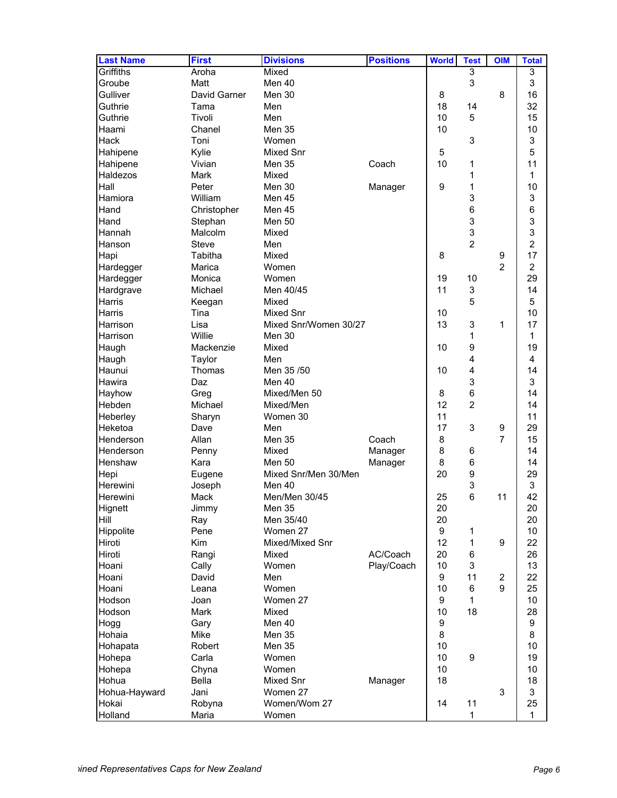| <b>Last Name</b> | <b>First</b> | <b>Divisions</b>      | <b>Positions</b> | <b>World</b> | <b>Test</b>      | <b>OIM</b>     | <b>Total</b>   |
|------------------|--------------|-----------------------|------------------|--------------|------------------|----------------|----------------|
| Griffiths        | Aroha        | Mixed                 |                  |              | 3                |                | 3              |
| Groube           | Matt         | Men 40                |                  |              | 3                |                | 3              |
| Gulliver         | David Garner | Men 30                |                  | 8            |                  | 8              | 16             |
| Guthrie          | Tama         | Men                   |                  | 18           | 14               |                | 32             |
| Guthrie          | Tivoli       | Men                   |                  | 10           | 5                |                | 15             |
| Haami            | Chanel       | Men 35                |                  | 10           |                  |                | 10             |
| Hack             | Toni         | Women                 |                  |              | 3                |                | 3              |
| Hahipene         | Kylie        | Mixed Snr             |                  | 5            |                  |                | 5              |
| Hahipene         | Vivian       | <b>Men 35</b>         | Coach            | 10           | 1                |                | 11             |
| Haldezos         | Mark         | Mixed                 |                  |              | 1                |                | 1              |
| Hall             | Peter        | Men 30                | Manager          | 9            | 1                |                | 10             |
| Hamiora          | William      | Men 45                |                  |              | 3                |                | 3              |
| Hand             | Christopher  | Men 45                |                  |              | $6\phantom{a}$   |                | 6              |
| Hand             | Stephan      | Men 50                |                  |              | 3                |                | 3              |
| Hannah           | Malcolm      | Mixed                 |                  |              | 3                |                | 3              |
| Hanson           | <b>Steve</b> | Men                   |                  |              | $\overline{2}$   |                | $\overline{2}$ |
| Hapi             | Tabitha      | Mixed                 |                  | 8            |                  | 9              | 17             |
| Hardegger        | Marica       | Women                 |                  |              |                  | $\overline{2}$ | $\overline{c}$ |
| Hardegger        | Monica       | Women                 |                  | 19           | 10               |                | 29             |
| Hardgrave        | Michael      | Men 40/45             |                  | 11           | 3                |                | 14             |
| Harris           | Keegan       | Mixed                 |                  |              | 5                |                | 5              |
| Harris           | Tina         | Mixed Snr             |                  | 10           |                  |                | 10             |
| Harrison         | Lisa         | Mixed Snr/Women 30/27 |                  | 13           | 3                | 1              | 17             |
| Harrison         | Willie       | Men 30                |                  |              | 1                |                | 1              |
| Haugh            | Mackenzie    | Mixed                 |                  | 10           | 9                |                | 19             |
| Haugh            | Taylor       | Men                   |                  |              | 4                |                | 4              |
| Haunui           | Thomas       | Men 35 /50            |                  | 10           | 4                |                | 14             |
| Hawira           | Daz          | Men 40                |                  |              | 3                |                | 3              |
| Hayhow           | Greg         | Mixed/Men 50          |                  | 8            | 6                |                | 14             |
| Hebden           | Michael      | Mixed/Men             |                  | 12           | $\overline{c}$   |                | 14             |
| Heberley         | Sharyn       | Women 30              |                  | 11           |                  |                | 11             |
| Heketoa          | Dave         | Men                   |                  | 17           | 3                | 9              | 29             |
| Henderson        | Allan        | Men 35                | Coach            | 8            |                  | $\overline{7}$ | 15             |
| Henderson        | Penny        | Mixed                 | Manager          | 8            | 6                |                | 14             |
| Henshaw          | Kara         | <b>Men 50</b>         | Manager          | 8            | 6                |                | 14             |
| Hepi             | Eugene       | Mixed Snr/Men 30/Men  |                  | 20           | 9                |                | 29             |
| Herewini         | Joseph       | Men 40                |                  |              | 3                |                | 3              |
| Herewini         | Mack         | Men/Men 30/45         |                  | 25           | 6                | 11             | 42             |
| Hignett          | Jimmy        | Men 35                |                  | 20           |                  |                | 20             |
| Hill             | Ray          | Men 35/40             |                  | 20           |                  |                | 20             |
| Hippolite        | Pene         | Women 27              |                  | 9            | 1                |                | 10             |
| Hiroti           | Kim          | Mixed/Mixed Snr       |                  | 12           | 1                | 9              | 22             |
| Hiroti           | Rangi        | Mixed                 | AC/Coach         | 20           | 6                |                | 26             |
| Hoani            | Cally        | Women                 | Play/Coach       | 10           | 3                |                | 13             |
| Hoani            | David        | Men                   |                  | 9            | 11               | 2              | 22             |
| Hoani            | Leana        | Women                 |                  | 10           | 6                | 9              | 25             |
| Hodson           | Joan         | Women 27              |                  | 9            | 1                |                | 10             |
| Hodson           | Mark         | Mixed                 |                  | 10           | 18               |                | 28             |
| Hogg             | Gary         | Men 40                |                  | 9            |                  |                | 9              |
| Hohaia           | Mike         | Men 35                |                  | 8            |                  |                | 8              |
| Hohapata         | Robert       | Men 35                |                  | 10           |                  |                | 10             |
| Hohepa           | Carla        | Women                 |                  | 10           | $\boldsymbol{9}$ |                | 19             |
| Hohepa           | Chyna        | Women                 |                  | 10           |                  |                | 10             |
| Hohua            | Bella        | Mixed Snr             | Manager          | 18           |                  |                | 18             |
| Hohua-Hayward    | Jani         | Women 27              |                  |              |                  | 3              | 3              |
| Hokai            | Robyna       | Women/Wom 27          |                  | 14           | 11               |                | 25             |
| Holland          | Maria        | Women                 |                  |              | 1                |                | $\mathbf{1}$   |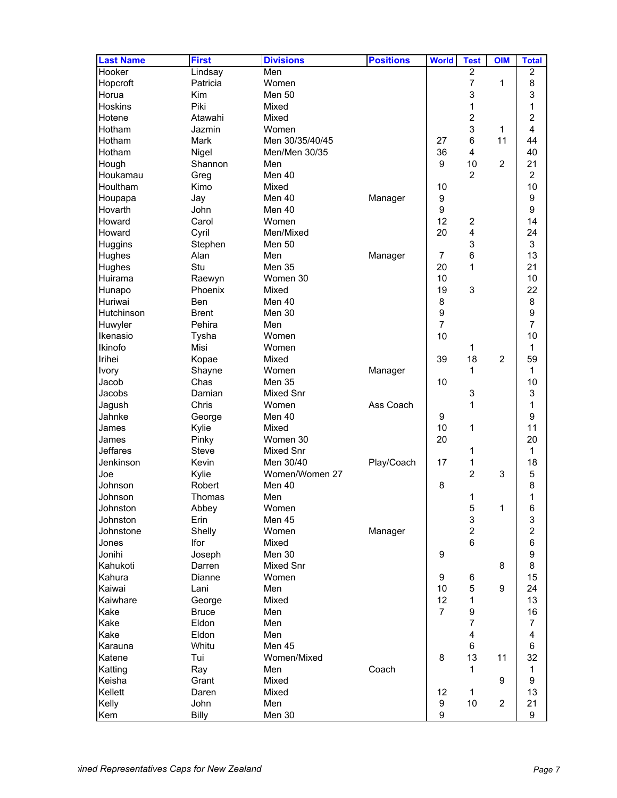| <b>Last Name</b>  | <b>First</b>          | <b>Divisions</b> | <b>Positions</b> | <b>World</b>   | <b>Test</b>             | <b>OIM</b>     | <b>Total</b>         |
|-------------------|-----------------------|------------------|------------------|----------------|-------------------------|----------------|----------------------|
| Hooker            | Lindsay               | Men              |                  |                | 2                       |                | 2                    |
| Hopcroft          | Patricia              | Women            |                  |                | $\overline{7}$          | 1              | 8                    |
| Horua             | Kim                   | Men 50           |                  |                | 3                       |                | 3                    |
| Hoskins           | Piki                  | Mixed            |                  |                | $\mathbf 1$             |                | 1                    |
| Hotene            | Atawahi               | Mixed            |                  |                | $\overline{c}$          |                | $\overline{c}$       |
| Hotham            | Jazmin                | Women            |                  |                | 3                       | $\mathbf{1}$   | 4                    |
| Hotham            | Mark                  | Men 30/35/40/45  |                  | 27             | 6                       | 11             | 44                   |
| Hotham            | Nigel                 | Men/Men 30/35    |                  | 36             | 4                       |                | 40                   |
| Hough             | Shannon               | Men              |                  | 9              | 10                      | $\overline{2}$ | 21                   |
| Houkamau          | Greg                  | Men 40           |                  |                | $\overline{2}$          |                | $\overline{c}$       |
| Houltham          | Kimo                  | Mixed            |                  | 10             |                         |                | 10                   |
| Houpapa           | Jay                   | Men 40           | Manager          | 9              |                         |                | 9                    |
| Hovarth           | John                  | Men 40           |                  | 9              |                         |                | 9                    |
| Howard            | Carol                 | Women            |                  | 12             | $\boldsymbol{2}$        |                | 14                   |
| Howard            | Cyril                 | Men/Mixed        |                  | 20             | 4                       |                | 24                   |
| Huggins           | Stephen               | <b>Men 50</b>    |                  |                | 3                       |                | 3                    |
| Hughes            | Alan                  | Men              | Manager          | $\overline{7}$ | 6                       |                | 13                   |
| Hughes            | Stu                   | Men 35           |                  | 20             | 1                       |                | 21                   |
| Huirama           | Raewyn                | Women 30         |                  | 10             |                         |                | 10                   |
| Hunapo            | Phoenix               | Mixed            |                  | 19             | 3                       |                | 22                   |
| Huriwai           | Ben                   | Men 40           |                  | 8              |                         |                | 8                    |
| Hutchinson        | <b>Brent</b>          | Men 30           |                  | 9              |                         |                | 9                    |
| Huwyler           | Pehira                | Men              |                  | $\overline{7}$ |                         |                | $\overline{7}$       |
| Ikenasio          | Tysha                 | Women            |                  | 10             |                         |                | 10                   |
| Ikinofo           | Misi                  | Women            |                  |                | 1                       |                | 1                    |
| Irihei            | Kopae                 | Mixed            |                  | 39             | 18                      | $\overline{2}$ | 59                   |
| Ivory             | Shayne                | Women            | Manager          |                | 1                       |                | 1                    |
| Jacob             | Chas                  | Men 35           |                  | 10             |                         |                | 10                   |
| Jacobs            | Damian                | Mixed Snr        |                  |                | 3                       |                | 3                    |
| Jagush            | Chris                 | Women            | Ass Coach        |                | 1                       |                | 1                    |
| Jahnke            | George                | Men 40           |                  | 9              |                         |                | 9                    |
| James             | Kylie                 | Mixed            |                  | 10             | 1                       |                | 11                   |
| James             | Pinky                 | Women 30         |                  | 20             |                         |                | 20                   |
| Jeffares          | Steve                 | Mixed Snr        |                  |                | 1                       |                | 1                    |
| Jenkinson         | Kevin                 | Men 30/40        | Play/Coach       | 17             | 1                       |                | 18                   |
| Joe               | Kylie                 | Women/Women 27   |                  |                | $\overline{c}$          | 3              | 5                    |
| Johnson           | Robert                | Men 40           |                  | 8              |                         |                | 8                    |
| Johnson           | Thomas                | Men              |                  |                | 1                       |                | 1                    |
| Johnston          | Abbey                 | Women            |                  |                | $\mathbf 5$             | 1              | 6                    |
| Johnston          | Erin                  | Men 45           |                  |                | $\mathsf 3$             |                | 3                    |
| Johnstone         | Shelly                | Women            | Manager          |                | $\overline{c}$<br>$\,6$ |                | $\overline{c}$       |
| Jones             | Ifor                  | Mixed            |                  |                |                         |                | 6                    |
| Jonihi            | Joseph                | Men 30           |                  | 9              |                         |                | 9                    |
| Kahukoti          | Darren                | Mixed Snr        |                  |                |                         | 8              | 8                    |
| Kahura<br>Kaiwai  | Dianne                | Women            |                  | 9<br>10        | 6                       | 9              | 15<br>24             |
| Kaiwhare          | Lani                  | Men<br>Mixed     |                  | 12             | 5<br>1                  |                | 13                   |
| Kake              | George                |                  |                  | $\overline{7}$ |                         |                |                      |
| Kake              | <b>Bruce</b><br>Eldon | Men<br>Men       |                  |                | 9<br>7                  |                | 16<br>$\overline{7}$ |
| Kake              | Eldon                 | Men              |                  |                | $\overline{\mathbf{4}}$ |                | 4                    |
|                   | Whitu                 | Men 45           |                  |                | $\,6$                   |                | 6                    |
| Karauna<br>Katene |                       |                  |                  | 8              | 13                      | 11             | 32                   |
|                   | Tui                   | Women/Mixed      | Coach            |                | 1                       |                | 1                    |
| Katting<br>Keisha | Ray<br>Grant          | Men<br>Mixed     |                  |                |                         | 9              | 9                    |
| Kellett           | Daren                 | Mixed            |                  | 12             | $\mathbf{1}$            |                | 13                   |
| Kelly             | John                  | Men              |                  | 9              | $10$                    | $\overline{c}$ | 21                   |
| Kem               | <b>Billy</b>          | Men 30           |                  | 9              |                         |                | 9                    |
|                   |                       |                  |                  |                |                         |                |                      |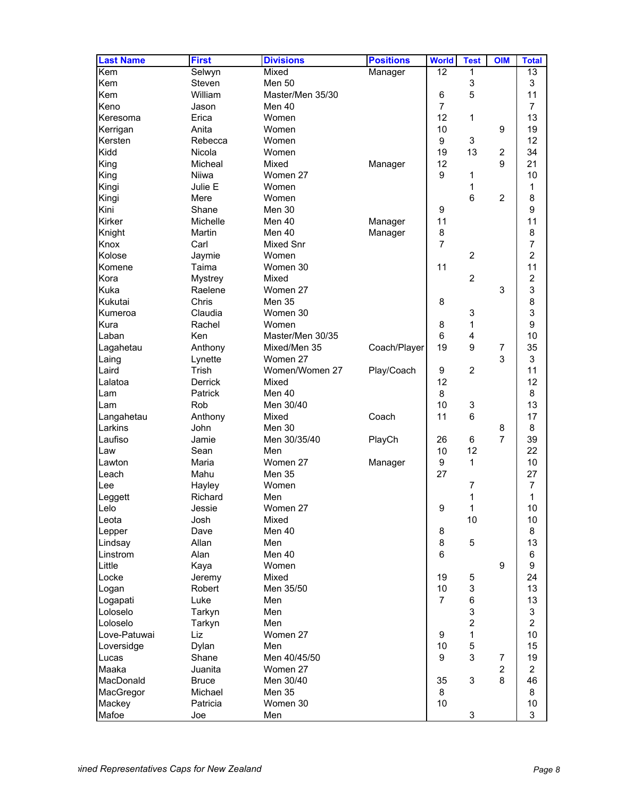| <b>Last Name</b>      | <b>First</b>    | <b>Divisions</b> | <b>Positions</b> | <b>World</b>           | <b>Test</b>               | <b>OIM</b>     | <b>Total</b>   |
|-----------------------|-----------------|------------------|------------------|------------------------|---------------------------|----------------|----------------|
| Kem                   | Selwyn          | Mixed            | Manager          | 12                     | 1                         |                | 13             |
| Kem                   | Steven          | Men 50           |                  |                        | $\ensuremath{\mathsf{3}}$ |                | 3              |
| Kem                   | William         | Master/Men 35/30 |                  | 6                      | 5                         |                | 11             |
| Keno                  | Jason           | Men 40           |                  | $\overline{7}$         |                           |                | $\overline{7}$ |
| Keresoma              | Erica           | Women            |                  | 12                     | 1                         |                | 13             |
| Kerrigan              | Anita           | Women            |                  | 10                     |                           | 9              | 19             |
| Kersten               | Rebecca         | Women            |                  | $\boldsymbol{9}$       | $\mathsf 3$               |                | 12             |
| Kidd                  | Nicola          | Women            |                  | 19                     | 13                        | 2              | 34             |
| King                  | Micheal         | Mixed            | Manager          | 12                     |                           | 9              | 21             |
| King                  | <b>Niiwa</b>    | Women 27         |                  | 9                      | 1                         |                | 10             |
| Kingi                 | Julie E         | Women            |                  |                        | 1                         |                | 1              |
| Kingi                 | Mere            | Women            |                  |                        | $6\phantom{1}6$           | $\overline{2}$ | 8              |
| Kini                  | Shane           | Men 30           |                  | $\boldsymbol{9}$       |                           |                | 9              |
| Kirker                | Michelle        | Men 40           | Manager          | 11                     |                           |                | 11             |
| Knight                | Martin          | Men 40           | Manager          | 8                      |                           |                | 8              |
| Knox                  | Carl            | Mixed Snr        |                  | $\overline{7}$         |                           |                | $\overline{7}$ |
| Kolose                | Jaymie          | Women            |                  |                        | $\overline{c}$            |                | $\overline{c}$ |
| Komene                | Taima           | Women 30         |                  | 11                     |                           |                | 11             |
| Kora                  | <b>Mystrey</b>  | Mixed            |                  |                        | $\overline{c}$            |                | $\overline{c}$ |
| Kuka                  | Raelene         | Women 27         |                  |                        |                           | 3              | 3              |
| Kukutai               | Chris           | <b>Men 35</b>    |                  | 8                      |                           |                | 8              |
| Kumeroa               | Claudia         | Women 30         |                  |                        | 3                         |                | 3              |
| Kura                  | Rachel          | Women            |                  | $\bf 8$                | $\mathbf 1$               |                | 9              |
| Laban                 | Ken             | Master/Men 30/35 |                  | $\,6\,$                | $\overline{\mathbf{4}}$   |                | 10             |
| Lagahetau             | Anthony         | Mixed/Men 35     | Coach/Player     | 19                     | $\boldsymbol{9}$          | $\overline{7}$ | 35             |
|                       | Lynette         | Women 27         |                  |                        |                           | 3              | 3              |
| Laing<br>Laird        | Trish           | Women/Women 27   | Play/Coach       | 9                      | $\overline{c}$            |                | 11             |
| Lalatoa               | <b>Derrick</b>  | Mixed            |                  | 12                     |                           |                | 12             |
| Lam                   | Patrick         | Men 40           |                  | 8                      |                           |                | 8              |
|                       | Rob             | Men 30/40        |                  | 10                     |                           |                | 13             |
| Lam                   |                 | Mixed            | Coach            | 11                     | 3<br>$\,6$                |                | 17             |
| Langahetau<br>Larkins | Anthony<br>John | Men 30           |                  |                        |                           | 8              | 8              |
| Laufiso               |                 | Men 30/35/40     |                  | 26                     |                           | $\overline{7}$ | 39             |
|                       | Jamie<br>Sean   | Men              | PlayCh           | 10                     | 6<br>12                   |                | 22             |
| Law                   |                 |                  |                  |                        |                           |                | 10             |
| Lawton<br>Leach       | Maria           | Women 27         | Manager          | $\boldsymbol{9}$<br>27 | 1                         |                | 27             |
| Lee                   | Mahu            | Men 35<br>Women  |                  |                        |                           |                | $\overline{7}$ |
|                       | Hayley          |                  |                  |                        | 7                         |                | 1              |
| Leggett<br>Lelo       | Richard         | Men              |                  | 9                      | 1<br>$\mathbf{1}$         |                |                |
|                       | Jessie          | Women 27         |                  |                        |                           |                | 10             |
| Leota                 | Josh            | Mixed<br>Men 40  |                  |                        | 10                        |                | 10             |
| Lepper                | Dave<br>Allan   |                  |                  | 8<br>8                 | $\mathbf 5$               |                | 8<br>13        |
| Lindsay               |                 | Men<br>Men 40    |                  | $6\phantom{1}$         |                           |                |                |
| Linstrom              | Alan            |                  |                  |                        |                           | 9              | 6<br>9         |
| Little                | Kaya            | Women            |                  |                        |                           |                |                |
| Locke                 | Jeremy          | Mixed            |                  | 19                     | $\,$ 5 $\,$               |                | 24             |
| Logan                 | Robert          | Men 35/50        |                  | 10                     | 3                         |                | 13             |
| Logapati              | Luke            | Men              |                  | $\overline{7}$         | $\,6$                     |                | 13             |
| Loloselo              | Tarkyn          | Men              |                  |                        | 3                         |                | 3              |
| Loloselo              | Tarkyn          | Men              |                  |                        | $\overline{c}$            |                | $\overline{2}$ |
| Love-Patuwai          | Liz             | Women 27         |                  | 9                      | $\mathbf{1}$              |                | 10             |
| Loversidge            | Dylan           | Men              |                  | 10                     | 5                         |                | 15             |
| Lucas                 | Shane           | Men 40/45/50     |                  | 9                      | 3                         | $\overline{7}$ | 19             |
| Maaka                 | Juanita         | Women 27         |                  |                        |                           | $\overline{c}$ | $\overline{c}$ |
| MacDonald             | <b>Bruce</b>    | Men 30/40        |                  | 35                     | $\mathsf 3$               | 8              | 46             |
| MacGregor             | Michael         | Men 35           |                  | 8                      |                           |                | 8              |
| Mackey                | Patricia        | Women 30         |                  | 10                     |                           |                | 10             |
| Mafoe                 | Joe             | Men              |                  |                        | 3                         |                | 3              |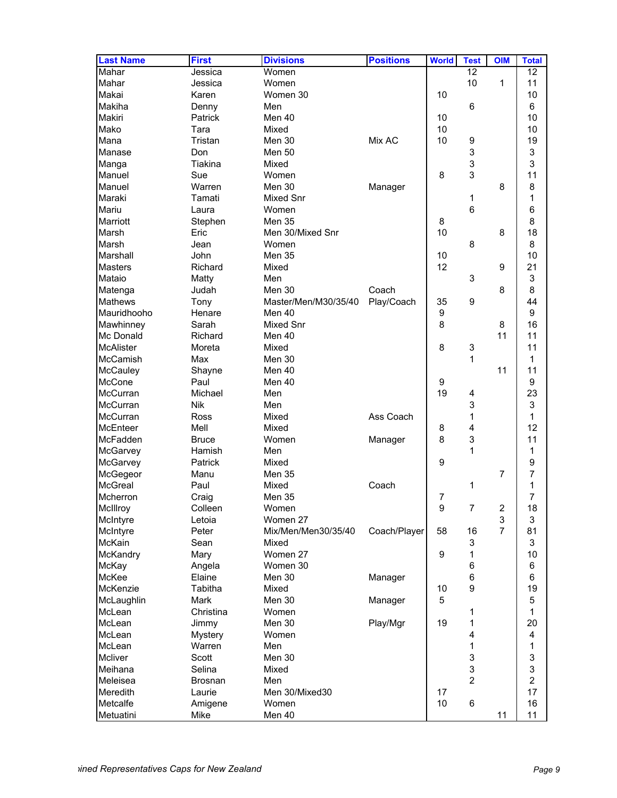| <b>Last Name</b> | <b>First</b>   | <b>Divisions</b>     | <b>Positions</b> | <b>World</b>   | <b>Test</b>               | <b>OIM</b>              | <b>Total</b>              |
|------------------|----------------|----------------------|------------------|----------------|---------------------------|-------------------------|---------------------------|
| Mahar            | Jessica        | Women                |                  |                | 12                        |                         | 12                        |
| Mahar            | Jessica        | Women                |                  |                | 10                        | 1                       | 11                        |
| Makai            | Karen          | Women 30             |                  | 10             |                           |                         | 10                        |
| Makiha           | Denny          | Men                  |                  |                | $\,6$                     |                         | 6                         |
| Makiri           | Patrick        | Men 40               |                  | 10             |                           |                         | 10                        |
| Mako             | Tara           | Mixed                |                  | 10             |                           |                         | 10                        |
| Mana             | Tristan        | Men 30               | Mix AC           | 10             | 9                         |                         | 19                        |
| Manase           | Don            | <b>Men 50</b>        |                  |                | 3                         |                         | $\ensuremath{\mathsf{3}}$ |
| Manga            | Tiakina        | Mixed                |                  |                | 3                         |                         | 3                         |
| Manuel           | Sue            | Women                |                  | 8              | 3                         |                         | 11                        |
| Manuel           | Warren         | Men 30               | Manager          |                |                           | 8                       | 8                         |
| Maraki           | Tamati         | Mixed Snr            |                  |                | 1                         |                         | 1                         |
| Mariu            | Laura          | Women                |                  |                | $6\phantom{1}6$           |                         | 6                         |
| Marriott         | Stephen        | Men 35               |                  | 8              |                           |                         | 8                         |
| Marsh            | Eric           | Men 30/Mixed Snr     |                  | 10             |                           | 8                       | 18                        |
| Marsh            | Jean           | Women                |                  |                | 8                         |                         | 8                         |
| Marshall         | John           | Men 35               |                  | 10             |                           |                         | 10                        |
| <b>Masters</b>   | Richard        | Mixed                |                  | 12             |                           | 9                       | 21                        |
| Mataio           | Matty          | Men                  |                  |                | 3                         |                         | 3                         |
| Matenga          | Judah          | Men 30               | Coach            |                |                           | 8                       | 8                         |
| <b>Mathews</b>   | Tony           | Master/Men/M30/35/40 | Play/Coach       | 35             | $\boldsymbol{9}$          |                         | 44                        |
| Mauridhooho      | Henare         | Men 40               |                  | 9              |                           |                         | 9                         |
| Mawhinney        | Sarah          | Mixed Snr            |                  | 8              |                           | 8                       | 16                        |
| Mc Donald        | Richard        | Men 40               |                  |                |                           | 11                      | 11                        |
| <b>McAlister</b> | Moreta         | Mixed                |                  | 8              | 3                         |                         | 11                        |
| McCamish         | Max            | Men 30               |                  |                | 1                         |                         | 1                         |
| McCauley         | Shayne         | Men 40               |                  |                |                           | 11                      | 11                        |
| McCone           | Paul           | Men 40               |                  | 9              |                           |                         | 9                         |
| McCurran         | Michael        | Men                  |                  | 19             | 4                         |                         | 23                        |
| McCurran         | <b>Nik</b>     | Men                  |                  |                | 3                         |                         | 3                         |
| <b>McCurran</b>  | <b>Ross</b>    | Mixed                | Ass Coach        |                | 1                         |                         | $\mathbf{1}$              |
| <b>McEnteer</b>  | Mell           | Mixed                |                  | 8              | 4                         |                         | 12                        |
| McFadden         | <b>Bruce</b>   | Women                | Manager          | 8              | 3                         |                         | 11                        |
| McGarvey         | Hamish         | Men                  |                  |                | 1                         |                         | $\mathbf 1$               |
| McGarvey         | Patrick        | Mixed                |                  | 9              |                           |                         | 9                         |
| McGegeor         | Manu           | Men 35               |                  |                |                           | $\overline{7}$          | $\overline{7}$            |
| <b>McGreal</b>   | Paul           | Mixed                | Coach            |                | 1                         |                         | $\mathbf 1$               |
| Mcherron         | Craig          | Men 35               |                  | $\overline{7}$ |                           |                         | 7                         |
| McIllroy         | Colleen        | Women                |                  | 9              | $\boldsymbol{7}$          | $\overline{\mathbf{c}}$ | 18                        |
| McIntyre         | Letoia         | Women 27             |                  |                |                           | 3                       | 3                         |
| McIntyre         | Peter          | Mix/Men/Men30/35/40  | Coach/Player     | 58             | 16                        | $\overline{7}$          | 81                        |
| McKain           | Sean           | Mixed                |                  |                | 3                         |                         | 3                         |
| McKandry         | Mary           | Women 27             |                  | 9              | 1                         |                         | 10                        |
| <b>McKay</b>     | Angela         | Women 30             |                  |                | 6                         |                         | 6                         |
| McKee            | Elaine         | Men 30               | Manager          |                | 6                         |                         | 6                         |
| McKenzie         | Tabitha        | Mixed                |                  | 10             | 9                         |                         | 19                        |
| McLaughlin       | Mark           | Men 30               | Manager          | 5              |                           |                         | 5                         |
| McLean           | Christina      | Women                |                  |                | 1                         |                         | 1                         |
| McLean           | Jimmy          | Men 30               | Play/Mgr         | 19             | 1                         |                         | 20                        |
| McLean           | <b>Mystery</b> | Women                |                  |                | 4                         |                         | 4                         |
| McLean           | Warren         | Men                  |                  |                | 1                         |                         | 1                         |
| Mcliver          | Scott          | Men 30               |                  |                | 3                         |                         | 3                         |
| Meihana          | Selina         | Mixed                |                  |                | $\ensuremath{\mathsf{3}}$ |                         | $\mathsf 3$               |
| Meleisea         | <b>Brosnan</b> | Men                  |                  |                | 2                         |                         | $\overline{c}$            |
| Meredith         |                | Men 30/Mixed30       |                  |                |                           |                         | 17                        |
|                  | Laurie         |                      |                  | 17<br>10       | 6                         |                         | 16                        |
| Metcalfe         | Amigene        | Women                |                  |                |                           |                         |                           |
| Metuatini        | Mike           | Men 40               |                  |                |                           | 11                      | 11                        |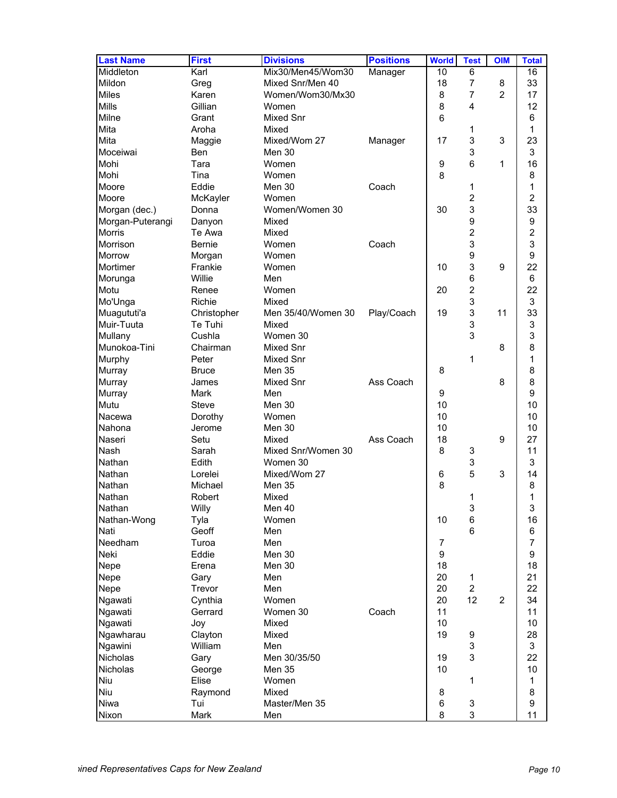| <b>Last Name</b> | <b>First</b>  | <b>Divisions</b>   | <b>Positions</b> | <b>World</b>     | <b>Test</b>               | <b>OIM</b>     | <b>Total</b>   |
|------------------|---------------|--------------------|------------------|------------------|---------------------------|----------------|----------------|
| Middleton        | Karl          | Mix30/Men45/Wom30  | Manager          | 10               | 6                         |                | 16             |
| Mildon           | Greg          | Mixed Snr/Men 40   |                  | 18               | $\overline{7}$            | 8              | 33             |
| Miles            | Karen         | Women/Wom30/Mx30   |                  | 8                | $\overline{7}$            | $\overline{2}$ | 17             |
| Mills            | Gillian       | Women              |                  | 8                | 4                         |                | 12             |
| Milne            | Grant         | <b>Mixed Snr</b>   |                  | 6                |                           |                | 6              |
| Mita             | Aroha         | Mixed              |                  |                  | 1                         |                | 1              |
| Mita             | Maggie        | Mixed/Wom 27       | Manager          | 17               | 3                         | 3              | 23             |
| Moceiwai         | <b>Ben</b>    | Men 30             |                  |                  | 3                         |                | 3              |
| Mohi             | Tara          | Women              |                  | $\boldsymbol{9}$ | 6                         | 1              | 16             |
| Mohi             | Tina          | Women              |                  | 8                |                           |                | 8              |
| Moore            | Eddie         | Men 30             | Coach            |                  | 1                         |                | $\mathbf{1}$   |
| Moore            | McKayler      | Women              |                  |                  | $\overline{c}$            |                | $\overline{c}$ |
| Morgan (dec.)    | Donna         | Women/Women 30     |                  | 30               | 3                         |                | 33             |
| Morgan-Puterangi | Danyon        | Mixed              |                  |                  | $\boldsymbol{9}$          |                | 9              |
| <b>Morris</b>    | Te Awa        | Mixed              |                  |                  | $\overline{\mathbf{c}}$   |                | $\overline{c}$ |
| Morrison         | <b>Bernie</b> | Women              | Coach            |                  | 3                         |                | 3              |
| Morrow           | Morgan        | Women              |                  |                  | $\boldsymbol{9}$          |                | 9              |
| Mortimer         | Frankie       | Women              |                  | 10               | 3                         | 9              | 22             |
| Morunga          | Willie        | Men                |                  |                  | $\,6$                     |                | 6              |
| Motu             | Renee         | Women              |                  | 20               | $\overline{\mathbf{c}}$   |                | 22             |
| Mo'Unga          | Richie        | Mixed              |                  |                  | 3                         |                | 3              |
| Muagututi'a      | Christopher   | Men 35/40/Women 30 | Play/Coach       | 19               | 3                         | 11             | 33             |
| Muir-Tuuta       | Te Tuhi       | Mixed              |                  |                  | 3                         |                | 3              |
| Mullany          | Cushla        | Women 30           |                  |                  | 3                         |                | 3              |
| Munokoa-Tini     | Chairman      | Mixed Snr          |                  |                  |                           | 8              | 8              |
| Murphy           | Peter         | Mixed Snr          |                  |                  | 1                         |                | 1              |
| Murray           | <b>Bruce</b>  | <b>Men 35</b>      |                  | 8                |                           |                | 8              |
| Murray           | James         | <b>Mixed Snr</b>   | Ass Coach        |                  |                           | 8              | 8              |
| Murray           | <b>Mark</b>   | Men                |                  | 9                |                           |                | 9              |
| Mutu             | <b>Steve</b>  | Men 30             |                  | 10               |                           |                | 10             |
| Nacewa           | Dorothy       | Women              |                  | 10               |                           |                | 10             |
| Nahona           | Jerome        | Men 30             |                  | 10               |                           |                | 10             |
| Naseri           | Setu          | Mixed              | Ass Coach        | 18               |                           | 9              | 27             |
| Nash             | Sarah         | Mixed Snr/Women 30 |                  | 8                | 3                         |                | 11             |
| Nathan           | Edith         | Women 30           |                  |                  | 3                         |                | 3              |
| Nathan           | Lorelei       | Mixed/Wom 27       |                  | 6                | 5                         | 3              | 14             |
| Nathan           | Michael       | Men 35             |                  | 8                |                           |                | 8              |
| Nathan           | Robert        | Mixed              |                  |                  | 1                         |                | 1              |
| Nathan           | Willy         | Men 40             |                  |                  | 3                         |                | 3              |
| Nathan-Wong      | Tyla          | Women              |                  | 10               | $\,6$                     |                | 16             |
| Nati             | Geoff         | Men                |                  |                  | $6\phantom{1}6$           |                | 6              |
| Needham          | Turoa         | Men                |                  | 7                |                           |                | $\overline{7}$ |
| Neki             | Eddie         | Men 30             |                  | 9                |                           |                | 9              |
| Nepe             | Erena         | Men 30             |                  | 18               |                           |                | 18             |
| Nepe             | Gary          | Men                |                  | 20               | 1                         |                | 21             |
| Nepe             | Trevor        | Men                |                  | 20               | $\overline{c}$            |                | 22             |
| Ngawati          | Cynthia       | Women              |                  | 20               | 12                        | $\overline{2}$ | 34             |
| Ngawati          | Gerrard       | Women 30           | Coach            | 11               |                           |                | 11             |
| Ngawati          | Joy           | Mixed              |                  | 10               |                           |                | 10             |
| Ngawharau        | Clayton       | Mixed              |                  | 19               | 9                         |                | 28             |
| Ngawini          | William       | Men                |                  |                  | 3                         |                | 3              |
| Nicholas         | Gary          | Men 30/35/50       |                  | 19               | 3                         |                | 22             |
| Nicholas         | George        | <b>Men 35</b>      |                  | 10               |                           |                | 10             |
| Niu              | Elise         | Women              |                  |                  | 1                         |                | 1              |
| Niu              | Raymond       | Mixed              |                  | 8                |                           |                | 8              |
| Niwa             | Tui           | Master/Men 35      |                  | 6                | $\ensuremath{\mathsf{3}}$ |                | 9              |
| Nixon            | Mark          | Men                |                  | 8                | 3                         |                | 11             |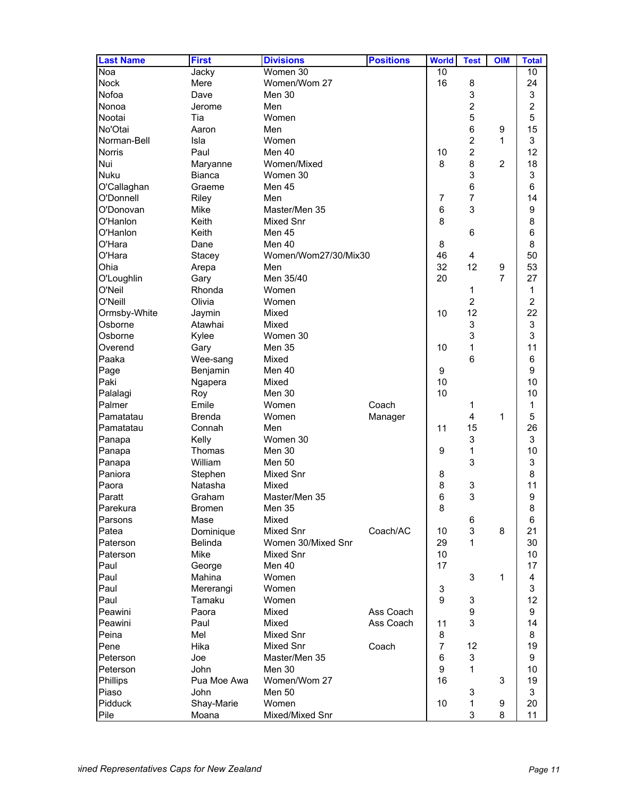| Noa<br>Jacky<br>Women 30<br>10<br>10<br>16<br>24<br><b>Nock</b><br>Women/Wom 27<br>8<br>Mere<br>3<br>3<br>Nofoa<br>Men 30<br>Dave<br>$\overline{2}$<br>$\overline{2}$<br>Nonoa<br>Men<br>Jerome<br>5<br>5<br>Nootai<br>Tia<br>Women<br>6<br>15<br>Men<br>9<br>Aaron<br>$\overline{c}$<br>3<br>Norman-Bell<br>Isla<br>Women<br>1<br>$\overline{2}$<br>12<br><b>Norris</b><br>Men 40<br>Paul<br>10<br>8<br>Nui<br>8<br>$\overline{2}$<br>Women/Mixed<br>18<br>Maryanne<br>3<br>3<br><b>Nuku</b><br><b>Bianca</b><br>Women 30<br>$6\phantom{a}$<br>6<br>O'Callaghan<br>Men 45<br>Graeme<br>$\overline{7}$<br>14<br>O'Donnell<br>Riley<br>Men<br>7<br>$6\phantom{1}6$<br>3<br>9<br>O'Donovan<br>Mike<br>Master/Men 35<br>8<br>8<br>Mixed Snr<br>O'Hanlon<br>Keith<br>$6\phantom{1}6$<br>6<br>O'Hanlon<br>Men 45<br>Keith<br>8<br>O'Hara<br>8<br>Men 40<br>Dane<br>46<br>50<br>O'Hara<br>Women/Wom27/30/Mix30<br>$\overline{4}$<br>Stacey<br>32<br>12<br>53<br>Ohia<br>Arepa<br>Men<br>9<br>20<br>$\overline{7}$<br>Men 35/40<br>27<br>O'Loughlin<br>Gary<br>O'Neil<br>Rhonda<br>Women<br>1<br>1<br>$\overline{2}$<br>O'Neill<br>Olivia<br>2<br>Women<br>12<br>22<br>Ormsby-White<br>Jaymin<br>Mixed<br>10<br>3<br>3<br>Osborne<br>Atawhai<br>Mixed<br>3<br>3<br>Osborne<br>Kylee<br>Women 30<br>11<br>10<br>1<br>Overend<br>Men 35<br>Gary<br>Paaka<br>6<br>6<br>Wee-sang<br>Mixed<br>9<br>Page<br>9<br>Benjamin<br>Men 40<br>Paki<br>10<br>10<br>Ngapera<br>Mixed<br>10<br>10<br>Palalagi<br>Roy<br>Men 30<br>Coach<br>Palmer<br>Emile<br>Women<br>1<br>1<br>5<br>$\overline{4}$<br>1<br>Pamatatau<br><b>Brenda</b><br>Women<br>Manager<br>26<br>Pamatatau<br>15<br>Connah<br>Men<br>11<br>3<br>3<br>Panapa<br>Kelly<br>Women 30<br>10<br>Men 30<br>9<br>1<br>Panapa<br>Thomas<br>3<br>3<br>Panapa<br>William<br>Men 50<br>8<br>Paniora<br>Mixed Snr<br>8<br>Stephen<br>8<br>Paora<br>11<br>Natasha<br>Mixed<br>3<br>3<br>6<br>9<br>Paratt<br>Master/Men 35<br>Graham<br>Parekura<br><b>Bromen</b><br>Men 35<br>8<br>8<br>Parsons<br>Mixed<br>6<br>Mase<br>6<br>3<br>Mixed Snr<br>Coach/AC<br>8<br>21<br>Patea<br>10<br>Dominique<br>30<br>29<br>1<br>Paterson<br><b>Belinda</b><br>Women 30/Mixed Snr<br>Mike<br>Mixed Snr<br>10<br>10<br>Paterson<br>Paul<br>17<br>17<br>Men 40<br>George<br>Paul<br>3<br>Mahina<br>Women<br>$\mathbf{1}$<br>4<br>Paul<br>3<br>Women<br>Mererangi<br>3<br>9<br>Paul<br>12<br>Tamaku<br>Women<br>3<br>Paora<br>Ass Coach<br>Peawini<br>Mixed<br>9<br>9<br>3<br>Peawini<br>Paul<br>Mixed<br>Ass Coach<br>14<br>11<br>Peina<br>Mel<br><b>Mixed Snr</b><br>8<br>8<br>Mixed Snr<br>7<br>12<br>19<br>Pene<br>Hika<br>Coach<br>$\ensuremath{\mathsf{3}}$<br>6<br>9<br>Peterson<br>Joe<br>Master/Men 35<br>9<br>1<br>John<br>Men 30<br>10<br>Peterson<br>16<br>Women/Wom 27<br>Phillips<br>Pua Moe Awa<br>3<br>19<br>Piaso<br><b>Men 50</b><br>3<br>John<br>3<br>Pidduck<br>10<br>20<br>Shay-Marie<br>Women<br>1<br>9<br>Pile<br>Mixed/Mixed Snr<br>3<br>8<br>11<br>Moana | <b>Last Name</b> | <b>First</b> | <b>Divisions</b> | <b>Positions</b> | <b>World</b> | <b>Test</b> | <b>OIM</b> | <b>Total</b> |
|--------------------------------------------------------------------------------------------------------------------------------------------------------------------------------------------------------------------------------------------------------------------------------------------------------------------------------------------------------------------------------------------------------------------------------------------------------------------------------------------------------------------------------------------------------------------------------------------------------------------------------------------------------------------------------------------------------------------------------------------------------------------------------------------------------------------------------------------------------------------------------------------------------------------------------------------------------------------------------------------------------------------------------------------------------------------------------------------------------------------------------------------------------------------------------------------------------------------------------------------------------------------------------------------------------------------------------------------------------------------------------------------------------------------------------------------------------------------------------------------------------------------------------------------------------------------------------------------------------------------------------------------------------------------------------------------------------------------------------------------------------------------------------------------------------------------------------------------------------------------------------------------------------------------------------------------------------------------------------------------------------------------------------------------------------------------------------------------------------------------------------------------------------------------------------------------------------------------------------------------------------------------------------------------------------------------------------------------------------------------------------------------------------------------------------------------------------------------------------------------------------------------------------------------------------------------------------------------------------------------------------------------------------------------------------------------------------------------------------------------------------------------------------------------------------------------------------------------------------------------------------------------------------------------------------------------------------------------------------------------------|------------------|--------------|------------------|------------------|--------------|-------------|------------|--------------|
|                                                                                                                                                                                                                                                                                                                                                                                                                                                                                                                                                                                                                                                                                                                                                                                                                                                                                                                                                                                                                                                                                                                                                                                                                                                                                                                                                                                                                                                                                                                                                                                                                                                                                                                                                                                                                                                                                                                                                                                                                                                                                                                                                                                                                                                                                                                                                                                                                                                                                                                                                                                                                                                                                                                                                                                                                                                                                                                                                                                                  |                  |              |                  |                  |              |             |            |              |
|                                                                                                                                                                                                                                                                                                                                                                                                                                                                                                                                                                                                                                                                                                                                                                                                                                                                                                                                                                                                                                                                                                                                                                                                                                                                                                                                                                                                                                                                                                                                                                                                                                                                                                                                                                                                                                                                                                                                                                                                                                                                                                                                                                                                                                                                                                                                                                                                                                                                                                                                                                                                                                                                                                                                                                                                                                                                                                                                                                                                  |                  |              |                  |                  |              |             |            |              |
|                                                                                                                                                                                                                                                                                                                                                                                                                                                                                                                                                                                                                                                                                                                                                                                                                                                                                                                                                                                                                                                                                                                                                                                                                                                                                                                                                                                                                                                                                                                                                                                                                                                                                                                                                                                                                                                                                                                                                                                                                                                                                                                                                                                                                                                                                                                                                                                                                                                                                                                                                                                                                                                                                                                                                                                                                                                                                                                                                                                                  |                  |              |                  |                  |              |             |            |              |
|                                                                                                                                                                                                                                                                                                                                                                                                                                                                                                                                                                                                                                                                                                                                                                                                                                                                                                                                                                                                                                                                                                                                                                                                                                                                                                                                                                                                                                                                                                                                                                                                                                                                                                                                                                                                                                                                                                                                                                                                                                                                                                                                                                                                                                                                                                                                                                                                                                                                                                                                                                                                                                                                                                                                                                                                                                                                                                                                                                                                  |                  |              |                  |                  |              |             |            |              |
|                                                                                                                                                                                                                                                                                                                                                                                                                                                                                                                                                                                                                                                                                                                                                                                                                                                                                                                                                                                                                                                                                                                                                                                                                                                                                                                                                                                                                                                                                                                                                                                                                                                                                                                                                                                                                                                                                                                                                                                                                                                                                                                                                                                                                                                                                                                                                                                                                                                                                                                                                                                                                                                                                                                                                                                                                                                                                                                                                                                                  |                  |              |                  |                  |              |             |            |              |
|                                                                                                                                                                                                                                                                                                                                                                                                                                                                                                                                                                                                                                                                                                                                                                                                                                                                                                                                                                                                                                                                                                                                                                                                                                                                                                                                                                                                                                                                                                                                                                                                                                                                                                                                                                                                                                                                                                                                                                                                                                                                                                                                                                                                                                                                                                                                                                                                                                                                                                                                                                                                                                                                                                                                                                                                                                                                                                                                                                                                  | No'Otai          |              |                  |                  |              |             |            |              |
|                                                                                                                                                                                                                                                                                                                                                                                                                                                                                                                                                                                                                                                                                                                                                                                                                                                                                                                                                                                                                                                                                                                                                                                                                                                                                                                                                                                                                                                                                                                                                                                                                                                                                                                                                                                                                                                                                                                                                                                                                                                                                                                                                                                                                                                                                                                                                                                                                                                                                                                                                                                                                                                                                                                                                                                                                                                                                                                                                                                                  |                  |              |                  |                  |              |             |            |              |
|                                                                                                                                                                                                                                                                                                                                                                                                                                                                                                                                                                                                                                                                                                                                                                                                                                                                                                                                                                                                                                                                                                                                                                                                                                                                                                                                                                                                                                                                                                                                                                                                                                                                                                                                                                                                                                                                                                                                                                                                                                                                                                                                                                                                                                                                                                                                                                                                                                                                                                                                                                                                                                                                                                                                                                                                                                                                                                                                                                                                  |                  |              |                  |                  |              |             |            |              |
|                                                                                                                                                                                                                                                                                                                                                                                                                                                                                                                                                                                                                                                                                                                                                                                                                                                                                                                                                                                                                                                                                                                                                                                                                                                                                                                                                                                                                                                                                                                                                                                                                                                                                                                                                                                                                                                                                                                                                                                                                                                                                                                                                                                                                                                                                                                                                                                                                                                                                                                                                                                                                                                                                                                                                                                                                                                                                                                                                                                                  |                  |              |                  |                  |              |             |            |              |
|                                                                                                                                                                                                                                                                                                                                                                                                                                                                                                                                                                                                                                                                                                                                                                                                                                                                                                                                                                                                                                                                                                                                                                                                                                                                                                                                                                                                                                                                                                                                                                                                                                                                                                                                                                                                                                                                                                                                                                                                                                                                                                                                                                                                                                                                                                                                                                                                                                                                                                                                                                                                                                                                                                                                                                                                                                                                                                                                                                                                  |                  |              |                  |                  |              |             |            |              |
|                                                                                                                                                                                                                                                                                                                                                                                                                                                                                                                                                                                                                                                                                                                                                                                                                                                                                                                                                                                                                                                                                                                                                                                                                                                                                                                                                                                                                                                                                                                                                                                                                                                                                                                                                                                                                                                                                                                                                                                                                                                                                                                                                                                                                                                                                                                                                                                                                                                                                                                                                                                                                                                                                                                                                                                                                                                                                                                                                                                                  |                  |              |                  |                  |              |             |            |              |
|                                                                                                                                                                                                                                                                                                                                                                                                                                                                                                                                                                                                                                                                                                                                                                                                                                                                                                                                                                                                                                                                                                                                                                                                                                                                                                                                                                                                                                                                                                                                                                                                                                                                                                                                                                                                                                                                                                                                                                                                                                                                                                                                                                                                                                                                                                                                                                                                                                                                                                                                                                                                                                                                                                                                                                                                                                                                                                                                                                                                  |                  |              |                  |                  |              |             |            |              |
|                                                                                                                                                                                                                                                                                                                                                                                                                                                                                                                                                                                                                                                                                                                                                                                                                                                                                                                                                                                                                                                                                                                                                                                                                                                                                                                                                                                                                                                                                                                                                                                                                                                                                                                                                                                                                                                                                                                                                                                                                                                                                                                                                                                                                                                                                                                                                                                                                                                                                                                                                                                                                                                                                                                                                                                                                                                                                                                                                                                                  |                  |              |                  |                  |              |             |            |              |
|                                                                                                                                                                                                                                                                                                                                                                                                                                                                                                                                                                                                                                                                                                                                                                                                                                                                                                                                                                                                                                                                                                                                                                                                                                                                                                                                                                                                                                                                                                                                                                                                                                                                                                                                                                                                                                                                                                                                                                                                                                                                                                                                                                                                                                                                                                                                                                                                                                                                                                                                                                                                                                                                                                                                                                                                                                                                                                                                                                                                  |                  |              |                  |                  |              |             |            |              |
|                                                                                                                                                                                                                                                                                                                                                                                                                                                                                                                                                                                                                                                                                                                                                                                                                                                                                                                                                                                                                                                                                                                                                                                                                                                                                                                                                                                                                                                                                                                                                                                                                                                                                                                                                                                                                                                                                                                                                                                                                                                                                                                                                                                                                                                                                                                                                                                                                                                                                                                                                                                                                                                                                                                                                                                                                                                                                                                                                                                                  |                  |              |                  |                  |              |             |            |              |
|                                                                                                                                                                                                                                                                                                                                                                                                                                                                                                                                                                                                                                                                                                                                                                                                                                                                                                                                                                                                                                                                                                                                                                                                                                                                                                                                                                                                                                                                                                                                                                                                                                                                                                                                                                                                                                                                                                                                                                                                                                                                                                                                                                                                                                                                                                                                                                                                                                                                                                                                                                                                                                                                                                                                                                                                                                                                                                                                                                                                  |                  |              |                  |                  |              |             |            |              |
|                                                                                                                                                                                                                                                                                                                                                                                                                                                                                                                                                                                                                                                                                                                                                                                                                                                                                                                                                                                                                                                                                                                                                                                                                                                                                                                                                                                                                                                                                                                                                                                                                                                                                                                                                                                                                                                                                                                                                                                                                                                                                                                                                                                                                                                                                                                                                                                                                                                                                                                                                                                                                                                                                                                                                                                                                                                                                                                                                                                                  |                  |              |                  |                  |              |             |            |              |
|                                                                                                                                                                                                                                                                                                                                                                                                                                                                                                                                                                                                                                                                                                                                                                                                                                                                                                                                                                                                                                                                                                                                                                                                                                                                                                                                                                                                                                                                                                                                                                                                                                                                                                                                                                                                                                                                                                                                                                                                                                                                                                                                                                                                                                                                                                                                                                                                                                                                                                                                                                                                                                                                                                                                                                                                                                                                                                                                                                                                  |                  |              |                  |                  |              |             |            |              |
|                                                                                                                                                                                                                                                                                                                                                                                                                                                                                                                                                                                                                                                                                                                                                                                                                                                                                                                                                                                                                                                                                                                                                                                                                                                                                                                                                                                                                                                                                                                                                                                                                                                                                                                                                                                                                                                                                                                                                                                                                                                                                                                                                                                                                                                                                                                                                                                                                                                                                                                                                                                                                                                                                                                                                                                                                                                                                                                                                                                                  |                  |              |                  |                  |              |             |            |              |
|                                                                                                                                                                                                                                                                                                                                                                                                                                                                                                                                                                                                                                                                                                                                                                                                                                                                                                                                                                                                                                                                                                                                                                                                                                                                                                                                                                                                                                                                                                                                                                                                                                                                                                                                                                                                                                                                                                                                                                                                                                                                                                                                                                                                                                                                                                                                                                                                                                                                                                                                                                                                                                                                                                                                                                                                                                                                                                                                                                                                  |                  |              |                  |                  |              |             |            |              |
|                                                                                                                                                                                                                                                                                                                                                                                                                                                                                                                                                                                                                                                                                                                                                                                                                                                                                                                                                                                                                                                                                                                                                                                                                                                                                                                                                                                                                                                                                                                                                                                                                                                                                                                                                                                                                                                                                                                                                                                                                                                                                                                                                                                                                                                                                                                                                                                                                                                                                                                                                                                                                                                                                                                                                                                                                                                                                                                                                                                                  |                  |              |                  |                  |              |             |            |              |
|                                                                                                                                                                                                                                                                                                                                                                                                                                                                                                                                                                                                                                                                                                                                                                                                                                                                                                                                                                                                                                                                                                                                                                                                                                                                                                                                                                                                                                                                                                                                                                                                                                                                                                                                                                                                                                                                                                                                                                                                                                                                                                                                                                                                                                                                                                                                                                                                                                                                                                                                                                                                                                                                                                                                                                                                                                                                                                                                                                                                  |                  |              |                  |                  |              |             |            |              |
|                                                                                                                                                                                                                                                                                                                                                                                                                                                                                                                                                                                                                                                                                                                                                                                                                                                                                                                                                                                                                                                                                                                                                                                                                                                                                                                                                                                                                                                                                                                                                                                                                                                                                                                                                                                                                                                                                                                                                                                                                                                                                                                                                                                                                                                                                                                                                                                                                                                                                                                                                                                                                                                                                                                                                                                                                                                                                                                                                                                                  |                  |              |                  |                  |              |             |            |              |
|                                                                                                                                                                                                                                                                                                                                                                                                                                                                                                                                                                                                                                                                                                                                                                                                                                                                                                                                                                                                                                                                                                                                                                                                                                                                                                                                                                                                                                                                                                                                                                                                                                                                                                                                                                                                                                                                                                                                                                                                                                                                                                                                                                                                                                                                                                                                                                                                                                                                                                                                                                                                                                                                                                                                                                                                                                                                                                                                                                                                  |                  |              |                  |                  |              |             |            |              |
|                                                                                                                                                                                                                                                                                                                                                                                                                                                                                                                                                                                                                                                                                                                                                                                                                                                                                                                                                                                                                                                                                                                                                                                                                                                                                                                                                                                                                                                                                                                                                                                                                                                                                                                                                                                                                                                                                                                                                                                                                                                                                                                                                                                                                                                                                                                                                                                                                                                                                                                                                                                                                                                                                                                                                                                                                                                                                                                                                                                                  |                  |              |                  |                  |              |             |            |              |
|                                                                                                                                                                                                                                                                                                                                                                                                                                                                                                                                                                                                                                                                                                                                                                                                                                                                                                                                                                                                                                                                                                                                                                                                                                                                                                                                                                                                                                                                                                                                                                                                                                                                                                                                                                                                                                                                                                                                                                                                                                                                                                                                                                                                                                                                                                                                                                                                                                                                                                                                                                                                                                                                                                                                                                                                                                                                                                                                                                                                  |                  |              |                  |                  |              |             |            |              |
|                                                                                                                                                                                                                                                                                                                                                                                                                                                                                                                                                                                                                                                                                                                                                                                                                                                                                                                                                                                                                                                                                                                                                                                                                                                                                                                                                                                                                                                                                                                                                                                                                                                                                                                                                                                                                                                                                                                                                                                                                                                                                                                                                                                                                                                                                                                                                                                                                                                                                                                                                                                                                                                                                                                                                                                                                                                                                                                                                                                                  |                  |              |                  |                  |              |             |            |              |
|                                                                                                                                                                                                                                                                                                                                                                                                                                                                                                                                                                                                                                                                                                                                                                                                                                                                                                                                                                                                                                                                                                                                                                                                                                                                                                                                                                                                                                                                                                                                                                                                                                                                                                                                                                                                                                                                                                                                                                                                                                                                                                                                                                                                                                                                                                                                                                                                                                                                                                                                                                                                                                                                                                                                                                                                                                                                                                                                                                                                  |                  |              |                  |                  |              |             |            |              |
|                                                                                                                                                                                                                                                                                                                                                                                                                                                                                                                                                                                                                                                                                                                                                                                                                                                                                                                                                                                                                                                                                                                                                                                                                                                                                                                                                                                                                                                                                                                                                                                                                                                                                                                                                                                                                                                                                                                                                                                                                                                                                                                                                                                                                                                                                                                                                                                                                                                                                                                                                                                                                                                                                                                                                                                                                                                                                                                                                                                                  |                  |              |                  |                  |              |             |            |              |
|                                                                                                                                                                                                                                                                                                                                                                                                                                                                                                                                                                                                                                                                                                                                                                                                                                                                                                                                                                                                                                                                                                                                                                                                                                                                                                                                                                                                                                                                                                                                                                                                                                                                                                                                                                                                                                                                                                                                                                                                                                                                                                                                                                                                                                                                                                                                                                                                                                                                                                                                                                                                                                                                                                                                                                                                                                                                                                                                                                                                  |                  |              |                  |                  |              |             |            |              |
|                                                                                                                                                                                                                                                                                                                                                                                                                                                                                                                                                                                                                                                                                                                                                                                                                                                                                                                                                                                                                                                                                                                                                                                                                                                                                                                                                                                                                                                                                                                                                                                                                                                                                                                                                                                                                                                                                                                                                                                                                                                                                                                                                                                                                                                                                                                                                                                                                                                                                                                                                                                                                                                                                                                                                                                                                                                                                                                                                                                                  |                  |              |                  |                  |              |             |            |              |
|                                                                                                                                                                                                                                                                                                                                                                                                                                                                                                                                                                                                                                                                                                                                                                                                                                                                                                                                                                                                                                                                                                                                                                                                                                                                                                                                                                                                                                                                                                                                                                                                                                                                                                                                                                                                                                                                                                                                                                                                                                                                                                                                                                                                                                                                                                                                                                                                                                                                                                                                                                                                                                                                                                                                                                                                                                                                                                                                                                                                  |                  |              |                  |                  |              |             |            |              |
|                                                                                                                                                                                                                                                                                                                                                                                                                                                                                                                                                                                                                                                                                                                                                                                                                                                                                                                                                                                                                                                                                                                                                                                                                                                                                                                                                                                                                                                                                                                                                                                                                                                                                                                                                                                                                                                                                                                                                                                                                                                                                                                                                                                                                                                                                                                                                                                                                                                                                                                                                                                                                                                                                                                                                                                                                                                                                                                                                                                                  |                  |              |                  |                  |              |             |            |              |
|                                                                                                                                                                                                                                                                                                                                                                                                                                                                                                                                                                                                                                                                                                                                                                                                                                                                                                                                                                                                                                                                                                                                                                                                                                                                                                                                                                                                                                                                                                                                                                                                                                                                                                                                                                                                                                                                                                                                                                                                                                                                                                                                                                                                                                                                                                                                                                                                                                                                                                                                                                                                                                                                                                                                                                                                                                                                                                                                                                                                  |                  |              |                  |                  |              |             |            |              |
|                                                                                                                                                                                                                                                                                                                                                                                                                                                                                                                                                                                                                                                                                                                                                                                                                                                                                                                                                                                                                                                                                                                                                                                                                                                                                                                                                                                                                                                                                                                                                                                                                                                                                                                                                                                                                                                                                                                                                                                                                                                                                                                                                                                                                                                                                                                                                                                                                                                                                                                                                                                                                                                                                                                                                                                                                                                                                                                                                                                                  |                  |              |                  |                  |              |             |            |              |
|                                                                                                                                                                                                                                                                                                                                                                                                                                                                                                                                                                                                                                                                                                                                                                                                                                                                                                                                                                                                                                                                                                                                                                                                                                                                                                                                                                                                                                                                                                                                                                                                                                                                                                                                                                                                                                                                                                                                                                                                                                                                                                                                                                                                                                                                                                                                                                                                                                                                                                                                                                                                                                                                                                                                                                                                                                                                                                                                                                                                  |                  |              |                  |                  |              |             |            |              |
|                                                                                                                                                                                                                                                                                                                                                                                                                                                                                                                                                                                                                                                                                                                                                                                                                                                                                                                                                                                                                                                                                                                                                                                                                                                                                                                                                                                                                                                                                                                                                                                                                                                                                                                                                                                                                                                                                                                                                                                                                                                                                                                                                                                                                                                                                                                                                                                                                                                                                                                                                                                                                                                                                                                                                                                                                                                                                                                                                                                                  |                  |              |                  |                  |              |             |            |              |
|                                                                                                                                                                                                                                                                                                                                                                                                                                                                                                                                                                                                                                                                                                                                                                                                                                                                                                                                                                                                                                                                                                                                                                                                                                                                                                                                                                                                                                                                                                                                                                                                                                                                                                                                                                                                                                                                                                                                                                                                                                                                                                                                                                                                                                                                                                                                                                                                                                                                                                                                                                                                                                                                                                                                                                                                                                                                                                                                                                                                  |                  |              |                  |                  |              |             |            |              |
|                                                                                                                                                                                                                                                                                                                                                                                                                                                                                                                                                                                                                                                                                                                                                                                                                                                                                                                                                                                                                                                                                                                                                                                                                                                                                                                                                                                                                                                                                                                                                                                                                                                                                                                                                                                                                                                                                                                                                                                                                                                                                                                                                                                                                                                                                                                                                                                                                                                                                                                                                                                                                                                                                                                                                                                                                                                                                                                                                                                                  |                  |              |                  |                  |              |             |            |              |
|                                                                                                                                                                                                                                                                                                                                                                                                                                                                                                                                                                                                                                                                                                                                                                                                                                                                                                                                                                                                                                                                                                                                                                                                                                                                                                                                                                                                                                                                                                                                                                                                                                                                                                                                                                                                                                                                                                                                                                                                                                                                                                                                                                                                                                                                                                                                                                                                                                                                                                                                                                                                                                                                                                                                                                                                                                                                                                                                                                                                  |                  |              |                  |                  |              |             |            |              |
|                                                                                                                                                                                                                                                                                                                                                                                                                                                                                                                                                                                                                                                                                                                                                                                                                                                                                                                                                                                                                                                                                                                                                                                                                                                                                                                                                                                                                                                                                                                                                                                                                                                                                                                                                                                                                                                                                                                                                                                                                                                                                                                                                                                                                                                                                                                                                                                                                                                                                                                                                                                                                                                                                                                                                                                                                                                                                                                                                                                                  |                  |              |                  |                  |              |             |            |              |
|                                                                                                                                                                                                                                                                                                                                                                                                                                                                                                                                                                                                                                                                                                                                                                                                                                                                                                                                                                                                                                                                                                                                                                                                                                                                                                                                                                                                                                                                                                                                                                                                                                                                                                                                                                                                                                                                                                                                                                                                                                                                                                                                                                                                                                                                                                                                                                                                                                                                                                                                                                                                                                                                                                                                                                                                                                                                                                                                                                                                  |                  |              |                  |                  |              |             |            |              |
|                                                                                                                                                                                                                                                                                                                                                                                                                                                                                                                                                                                                                                                                                                                                                                                                                                                                                                                                                                                                                                                                                                                                                                                                                                                                                                                                                                                                                                                                                                                                                                                                                                                                                                                                                                                                                                                                                                                                                                                                                                                                                                                                                                                                                                                                                                                                                                                                                                                                                                                                                                                                                                                                                                                                                                                                                                                                                                                                                                                                  |                  |              |                  |                  |              |             |            |              |
|                                                                                                                                                                                                                                                                                                                                                                                                                                                                                                                                                                                                                                                                                                                                                                                                                                                                                                                                                                                                                                                                                                                                                                                                                                                                                                                                                                                                                                                                                                                                                                                                                                                                                                                                                                                                                                                                                                                                                                                                                                                                                                                                                                                                                                                                                                                                                                                                                                                                                                                                                                                                                                                                                                                                                                                                                                                                                                                                                                                                  |                  |              |                  |                  |              |             |            |              |
|                                                                                                                                                                                                                                                                                                                                                                                                                                                                                                                                                                                                                                                                                                                                                                                                                                                                                                                                                                                                                                                                                                                                                                                                                                                                                                                                                                                                                                                                                                                                                                                                                                                                                                                                                                                                                                                                                                                                                                                                                                                                                                                                                                                                                                                                                                                                                                                                                                                                                                                                                                                                                                                                                                                                                                                                                                                                                                                                                                                                  |                  |              |                  |                  |              |             |            |              |
|                                                                                                                                                                                                                                                                                                                                                                                                                                                                                                                                                                                                                                                                                                                                                                                                                                                                                                                                                                                                                                                                                                                                                                                                                                                                                                                                                                                                                                                                                                                                                                                                                                                                                                                                                                                                                                                                                                                                                                                                                                                                                                                                                                                                                                                                                                                                                                                                                                                                                                                                                                                                                                                                                                                                                                                                                                                                                                                                                                                                  |                  |              |                  |                  |              |             |            |              |
|                                                                                                                                                                                                                                                                                                                                                                                                                                                                                                                                                                                                                                                                                                                                                                                                                                                                                                                                                                                                                                                                                                                                                                                                                                                                                                                                                                                                                                                                                                                                                                                                                                                                                                                                                                                                                                                                                                                                                                                                                                                                                                                                                                                                                                                                                                                                                                                                                                                                                                                                                                                                                                                                                                                                                                                                                                                                                                                                                                                                  |                  |              |                  |                  |              |             |            |              |
|                                                                                                                                                                                                                                                                                                                                                                                                                                                                                                                                                                                                                                                                                                                                                                                                                                                                                                                                                                                                                                                                                                                                                                                                                                                                                                                                                                                                                                                                                                                                                                                                                                                                                                                                                                                                                                                                                                                                                                                                                                                                                                                                                                                                                                                                                                                                                                                                                                                                                                                                                                                                                                                                                                                                                                                                                                                                                                                                                                                                  |                  |              |                  |                  |              |             |            |              |
|                                                                                                                                                                                                                                                                                                                                                                                                                                                                                                                                                                                                                                                                                                                                                                                                                                                                                                                                                                                                                                                                                                                                                                                                                                                                                                                                                                                                                                                                                                                                                                                                                                                                                                                                                                                                                                                                                                                                                                                                                                                                                                                                                                                                                                                                                                                                                                                                                                                                                                                                                                                                                                                                                                                                                                                                                                                                                                                                                                                                  |                  |              |                  |                  |              |             |            |              |
|                                                                                                                                                                                                                                                                                                                                                                                                                                                                                                                                                                                                                                                                                                                                                                                                                                                                                                                                                                                                                                                                                                                                                                                                                                                                                                                                                                                                                                                                                                                                                                                                                                                                                                                                                                                                                                                                                                                                                                                                                                                                                                                                                                                                                                                                                                                                                                                                                                                                                                                                                                                                                                                                                                                                                                                                                                                                                                                                                                                                  |                  |              |                  |                  |              |             |            |              |
|                                                                                                                                                                                                                                                                                                                                                                                                                                                                                                                                                                                                                                                                                                                                                                                                                                                                                                                                                                                                                                                                                                                                                                                                                                                                                                                                                                                                                                                                                                                                                                                                                                                                                                                                                                                                                                                                                                                                                                                                                                                                                                                                                                                                                                                                                                                                                                                                                                                                                                                                                                                                                                                                                                                                                                                                                                                                                                                                                                                                  |                  |              |                  |                  |              |             |            |              |
|                                                                                                                                                                                                                                                                                                                                                                                                                                                                                                                                                                                                                                                                                                                                                                                                                                                                                                                                                                                                                                                                                                                                                                                                                                                                                                                                                                                                                                                                                                                                                                                                                                                                                                                                                                                                                                                                                                                                                                                                                                                                                                                                                                                                                                                                                                                                                                                                                                                                                                                                                                                                                                                                                                                                                                                                                                                                                                                                                                                                  |                  |              |                  |                  |              |             |            |              |
|                                                                                                                                                                                                                                                                                                                                                                                                                                                                                                                                                                                                                                                                                                                                                                                                                                                                                                                                                                                                                                                                                                                                                                                                                                                                                                                                                                                                                                                                                                                                                                                                                                                                                                                                                                                                                                                                                                                                                                                                                                                                                                                                                                                                                                                                                                                                                                                                                                                                                                                                                                                                                                                                                                                                                                                                                                                                                                                                                                                                  |                  |              |                  |                  |              |             |            |              |
|                                                                                                                                                                                                                                                                                                                                                                                                                                                                                                                                                                                                                                                                                                                                                                                                                                                                                                                                                                                                                                                                                                                                                                                                                                                                                                                                                                                                                                                                                                                                                                                                                                                                                                                                                                                                                                                                                                                                                                                                                                                                                                                                                                                                                                                                                                                                                                                                                                                                                                                                                                                                                                                                                                                                                                                                                                                                                                                                                                                                  |                  |              |                  |                  |              |             |            |              |
|                                                                                                                                                                                                                                                                                                                                                                                                                                                                                                                                                                                                                                                                                                                                                                                                                                                                                                                                                                                                                                                                                                                                                                                                                                                                                                                                                                                                                                                                                                                                                                                                                                                                                                                                                                                                                                                                                                                                                                                                                                                                                                                                                                                                                                                                                                                                                                                                                                                                                                                                                                                                                                                                                                                                                                                                                                                                                                                                                                                                  |                  |              |                  |                  |              |             |            |              |
|                                                                                                                                                                                                                                                                                                                                                                                                                                                                                                                                                                                                                                                                                                                                                                                                                                                                                                                                                                                                                                                                                                                                                                                                                                                                                                                                                                                                                                                                                                                                                                                                                                                                                                                                                                                                                                                                                                                                                                                                                                                                                                                                                                                                                                                                                                                                                                                                                                                                                                                                                                                                                                                                                                                                                                                                                                                                                                                                                                                                  |                  |              |                  |                  |              |             |            |              |
|                                                                                                                                                                                                                                                                                                                                                                                                                                                                                                                                                                                                                                                                                                                                                                                                                                                                                                                                                                                                                                                                                                                                                                                                                                                                                                                                                                                                                                                                                                                                                                                                                                                                                                                                                                                                                                                                                                                                                                                                                                                                                                                                                                                                                                                                                                                                                                                                                                                                                                                                                                                                                                                                                                                                                                                                                                                                                                                                                                                                  |                  |              |                  |                  |              |             |            |              |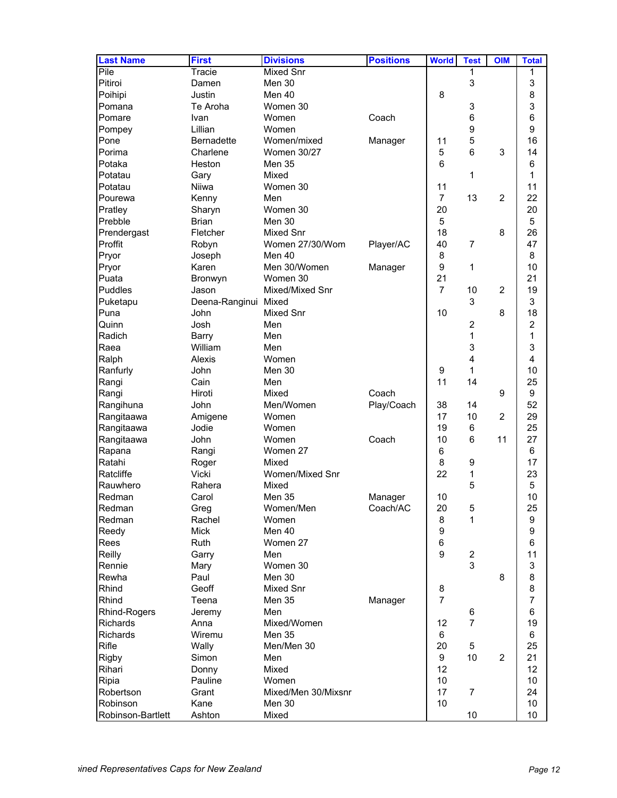| <b>Last Name</b>  | <b>First</b>           | <b>Divisions</b>    | <b>Positions</b> | <b>World</b>     | <b>Test</b>      | <b>OIM</b>     | <b>Total</b>        |
|-------------------|------------------------|---------------------|------------------|------------------|------------------|----------------|---------------------|
| Pile              | Tracie                 | Mixed Snr           |                  |                  |                  |                | 1                   |
| Pitiroi           | Damen                  | Men 30              |                  |                  | 3                |                | 3                   |
| Poihipi           | Justin                 | Men 40              |                  | 8                |                  |                | 8                   |
| Pomana            | Te Aroha               | Women 30            |                  |                  | 3                |                | 3                   |
| Pomare            | Ivan                   | Women               | Coach            |                  | 6                |                | $6\phantom{1}6$     |
| Pompey            | Lillian                | Women               |                  |                  | 9                |                | 9                   |
| Pone              | Bernadette             | Women/mixed         | Manager          | 11               | 5                |                | 16                  |
| Porima            | Charlene               | <b>Women 30/27</b>  |                  | 5                | 6                | 3              | 14                  |
| Potaka            | Heston                 | Men 35              |                  | $6\phantom{1}6$  |                  |                | 6                   |
| Potatau           | Gary                   | Mixed               |                  |                  | 1                |                | 1                   |
| Potatau           | <b>Niiwa</b>           | Women 30            |                  | 11               |                  |                | 11                  |
| Pourewa           | Kenny                  | Men                 |                  | $\overline{7}$   | 13               | $\overline{2}$ | 22                  |
| Pratley           | Sharyn                 | Women 30            |                  | 20               |                  |                | 20                  |
| Prebble           | <b>Brian</b>           | Men 30              |                  | 5                |                  |                | 5                   |
| Prendergast       | Fletcher               | Mixed Snr           |                  | 18               |                  | 8              | 26                  |
| Proffit           | Robyn                  | Women 27/30/Wom     | Player/AC        | 40               | 7                |                | 47                  |
| Pryor             | Joseph                 | Men 40              |                  | 8                |                  |                | 8                   |
| Pryor             | Karen                  | Men 30/Women        | Manager          | 9                | 1                |                | 10                  |
| Puata             | Bronwyn                | Women 30            |                  | 21               |                  |                | 21                  |
| Puddles           | Jason                  | Mixed/Mixed Snr     |                  | $\overline{7}$   | 10               | $\overline{2}$ | 19                  |
| Puketapu          |                        | Mixed               |                  |                  | 3                |                | 3                   |
| Puna              | Deena-Ranginui<br>John | <b>Mixed Snr</b>    |                  | 10               |                  | 8              | 18                  |
|                   |                        | Men                 |                  |                  |                  |                | $\overline{c}$      |
| Quinn             | Josh                   |                     |                  |                  | 2<br>1           |                | 1                   |
| Radich            | Barry                  | Men                 |                  |                  |                  |                |                     |
| Raea              | William                | Men                 |                  |                  | 3                |                | 3<br>$\overline{4}$ |
| Ralph             | Alexis                 | Women               |                  |                  | 4                |                |                     |
| Ranfurly          | John                   | Men 30              |                  | 9                | 1                |                | 10                  |
| Rangi             | Cain                   | Men                 |                  | 11               | 14               |                | 25                  |
| Rangi             | Hiroti                 | Mixed               | Coach            |                  |                  | 9              | 9                   |
| Rangihuna         | John                   | Men/Women           | Play/Coach       | 38               | 14               |                | 52                  |
| Rangitaawa        | Amigene                | Women               |                  | 17               | 10               | $\overline{2}$ | 29                  |
| Rangitaawa        | Jodie                  | Women               |                  | 19               | 6                |                | 25                  |
| Rangitaawa        | John                   | Women               | Coach            | 10               | 6                | 11             | 27                  |
| Rapana            | Rangi                  | Women 27            |                  | 6                |                  |                | 6                   |
| Ratahi            | Roger                  | Mixed               |                  | 8                | 9                |                | 17                  |
| Ratcliffe         | Vicki                  | Women/Mixed Snr     |                  | 22               | 1                |                | 23                  |
| Rauwhero          | Rahera                 | Mixed               |                  |                  | 5                |                | 5                   |
| Redman            | Carol                  | Men 35              | Manager          | 10               |                  |                | 10                  |
| Redman            | Greg                   | Women/Men           | Coach/AC         | 20               | 5                |                | 25                  |
| Redman            | Rachel                 | Women               |                  | 8                | 1                |                | 9                   |
| Reedy             | <b>Mick</b>            | Men 40              |                  | $\boldsymbol{9}$ |                  |                | 9                   |
| Rees              | Ruth                   | Women 27            |                  | 6                |                  |                | 6                   |
| Reilly            | Garry                  | Men                 |                  | 9                | $\overline{c}$   |                | 11                  |
| Rennie            | Mary                   | Women 30            |                  |                  | 3                |                | 3                   |
| Rewha             | Paul                   | Men 30              |                  |                  |                  | 8              | 8                   |
| Rhind             | Geoff                  | <b>Mixed Snr</b>    |                  | 8                |                  |                | 8                   |
| Rhind             | Teena                  | Men 35              | Manager          | $\overline{7}$   |                  |                | $\overline{7}$      |
| Rhind-Rogers      | Jeremy                 | Men                 |                  |                  | 6                |                | 6                   |
| <b>Richards</b>   | Anna                   | Mixed/Women         |                  | 12               | $\overline{7}$   |                | 19                  |
| Richards          | Wiremu                 | <b>Men 35</b>       |                  | 6                |                  |                | 6                   |
| Rifle             | Wally                  | Men/Men 30          |                  | 20               | 5                |                | 25                  |
| <b>Rigby</b>      | Simon                  | Men                 |                  | 9                | 10               | $\overline{2}$ | 21                  |
| Rihari            | Donny                  | Mixed               |                  | 12               |                  |                | 12                  |
| Ripia             | Pauline                | Women               |                  | 10               |                  |                | 10                  |
| Robertson         | Grant                  | Mixed/Men 30/Mixsnr |                  | 17               | $\boldsymbol{7}$ |                | 24                  |
| Robinson          | Kane                   | Men 30              |                  | 10               |                  |                | 10                  |
| Robinson-Bartlett | Ashton                 | Mixed               |                  |                  | 10               |                | 10                  |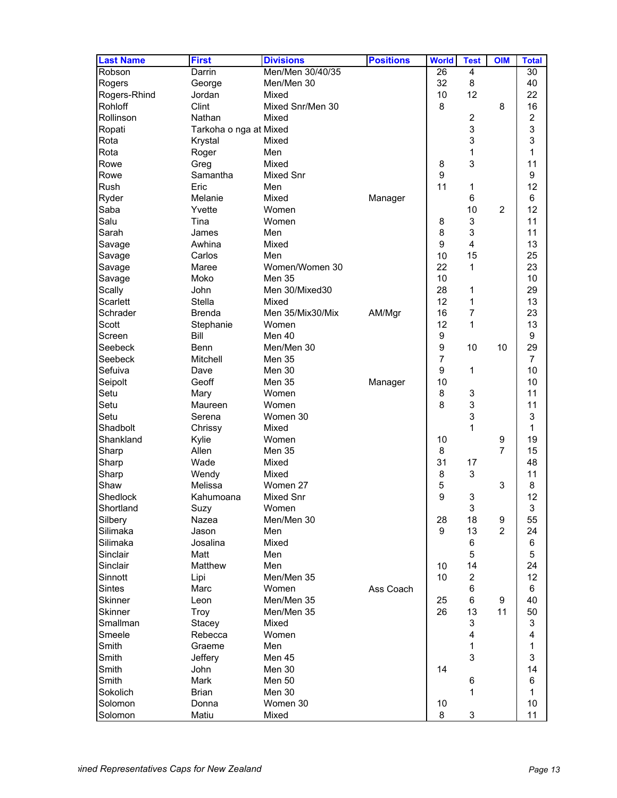| <b>Last Name</b>    | <b>First</b>           | <b>Divisions</b>    | <b>Positions</b> | <b>World</b>     | <b>Test</b>             | <b>OIM</b>     | <b>Total</b>            |
|---------------------|------------------------|---------------------|------------------|------------------|-------------------------|----------------|-------------------------|
| Robson              | Darrin                 | Men/Men 30/40/35    |                  | 26               | $\overline{4}$          |                | 30                      |
| Rogers              | George                 | Men/Men 30          |                  | 32               | 8                       |                | 40                      |
| Rogers-Rhind        | Jordan                 | Mixed               |                  | 10               | 12                      |                | 22                      |
| Rohloff             | Clint                  | Mixed Snr/Men 30    |                  | 8                |                         | 8              | 16                      |
| Rollinson           | Nathan                 | Mixed               |                  |                  | $\boldsymbol{2}$        |                | $\overline{c}$          |
| Ropati              | Tarkoha o nga at Mixed |                     |                  |                  | 3                       |                | 3                       |
| Rota                | Krystal                | Mixed               |                  |                  | 3                       |                | 3                       |
| Rota                | Roger                  | Men                 |                  |                  | 1                       |                | 1                       |
| Rowe                | Greg                   | Mixed               |                  | 8                | 3                       |                | 11                      |
| Rowe                | Samantha               | <b>Mixed Snr</b>    |                  | 9                |                         |                | 9                       |
| Rush                | Eric                   | Men                 |                  | 11               | 1                       |                | 12                      |
| Ryder               | Melanie                | Mixed               | Manager          |                  | 6                       |                | 6                       |
| Saba                | Yvette                 | Women               |                  |                  | 10                      | $\overline{2}$ | 12                      |
| Salu                | Tina                   | Women               |                  | 8                | 3                       |                | 11                      |
| Sarah               | James                  | Men                 |                  | 8                | 3                       |                | 11                      |
| Savage              | Awhina                 | Mixed               |                  | 9                | $\overline{\mathbf{4}}$ |                | 13                      |
| Savage              | Carlos                 | Men                 |                  | 10               | 15                      |                | 25                      |
| Savage              | Maree                  | Women/Women 30      |                  | 22               | 1                       |                | 23                      |
| Savage              | Moko                   | Men 35              |                  | 10               |                         |                | 10                      |
| Scally              | John                   | Men 30/Mixed30      |                  | 28               | 1                       |                | 29                      |
| Scarlett            | Stella                 | Mixed               |                  | 12               | 1                       |                | 13                      |
| Schrader            | <b>Brenda</b>          | Men 35/Mix30/Mix    | AM/Mgr           | 16               | $\overline{7}$          |                | 23                      |
| Scott               | Stephanie              | Women               |                  | 12               | 1                       |                | 13                      |
| Screen              | Bill                   | Men 40              |                  | $\boldsymbol{9}$ |                         |                | 9                       |
| Seebeck             | Benn                   | Men/Men 30          |                  | $\boldsymbol{9}$ | 10                      | 10             | 29                      |
| Seebeck             | Mitchell               | Men 35              |                  | $\overline{7}$   |                         |                | $\overline{7}$          |
| Sefuiva             | Dave                   | Men 30              |                  | 9                | 1                       |                | 10                      |
| Seipolt             | Geoff                  | Men 35              | Manager          | 10               |                         |                | 10                      |
| Setu                | Mary                   | Women               |                  | 8                | 3                       |                | 11                      |
| Setu                | Maureen                | Women               |                  | 8                | 3                       |                | 11                      |
| Setu                | Serena                 | Women 30            |                  |                  | 3                       |                | 3                       |
| Shadbolt            | Chrissy                | Mixed               |                  |                  | 1                       |                | $\mathbf{1}$            |
| Shankland           | Kylie                  | Women               |                  | 10               |                         | 9              | 19                      |
| Sharp               | Allen                  | Men 35              |                  | 8                |                         | $\overline{7}$ | 15                      |
| Sharp               | Wade                   | Mixed               |                  | 31               | 17                      |                | 48                      |
| Sharp               | Wendy                  | Mixed               |                  | $\bf 8$          | 3                       |                | 11                      |
| Shaw                | Melissa                | Women 27            |                  | 5                |                         | 3              | 8                       |
| Shedlock            | Kahumoana              | Mixed Snr           |                  | 9                | 3                       |                | 12                      |
|                     |                        | Women               |                  |                  | 3                       |                | 3                       |
| Shortland           | Suzy                   | Men/Men 30          |                  | 28               | 18                      | 9              | 55                      |
| Silbery<br>Silimaka | Nazea<br>Jason         | Men                 |                  | 9                | 13                      | $\overline{2}$ | 24                      |
| Silimaka            | Josalina               | Mixed               |                  |                  | 6                       |                | $\,6\,$                 |
| Sinclair            | Matt                   | Men                 |                  |                  | 5                       |                | 5                       |
| Sinclair            | Matthew                | Men                 |                  |                  | 14                      |                | 24                      |
| Sinnott             |                        |                     |                  | 10<br>10         |                         |                | 12                      |
|                     | Lipi                   | Men/Men 35<br>Women |                  |                  | $\overline{c}$          |                |                         |
| <b>Sintes</b>       | Marc                   | Men/Men 35          | Ass Coach        | 25               | 6                       |                | 6<br>40                 |
| Skinner             | Leon                   |                     |                  | 26               | 6<br>13                 | 9<br>11        |                         |
| <b>Skinner</b>      | Troy                   | Men/Men 35          |                  |                  |                         |                | 50                      |
| Smallman            | Stacey                 | Mixed               |                  |                  | 3                       |                | 3                       |
| Smeele              | Rebecca                | Women               |                  |                  | $\overline{\mathbf{4}}$ |                | $\overline{\mathbf{4}}$ |
| Smith               | Graeme                 | Men                 |                  |                  | $\mathbf{1}$            |                | $\mathbf{1}$            |
| Smith               | Jeffery                | Men 45              |                  |                  | 3                       |                | 3                       |
| Smith               | John                   | Men 30              |                  | 14               |                         |                | 14                      |
| Smith               | Mark                   | Men 50              |                  |                  | 6                       |                | 6                       |
| Sokolich            | <b>Brian</b>           | Men 30              |                  |                  | 1                       |                | $\mathbf{1}$            |
| Solomon             | Donna                  | Women 30            |                  | 10               |                         |                | 10                      |
| Solomon             | Matiu                  | Mixed               |                  | 8                | 3                       |                | 11                      |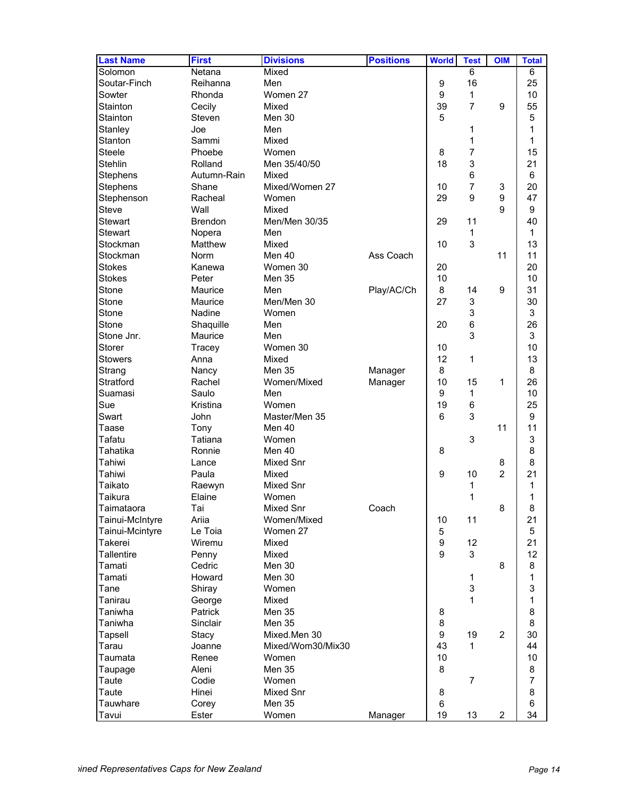| <b>Last Name</b>  | <b>First</b>   | <b>Divisions</b>  | <b>Positions</b> | <b>World</b>     | <b>Test</b>               | <b>OIM</b>     | <b>Total</b>   |
|-------------------|----------------|-------------------|------------------|------------------|---------------------------|----------------|----------------|
| Solomon           | Netana         | Mixed             |                  |                  | 6                         |                | 6              |
| Soutar-Finch      | Reihanna       | Men               |                  | $\boldsymbol{9}$ | 16                        |                | 25             |
| Sowter            | Rhonda         | Women 27          |                  | 9                | 1                         |                | 10             |
| Stainton          | Cecily         | Mixed             |                  | 39               | $\overline{7}$            | 9              | 55             |
| Stainton          | Steven         | Men 30            |                  | 5                |                           |                | 5              |
| Stanley           | Joe            | Men               |                  |                  | 1                         |                | 1              |
| Stanton           | Sammi          | Mixed             |                  |                  | 1                         |                | 1              |
| <b>Steele</b>     | Phoebe         | Women             |                  | 8                | 7                         |                | 15             |
| Stehlin           | Rolland        | Men 35/40/50      |                  | 18               | 3                         |                | 21             |
| Stephens          | Autumn-Rain    | Mixed             |                  |                  | $\,6$                     |                | 6              |
| Stephens          | Shane          | Mixed/Women 27    |                  | 10               | $\overline{7}$            | 3              | 20             |
| Stephenson        | Racheal        | Women             |                  | 29               | $\boldsymbol{9}$          | 9              | 47             |
| Steve             | Wall           | Mixed             |                  |                  |                           | 9              | 9              |
| <b>Stewart</b>    | <b>Brendon</b> | Men/Men 30/35     |                  | 29               | 11                        |                | 40             |
| <b>Stewart</b>    | Nopera         | Men               |                  |                  | 1                         |                | $\mathbf 1$    |
| Stockman          | Matthew        | Mixed             |                  | 10               | 3                         |                | 13             |
| Stockman          | Norm           | Men 40            | Ass Coach        |                  |                           | 11             | 11             |
| <b>Stokes</b>     | Kanewa         | Women 30          |                  | 20               |                           |                | 20             |
| <b>Stokes</b>     | Peter          | Men 35            |                  | 10               |                           |                | 10             |
| Stone             | Maurice        | Men               | Play/AC/Ch       | 8                | 14                        | 9              | 31             |
| Stone             | Maurice        | Men/Men 30        |                  | 27               | 3                         |                | 30             |
| Stone             | Nadine         | Women             |                  |                  | 3                         |                | 3              |
| Stone             | Shaquille      | Men               |                  | 20               | $\boldsymbol{6}$          |                | 26             |
| Stone Jnr.        | Maurice        | Men               |                  |                  | 3                         |                | 3              |
| Storer            | Tracey         | Women 30          |                  | 10               |                           |                | 10             |
| <b>Stowers</b>    | Anna           | Mixed             |                  | 12               | 1                         |                | 13             |
| Strang            | Nancy          | <b>Men 35</b>     | Manager          | 8                |                           |                | 8              |
| Stratford         | Rachel         | Women/Mixed       | Manager          | 10               | 15                        | 1              | 26             |
| Suamasi           | Saulo          | Men               |                  | $\boldsymbol{9}$ | 1                         |                | 10             |
| Sue               | Kristina       | Women             |                  | 19               | $\,6$                     |                | 25             |
| Swart             | John           | Master/Men 35     |                  | 6                | 3                         |                | 9              |
| Taase             | Tony           | Men 40            |                  |                  |                           | 11             | 11             |
| Tafatu            | Tatiana        | Women             |                  |                  | 3                         |                | 3              |
| Tahatika          | Ronnie         | Men 40            |                  | 8                |                           |                | 8              |
| Tahiwi            | Lance          | Mixed Snr         |                  |                  |                           | 8              | 8              |
| Tahiwi            | Paula          | Mixed             |                  | 9                | 10                        | $\overline{c}$ | 21             |
| Taikato           | Raewyn         | Mixed Snr         |                  |                  | 1                         |                | 1              |
| Taikura           | Elaine         | Women             |                  |                  | 1                         |                | 1              |
| Taimataora        | Tai            | Mixed Snr         | Coach            |                  |                           | 8              | 8              |
| Tainui-McIntyre   | Ariia          | Women/Mixed       |                  | 10               | 11                        |                | 21             |
| Tainui-Mcintyre   | Le Toia        | Women 27          |                  | 5                |                           |                | 5              |
| Takerei           | Wiremu         | Mixed             |                  | $\boldsymbol{9}$ | 12                        |                | 21             |
| <b>Tallentire</b> | Penny          | Mixed             |                  | 9                | 3                         |                | 12             |
| Tamati            | Cedric         | Men 30            |                  |                  |                           | 8              | 8              |
| Tamati            | Howard         | <b>Men 30</b>     |                  |                  | 1                         |                | 1              |
| Tane              | Shiray         | Women             |                  |                  | $\ensuremath{\mathsf{3}}$ |                | 3              |
| Tanirau           | George         | Mixed             |                  |                  | 1                         |                | 1              |
| Taniwha           | <b>Patrick</b> | Men 35            |                  | 8                |                           |                | 8              |
| Taniwha           | Sinclair       | <b>Men 35</b>     |                  | 8                |                           |                | 8              |
| Tapsell           | Stacy          | Mixed.Men 30      |                  | 9                | 19                        | $\overline{2}$ | 30             |
| Tarau             | Joanne         | Mixed/Wom30/Mix30 |                  | 43               | $\mathbf 1$               |                | 44             |
| Taumata           | Renee          | Women             |                  | 10               |                           |                | 10             |
| Taupage           | Aleni          | <b>Men 35</b>     |                  | 8                |                           |                | 8              |
| Taute             | Codie          | Women             |                  |                  | $\overline{7}$            |                | $\overline{7}$ |
| Taute             | Hinei          | Mixed Snr         |                  | 8                |                           |                | 8              |
| Tauwhare          | Corey          | Men 35            |                  | 6                |                           |                | 6              |
| Tavui             | Ester          | Women             | Manager          | 19               | 13                        | $\overline{c}$ | 34             |
|                   |                |                   |                  |                  |                           |                |                |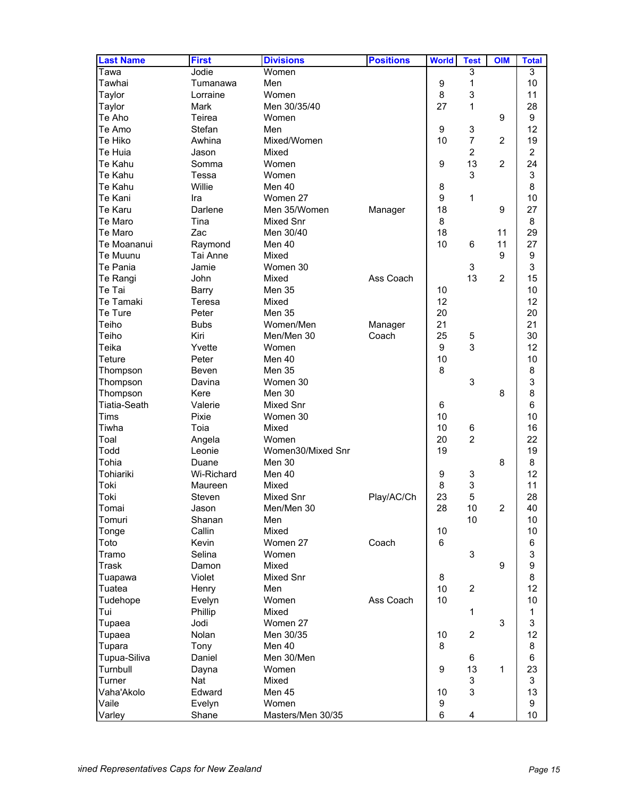| <b>Last Name</b>         | <b>First</b>     | <b>Divisions</b>  | <b>Positions</b> | <b>World</b> | <b>Test</b>    | <b>OIM</b>     | <b>Total</b>   |
|--------------------------|------------------|-------------------|------------------|--------------|----------------|----------------|----------------|
| Tawa                     | Jodie            | Women             |                  |              | 3              |                | 3              |
| Tawhai                   | Tumanawa         | Men               |                  | 9            | 1              |                | 10             |
| Taylor                   | Lorraine         | Women             |                  | 8            | 3              |                | 11             |
| Taylor                   | Mark             | Men 30/35/40      |                  | 27           | 1              |                | 28             |
| Te Aho                   | Teirea           | Women             |                  |              |                | 9              | 9              |
| Te Amo                   | Stefan           | Men               |                  | 9            | 3              |                | 12             |
| Te Hiko                  | Awhina           | Mixed/Women       |                  | 10           | $\overline{7}$ | 2              | 19             |
| Te Huia                  | Jason            | Mixed             |                  |              | $\overline{2}$ |                | $\overline{2}$ |
| Te Kahu                  | Somma            | Women             |                  | 9            | 13             | $\overline{2}$ | 24             |
| Te Kahu                  | Tessa            | Women             |                  |              | 3              |                | 3              |
| Te Kahu                  | Willie           | Men 40            |                  | 8            |                |                | 8              |
| Te Kani                  | Ira              | Women 27          |                  | 9            | 1              |                | 10             |
| Te Karu                  | Darlene          | Men 35/Women      | Manager          | 18           |                | 9              | 27             |
| Te Maro                  | Tina             | <b>Mixed Snr</b>  |                  | 8            |                |                | 8              |
| Te Maro                  | Zac              | Men 30/40         |                  | 18           |                | 11             | 29             |
| Te Moananui              | Raymond          | Men 40            |                  | 10           | 6              | 11             | 27             |
| Te Muunu                 | Tai Anne         | Mixed             |                  |              |                | 9              | 9              |
| Te Pania                 | Jamie            | Women 30          |                  |              | 3              |                | 3              |
| Te Rangi                 | John             | Mixed             | Ass Coach        |              | 13             | $\overline{2}$ | 15             |
| Te Tai                   | Barry            | Men 35            |                  | 10           |                |                | 10             |
| Te Tamaki                | Teresa           | Mixed             |                  | 12           |                |                | 12             |
| Te Ture                  | Peter            | Men 35            |                  | 20           |                |                | 20             |
| Teiho                    | <b>Bubs</b>      | Women/Men         | Manager          | 21           |                |                | 21             |
| Teiho                    | Kiri             | Men/Men 30        | Coach            | 25           | 5              |                | 30             |
| Teika                    | Yvette           | Women             |                  | 9            | 3              |                | 12             |
| Teture                   | Peter            | Men 40            |                  | 10           |                |                | 10             |
| Thompson                 | Beven            | Men 35            |                  | 8            |                |                | 8              |
| Thompson                 | Davina           | Women 30          |                  |              | 3              |                | 3              |
| Thompson                 | Kere             | Men 30            |                  |              |                | 8              | 8              |
| <b>Tiatia-Seath</b>      | Valerie          | <b>Mixed Snr</b>  |                  | 6            |                |                | 6              |
| Tims                     | Pixie            | Women 30          |                  | 10           |                |                | 10             |
| Tiwha                    | Toia             | Mixed             |                  | 10           | 6              |                | 16             |
| Toal                     | Angela           | Women             |                  | 20           | $\overline{2}$ |                | 22             |
| Todd                     | Leonie           | Women30/Mixed Snr |                  | 19           |                |                | 19             |
| Tohia                    | Duane            | Men 30            |                  |              |                | 8              | 8              |
| Tohiariki                | Wi-Richard       | Men 40            |                  | 9            | 3              |                | 12             |
| Toki                     | Maureen          | Mixed             |                  | 8            | 3              |                | 11             |
| Toki                     | Steven           | <b>Mixed Snr</b>  | Play/AC/Ch       | 23           | 5              |                | 28             |
| Tomai                    | Jason            | Men/Men 30        |                  | 28           | 10             | 2              | 40             |
| Tomuri                   | Shanan<br>Callin | Men<br>Mixed      |                  | 10           | 10             |                | 10<br>10       |
| Tonge                    | Kevin            | Women 27          | Coach            | 6            |                |                | 6              |
| Toto                     | Selina           | Women             |                  |              | $\mathfrak{S}$ |                | 3              |
| Tramo<br>Trask           | Damon            | Mixed             |                  |              |                | 9              | 9              |
|                          |                  | <b>Mixed Snr</b>  |                  |              |                |                | 8              |
| Tuapawa                  | Violet           | Men               |                  | 8            | $\overline{2}$ |                | 12             |
| Tuatea<br>Tudehope       | Henry<br>Evelyn  | Women             | Ass Coach        | 10<br>10     |                |                | 10             |
| Tui                      | Phillip          | Mixed             |                  |              | 1              |                | 1              |
| Tupaea                   | Jodi             | Women 27          |                  |              |                | 3              | 3              |
|                          | Nolan            | Men 30/35         |                  | 10           | $\overline{c}$ |                | 12             |
| Tupaea<br>Tupara         | Tony             | Men 40            |                  | 8            |                |                | 8              |
|                          | Daniel           | Men 30/Men        |                  |              | 6              |                | 6              |
| Tupua-Siliva<br>Turnbull |                  | Women             |                  | 9            | 13             | 1              | 23             |
| Turner                   | Dayna<br>Nat     | Mixed             |                  |              | 3              |                | 3              |
| Vaha'Akolo               | Edward           | Men 45            |                  | 10           | 3              |                | 13             |
| Vaile                    | Evelyn           | Women             |                  | 9            |                |                | 9              |
| Varley                   | Shane            | Masters/Men 30/35 |                  | 6            | 4              |                | 10             |
|                          |                  |                   |                  |              |                |                |                |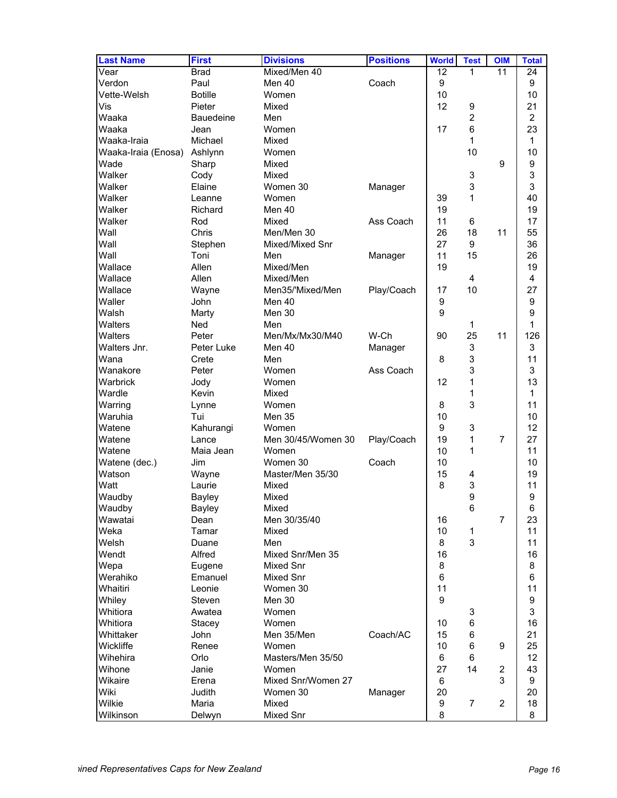| <b>Last Name</b>    | <b>First</b>     | <b>Divisions</b>      | <b>Positions</b> | <b>World</b>     | <b>Test</b>      | <b>OIM</b>     | <b>Total</b>     |
|---------------------|------------------|-----------------------|------------------|------------------|------------------|----------------|------------------|
| Vear                | <b>Brad</b>      | Mixed/Men 40          |                  | 12               | 1                | 11             | 24               |
| Verdon              | Paul             | Men 40                | Coach            | 9                |                  |                | 9                |
| Vette-Welsh         | <b>Botille</b>   | Women                 |                  | 10               |                  |                | 10               |
| Vis                 | Pieter           | Mixed                 |                  | 12               | 9                |                | 21               |
| Waaka               | <b>Bauedeine</b> | Men                   |                  |                  | $\overline{c}$   |                | $\boldsymbol{2}$ |
| Waaka               | Jean             | Women                 |                  | 17               | $6\phantom{1}6$  |                | 23               |
| Waaka-Iraia         | Michael          | Mixed                 |                  |                  | 1                |                | $\mathbf{1}$     |
| Waaka-Iraia (Enosa) | Ashlynn          | Women                 |                  |                  | 10               |                | 10               |
| Wade                | Sharp            | Mixed                 |                  |                  |                  | 9              | 9                |
| Walker              | Cody             | Mixed                 |                  |                  | 3                |                | 3                |
| Walker              | Elaine           | Women 30              | Manager          |                  | 3                |                | 3                |
| Walker              | Leanne           | Women                 |                  | 39               | 1                |                | 40               |
| Walker              | Richard          | Men 40                |                  | 19               |                  |                | 19               |
| Walker              | Rod              | Mixed                 | Ass Coach        | 11               | 6                |                | 17               |
| Wall                | Chris            | Men/Men 30            |                  | 26               | 18               | 11             | 55               |
| Wall                | Stephen          | Mixed/Mixed Snr       |                  | 27               | $\boldsymbol{9}$ |                | 36               |
| Wall                | Toni             | Men                   | Manager          | 11               | 15               |                | 26               |
| Wallace             | Allen            | Mixed/Men             |                  | 19               |                  |                | 19               |
| Wallace             | Allen            | Mixed/Men             |                  |                  | $\overline{4}$   |                | 4                |
| Wallace             | Wayne            | Men35/'Mixed/Men      | Play/Coach       | 17               | 10               |                | 27               |
| Waller              | John             | Men 40                |                  | 9                |                  |                | 9                |
| Walsh               | Marty            | Men 30                |                  | 9                |                  |                | 9                |
| Walters             | Ned              | Men                   |                  |                  | 1                |                | $\mathbf{1}$     |
| Walters             | Peter            | Men/Mx/Mx30/M40       | W-Ch             | 90               | 25               | 11             | 126              |
| Walters Jnr.        | Peter Luke       | Men 40                | Manager          |                  | 3                |                | 3                |
| Wana                | Crete            | Men                   |                  | 8                | 3                |                | 11               |
| Wanakore            | Peter            | Women                 | Ass Coach        |                  | 3                |                | 3                |
| Warbrick            | Jody             | Women                 |                  | 12               | 1                |                | 13               |
| Wardle              | Kevin            | Mixed                 |                  |                  | 1                |                | $\mathbf{1}$     |
| Warring             | Lynne            | Women                 |                  | 8                | 3                |                | 11               |
| Waruhia             | Tui              | Men 35                |                  | 10               |                  |                | 10               |
| Watene              | Kahurangi        | Women                 |                  | 9                | 3                |                | 12               |
| Watene              | Lance            | Men 30/45/Women 30    | Play/Coach       | 19               | 1                | $\overline{7}$ | 27               |
| Watene              | Maia Jean        | Women                 |                  | 10               | 1                |                | 11               |
| Watene (dec.)       | Jim              | Women 30              | Coach            | 10               |                  |                | 10               |
| Watson              | Wayne            | Master/Men 35/30      |                  | 15               | 4                |                | 19               |
| Watt                | Laurie           | Mixed                 |                  | 8                | 3                |                | 11               |
| Waudby              |                  | Mixed                 |                  |                  | 9                |                | 9                |
| Waudby              | <b>Bayley</b>    | Mixed                 |                  |                  | 6                |                | 6                |
|                     | <b>Bayley</b>    |                       |                  |                  |                  | $\overline{7}$ | 23               |
| Wawatai<br>Weka     | Dean<br>Tamar    | Men 30/35/40<br>Mixed |                  | 16<br>10         | 1                |                | 11               |
| Welsh               | Duane            | Men                   |                  | 8                | 3                |                | 11               |
| Wendt               | Alfred           | Mixed Snr/Men 35      |                  | 16               |                  |                | 16               |
| Wepa                | Eugene           | Mixed Snr             |                  | 8                |                  |                | 8                |
| Werahiko            | Emanuel          | Mixed Snr             |                  | 6                |                  |                | 6                |
| Whaitiri            | Leonie           | Women 30              |                  | 11               |                  |                | 11               |
| Whiley              | Steven           | Men 30                |                  | $\boldsymbol{9}$ |                  |                | 9                |
| Whitiora            | Awatea           | Women                 |                  |                  |                  |                | 3                |
| Whitiora            |                  | Women                 |                  |                  | 3<br>6           |                | 16               |
|                     | Stacey           |                       |                  | 10               |                  |                |                  |
| Whittaker           | John             | Men 35/Men            | Coach/AC         | 15               | 6                |                | 21               |
| Wickliffe           | Renee            | Women                 |                  | 10               | 6                | 9              | 25               |
| Wihehira            | Orlo             | Masters/Men 35/50     |                  | 6                | 6                |                | 12               |
| Wihone              | Janie            | Women                 |                  | 27               | 14               | $\overline{c}$ | 43               |
| Wikaire             | Erena            | Mixed Snr/Women 27    |                  | 6                |                  | 3              | 9                |
| Wiki                | Judith           | Women 30              | Manager          | 20               |                  |                | 20               |
| Wilkie              | Maria            | Mixed                 |                  | $\boldsymbol{9}$ | $\overline{7}$   | $\overline{2}$ | 18               |
| Wilkinson           | Delwyn           | Mixed Snr             |                  | 8                |                  |                | 8                |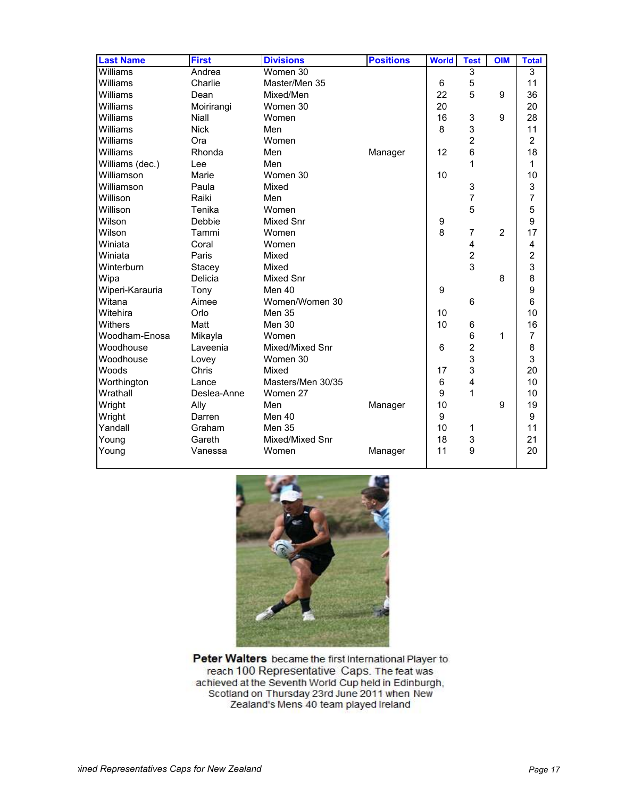| <b>Last Name</b> | <b>First</b> | <b>Divisions</b>  | <b>Positions</b> | <b>World</b>     | <b>Test</b>             | <b>OIM</b>     | <b>Total</b>   |
|------------------|--------------|-------------------|------------------|------------------|-------------------------|----------------|----------------|
| Williams         | Andrea       | Women 30          |                  |                  | 3                       |                | 3              |
| Williams         | Charlie      | Master/Men 35     |                  | 6                | 5                       |                | 11             |
| Williams         | Dean         | Mixed/Men         |                  | 22               | 5                       | 9              | 36             |
| Williams         | Moirirangi   | Women 30          |                  | 20               |                         |                | 20             |
| Williams         | Niall        | Women             |                  | 16               | 3                       | 9              | 28             |
| Williams         | <b>Nick</b>  | Men               |                  | 8                | 3                       |                | 11             |
| Williams         | Ora          | Women             |                  |                  | $\overline{2}$          |                | $\overline{2}$ |
| Williams         | Rhonda       | Men               | Manager          | 12               | 6                       |                | 18             |
| Williams (dec.)  | Lee          | Men               |                  |                  | $\mathbf{1}$            |                | $\mathbf{1}$   |
| Williamson       | Marie        | Women 30          |                  | 10               |                         |                | 10             |
| Williamson       | Paula        | Mixed             |                  |                  | 3                       |                | 3              |
| Willison         | Raiki        | Men               |                  |                  | $\overline{7}$          |                | $\overline{7}$ |
| Willison         | Tenika       | Women             |                  |                  | 5                       |                | 5              |
| Wilson           | Debbie       | <b>Mixed Snr</b>  |                  | $\boldsymbol{9}$ |                         |                | 9              |
| Wilson           | Tammi        | Women             |                  | 8                | $\overline{7}$          | $\overline{2}$ | 17             |
| Winiata          | Coral        | Women             |                  |                  | 4                       |                | 4              |
| Winiata          | Paris        | Mixed             |                  |                  | $\overline{c}$          |                | $\overline{2}$ |
| Winterburn       | Stacey       | Mixed             |                  |                  | 3                       |                | 3              |
| Wipa             | Delicia      | Mixed Snr         |                  |                  |                         | 8              | 8              |
| Wiperi-Karauria  | Tony         | Men 40            |                  | 9                |                         |                | 9              |
| Witana           | Aimee        | Women/Women 30    |                  |                  | 6                       |                | 6              |
| Witehira         | Orlo         | <b>Men 35</b>     |                  | 10               |                         |                | 10             |
| Withers          | Matt         | Men 30            |                  | 10               | 6                       |                | 16             |
| Woodham-Enosa    | Mikayla      | Women             |                  |                  | 6                       | 1              | $\overline{7}$ |
| Woodhouse        | Laveenia     | Mixed/Mixed Snr   |                  | 6                | $\overline{c}$          |                | 8              |
| Woodhouse        | Lovey        | Women 30          |                  |                  | 3                       |                | 3              |
| Woods            | Chris        | Mixed             |                  | 17               | 3                       |                | 20             |
| Worthington      | Lance        | Masters/Men 30/35 |                  | 6                | $\overline{\mathbf{4}}$ |                | 10             |
| Wrathall         | Deslea-Anne  | Women 27          |                  | 9                | $\mathbf{1}$            |                | 10             |
| Wright           | Ally         | Men               | Manager          | 10               |                         | 9              | 19             |
| Wright           | Darren       | Men 40            |                  | 9                |                         |                | 9              |
| Yandall          | Graham       | Men 35            |                  | 10               | 1                       |                | 11             |
| Young            | Gareth       | Mixed/Mixed Snr   |                  | 18               | 3                       |                | 21             |
| Young            | Vanessa      | Women             | Manager          | 11               | 9                       |                | 20             |
|                  |              |                   |                  |                  |                         |                |                |



Peter Walters became the first International Player to reach 100 Representative Caps. The feat was achieved at the Seventh World Cup held in Edinburgh,<br>Scotland on Thursday 23rd June 2011 when New<br>Zealand's Mens 40 team played Ireland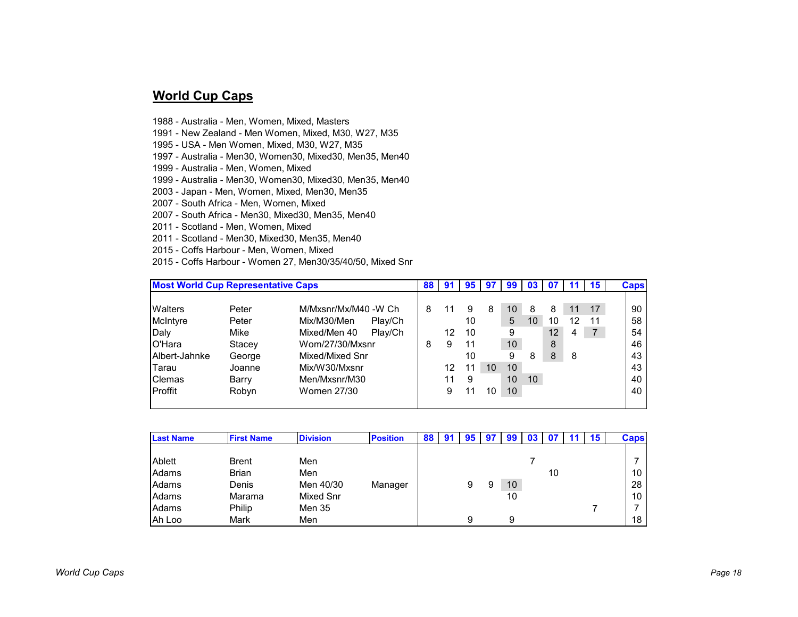## **World Cup Caps**

- 1988 Australia Men, Women, Mixed, Masters
- 1991 New Zealand Men Women, Mixed, M30, W27, M35
- 1995 USA Men Women, Mixed, M30, W27, M35
- 1997 Australia Men30, Women30, Mixed30, Men35, Men40
- 1999 Australia Men, Women, Mixed
- 1999 Australia Men30, Women30, Mixed30, Men35, Men40
- 2003 Japan Men, Women, Mixed, Men30, Men35
- 2007 South Africa Men, Women, Mixed
- 2007 South Africa Men30, Mixed30, Men35, Men40
- 2011 Scotland Men, Women, Mixed
- 2011 Scotland Men30, Mixed30, Men35, Men40
- 2015 Coffs Harbour Men, Women, Mixed
- 2015 Coffs Harbour Women 27, Men30/35/40/50, Mixed Snr

| <b>Most World Cup Representative Caps</b> |        |                         | 88 | -91 | 95 |    | 99 | 03              | -07 |    | 15             | <b>Caps</b> |
|-------------------------------------------|--------|-------------------------|----|-----|----|----|----|-----------------|-----|----|----------------|-------------|
|                                           |        |                         |    |     |    |    |    |                 |     |    |                |             |
| <b>Walters</b>                            | Peter  | M/Mxsnr/Mx/M40 -W Ch    | 8  |     | 9  | 8  | 10 | 8               | 8   |    | 17             | 90          |
| McIntyre                                  | Peter  | Mix/M30/Men<br>Play/Ch  |    |     | 10 |    | 5  | 10              | 10  | 12 | 11             | 58          |
| Daly                                      | Mike   | Play/Ch<br>Mixed/Men 40 |    | 12  | 10 |    | 9  |                 | 12  | 4  | $\overline{7}$ | 54          |
| O'Hara                                    | Stacey | Wom/27/30/Mxsnr         | 8  | 9   | 11 |    | 10 |                 | 8   |    |                | 46          |
| Albert-Jahnke                             | George | Mixed/Mixed Snr         |    |     | 10 |    | 9  | 8               | 8   | -8 |                | 43          |
| Tarau                                     | Joanne | Mix/W30/Mxsnr           |    | 12  | 11 | 10 | 10 |                 |     |    |                | 43          |
| Clemas                                    | Barry  | Men/Mxsnr/M30           |    | 11  | 9  |    | 10 | 10 <sup>°</sup> |     |    |                | 40          |
| Proffit                                   | Robyn  | Women 27/30             |    | 9   |    | 10 | 10 |                 |     |    |                | 40          |
|                                           |        |                         |    |     |    |    |    |                 |     |    |                |             |

| <b>Last Name</b> | <b>First Name</b> | <b>Division</b>  | <b>Position</b> | 88 | -91 | 95 | 97 | 99 | U3 |    | 15 | <b>Caps</b> |
|------------------|-------------------|------------------|-----------------|----|-----|----|----|----|----|----|----|-------------|
|                  |                   |                  |                 |    |     |    |    |    |    |    |    |             |
| Ablett           | <b>Brent</b>      | Men              |                 |    |     |    |    |    |    |    |    |             |
| Adams            | <b>Brian</b>      | Men              |                 |    |     |    |    |    |    | 10 |    | 10          |
| Adams            | Denis             | Men 40/30        | Manager         |    |     | 9  | 9  | 10 |    |    |    | 28          |
| Adams            | Marama            | <b>Mixed Snr</b> |                 |    |     |    |    | 10 |    |    |    | 10          |
| Adams            | Philip            | Men 35           |                 |    |     |    |    |    |    |    |    |             |
| Ah Loo           | Mark              | Men              |                 |    |     | 9  |    | 9  |    |    |    | 18          |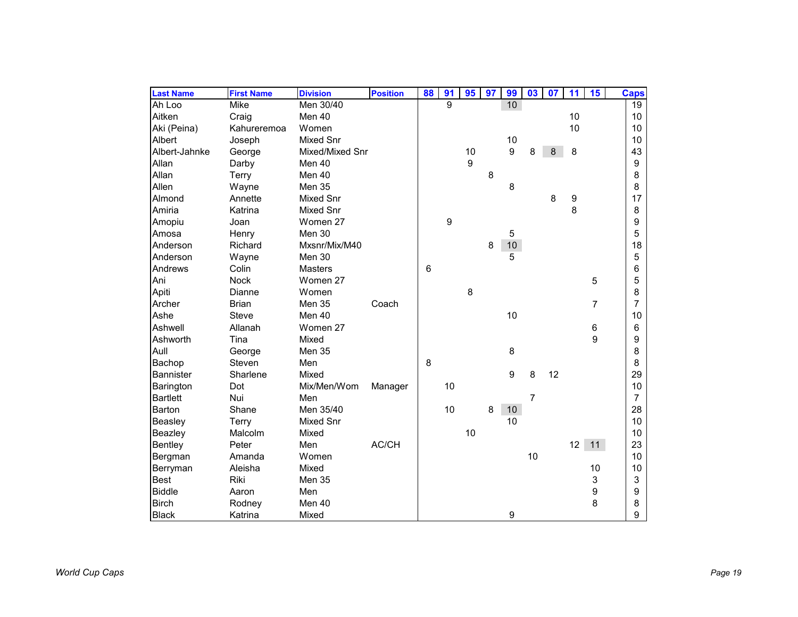| <b>Last Name</b> | <b>First Name</b> | <b>Division</b>  | <b>Position</b> | 88 | 91 | 95 | 97 | 99 | 03             | $\overline{07}$ | 11 | 15             | <b>Caps</b>    |
|------------------|-------------------|------------------|-----------------|----|----|----|----|----|----------------|-----------------|----|----------------|----------------|
| Ah Loo           | Mike              | Men 30/40        |                 |    | 9  |    |    | 10 |                |                 |    |                | 19             |
| Aitken           | Craig             | Men 40           |                 |    |    |    |    |    |                |                 | 10 |                | 10             |
| Aki (Peina)      | Kahureremoa       | Women            |                 |    |    |    |    |    |                |                 | 10 |                | 10             |
| Albert           | Joseph            | <b>Mixed Snr</b> |                 |    |    |    |    | 10 |                |                 |    |                | 10             |
| Albert-Jahnke    | George            | Mixed/Mixed Snr  |                 |    |    | 10 |    | 9  | 8              | 8               | 8  |                | 43             |
| Allan            | Darby             | Men 40           |                 |    |    | 9  |    |    |                |                 |    |                | 9              |
| Allan            | Terry             | Men 40           |                 |    |    |    | 8  |    |                |                 |    |                | 8              |
| Allen            | Wayne             | Men 35           |                 |    |    |    |    | 8  |                |                 |    |                | 8              |
| Almond           | Annette           | Mixed Snr        |                 |    |    |    |    |    |                | 8               | 9  |                | 17             |
| Amiria           | Katrina           | Mixed Snr        |                 |    |    |    |    |    |                |                 | 8  |                | 8              |
| Amopiu           | Joan              | Women 27         |                 |    | 9  |    |    |    |                |                 |    |                | 9              |
| Amosa            | Henry             | Men 30           |                 |    |    |    |    | 5  |                |                 |    |                | 5              |
| Anderson         | Richard           | Mxsnr/Mix/M40    |                 |    |    |    | 8  | 10 |                |                 |    |                | 18             |
| Anderson         | Wayne             | Men 30           |                 |    |    |    |    | 5  |                |                 |    |                | 5              |
| Andrews          | Colin             | <b>Masters</b>   |                 | 6  |    |    |    |    |                |                 |    |                | 6              |
| Ani              | <b>Nock</b>       | Women 27         |                 |    |    |    |    |    |                |                 |    | 5              | 5              |
| Apiti            | Dianne            | Women            |                 |    |    | 8  |    |    |                |                 |    |                | 8              |
| Archer           | <b>Brian</b>      | <b>Men 35</b>    | Coach           |    |    |    |    |    |                |                 |    | $\overline{7}$ | $\overline{7}$ |
| Ashe             | <b>Steve</b>      | Men 40           |                 |    |    |    |    | 10 |                |                 |    |                | 10             |
| Ashwell          | Allanah           | Women 27         |                 |    |    |    |    |    |                |                 |    | 6              | 6              |
| Ashworth         | Tina              | Mixed            |                 |    |    |    |    |    |                |                 |    | 9              | 9              |
| Aull             | George            | Men 35           |                 |    |    |    |    | 8  |                |                 |    |                | 8              |
| Bachop           | Steven            | Men              |                 | 8  |    |    |    |    |                |                 |    |                | 8              |
| <b>Bannister</b> | Sharlene          | Mixed            |                 |    |    |    |    | 9  | 8              | 12              |    |                | 29             |
| Barington        | Dot               | Mix/Men/Wom      | Manager         |    | 10 |    |    |    |                |                 |    |                | 10             |
| <b>Bartlett</b>  | Nui               | Men              |                 |    |    |    |    |    | $\overline{7}$ |                 |    |                | $\overline{7}$ |
| Barton           | Shane             | Men 35/40        |                 |    | 10 |    | 8  | 10 |                |                 |    |                | 28             |
| Beasley          | Terry             | Mixed Snr        |                 |    |    |    |    | 10 |                |                 |    |                | 10             |
| Beazley          | Malcolm           | Mixed            |                 |    |    | 10 |    |    |                |                 |    |                | 10             |
| Bentley          | Peter             | Men              | AC/CH           |    |    |    |    |    |                |                 | 12 | 11             | 23             |
| Bergman          | Amanda            | Women            |                 |    |    |    |    |    | 10             |                 |    |                | 10             |
| Berryman         | Aleisha           | Mixed            |                 |    |    |    |    |    |                |                 |    | 10             | 10             |
| <b>Best</b>      | Riki              | Men 35           |                 |    |    |    |    |    |                |                 |    | 3              | 3              |
| <b>Biddle</b>    | Aaron             | Men              |                 |    |    |    |    |    |                |                 |    | 9              | 9              |
| <b>Birch</b>     | Rodney            | Men 40           |                 |    |    |    |    |    |                |                 |    | 8              | 8              |
| <b>Black</b>     | Katrina           | Mixed            |                 |    |    |    |    | 9  |                |                 |    |                | 9              |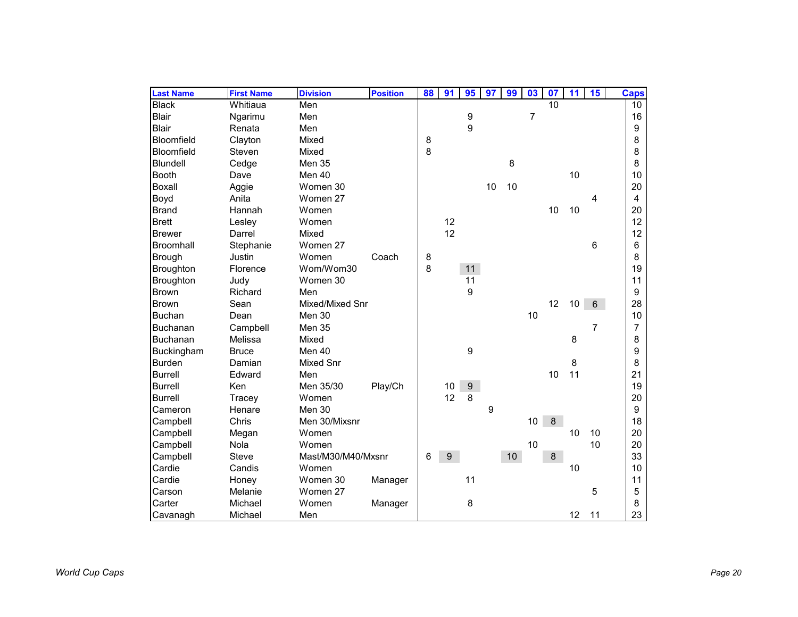| <b>Last Name</b> | <b>First Name</b> | <b>Division</b>    | <b>Position</b> | 88 | 91 | 95               | 97 | 99 | 03             | 07 | 11              | 15             | <b>Caps</b> |
|------------------|-------------------|--------------------|-----------------|----|----|------------------|----|----|----------------|----|-----------------|----------------|-------------|
| <b>Black</b>     | Whitiaua          | Men                |                 |    |    |                  |    |    |                | 10 |                 |                | 10          |
| <b>Blair</b>     | Ngarimu           | Men                |                 |    |    | 9                |    |    | $\overline{7}$ |    |                 |                | 16          |
| <b>Blair</b>     | Renata            | Men                |                 |    |    | 9                |    |    |                |    |                 |                | 9           |
| Bloomfield       | Clayton           | Mixed              |                 | 8  |    |                  |    |    |                |    |                 |                | 8           |
| Bloomfield       | Steven            | Mixed              |                 | 8  |    |                  |    |    |                |    |                 |                | 8           |
| <b>Blundell</b>  | Cedge             | Men 35             |                 |    |    |                  |    | 8  |                |    |                 |                | 8           |
| <b>Booth</b>     | Dave              | Men 40             |                 |    |    |                  |    |    |                |    | 10              |                | 10          |
| <b>Boxall</b>    | Aggie             | Women 30           |                 |    |    |                  | 10 | 10 |                |    |                 |                | 20          |
| Boyd             | Anita             | Women 27           |                 |    |    |                  |    |    |                |    |                 | 4              | 4           |
| <b>Brand</b>     | Hannah            | Women              |                 |    |    |                  |    |    |                | 10 | 10              |                | 20          |
| <b>Brett</b>     | Lesley            | Women              |                 |    | 12 |                  |    |    |                |    |                 |                | 12          |
| <b>Brewer</b>    | Darrel            | Mixed              |                 |    | 12 |                  |    |    |                |    |                 |                | 12          |
| Broomhall        | Stephanie         | Women 27           |                 |    |    |                  |    |    |                |    |                 | 6              | 6           |
| Brough           | Justin            | Women              | Coach           | 8  |    |                  |    |    |                |    |                 |                | 8           |
| <b>Broughton</b> | Florence          | Wom/Wom30          |                 | 8  |    | 11               |    |    |                |    |                 |                | 19          |
| <b>Broughton</b> | Judy              | Women 30           |                 |    |    | 11               |    |    |                |    |                 |                | 11          |
| <b>Brown</b>     | Richard           | Men                |                 |    |    | 9                |    |    |                |    |                 |                | 9           |
| <b>Brown</b>     | Sean              | Mixed/Mixed Snr    |                 |    |    |                  |    |    |                | 12 | 10 <sub>1</sub> | 6 <sup>1</sup> | 28          |
| <b>Buchan</b>    | Dean              | Men 30             |                 |    |    |                  |    |    | 10             |    |                 |                | 10          |
| <b>Buchanan</b>  | Campbell          | <b>Men 35</b>      |                 |    |    |                  |    |    |                |    |                 | 7              | 7           |
| <b>Buchanan</b>  | Melissa           | Mixed              |                 |    |    |                  |    |    |                |    | 8               |                | 8           |
| Buckingham       | <b>Bruce</b>      | Men 40             |                 |    |    | 9                |    |    |                |    |                 |                | 9           |
| <b>Burden</b>    | Damian            | <b>Mixed Snr</b>   |                 |    |    |                  |    |    |                |    | 8               |                | 8           |
| <b>Burrell</b>   | Edward            | Men                |                 |    |    |                  |    |    |                | 10 | 11              |                | 21          |
| <b>Burrell</b>   | Ken               | Men 35/30          | Play/Ch         |    | 10 | $\boldsymbol{9}$ |    |    |                |    |                 |                | 19          |
| <b>Burrell</b>   | Tracey            | Women              |                 |    | 12 | 8                |    |    |                |    |                 |                | 20          |
| Cameron          | Henare            | Men 30             |                 |    |    |                  | 9  |    |                |    |                 |                | 9           |
| Campbell         | Chris             | Men 30/Mixsnr      |                 |    |    |                  |    |    | $10$           | 8  |                 |                | 18          |
| Campbell         | Megan             | Women              |                 |    |    |                  |    |    |                |    | 10              | 10             | 20          |
| Campbell         | Nola              | Women              |                 |    |    |                  |    |    | 10             |    |                 | 10             | 20          |
| Campbell         | <b>Steve</b>      | Mast/M30/M40/Mxsnr |                 | 6  | 9  |                  |    | 10 |                | 8  |                 |                | 33          |
| Cardie           | Candis            | Women              |                 |    |    |                  |    |    |                |    | 10              |                | 10          |
| Cardie           | Honey             | Women 30           | Manager         |    |    | 11               |    |    |                |    |                 |                | 11          |
| Carson           | Melanie           | Women 27           |                 |    |    |                  |    |    |                |    |                 | 5              | 5           |
| Carter           | Michael           | Women              | Manager         |    |    | 8                |    |    |                |    |                 |                | 8           |
| Cavanagh         | Michael           | Men                |                 |    |    |                  |    |    |                |    | 12              | 11             | 23          |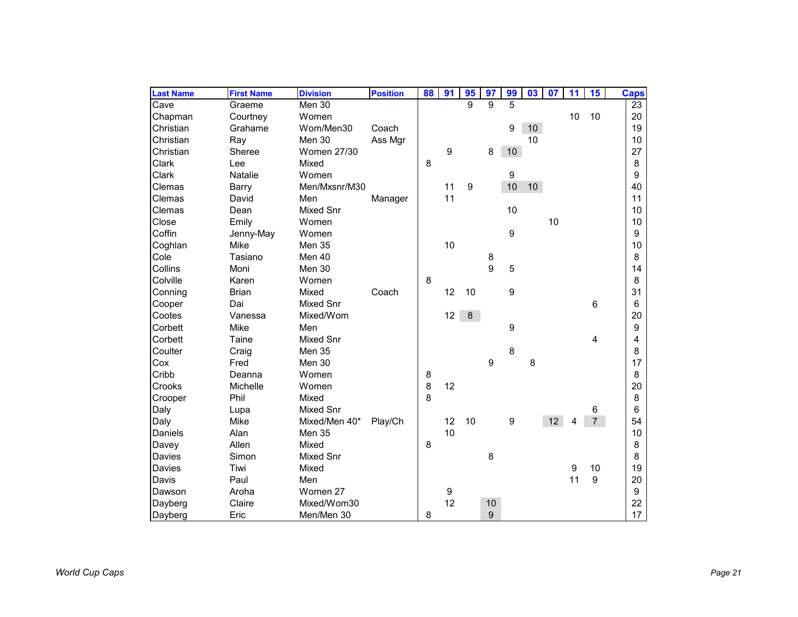| <b>Last Name</b> | <b>First Name</b> | <b>Division</b>    | <b>Position</b> | 88 | 91               | 95 | 97 | 99              | 03              | 07 | 11               | 15             | <b>Caps</b>      |
|------------------|-------------------|--------------------|-----------------|----|------------------|----|----|-----------------|-----------------|----|------------------|----------------|------------------|
| Cave             | Graeme            | Men 30             |                 |    |                  | 9  | 9  | 5               |                 |    |                  |                | 23               |
| Chapman          | Courtney          | Women              |                 |    |                  |    |    |                 |                 |    | 10               | 10             | 20               |
| Christian        | Grahame           | Wom/Men30          | Coach           |    |                  |    |    | 9               | 10 <sup>°</sup> |    |                  |                | 19               |
| Christian        | Ray               | Men 30             | Ass Mgr         |    |                  |    |    |                 | 10              |    |                  |                | 10               |
| Christian        | Sheree            | <b>Women 27/30</b> |                 |    | 9                |    | 8  | 10 <sup>1</sup> |                 |    |                  |                | 27               |
| Clark            | Lee               | Mixed              |                 | 8  |                  |    |    |                 |                 |    |                  |                | 8                |
| Clark            | Natalie           | Women              |                 |    |                  |    |    | 9               |                 |    |                  |                | 9                |
| Clemas           | Barry             | Men/Mxsnr/M30      |                 |    | 11               | 9  |    | 10              | 10 <sup>°</sup> |    |                  |                | 40               |
| Clemas           | David             | Men                | Manager         |    | 11               |    |    |                 |                 |    |                  |                | 11               |
| Clemas           | Dean              | <b>Mixed Snr</b>   |                 |    |                  |    |    | 10              |                 |    |                  |                | 10               |
| Close            | Emily             | Women              |                 |    |                  |    |    |                 |                 | 10 |                  |                | 10               |
| Coffin           | Jenny-May         | Women              |                 |    |                  |    |    | 9               |                 |    |                  |                | 9                |
| Coghlan          | Mike              | Men 35             |                 |    | 10               |    |    |                 |                 |    |                  |                | 10               |
| Cole             | Tasiano           | Men 40             |                 |    |                  |    | 8  |                 |                 |    |                  |                | 8                |
| Collins          | Moni              | Men 30             |                 |    |                  |    | 9  | 5               |                 |    |                  |                | 14               |
| Colville         | Karen             | Women              |                 | 8  |                  |    |    |                 |                 |    |                  |                | 8                |
| Conning          | <b>Brian</b>      | Mixed              | Coach           |    | 12               | 10 |    | 9               |                 |    |                  |                | 31               |
| Cooper           | Dai               | Mixed Snr          |                 |    |                  |    |    |                 |                 |    |                  | $6\phantom{1}$ | 6                |
| Cootes           | Vanessa           | Mixed/Wom          |                 |    | 12               | 8  |    |                 |                 |    |                  |                | 20               |
| Corbett          | Mike              | Men                |                 |    |                  |    |    | 9               |                 |    |                  |                | 9                |
| Corbett          | Taine             | <b>Mixed Snr</b>   |                 |    |                  |    |    |                 |                 |    |                  | 4              | 4                |
| Coulter          | Craig             | Men 35             |                 |    |                  |    |    | 8               |                 |    |                  |                | 8                |
| Cox              | Fred              | Men 30             |                 |    |                  |    | 9  |                 | 8               |    |                  |                | 17               |
| Cribb            | Deanna            | Women              |                 | 8  |                  |    |    |                 |                 |    |                  |                | 8                |
| Crooks           | Michelle          | Women              |                 | 8  | 12               |    |    |                 |                 |    |                  |                | 20               |
| Crooper          | Phil              | Mixed              |                 | 8  |                  |    |    |                 |                 |    |                  |                | 8                |
| Daly             | Lupa              | Mixed Snr          |                 |    |                  |    |    |                 |                 |    |                  | 6              | 6                |
| Daly             | Mike              | Mixed/Men 40*      | Play/Ch         |    | 12               | 10 |    | 9               |                 | 12 | Δ                | $\overline{7}$ | 54               |
| Daniels          | Alan              | Men 35             |                 |    | 10               |    |    |                 |                 |    |                  |                | 10               |
| Davey            | Allen             | Mixed              |                 | 8  |                  |    |    |                 |                 |    |                  |                | 8                |
| Davies           | Simon             | Mixed Snr          |                 |    |                  |    | 8  |                 |                 |    |                  |                | 8                |
| Davies           | Tiwi              | Mixed              |                 |    |                  |    |    |                 |                 |    | $\boldsymbol{9}$ | 10             | 19               |
| Davis            | Paul              | Men                |                 |    |                  |    |    |                 |                 |    | 11               | 9              | 20               |
| Dawson           | Aroha             | Women 27           |                 |    | $\boldsymbol{9}$ |    |    |                 |                 |    |                  |                | $\boldsymbol{9}$ |
| Dayberg          | Claire            | Mixed/Wom30        |                 |    | 12               |    | 10 |                 |                 |    |                  |                | 22               |
| Dayberg          | Eric              | Men/Men 30         |                 | 8  |                  |    | 9  |                 |                 |    |                  |                | 17               |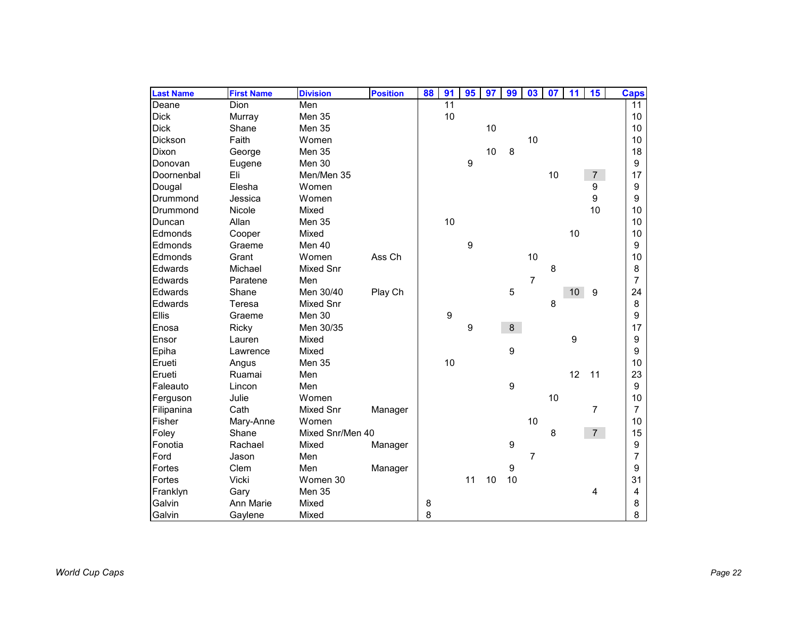| <b>Last Name</b> | <b>First Name</b> | <b>Division</b>  | <b>Position</b> | 88 | 91 | 95 | 97 | 99 | 03             | 07 | 11 | 15             | <b>Caps</b>    |
|------------------|-------------------|------------------|-----------------|----|----|----|----|----|----------------|----|----|----------------|----------------|
| Deane            | Dion              | Men              |                 |    | 11 |    |    |    |                |    |    |                | 11             |
| <b>Dick</b>      | Murray            | Men 35           |                 |    | 10 |    |    |    |                |    |    |                | 10             |
| <b>Dick</b>      | Shane             | <b>Men 35</b>    |                 |    |    |    | 10 |    |                |    |    |                | 10             |
| Dickson          | Faith             | Women            |                 |    |    |    |    |    | 10             |    |    |                | 10             |
| Dixon            | George            | Men 35           |                 |    |    |    | 10 | 8  |                |    |    |                | 18             |
| Donovan          | Eugene            | Men 30           |                 |    |    | 9  |    |    |                |    |    |                | 9              |
| Doornenbal       | Eli               | Men/Men 35       |                 |    |    |    |    |    |                | 10 |    | 7 <sup>7</sup> | 17             |
| Dougal           | Elesha            | Women            |                 |    |    |    |    |    |                |    |    | 9              | 9              |
| Drummond         | Jessica           | Women            |                 |    |    |    |    |    |                |    |    | 9              | 9              |
| Drummond         | Nicole            | Mixed            |                 |    |    |    |    |    |                |    |    | 10             | 10             |
| Duncan           | Allan             | Men 35           |                 |    | 10 |    |    |    |                |    |    |                | 10             |
| Edmonds          | Cooper            | Mixed            |                 |    |    |    |    |    |                |    | 10 |                | 10             |
| Edmonds          | Graeme            | Men 40           |                 |    |    | 9  |    |    |                |    |    |                | 9              |
| Edmonds          | Grant             | Women            | Ass Ch          |    |    |    |    |    | 10             |    |    |                | 10             |
| Edwards          | Michael           | <b>Mixed Snr</b> |                 |    |    |    |    |    |                | 8  |    |                | 8              |
| Edwards          | Paratene          | Men              |                 |    |    |    |    |    | $\overline{7}$ |    |    |                | $\overline{7}$ |
| Edwards          | Shane             | Men 30/40        | Play Ch         |    |    |    |    | 5  |                |    | 10 | 9              | 24             |
| Edwards          | Teresa            | Mixed Snr        |                 |    |    |    |    |    |                | 8  |    |                | 8              |
| <b>Ellis</b>     | Graeme            | Men 30           |                 |    | 9  |    |    |    |                |    |    |                | 9              |
| Enosa            | Ricky             | Men 30/35        |                 |    |    | 9  |    | 8  |                |    |    |                | 17             |
| Ensor            | Lauren            | Mixed            |                 |    |    |    |    |    |                |    | 9  |                | 9              |
| Epiha            | Lawrence          | Mixed            |                 |    |    |    |    | 9  |                |    |    |                | 9              |
| Erueti           | Angus             | Men 35           |                 |    | 10 |    |    |    |                |    |    |                | 10             |
| Erueti           | Ruamai            | Men              |                 |    |    |    |    |    |                |    | 12 | 11             | 23             |
| Faleauto         | Lincon            | Men              |                 |    |    |    |    | 9  |                |    |    |                | 9              |
| Ferguson         | Julie             | Women            |                 |    |    |    |    |    |                | 10 |    |                | 10             |
| Filipanina       | Cath              | <b>Mixed Snr</b> | Manager         |    |    |    |    |    |                |    |    | $\overline{7}$ | $\overline{7}$ |
| Fisher           | Mary-Anne         | Women            |                 |    |    |    |    |    | 10             |    |    |                | 10             |
| Foley            | Shane             | Mixed Snr/Men 40 |                 |    |    |    |    |    |                | 8  |    | 7 <sup>7</sup> | 15             |
| Fonotia          | Rachael           | Mixed            | Manager         |    |    |    |    | 9  |                |    |    |                | 9              |
| Ford             | Jason             | Men              |                 |    |    |    |    |    | $\overline{7}$ |    |    |                | $\overline{7}$ |
| Fortes           | Clem              | Men              | Manager         |    |    |    |    | 9  |                |    |    |                | 9              |
| Fortes           | Vicki             | Women 30         |                 |    |    | 11 | 10 | 10 |                |    |    |                | 31             |
| Franklyn         | Gary              | Men 35           |                 |    |    |    |    |    |                |    |    | 4              | 4              |
| Galvin           | Ann Marie         | Mixed            |                 | 8  |    |    |    |    |                |    |    |                | 8              |
| Galvin           | Gaylene           | Mixed            |                 | 8  |    |    |    |    |                |    |    |                | 8              |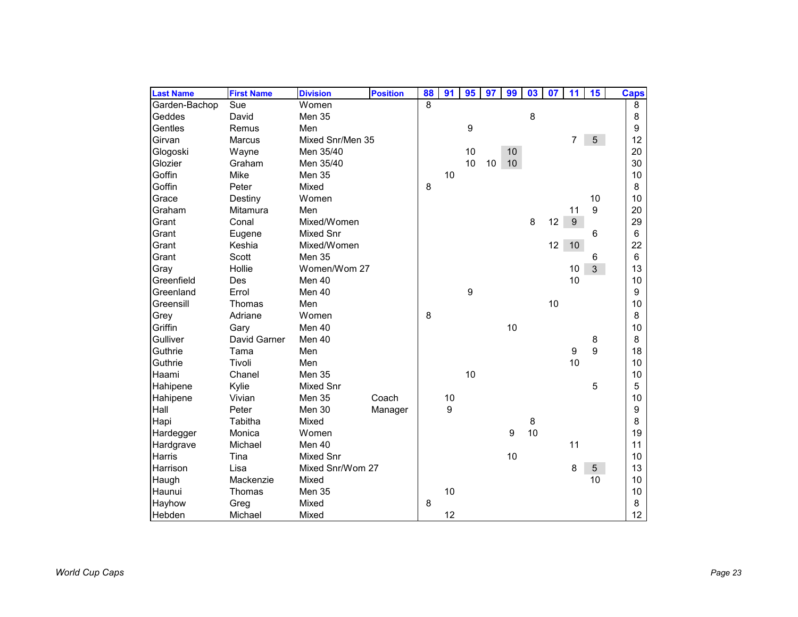| <b>Last Name</b> | <b>First Name</b> | <b>Division</b>  | <b>Position</b> | 88             | 91             | 95 | 97 | 99 | 03 | $\overline{07}$ | 11   | 15               | <b>Caps</b> |
|------------------|-------------------|------------------|-----------------|----------------|----------------|----|----|----|----|-----------------|------|------------------|-------------|
| Garden-Bachop    | Sue               | Women            |                 | $\overline{8}$ |                |    |    |    |    |                 |      |                  | 8           |
| Geddes           | David             | Men 35           |                 |                |                |    |    |    | 8  |                 |      |                  | 8           |
| Gentles          | Remus             | Men              |                 |                |                | 9  |    |    |    |                 |      |                  | 9           |
| Girvan           | <b>Marcus</b>     | Mixed Snr/Men 35 |                 |                |                |    |    |    |    |                 | 7    | 5 <sup>1</sup>   | 12          |
| Glogoski         | Wayne             | Men 35/40        |                 |                |                | 10 |    | 10 |    |                 |      |                  | 20          |
| Glozier          | Graham            | Men 35/40        |                 |                |                | 10 | 10 | 10 |    |                 |      |                  | 30          |
| Goffin           | Mike              | Men 35           |                 |                | 10             |    |    |    |    |                 |      |                  | 10          |
| Goffin           | Peter             | Mixed            |                 | 8              |                |    |    |    |    |                 |      |                  | 8           |
| Grace            | Destiny           | Women            |                 |                |                |    |    |    |    |                 |      | 10               | 10          |
| Graham           | Mitamura          | Men              |                 |                |                |    |    |    |    |                 | 11   | $\boldsymbol{9}$ | 20          |
| Grant            | Conal             | Mixed/Women      |                 |                |                |    |    |    | 8  | 12              | 9    |                  | 29          |
| Grant            | Eugene            | Mixed Snr        |                 |                |                |    |    |    |    |                 |      | 6                | 6           |
| Grant            | Keshia            | Mixed/Women      |                 |                |                |    |    |    |    | 12              | $10$ |                  | 22          |
| Grant            | Scott             | Men 35           |                 |                |                |    |    |    |    |                 |      | 6                | 6           |
| Gray             | Hollie            | Women/Wom 27     |                 |                |                |    |    |    |    |                 | 10   | 3 <sup>1</sup>   | 13          |
| Greenfield       | Des               | Men 40           |                 |                |                |    |    |    |    |                 | 10   |                  | 10          |
| Greenland        | Errol             | Men 40           |                 |                |                | 9  |    |    |    |                 |      |                  | 9           |
| Greensill        | Thomas            | Men              |                 |                |                |    |    |    |    | 10              |      |                  | 10          |
| Grey             | Adriane           | Women            |                 | 8              |                |    |    |    |    |                 |      |                  | 8           |
| Griffin          | Gary              | Men 40           |                 |                |                |    |    | 10 |    |                 |      |                  | 10          |
| Gulliver         | David Garner      | Men 40           |                 |                |                |    |    |    |    |                 |      | 8                | 8           |
| Guthrie          | Tama              | Men              |                 |                |                |    |    |    |    |                 | 9    | $\overline{9}$   | 18          |
| Guthrie          | Tivoli            | Men              |                 |                |                |    |    |    |    |                 | 10   |                  | 10          |
| Haami            | Chanel            | Men 35           |                 |                |                | 10 |    |    |    |                 |      |                  | 10          |
| Hahipene         | Kylie             | <b>Mixed Snr</b> |                 |                |                |    |    |    |    |                 |      | 5                | 5           |
| Hahipene         | Vivian            | Men 35           | Coach           |                | 10             |    |    |    |    |                 |      |                  | 10          |
| Hall             | Peter             | Men 30           | Manager         |                | $\overline{9}$ |    |    |    |    |                 |      |                  | 9           |
| Hapi             | Tabitha           | Mixed            |                 |                |                |    |    |    | 8  |                 |      |                  | 8           |
| Hardegger        | Monica            | Women            |                 |                |                |    |    | 9  | 10 |                 |      |                  | 19          |
| Hardgrave        | Michael           | Men 40           |                 |                |                |    |    |    |    |                 | 11   |                  | 11          |
| <b>Harris</b>    | Tina              | Mixed Snr        |                 |                |                |    |    | 10 |    |                 |      |                  | 10          |
| Harrison         | Lisa              | Mixed Snr/Wom 27 |                 |                |                |    |    |    |    |                 | 8    | 5 <sup>5</sup>   | 13          |
| Haugh            | Mackenzie         | Mixed            |                 |                |                |    |    |    |    |                 |      | 10               | 10          |
| Haunui           | Thomas            | Men 35           |                 |                | 10             |    |    |    |    |                 |      |                  | 10          |
| Hayhow           | Greg              | Mixed            |                 | 8              |                |    |    |    |    |                 |      |                  | 8           |
| Hebden           | Michael           | Mixed            |                 |                | 12             |    |    |    |    |                 |      |                  | 12          |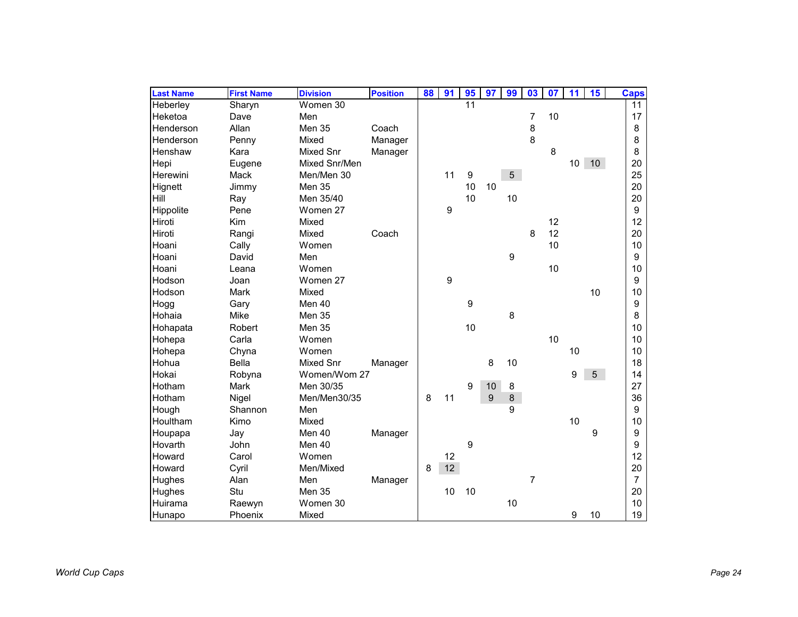| <b>Last Name</b> | <b>First Name</b> | <b>Division</b>  | <b>Position</b> | 88 | 91 | 95 | 97 | 99             | 03             | 07 | 11 | 15 | <b>Caps</b>    |
|------------------|-------------------|------------------|-----------------|----|----|----|----|----------------|----------------|----|----|----|----------------|
| Heberley         | Sharyn            | Women 30         |                 |    |    | 11 |    |                |                |    |    |    | 11             |
| Heketoa          | Dave              | Men              |                 |    |    |    |    |                | 7              | 10 |    |    | 17             |
| Henderson        | Allan             | Men 35           | Coach           |    |    |    |    |                | 8              |    |    |    | 8              |
| Henderson        | Penny             | Mixed            | Manager         |    |    |    |    |                | 8              |    |    |    | 8              |
| Henshaw          | Kara              | <b>Mixed Snr</b> | Manager         |    |    |    |    |                |                | 8  |    |    | 8              |
| Hepi             | Eugene            | Mixed Snr/Men    |                 |    |    |    |    |                |                |    | 10 | 10 | 20             |
| Herewini         | Mack              | Men/Men 30       |                 |    | 11 | 9  |    | 5 <sup>5</sup> |                |    |    |    | 25             |
| Hignett          | Jimmy             | Men 35           |                 |    |    | 10 | 10 |                |                |    |    |    | 20             |
| Hill             | Ray               | Men 35/40        |                 |    |    | 10 |    | 10             |                |    |    |    | 20             |
| Hippolite        | Pene              | Women 27         |                 |    | 9  |    |    |                |                |    |    |    | 9              |
| Hiroti           | Kim               | Mixed            |                 |    |    |    |    |                |                | 12 |    |    | 12             |
| Hiroti           | Rangi             | Mixed            | Coach           |    |    |    |    |                | 8              | 12 |    |    | 20             |
| Hoani            | Cally             | Women            |                 |    |    |    |    |                |                | 10 |    |    | 10             |
| Hoani            | David             | Men              |                 |    |    |    |    | 9              |                |    |    |    | 9              |
| Hoani            | Leana             | Women            |                 |    |    |    |    |                |                | 10 |    |    | 10             |
| Hodson           | Joan              | Women 27         |                 |    | 9  |    |    |                |                |    |    |    | 9              |
| Hodson           | <b>Mark</b>       | Mixed            |                 |    |    |    |    |                |                |    |    | 10 | 10             |
| Hogg             | Gary              | Men 40           |                 |    |    | 9  |    |                |                |    |    |    | 9              |
| Hohaia           | Mike              | Men 35           |                 |    |    |    |    | 8              |                |    |    |    | 8              |
| Hohapata         | Robert            | Men 35           |                 |    |    | 10 |    |                |                |    |    |    | 10             |
| Hohepa           | Carla             | Women            |                 |    |    |    |    |                |                | 10 |    |    | 10             |
| Hohepa           | Chyna             | Women            |                 |    |    |    |    |                |                |    | 10 |    | 10             |
| Hohua            | Bella             | Mixed Snr        | Manager         |    |    |    | 8  | 10             |                |    |    |    | 18             |
| Hokai            | Robyna            | Women/Wom 27     |                 |    |    |    |    |                |                |    | 9  | 5  | 14             |
| Hotham           | Mark              | Men 30/35        |                 |    |    | 9  | 10 | 8              |                |    |    |    | 27             |
| Hotham           | Nigel             | Men/Men30/35     |                 | 8  | 11 |    | 9  | $\,8\,$        |                |    |    |    | 36             |
| Hough            | Shannon           | Men              |                 |    |    |    |    | 9              |                |    |    |    | 9              |
| Houltham         | Kimo              | Mixed            |                 |    |    |    |    |                |                |    | 10 |    | 10             |
| Houpapa          | Jay               | Men 40           | Manager         |    |    |    |    |                |                |    |    | 9  | 9              |
| Hovarth          | John              | Men 40           |                 |    |    | 9  |    |                |                |    |    |    | 9              |
| Howard           | Carol             | Women            |                 |    | 12 |    |    |                |                |    |    |    | 12             |
| Howard           | Cyril             | Men/Mixed        |                 | 8  | 12 |    |    |                |                |    |    |    | 20             |
| Hughes           | Alan              | Men              | Manager         |    |    |    |    |                | $\overline{7}$ |    |    |    | $\overline{7}$ |
| Hughes           | Stu               | Men 35           |                 |    | 10 | 10 |    |                |                |    |    |    | 20             |
| Huirama          | Raewyn            | Women 30         |                 |    |    |    |    | 10             |                |    |    |    | 10             |
| Hunapo           | Phoenix           | Mixed            |                 |    |    |    |    |                |                |    | 9  | 10 | 19             |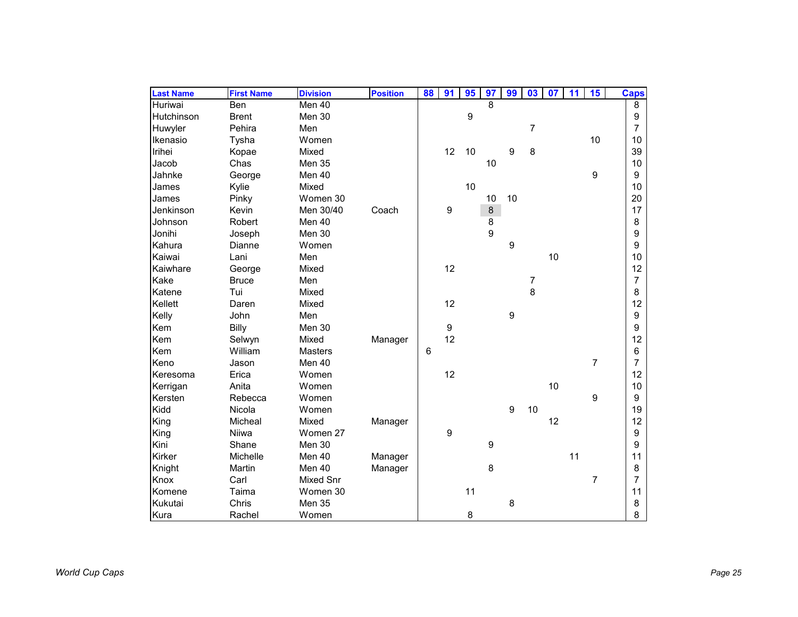| <b>Last Name</b> | <b>First Name</b> | <b>Division</b>  | <b>Position</b> | 88              | 91 | 95               | 97             | 99 | 03             | $\overline{07}$ | 11 | 15               | <b>Caps</b>    |
|------------------|-------------------|------------------|-----------------|-----------------|----|------------------|----------------|----|----------------|-----------------|----|------------------|----------------|
| Huriwai          | Ben               | Men 40           |                 |                 |    |                  | 8              |    |                |                 |    |                  | 8              |
| Hutchinson       | <b>Brent</b>      | Men 30           |                 |                 |    | $\boldsymbol{9}$ |                |    |                |                 |    |                  | 9              |
| Huwyler          | Pehira            | Men              |                 |                 |    |                  |                |    | $\overline{7}$ |                 |    |                  | 7              |
| Ikenasio         | Tysha             | Women            |                 |                 |    |                  |                |    |                |                 |    | 10               | 10             |
| Irihei           | Kopae             | Mixed            |                 |                 | 12 | 10               |                | 9  | 8              |                 |    |                  | 39             |
| Jacob            | Chas              | Men 35           |                 |                 |    |                  | 10             |    |                |                 |    |                  | 10             |
| Jahnke           | George            | Men 40           |                 |                 |    |                  |                |    |                |                 |    | $\boldsymbol{9}$ | 9              |
| James            | Kylie             | Mixed            |                 |                 |    | 10               |                |    |                |                 |    |                  | 10             |
| James            | Pinky             | Women 30         |                 |                 |    |                  | 10             | 10 |                |                 |    |                  | 20             |
| Jenkinson        | Kevin             | Men 30/40        | Coach           |                 | 9  |                  | 8              |    |                |                 |    |                  | 17             |
| Johnson          | Robert            | Men 40           |                 |                 |    |                  | 8              |    |                |                 |    |                  | 8              |
| Jonihi           | Joseph            | Men 30           |                 |                 |    |                  | $\overline{9}$ |    |                |                 |    |                  | 9              |
| Kahura           | Dianne            | Women            |                 |                 |    |                  |                | 9  |                |                 |    |                  | 9              |
| Kaiwai           | Lani              | Men              |                 |                 |    |                  |                |    |                | 10              |    |                  | 10             |
| Kaiwhare         | George            | Mixed            |                 |                 | 12 |                  |                |    |                |                 |    |                  | 12             |
| Kake             | <b>Bruce</b>      | Men              |                 |                 |    |                  |                |    | $\overline{7}$ |                 |    |                  | $\overline{7}$ |
| Katene           | Tui               | Mixed            |                 |                 |    |                  |                |    | 8              |                 |    |                  | 8              |
| Kellett          | Daren             | Mixed            |                 |                 | 12 |                  |                |    |                |                 |    |                  | 12             |
| Kelly            | John              | Men              |                 |                 |    |                  |                | 9  |                |                 |    |                  | 9              |
| Kem              | <b>Billy</b>      | Men 30           |                 |                 | 9  |                  |                |    |                |                 |    |                  | 9              |
| Kem              | Selwyn            | Mixed            | Manager         |                 | 12 |                  |                |    |                |                 |    |                  | 12             |
| Kem              | William           | <b>Masters</b>   |                 | $6\phantom{1}6$ |    |                  |                |    |                |                 |    |                  | 6              |
| Keno             | Jason             | Men 40           |                 |                 |    |                  |                |    |                |                 |    | $\overline{7}$   | $\overline{7}$ |
| Keresoma         | Erica             | Women            |                 |                 | 12 |                  |                |    |                |                 |    |                  | 12             |
| Kerrigan         | Anita             | Women            |                 |                 |    |                  |                |    |                | 10              |    |                  | 10             |
| Kersten          | Rebecca           | Women            |                 |                 |    |                  |                |    |                |                 |    | 9                | 9              |
| Kidd             | Nicola            | Women            |                 |                 |    |                  |                | 9  | 10             |                 |    |                  | 19             |
| King             | Micheal           | Mixed            | Manager         |                 |    |                  |                |    |                | 12              |    |                  | 12             |
| King             | Niiwa             | Women 27         |                 |                 | 9  |                  |                |    |                |                 |    |                  | 9              |
| Kini             | Shane             | Men 30           |                 |                 |    |                  | 9              |    |                |                 |    |                  | 9              |
| Kirker           | Michelle          | Men 40           | Manager         |                 |    |                  |                |    |                |                 | 11 |                  | 11             |
| Knight           | Martin            | Men 40           | Manager         |                 |    |                  | 8              |    |                |                 |    |                  | 8              |
| Knox             | Carl              | <b>Mixed Snr</b> |                 |                 |    |                  |                |    |                |                 |    | 7                | $\overline{7}$ |
| Komene           | Taima             | Women 30         |                 |                 |    | 11               |                |    |                |                 |    |                  | 11             |
| Kukutai          | Chris             | Men 35           |                 |                 |    |                  |                | 8  |                |                 |    |                  | 8              |
| Kura             | Rachel            | Women            |                 |                 |    | 8                |                |    |                |                 |    |                  | 8              |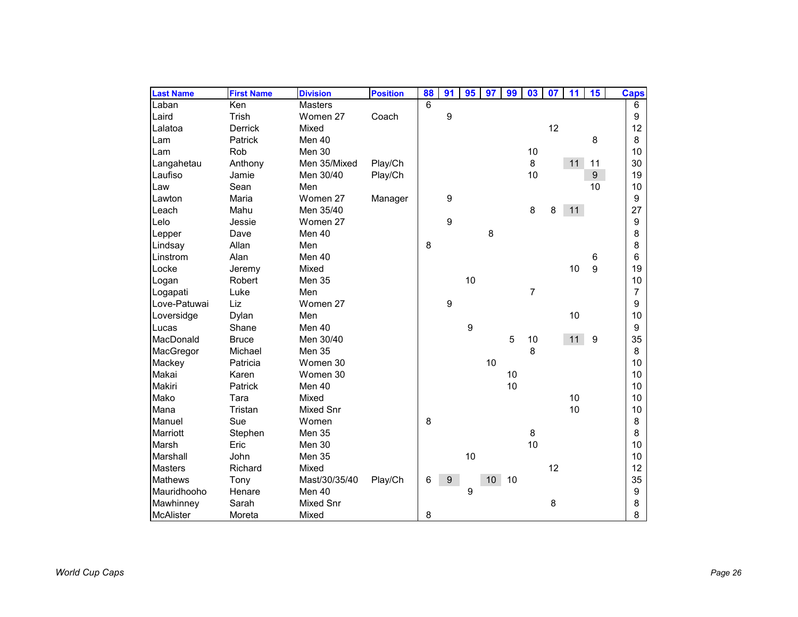| <b>Last Name</b> | <b>First Name</b> | <b>Division</b>  | <b>Position</b> | 88             | 91 | 95 | 97              | 99 | 03             | 07 | 11 | 15              | <b>Caps</b> |
|------------------|-------------------|------------------|-----------------|----------------|----|----|-----------------|----|----------------|----|----|-----------------|-------------|
| Laban            | Ken               | <b>Masters</b>   |                 | $\overline{6}$ |    |    |                 |    |                |    |    |                 | 6           |
| Laird            | Trish             | Women 27         | Coach           |                | 9  |    |                 |    |                |    |    |                 | 9           |
| Lalatoa          | <b>Derrick</b>    | Mixed            |                 |                |    |    |                 |    |                | 12 |    |                 | 12          |
| Lam              | Patrick           | Men 40           |                 |                |    |    |                 |    |                |    |    | 8               | 8           |
| Lam              | Rob               | Men 30           |                 |                |    |    |                 |    | 10             |    |    |                 | 10          |
| Langahetau       | Anthony           | Men 35/Mixed     | Play/Ch         |                |    |    |                 |    | $\,8\,$        |    | 11 | 11              | 30          |
| Laufiso          | Jamie             | Men 30/40        | Play/Ch         |                |    |    |                 |    | 10             |    |    | $9\phantom{.0}$ | 19          |
| Law              | Sean              | Men              |                 |                |    |    |                 |    |                |    |    | 10              | 10          |
| Lawton           | Maria             | Women 27         | Manager         |                | 9  |    |                 |    |                |    |    |                 | 9           |
| Leach            | Mahu              | Men 35/40        |                 |                |    |    |                 |    | 8              | 8  | 11 |                 | 27          |
| Lelo             | Jessie            | Women 27         |                 |                | 9  |    |                 |    |                |    |    |                 | 9           |
| Lepper           | Dave              | Men 40           |                 |                |    |    | 8               |    |                |    |    |                 | 8           |
| Lindsay          | Allan             | Men              |                 | 8              |    |    |                 |    |                |    |    |                 | 8           |
| Linstrom         | Alan              | Men 40           |                 |                |    |    |                 |    |                |    |    | 6               | 6           |
| Locke            | Jeremy            | Mixed            |                 |                |    |    |                 |    |                |    | 10 | 9               | 19          |
| Logan            | Robert            | Men 35           |                 |                |    | 10 |                 |    |                |    |    |                 | 10          |
| Logapati         | Luke              | Men              |                 |                |    |    |                 |    | $\overline{7}$ |    |    |                 | 7           |
| Love-Patuwai     | Liz               | Women 27         |                 |                | 9  |    |                 |    |                |    |    |                 | 9           |
| Loversidge       | Dylan             | Men              |                 |                |    |    |                 |    |                |    | 10 |                 | 10          |
| Lucas            | Shane             | Men 40           |                 |                |    | 9  |                 |    |                |    |    |                 | 9           |
| MacDonald        | <b>Bruce</b>      | Men 30/40        |                 |                |    |    |                 | 5  | 10             |    | 11 | 9               | 35          |
| MacGregor        | Michael           | Men 35           |                 |                |    |    |                 |    | 8              |    |    |                 | 8           |
| Mackey           | Patricia          | Women 30         |                 |                |    |    | 10              |    |                |    |    |                 | 10          |
| Makai            | Karen             | Women 30         |                 |                |    |    |                 | 10 |                |    |    |                 | 10          |
| Makiri           | Patrick           | Men 40           |                 |                |    |    |                 | 10 |                |    |    |                 | 10          |
| Mako             | Tara              | Mixed            |                 |                |    |    |                 |    |                |    | 10 |                 | 10          |
| Mana             | Tristan           | <b>Mixed Snr</b> |                 |                |    |    |                 |    |                |    | 10 |                 | 10          |
| Manuel           | Sue               | Women            |                 | 8              |    |    |                 |    |                |    |    |                 | 8           |
| Marriott         | Stephen           | Men 35           |                 |                |    |    |                 |    | 8              |    |    |                 | 8           |
| Marsh            | Eric              | Men 30           |                 |                |    |    |                 |    | 10             |    |    |                 | 10          |
| Marshall         | John              | Men 35           |                 |                |    | 10 |                 |    |                |    |    |                 | 10          |
| <b>Masters</b>   | Richard           | Mixed            |                 |                |    |    |                 |    |                | 12 |    |                 | 12          |
| <b>Mathews</b>   | Tony              | Mast/30/35/40    | Play/Ch         | 6              | 9  |    | 10 <sup>1</sup> | 10 |                |    |    |                 | 35          |
| Mauridhooho      | Henare            | Men 40           |                 |                |    | 9  |                 |    |                |    |    |                 | 9           |
| Mawhinney        | Sarah             | <b>Mixed Snr</b> |                 |                |    |    |                 |    |                | 8  |    |                 | 8           |
| <b>McAlister</b> | Moreta            | Mixed            |                 | 8              |    |    |                 |    |                |    |    |                 | 8           |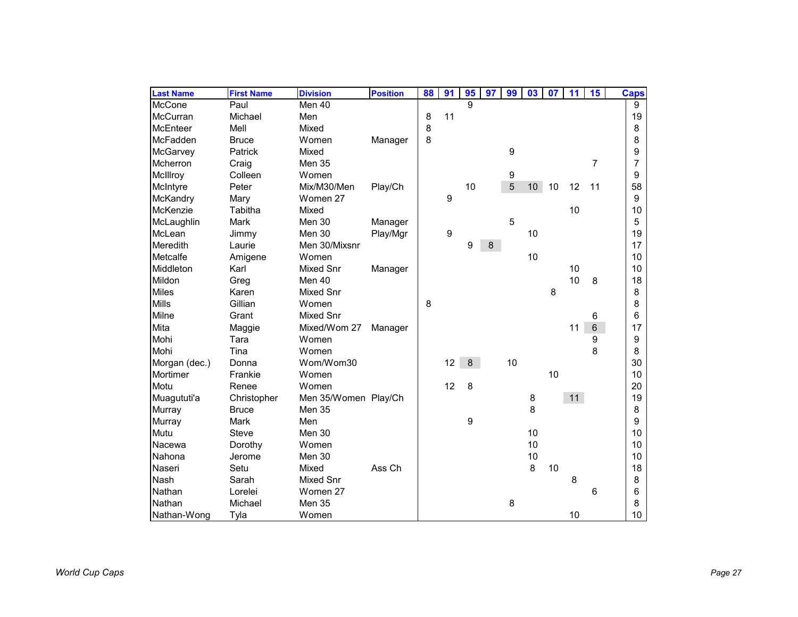| <b>Last Name</b> | <b>First Name</b> | <b>Division</b>      | <b>Position</b> | 88 | 91 | 95           | 97 | 99 | 03 | 07 | 11 | 15              | <b>Caps</b> |
|------------------|-------------------|----------------------|-----------------|----|----|--------------|----|----|----|----|----|-----------------|-------------|
| McCone           | Paul              | Men 40               |                 |    |    | $\mathbf{q}$ |    |    |    |    |    |                 | 9           |
| McCurran         | Michael           | Men                  |                 | 8  | 11 |              |    |    |    |    |    |                 | 19          |
| <b>McEnteer</b>  | Mell              | Mixed                |                 | 8  |    |              |    |    |    |    |    |                 | 8           |
| McFadden         | <b>Bruce</b>      | Women                | Manager         | 8  |    |              |    |    |    |    |    |                 | 8           |
| McGarvey         | Patrick           | Mixed                |                 |    |    |              |    | 9  |    |    |    |                 | 9           |
| Mcherron         | Craig             | Men 35               |                 |    |    |              |    |    |    |    |    | $\overline{7}$  | 7           |
| McIllroy         | Colleen           | Women                |                 |    |    |              |    | 9  |    |    |    |                 | 9           |
| McIntyre         | Peter             | Mix/M30/Men          | Play/Ch         |    |    | 10           |    | 5  | 10 | 10 | 12 | 11              | 58          |
| McKandry         | Mary              | Women 27             |                 |    | 9  |              |    |    |    |    |    |                 | 9           |
| McKenzie         | Tabitha           | Mixed                |                 |    |    |              |    |    |    |    | 10 |                 | 10          |
| McLaughlin       | Mark              | Men 30               | Manager         |    |    |              |    | 5  |    |    |    |                 | 5           |
| McLean           | Jimmy             | Men 30               | Play/Mgr        |    | 9  |              |    |    | 10 |    |    |                 | 19          |
| Meredith         | Laurie            | Men 30/Mixsnr        |                 |    |    | 9            | 8  |    |    |    |    |                 | 17          |
| Metcalfe         | Amigene           | Women                |                 |    |    |              |    |    | 10 |    |    |                 | 10          |
| Middleton        | Karl              | Mixed Snr            | Manager         |    |    |              |    |    |    |    | 10 |                 | 10          |
| Mildon           | Greg              | Men 40               |                 |    |    |              |    |    |    |    | 10 | 8               | 18          |
| <b>Miles</b>     | Karen             | <b>Mixed Snr</b>     |                 |    |    |              |    |    |    | 8  |    |                 | 8           |
| <b>Mills</b>     | Gillian           | Women                |                 | 8  |    |              |    |    |    |    |    |                 | 8           |
| Milne            | Grant             | <b>Mixed Snr</b>     |                 |    |    |              |    |    |    |    |    | 6               | 6           |
| Mita             | Maggie            | Mixed/Wom 27         | Manager         |    |    |              |    |    |    |    | 11 | $6\overline{6}$ | 17          |
| Mohi             | Tara              | Women                |                 |    |    |              |    |    |    |    |    | 9               | 9           |
| Mohi             | Tina              | Women                |                 |    |    |              |    |    |    |    |    | 8               | 8           |
| Morgan (dec.)    | Donna             | Wom/Wom30            |                 |    | 12 | 8            |    | 10 |    |    |    |                 | 30          |
| Mortimer         | Frankie           | Women                |                 |    |    |              |    |    |    | 10 |    |                 | 10          |
| Motu             | Renee             | Women                |                 |    | 12 | 8            |    |    |    |    |    |                 | 20          |
| Muagututi'a      | Christopher       | Men 35/Women Play/Ch |                 |    |    |              |    |    | 8  |    | 11 |                 | 19          |
| Murray           | <b>Bruce</b>      | Men 35               |                 |    |    |              |    |    | 8  |    |    |                 | 8           |
| Murray           | Mark              | Men                  |                 |    |    | 9            |    |    |    |    |    |                 | 9           |
| Mutu             | <b>Steve</b>      | Men 30               |                 |    |    |              |    |    | 10 |    |    |                 | 10          |
| Nacewa           | Dorothy           | Women                |                 |    |    |              |    |    | 10 |    |    |                 | 10          |
| Nahona           | Jerome            | Men 30               |                 |    |    |              |    |    | 10 |    |    |                 | 10          |
| Naseri           | Setu              | Mixed                | Ass Ch          |    |    |              |    |    | 8  | 10 |    |                 | 18          |
| Nash             | Sarah             | Mixed Snr            |                 |    |    |              |    |    |    |    | 8  |                 | 8           |
| Nathan           | Lorelei           | Women 27             |                 |    |    |              |    |    |    |    |    | 6               | 6           |
| Nathan           | Michael           | Men 35               |                 |    |    |              |    | 8  |    |    |    |                 | 8           |
| Nathan-Wong      | Tyla              | Women                |                 |    |    |              |    |    |    |    | 10 |                 | 10          |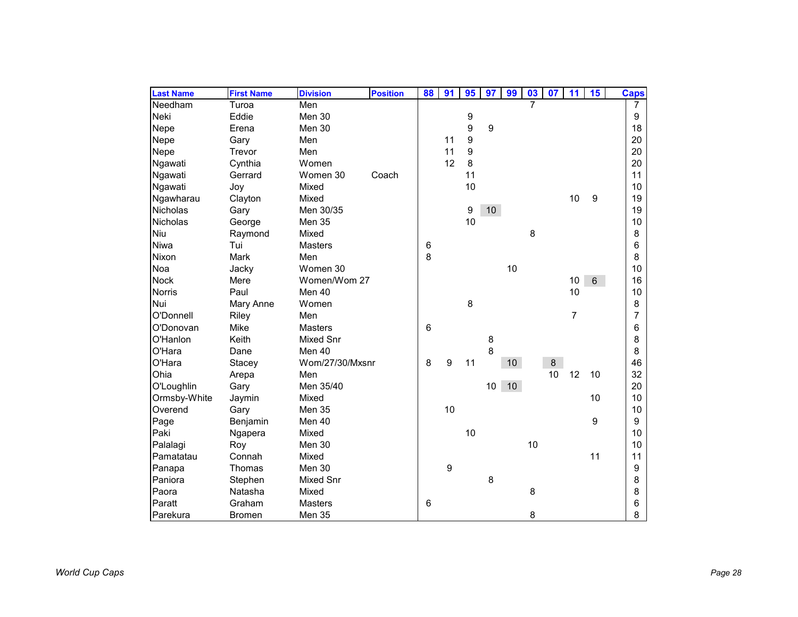| <b>Last Name</b> | <b>First Name</b> | <b>Division</b>  | <b>Position</b> | 88 | 91 | 95 | 97              | 99 | 03             | 07 | 11             | 15             | <b>Caps</b>    |
|------------------|-------------------|------------------|-----------------|----|----|----|-----------------|----|----------------|----|----------------|----------------|----------------|
| Needham          | Turoa             | Men              |                 |    |    |    |                 |    | $\overline{7}$ |    |                |                | $\overline{7}$ |
| Neki             | Eddie             | Men 30           |                 |    |    | 9  |                 |    |                |    |                |                | 9              |
| Nepe             | Erena             | Men 30           |                 |    |    | 9  | 9               |    |                |    |                |                | 18             |
| Nepe             | Gary              | Men              |                 |    | 11 | 9  |                 |    |                |    |                |                | 20             |
| Nepe             | Trevor            | Men              |                 |    | 11 | 9  |                 |    |                |    |                |                | 20             |
| Ngawati          | Cynthia           | Women            |                 |    | 12 | 8  |                 |    |                |    |                |                | 20             |
| Ngawati          | Gerrard           | Women 30         | Coach           |    |    | 11 |                 |    |                |    |                |                | 11             |
| Ngawati          | Joy               | Mixed            |                 |    |    | 10 |                 |    |                |    |                |                | 10             |
| Ngawharau        | Clayton           | Mixed            |                 |    |    |    |                 |    |                |    | 10             | 9              | 19             |
| <b>Nicholas</b>  | Gary              | Men 30/35        |                 |    |    | 9  | 10 <sup>1</sup> |    |                |    |                |                | 19             |
| Nicholas         | George            | Men 35           |                 |    |    | 10 |                 |    |                |    |                |                | 10             |
| Niu              | Raymond           | Mixed            |                 |    |    |    |                 |    | 8              |    |                |                | 8              |
| Niwa             | Tui               | <b>Masters</b>   |                 | 6  |    |    |                 |    |                |    |                |                | 6              |
| Nixon            | Mark              | Men              |                 | 8  |    |    |                 |    |                |    |                |                | 8              |
| Noa              | Jacky             | Women 30         |                 |    |    |    |                 | 10 |                |    |                |                | 10             |
| <b>Nock</b>      | Mere              | Women/Wom 27     |                 |    |    |    |                 |    |                |    | 10             | $6\phantom{1}$ | 16             |
| <b>Norris</b>    | Paul              | Men 40           |                 |    |    |    |                 |    |                |    | 10             |                | 10             |
| Nui              | Mary Anne         | Women            |                 |    |    | 8  |                 |    |                |    |                |                | 8              |
| O'Donnell        | Riley             | Men              |                 |    |    |    |                 |    |                |    | $\overline{7}$ |                | $\overline{7}$ |
| O'Donovan        | Mike              | <b>Masters</b>   |                 | 6  |    |    |                 |    |                |    |                |                | 6              |
| O'Hanlon         | Keith             | <b>Mixed Snr</b> |                 |    |    |    | 8               |    |                |    |                |                | 8              |
| O'Hara           | Dane              | Men 40           |                 |    |    |    | 8               |    |                |    |                |                | 8              |
| O'Hara           | Stacey            | Wom/27/30/Mxsnr  |                 | 8  | 9  | 11 |                 | 10 |                | 8  |                |                | 46             |
| Ohia             | Arepa             | Men              |                 |    |    |    |                 |    |                | 10 | 12             | 10             | 32             |
| O'Loughlin       | Gary              | Men 35/40        |                 |    |    |    | 10 <sup>1</sup> | 10 |                |    |                |                | 20             |
| Ormsby-White     | Jaymin            | Mixed            |                 |    |    |    |                 |    |                |    |                | 10             | 10             |
| Overend          | Gary              | Men 35           |                 |    | 10 |    |                 |    |                |    |                |                | 10             |
| Page             | Benjamin          | Men 40           |                 |    |    |    |                 |    |                |    |                | 9              | 9              |
| Paki             | Ngapera           | Mixed            |                 |    |    | 10 |                 |    |                |    |                |                | 10             |
| Palalagi         | Roy               | Men 30           |                 |    |    |    |                 |    | 10             |    |                |                | 10             |
| Pamatatau        | Connah            | Mixed            |                 |    |    |    |                 |    |                |    |                | 11             | 11             |
| Panapa           | Thomas            | Men 30           |                 |    | 9  |    |                 |    |                |    |                |                | 9              |
| Paniora          | Stephen           | <b>Mixed Snr</b> |                 |    |    |    | 8               |    |                |    |                |                | 8              |
| Paora            | Natasha           | Mixed            |                 |    |    |    |                 |    | 8              |    |                |                | 8              |
| Paratt           | Graham            | <b>Masters</b>   |                 | 6  |    |    |                 |    |                |    |                |                | 6              |
| Parekura         | <b>Bromen</b>     | Men 35           |                 |    |    |    |                 |    | 8              |    |                |                | 8              |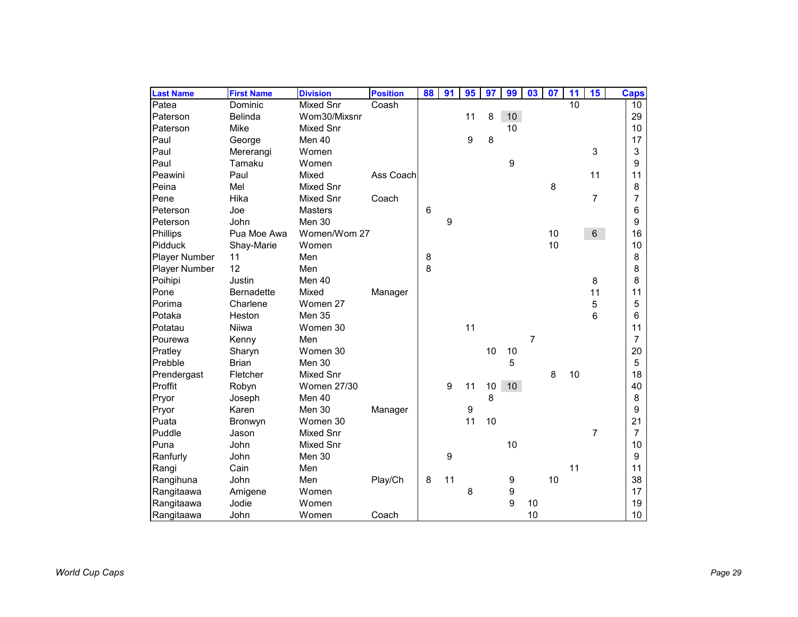| <b>Last Name</b>     | <b>First Name</b> | <b>Division</b>    | <b>Position</b> | 88             | 91 | 95 | 97 | 99              | 03             | 07 | 11 | 15             | <b>Caps</b>    |
|----------------------|-------------------|--------------------|-----------------|----------------|----|----|----|-----------------|----------------|----|----|----------------|----------------|
| Patea                | Dominic           | Mixed Snr          | Coash           |                |    |    |    |                 |                |    | 10 |                | 10             |
| Paterson             | Belinda           | Wom30/Mixsnr       |                 |                |    | 11 | 8  | 10 <sup>1</sup> |                |    |    |                | 29             |
| Paterson             | Mike              | Mixed Snr          |                 |                |    |    |    | 10              |                |    |    |                | 10             |
| Paul                 | George            | Men 40             |                 |                |    | 9  | 8  |                 |                |    |    |                | 17             |
| Paul                 | Mererangi         | Women              |                 |                |    |    |    |                 |                |    |    | 3              | 3              |
| Paul                 | Tamaku            | Women              |                 |                |    |    |    | 9               |                |    |    |                | 9              |
| Peawini              | Paul              | Mixed              | Ass Coach       |                |    |    |    |                 |                |    |    | 11             | 11             |
| Peina                | Mel               | <b>Mixed Snr</b>   |                 |                |    |    |    |                 |                | 8  |    |                | 8              |
| Pene                 | Hika              | Mixed Snr          | Coach           |                |    |    |    |                 |                |    |    | $\overline{7}$ | $\overline{7}$ |
| Peterson             | Joe               | <b>Masters</b>     |                 | $6\phantom{1}$ |    |    |    |                 |                |    |    |                | 6              |
| Peterson             | John              | Men 30             |                 |                | 9  |    |    |                 |                |    |    |                | 9              |
| Phillips             | Pua Moe Awa       | Women/Wom 27       |                 |                |    |    |    |                 |                | 10 |    | 6 <sup>1</sup> | 16             |
| Pidduck              | Shay-Marie        | Women              |                 |                |    |    |    |                 |                | 10 |    |                | 10             |
| <b>Player Number</b> | 11                | Men                |                 | 8              |    |    |    |                 |                |    |    |                | 8              |
| Player Number        | 12                | Men                |                 | 8              |    |    |    |                 |                |    |    |                | 8              |
| Poihipi              | Justin            | Men 40             |                 |                |    |    |    |                 |                |    |    | 8              | 8              |
| Pone                 | <b>Bernadette</b> | Mixed              | Manager         |                |    |    |    |                 |                |    |    | 11             | 11             |
| Porima               | Charlene          | Women 27           |                 |                |    |    |    |                 |                |    |    | 5              | 5              |
| Potaka               | Heston            | <b>Men 35</b>      |                 |                |    |    |    |                 |                |    |    | 6              | 6              |
| Potatau              | <b>Niiwa</b>      | Women 30           |                 |                |    | 11 |    |                 |                |    |    |                | 11             |
| Pourewa              | Kenny             | Men                |                 |                |    |    |    |                 | $\overline{7}$ |    |    |                | $\overline{7}$ |
| Pratley              | Sharyn            | Women 30           |                 |                |    |    | 10 | 10              |                |    |    |                | 20             |
| Prebble              | <b>Brian</b>      | Men 30             |                 |                |    |    |    | 5               |                |    |    |                | 5              |
| Prendergast          | Fletcher          | Mixed Snr          |                 |                |    |    |    |                 |                | 8  | 10 |                | 18             |
| Proffit              | Robyn             | <b>Women 27/30</b> |                 |                | 9  | 11 | 10 | 10              |                |    |    |                | 40             |
| Pryor                | Joseph            | Men 40             |                 |                |    |    | 8  |                 |                |    |    |                | 8              |
| Pryor                | Karen             | Men 30             | Manager         |                |    | 9  |    |                 |                |    |    |                | 9              |
| Puata                | Bronwyn           | Women 30           |                 |                |    | 11 | 10 |                 |                |    |    |                | 21             |
| Puddle               | Jason             | Mixed Snr          |                 |                |    |    |    |                 |                |    |    | $\overline{7}$ | $\overline{7}$ |
| Puna                 | John              | <b>Mixed Snr</b>   |                 |                |    |    |    | 10              |                |    |    |                | 10             |
| Ranfurly             | John              | Men 30             |                 |                | 9  |    |    |                 |                |    |    |                | 9              |
| Rangi                | Cain              | Men                |                 |                |    |    |    |                 |                |    | 11 |                | 11             |
| Rangihuna            | John              | Men                | Play/Ch         | 8              | 11 |    |    | 9               |                | 10 |    |                | 38             |
| Rangitaawa           | Amigene           | Women              |                 |                |    | 8  |    | 9               |                |    |    |                | 17             |
| Rangitaawa           | Jodie             | Women              |                 |                |    |    |    | 9               | 10             |    |    |                | 19             |
| Rangitaawa           | John              | Women              | Coach           |                |    |    |    |                 | 10             |    |    |                | 10             |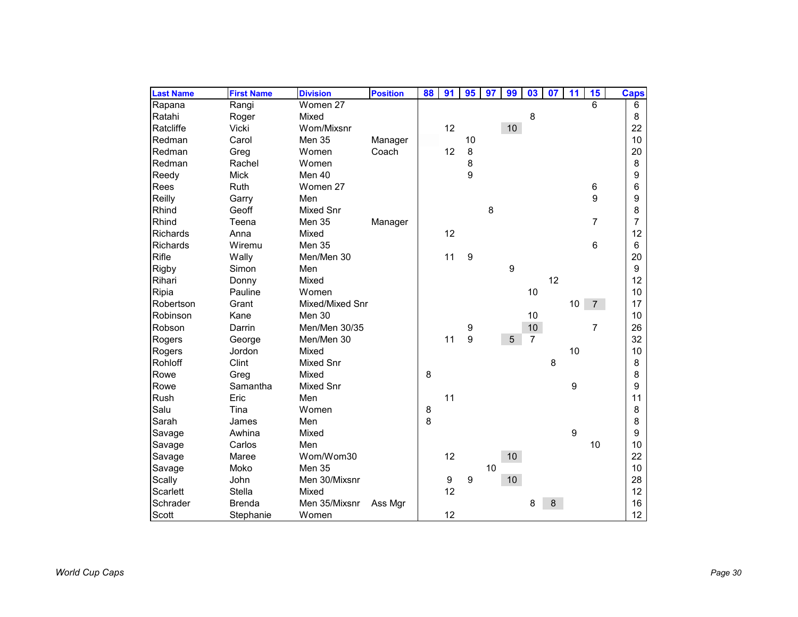| <b>Last Name</b> | <b>First Name</b> | <b>Division</b>  | <b>Position</b> | 88 | 91 | 95 | 97 | 99 | 03             | 07 | 11 | 15             | <b>Caps</b> |
|------------------|-------------------|------------------|-----------------|----|----|----|----|----|----------------|----|----|----------------|-------------|
| Rapana           | Rangi             | Women 27         |                 |    |    |    |    |    |                |    |    | 6              | 6           |
| Ratahi           | Roger             | Mixed            |                 |    |    |    |    |    | 8              |    |    |                | 8           |
| Ratcliffe        | Vicki             | Wom/Mixsnr       |                 |    | 12 |    |    | 10 |                |    |    |                | 22          |
| Redman           | Carol             | Men 35           | Manager         |    |    | 10 |    |    |                |    |    |                | 10          |
| Redman           | Greg              | Women            | Coach           |    | 12 | 8  |    |    |                |    |    |                | 20          |
| Redman           | Rachel            | Women            |                 |    |    | 8  |    |    |                |    |    |                | 8           |
| Reedy            | <b>Mick</b>       | Men 40           |                 |    |    | 9  |    |    |                |    |    |                | 9           |
| Rees             | Ruth              | Women 27         |                 |    |    |    |    |    |                |    |    | 6              | 6           |
| Reilly           | Garry             | Men              |                 |    |    |    |    |    |                |    |    | 9              | 9           |
| Rhind            | Geoff             | <b>Mixed Snr</b> |                 |    |    |    | 8  |    |                |    |    |                | 8           |
| Rhind            | Teena             | Men 35           | Manager         |    |    |    |    |    |                |    |    | $\overline{7}$ | 7           |
| <b>Richards</b>  | Anna              | Mixed            |                 |    | 12 |    |    |    |                |    |    |                | 12          |
| Richards         | Wiremu            | Men 35           |                 |    |    |    |    |    |                |    |    | $6\phantom{1}$ | 6           |
| Rifle            | Wally             | Men/Men 30       |                 |    | 11 | 9  |    |    |                |    |    |                | 20          |
| Rigby            | Simon             | Men              |                 |    |    |    |    | 9  |                |    |    |                | 9           |
| Rihari           | Donny             | Mixed            |                 |    |    |    |    |    |                | 12 |    |                | 12          |
| Ripia            | Pauline           | Women            |                 |    |    |    |    |    | 10             |    |    |                | 10          |
| Robertson        | Grant             | Mixed/Mixed Snr  |                 |    |    |    |    |    |                |    | 10 | 7 <sup>7</sup> | 17          |
| Robinson         | Kane              | Men 30           |                 |    |    |    |    |    | 10             |    |    |                | 10          |
| Robson           | Darrin            | Men/Men 30/35    |                 |    |    | 9  |    |    | 10             |    |    | $\overline{7}$ | 26          |
| Rogers           | George            | Men/Men 30       |                 |    | 11 | 9  |    | 5  | $\overline{7}$ |    |    |                | 32          |
| Rogers           | Jordon            | Mixed            |                 |    |    |    |    |    |                |    | 10 |                | 10          |
| Rohloff          | Clint             | Mixed Snr        |                 |    |    |    |    |    |                | 8  |    |                | 8           |
| Rowe             | Greg              | Mixed            |                 | 8  |    |    |    |    |                |    |    |                | 8           |
| Rowe             | Samantha          | <b>Mixed Snr</b> |                 |    |    |    |    |    |                |    | 9  |                | 9           |
| Rush             | Eric              | Men              |                 |    | 11 |    |    |    |                |    |    |                | 11          |
| Salu             | Tina              | Women            |                 | 8  |    |    |    |    |                |    |    |                | 8           |
| Sarah            | James             | Men              |                 | 8  |    |    |    |    |                |    |    |                | 8           |
| Savage           | Awhina            | Mixed            |                 |    |    |    |    |    |                |    | 9  |                | 9           |
| Savage           | Carlos            | Men              |                 |    |    |    |    |    |                |    |    | 10             | 10          |
| Savage           | Maree             | Wom/Wom30        |                 |    | 12 |    |    | 10 |                |    |    |                | 22          |
| Savage           | Moko              | Men 35           |                 |    |    |    | 10 |    |                |    |    |                | 10          |
| Scally           | John              | Men 30/Mixsnr    |                 |    | 9  | 9  |    | 10 |                |    |    |                | 28          |
| Scarlett         | <b>Stella</b>     | Mixed            |                 |    | 12 |    |    |    |                |    |    |                | 12          |
| Schrader         | <b>Brenda</b>     | Men 35/Mixsnr    | Ass Mgr         |    |    |    |    |    | 8              | 8  |    |                | 16          |
| Scott            | Stephanie         | Women            |                 |    | 12 |    |    |    |                |    |    |                | 12          |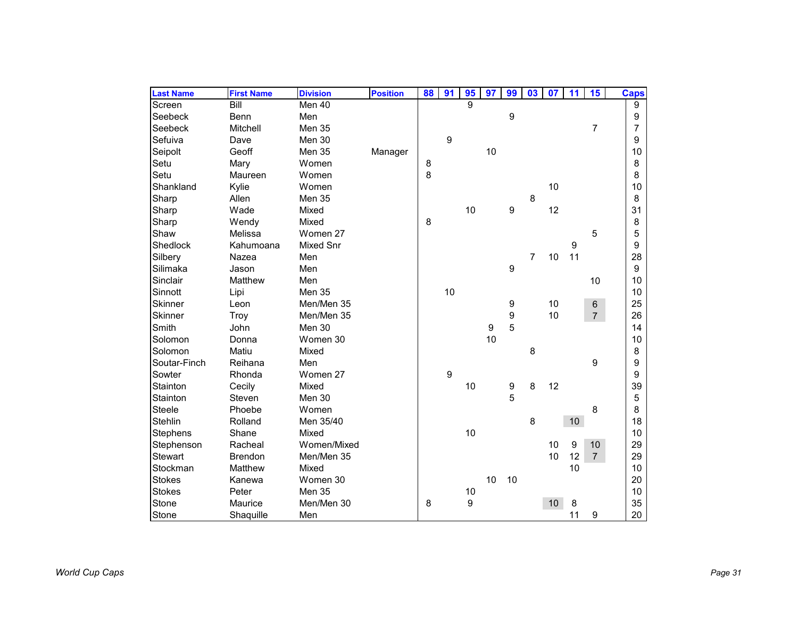| <b>Last Name</b> | <b>First Name</b> | <b>Division</b> | <b>Position</b> | 88                                    | 91 | 95               | 97               | 99 | 03 | 07 | 11 | 15             | <b>Caps</b> |
|------------------|-------------------|-----------------|-----------------|---------------------------------------|----|------------------|------------------|----|----|----|----|----------------|-------------|
| Screen           | Bill              | Men 40          |                 |                                       |    | 9                |                  |    |    |    |    |                | 9           |
| Seebeck          | Benn              | Men             |                 |                                       |    |                  |                  | 9  |    |    |    |                | 9           |
| Seebeck          | Mitchell          | Men 35          |                 |                                       |    |                  |                  |    |    |    |    | $\overline{7}$ | 7           |
| Sefuiva          | Dave              | Men 30          |                 |                                       | 9  |                  |                  |    |    |    |    |                | 9           |
| Seipolt          | Geoff             | Men 35          | Manager         |                                       |    |                  | 10               |    |    |    |    |                | 10          |
| Setu             | Mary              | Women           |                 | $\begin{array}{c} 8 \\ 8 \end{array}$ |    |                  |                  |    |    |    |    |                | 8           |
| Setu             | Maureen           | Women           |                 |                                       |    |                  |                  |    |    |    |    |                | 8           |
| Shankland        | Kylie             | Women           |                 |                                       |    |                  |                  |    |    | 10 |    |                | 10          |
| Sharp            | Allen             | Men 35          |                 |                                       |    |                  |                  |    | 8  |    |    |                | 8           |
| Sharp            | Wade              | Mixed           |                 |                                       |    | 10               |                  | 9  |    | 12 |    |                | 31          |
| Sharp            | Wendy             | Mixed           |                 | 8                                     |    |                  |                  |    |    |    |    |                | 8           |
| Shaw             | Melissa           | Women 27        |                 |                                       |    |                  |                  |    |    |    |    | 5              | 5           |
| Shedlock         | Kahumoana         | Mixed Snr       |                 |                                       |    |                  |                  |    |    |    | 9  |                | 9           |
| Silbery          | Nazea             | Men             |                 |                                       |    |                  |                  |    | 7  | 10 | 11 |                | 28          |
| Silimaka         | Jason             | Men             |                 |                                       |    |                  |                  | 9  |    |    |    |                | 9           |
| Sinclair         | Matthew           | Men             |                 |                                       |    |                  |                  |    |    |    |    | 10             | 10          |
| Sinnott          | Lipi              | Men 35          |                 |                                       | 10 |                  |                  |    |    |    |    |                | 10          |
| Skinner          | Leon              | Men/Men 35      |                 |                                       |    |                  |                  | 9  |    | 10 |    | $\,6\,$        | 25          |
| Skinner          | Troy              | Men/Men 35      |                 |                                       |    |                  |                  | 9  |    | 10 |    | $\overline{7}$ | 26          |
| Smith            | John              | Men 30          |                 |                                       |    |                  | $\boldsymbol{9}$ | 5  |    |    |    |                | 14          |
| Solomon          | Donna             | Women 30        |                 |                                       |    |                  | 10               |    |    |    |    |                | 10          |
| Solomon          | Matiu             | Mixed           |                 |                                       |    |                  |                  |    | 8  |    |    |                | 8           |
| Soutar-Finch     | Reihana           | Men             |                 |                                       |    |                  |                  |    |    |    |    | 9              | 9           |
| Sowter           | Rhonda            | Women 27        |                 |                                       | 9  |                  |                  |    |    |    |    |                | 9           |
| Stainton         | Cecily            | Mixed           |                 |                                       |    | 10               |                  | 9  | 8  | 12 |    |                | 39          |
| Stainton         | Steven            | Men 30          |                 |                                       |    |                  |                  | 5  |    |    |    |                | 5           |
| <b>Steele</b>    | Phoebe            | Women           |                 |                                       |    |                  |                  |    |    |    |    | 8              | 8           |
| Stehlin          | Rolland           | Men 35/40       |                 |                                       |    |                  |                  |    | 8  |    | 10 |                | 18          |
| Stephens         | Shane             | Mixed           |                 |                                       |    | 10               |                  |    |    |    |    |                | 10          |
| Stephenson       | Racheal           | Women/Mixed     |                 |                                       |    |                  |                  |    |    | 10 | 9  | 10             | 29          |
| <b>Stewart</b>   | <b>Brendon</b>    | Men/Men 35      |                 |                                       |    |                  |                  |    |    | 10 | 12 | $\overline{7}$ | 29          |
| Stockman         | Matthew           | Mixed           |                 |                                       |    |                  |                  |    |    |    | 10 |                | 10          |
| <b>Stokes</b>    | Kanewa            | Women 30        |                 |                                       |    |                  | 10               | 10 |    |    |    |                | 20          |
| <b>Stokes</b>    | Peter             | Men 35          |                 |                                       |    | $10$             |                  |    |    |    |    |                | 10          |
| Stone            | Maurice           | Men/Men 30      |                 | 8                                     |    | $\boldsymbol{9}$ |                  |    |    | 10 | 8  |                | 35          |
| Stone            | Shaquille         | Men             |                 |                                       |    |                  |                  |    |    |    | 11 | 9              | 20          |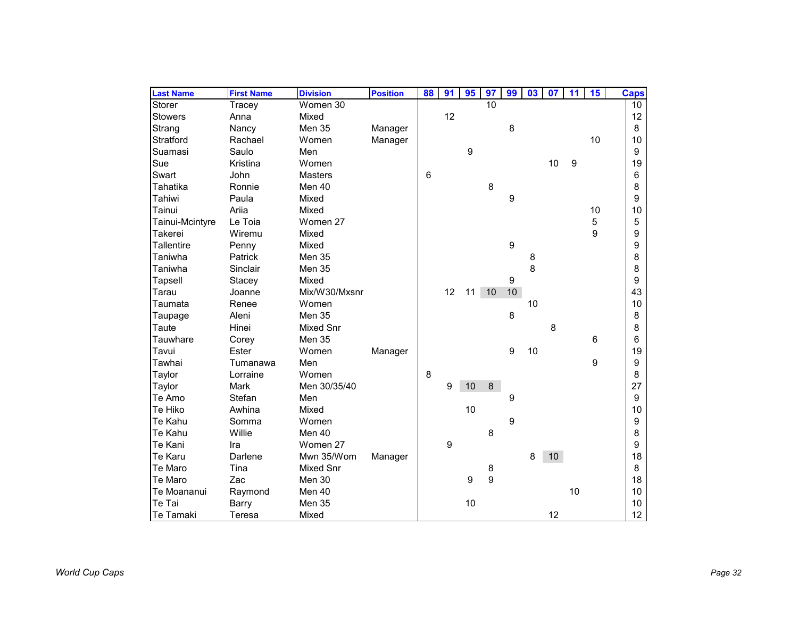| <b>Last Name</b> | <b>First Name</b> | <b>Division</b>  | <b>Position</b> | 88 | 91 | 95               | 97 | 99 | 03 | 07 | 11 | 15 | <b>Caps</b> |
|------------------|-------------------|------------------|-----------------|----|----|------------------|----|----|----|----|----|----|-------------|
| Storer           | Tracey            | Women 30         |                 |    |    |                  | 10 |    |    |    |    |    | 10          |
| <b>Stowers</b>   | Anna              | Mixed            |                 |    | 12 |                  |    |    |    |    |    |    | 12          |
| Strang           | Nancy             | <b>Men 35</b>    | Manager         |    |    |                  |    | 8  |    |    |    |    | 8           |
| Stratford        | Rachael           | Women            | Manager         |    |    |                  |    |    |    |    |    | 10 | 10          |
| Suamasi          | Saulo             | Men              |                 |    |    | $\boldsymbol{9}$ |    |    |    |    |    |    | 9           |
| Sue              | Kristina          | Women            |                 |    |    |                  |    |    |    | 10 | 9  |    | 19          |
| Swart            | John              | <b>Masters</b>   |                 | 6  |    |                  |    |    |    |    |    |    | 6           |
| Tahatika         | Ronnie            | Men 40           |                 |    |    |                  | 8  |    |    |    |    |    | 8           |
| Tahiwi           | Paula             | Mixed            |                 |    |    |                  |    | 9  |    |    |    |    | 9           |
| Tainui           | Ariia             | Mixed            |                 |    |    |                  |    |    |    |    |    | 10 | 10          |
| Tainui-Mcintyre  | Le Toia           | Women 27         |                 |    |    |                  |    |    |    |    |    | 5  | 5           |
| Takerei          | Wiremu            | Mixed            |                 |    |    |                  |    |    |    |    |    | 9  | 9           |
| Tallentire       | Penny             | Mixed            |                 |    |    |                  |    | 9  |    |    |    |    | 9           |
| Taniwha          | <b>Patrick</b>    | Men 35           |                 |    |    |                  |    |    | 8  |    |    |    | 8           |
| Taniwha          | Sinclair          | Men 35           |                 |    |    |                  |    |    | 8  |    |    |    | 8           |
| Tapsell          | Stacey            | Mixed            |                 |    |    |                  |    | 9  |    |    |    |    | 9           |
| Tarau            | Joanne            | Mix/W30/Mxsnr    |                 |    | 12 | 11               | 10 | 10 |    |    |    |    | 43          |
| Taumata          | Renee             | Women            |                 |    |    |                  |    |    | 10 |    |    |    | 10          |
| Taupage          | Aleni             | <b>Men 35</b>    |                 |    |    |                  |    | 8  |    |    |    |    | 8           |
| Taute            | Hinei             | <b>Mixed Snr</b> |                 |    |    |                  |    |    |    | 8  |    |    | 8           |
| Tauwhare         | Corey             | Men 35           |                 |    |    |                  |    |    |    |    |    | 6  | 6           |
| Tavui            | Ester             | Women            | Manager         |    |    |                  |    | 9  | 10 |    |    |    | 19          |
| Tawhai           | Tumanawa          | Men              |                 |    |    |                  |    |    |    |    |    | 9  | 9           |
| Taylor           | Lorraine          | Women            |                 | 8  |    |                  |    |    |    |    |    |    | 8           |
| Taylor           | Mark              | Men 30/35/40     |                 |    | 9  | 10               | 8  |    |    |    |    |    | 27          |
| Te Amo           | Stefan            | Men              |                 |    |    |                  |    | 9  |    |    |    |    | 9           |
| Te Hiko          | Awhina            | Mixed            |                 |    |    | 10               |    |    |    |    |    |    | 10          |
| Te Kahu          | Somma             | Women            |                 |    |    |                  |    | 9  |    |    |    |    | 9           |
| Te Kahu          | Willie            | Men 40           |                 |    |    |                  | 8  |    |    |    |    |    | 8           |
| Te Kani          | Ira               | Women 27         |                 |    | 9  |                  |    |    |    |    |    |    | 9           |
| Te Karu          | Darlene           | Mwn 35/Wom       | Manager         |    |    |                  |    |    | 8  | 10 |    |    | 18          |
| Te Maro          | Tina              | Mixed Snr        |                 |    |    |                  | 8  |    |    |    |    |    | 8           |
| Te Maro          | Zac               | Men 30           |                 |    |    | 9                | 9  |    |    |    |    |    | 18          |
| Te Moananui      | Raymond           | Men 40           |                 |    |    |                  |    |    |    |    | 10 |    | 10          |
| Te Tai           | <b>Barry</b>      | Men 35           |                 |    |    | 10               |    |    |    |    |    |    | 10          |
| Te Tamaki        | Teresa            | Mixed            |                 |    |    |                  |    |    |    | 12 |    |    | 12          |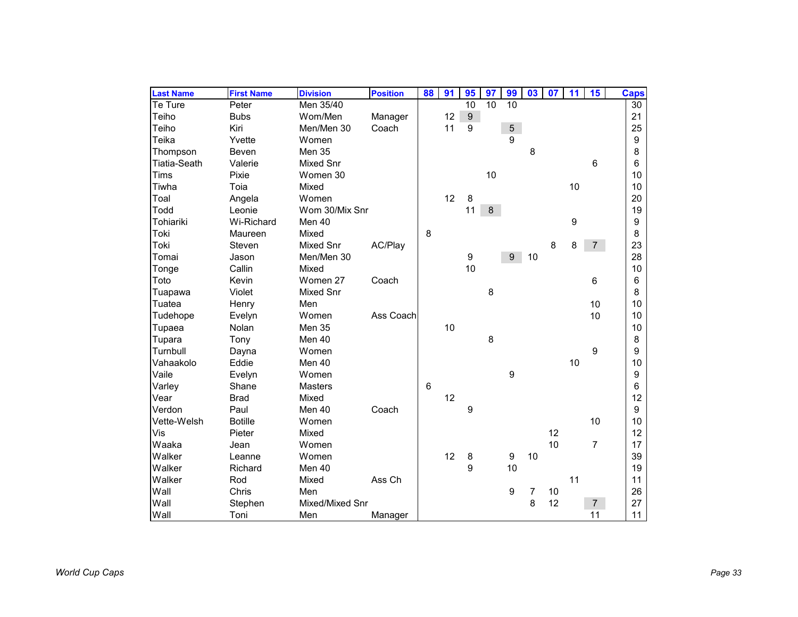| <b>Last Name</b>    | <b>First Name</b> | <b>Division</b>  | <b>Position</b> | 88 | 91 | 95               | 97 | 99               | 03 | 07 | 11 | 15             | <b>Caps</b> |
|---------------------|-------------------|------------------|-----------------|----|----|------------------|----|------------------|----|----|----|----------------|-------------|
| Te Ture             | Peter             | Men 35/40        |                 |    |    | 10               | 10 | 10               |    |    |    |                | 30          |
| Teiho               | <b>Bubs</b>       | Wom/Men          | Manager         |    | 12 | $\boldsymbol{9}$ |    |                  |    |    |    |                | 21          |
| Teiho               | Kiri              | Men/Men 30       | Coach           |    | 11 | 9                |    | $5\phantom{.0}$  |    |    |    |                | 25          |
| Teika               | Yvette            | Women            |                 |    |    |                  |    | 9                |    |    |    |                | 9           |
| Thompson            | Beven             | Men 35           |                 |    |    |                  |    |                  | 8  |    |    |                | 8           |
| <b>Tiatia-Seath</b> | Valerie           | Mixed Snr        |                 |    |    |                  |    |                  |    |    |    | $6\phantom{1}$ | 6           |
| Tims                | Pixie             | Women 30         |                 |    |    |                  | 10 |                  |    |    |    |                | 10          |
| Tiwha               | Toia              | Mixed            |                 |    |    |                  |    |                  |    |    | 10 |                | 10          |
| Toal                | Angela            | Women            |                 |    | 12 | 8                |    |                  |    |    |    |                | 20          |
| Todd                | Leonie            | Wom 30/Mix Snr   |                 |    |    | 11               | 8  |                  |    |    |    |                | 19          |
| Tohiariki           | Wi-Richard        | Men 40           |                 |    |    |                  |    |                  |    |    | 9  |                | 9           |
| Toki                | Maureen           | Mixed            |                 | 8  |    |                  |    |                  |    |    |    |                | 8           |
| Toki                | Steven            | <b>Mixed Snr</b> | AC/Play         |    |    |                  |    |                  |    | 8  | 8  | 7 <sup>7</sup> | 23          |
| Tomai               | Jason             | Men/Men 30       |                 |    |    | $\boldsymbol{9}$ |    | 9                | 10 |    |    |                | 28          |
| Tonge               | Callin            | Mixed            |                 |    |    | 10               |    |                  |    |    |    |                | 10          |
| Toto                | Kevin             | Women 27         | Coach           |    |    |                  |    |                  |    |    |    | 6              | 6           |
| Tuapawa             | Violet            | Mixed Snr        |                 |    |    |                  | 8  |                  |    |    |    |                | 8           |
| Tuatea              | Henry             | Men              |                 |    |    |                  |    |                  |    |    |    | 10             | 10          |
| Tudehope            | Evelyn            | Women            | Ass Coach       |    |    |                  |    |                  |    |    |    | 10             | 10          |
| Tupaea              | Nolan             | Men 35           |                 |    | 10 |                  |    |                  |    |    |    |                | 10          |
| Tupara              | Tony              | Men 40           |                 |    |    |                  | 8  |                  |    |    |    |                | 8           |
| Turnbull            | Dayna             | Women            |                 |    |    |                  |    |                  |    |    |    | 9              | 9           |
| Vahaakolo           | Eddie             | Men 40           |                 |    |    |                  |    |                  |    |    | 10 |                | 10          |
| Vaile               | Evelyn            | Women            |                 |    |    |                  |    | 9                |    |    |    |                | 9           |
| Varley              | Shane             | <b>Masters</b>   |                 | 6  |    |                  |    |                  |    |    |    |                | 6           |
| Vear                | <b>Brad</b>       | Mixed            |                 |    | 12 |                  |    |                  |    |    |    |                | 12          |
| Verdon              | Paul              | Men 40           | Coach           |    |    | 9                |    |                  |    |    |    |                | 9           |
| Vette-Welsh         | <b>Botille</b>    | Women            |                 |    |    |                  |    |                  |    |    |    | 10             | 10          |
| Vis                 | Pieter            | Mixed            |                 |    |    |                  |    |                  |    | 12 |    |                | 12          |
| Waaka               | Jean              | Women            |                 |    |    |                  |    |                  |    | 10 |    | $\overline{7}$ | 17          |
| Walker              | Leanne            | Women            |                 |    | 12 | 8                |    | $\boldsymbol{9}$ | 10 |    |    |                | 39          |
| Walker              | Richard           | Men 40           |                 |    |    | 9                |    | 10               |    |    |    |                | 19          |
| Walker              | Rod               | Mixed            | Ass Ch          |    |    |                  |    |                  |    |    | 11 |                | 11          |
| Wall                | Chris             | Men              |                 |    |    |                  |    | $\boldsymbol{9}$ | 7  | 10 |    |                | 26          |
| Wall                | Stephen           | Mixed/Mixed Snr  |                 |    |    |                  |    |                  | 8  | 12 |    | 7 <sup>1</sup> | 27          |
| Wall                | Toni              | Men              | Manager         |    |    |                  |    |                  |    |    |    | 11             | 11          |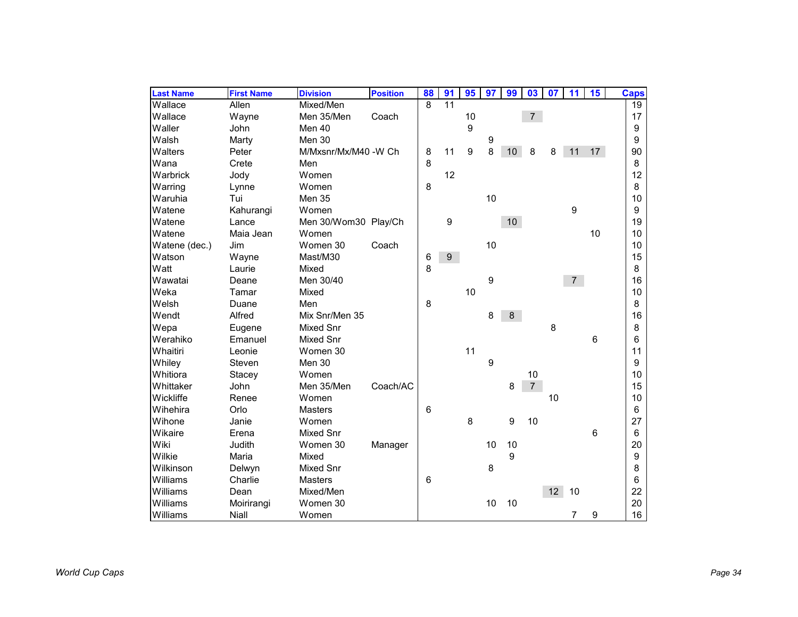| <b>Last Name</b> | <b>First Name</b> | <b>Division</b>      | <b>Position</b> | 88             | 91 | 95 | 97 | 99              | 03             | 07 | 11             | 15             | <b>Caps</b>     |
|------------------|-------------------|----------------------|-----------------|----------------|----|----|----|-----------------|----------------|----|----------------|----------------|-----------------|
| Wallace          | Allen             | Mixed/Men            |                 | $\overline{8}$ | 11 |    |    |                 |                |    |                |                | $\overline{19}$ |
| Wallace          | Wayne             | Men 35/Men           | Coach           |                |    | 10 |    |                 | $\overline{7}$ |    |                |                | 17              |
| Waller           | John              | Men 40               |                 |                |    | 9  |    |                 |                |    |                |                | 9               |
| Walsh            | Marty             | Men 30               |                 |                |    |    | 9  |                 |                |    |                |                | 9               |
| Walters          | Peter             | M/Mxsnr/Mx/M40 -W Ch |                 | 8              | 11 | 9  | 8  | 10              | 8              | 8  | 11             | 17             | 90              |
| Wana             | Crete             | Men                  |                 | 8              |    |    |    |                 |                |    |                |                | 8               |
| Warbrick         | Jody              | Women                |                 |                | 12 |    |    |                 |                |    |                |                | 12              |
| Warring          | Lynne             | Women                |                 | 8              |    |    |    |                 |                |    |                |                | 8               |
| Waruhia          | Tui               | Men 35               |                 |                |    |    | 10 |                 |                |    |                |                | 10              |
| Watene           | Kahurangi         | Women                |                 |                |    |    |    |                 |                |    | 9              |                | 9               |
| Watene           | Lance             | Men 30/Wom30 Play/Ch |                 |                | 9  |    |    | 10 <sup>1</sup> |                |    |                |                | 19              |
| Watene           | Maia Jean         | Women                |                 |                |    |    |    |                 |                |    |                | 10             | 10              |
| Watene (dec.)    | Jim               | Women 30             | Coach           |                |    |    | 10 |                 |                |    |                |                | 10              |
| Watson           | Wayne             | Mast/M30             |                 | $\,6\,$        | 9  |    |    |                 |                |    |                |                | 15              |
| Watt             | Laurie            | Mixed                |                 | 8              |    |    |    |                 |                |    |                |                | 8               |
| Wawatai          | Deane             | Men 30/40            |                 |                |    |    | 9  |                 |                |    | 7 <sup>7</sup> |                | 16              |
| Weka             | Tamar             | Mixed                |                 |                |    | 10 |    |                 |                |    |                |                | 10              |
| Welsh            | Duane             | Men                  |                 | 8              |    |    |    |                 |                |    |                |                | 8               |
| Wendt            | Alfred            | Mix Snr/Men 35       |                 |                |    |    | 8  | 8               |                |    |                |                | 16              |
| Wepa             | Eugene            | Mixed Snr            |                 |                |    |    |    |                 |                | 8  |                |                | 8               |
| Werahiko         | Emanuel           | <b>Mixed Snr</b>     |                 |                |    |    |    |                 |                |    |                | $6\phantom{1}$ | 6               |
| Whaitiri         | Leonie            | Women 30             |                 |                |    | 11 |    |                 |                |    |                |                | 11              |
| Whiley           | Steven            | Men 30               |                 |                |    |    | 9  |                 |                |    |                |                | 9               |
| Whitiora         | Stacey            | Women                |                 |                |    |    |    |                 | 10             |    |                |                | 10              |
| Whittaker        | John              | Men 35/Men           | Coach/AC        |                |    |    |    | 8               | $\overline{7}$ |    |                |                | 15              |
| Wickliffe        | Renee             | Women                |                 |                |    |    |    |                 |                | 10 |                |                | 10              |
| Wihehira         | Orlo              | <b>Masters</b>       |                 | 6              |    |    |    |                 |                |    |                |                | 6               |
| Wihone           | Janie             | Women                |                 |                |    | 8  |    | 9               | 10             |    |                |                | 27              |
| Wikaire          | Erena             | <b>Mixed Snr</b>     |                 |                |    |    |    |                 |                |    |                | 6              | 6               |
| Wiki             | Judith            | Women 30             | Manager         |                |    |    | 10 | 10              |                |    |                |                | 20              |
| Wilkie           | Maria             | Mixed                |                 |                |    |    |    | 9               |                |    |                |                | 9               |
| Wilkinson        | Delwyn            | <b>Mixed Snr</b>     |                 |                |    |    | 8  |                 |                |    |                |                | 8               |
| Williams         | Charlie           | <b>Masters</b>       |                 | 6              |    |    |    |                 |                |    |                |                | 6               |
| Williams         | Dean              | Mixed/Men            |                 |                |    |    |    |                 |                | 12 | 10             |                | 22              |
| Williams         | Moirirangi        | Women 30             |                 |                |    |    | 10 | 10              |                |    |                |                | 20              |
| Williams         | Niall             | Women                |                 |                |    |    |    |                 |                |    | 7              | 9              | 16              |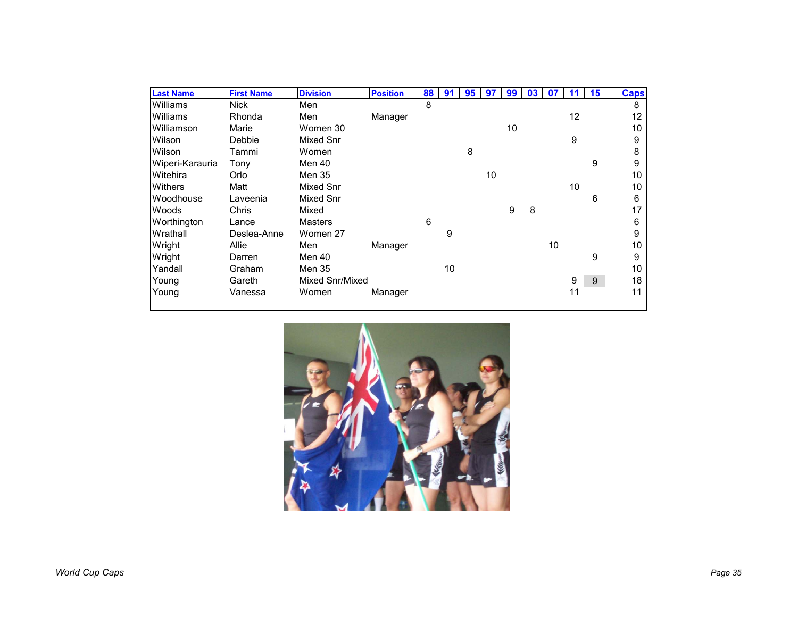| <b>Last Name</b> | <b>First Name</b> | <b>Division</b> | <b>Position</b> | 88 | 91 | 95 | 97 | 99 | 03 | 07 | 11 <sup>1</sup> | 15 | <b>Caps</b> |
|------------------|-------------------|-----------------|-----------------|----|----|----|----|----|----|----|-----------------|----|-------------|
| Williams         | Nick              | Men             |                 | 8  |    |    |    |    |    |    |                 |    | 8           |
| Williams         | Rhonda            | Men             | Manager         |    |    |    |    |    |    |    | 12              |    | 12          |
| Williamson       | Marie             | Women 30        |                 |    |    |    |    | 10 |    |    |                 |    | 10          |
| Wilson           | Debbie            | Mixed Snr       |                 |    |    |    |    |    |    |    | 9               |    | 9           |
| Wilson           | Tammi             | Women           |                 |    |    | 8  |    |    |    |    |                 |    | 8           |
| Wiperi-Karauria  | Tony              | Men 40          |                 |    |    |    |    |    |    |    |                 | 9  | 9           |
| Witehira         | Orlo              | Men 35          |                 |    |    |    | 10 |    |    |    |                 |    | 10          |
| Withers          | Matt              | Mixed Snr       |                 |    |    |    |    |    |    |    | 10              |    | 10          |
| Woodhouse        | Laveenia          | Mixed Snr       |                 |    |    |    |    |    |    |    |                 | 6  | 6           |
| Woods            | Chris             | Mixed           |                 |    |    |    |    | 9  | 8  |    |                 |    | 17          |
| Worthington      | Lance             | Masters         |                 | 6  |    |    |    |    |    |    |                 |    | 6           |
| Wrathall         | Deslea-Anne       | Women 27        |                 |    | 9  |    |    |    |    |    |                 |    | 9           |
| Wright           | Allie             | Men             | Manager         |    |    |    |    |    |    | 10 |                 |    | 10          |
| Wright           | Darren            | Men 40          |                 |    |    |    |    |    |    |    |                 | 9  | 9           |
| Yandall          | Graham            | Men 35          |                 |    | 10 |    |    |    |    |    |                 |    | 10          |
| Young            | Gareth            | Mixed Snr/Mixed |                 |    |    |    |    |    |    |    | 9               | 9  | 18          |
| Young            | Vanessa           | Women           | Manager         |    |    |    |    |    |    |    | 11              |    | 11          |
|                  |                   |                 |                 |    |    |    |    |    |    |    |                 |    |             |

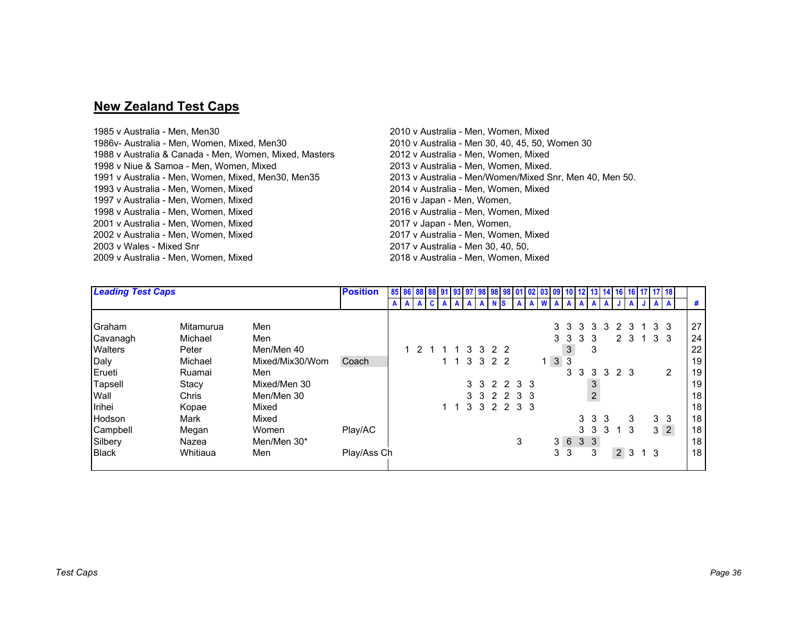## **New Zealand Test Caps**

1985 v Australia - Men, Men30 2010 v Australia - Men, Women, Mixed 1988 v Australia & Canada - Men, Women, Mixed, Masters 2012 v Australia - Men, Women, Mixed 1998 v Niue & Samoa - Men, Women, Mixed<br>1991 v Australia - Men, Women, Mixed, Men30, Men35 1993 v Australia - Men, Women, Mixed 2014 v Australia - Men, Women, Mixed 1997 v Australia - Men, Women, Mixed<br>1998 v Australia - Men, Women, Mixed 2001 v Australia - Men, Women, Mixed<br>2002 v Australia - Men, Women, Mixed 2003 v Wales - Mixed Snr2009 v Australia - Men, Women, Mixed 2018 v Australia - Men, Women, Mixed

2010 v Australia - Men 30, 40, 45, 50, Women 30, 2012 v Australia - Men, Women, Mixed 2013 v Australia - Men/Women/Mixed Snr, Men 40, Men 50.<br>2014 v Australia - Men, Women, Mixed 2016 v Australia - Men, Women, Mixed<br>2017 v Japan - Men, Women, 2002 v Australia - Men, Women, Mixed 2017 v Australia - Men, Women, Mixed 2017 v Australia - Men 30, 40, 50,

| <b>Leading Test Caps</b> |           |                 | <b>Position</b> |  |                |  |   |         |    |           |                | 85 86 88 88 91 93 97 98 98 98 01 02 03 09 10 12 13 14 16 16 17 17 18 |             |                 |   |     |                |    |                |     |                |     |                 |                 |
|--------------------------|-----------|-----------------|-----------------|--|----------------|--|---|---------|----|-----------|----------------|----------------------------------------------------------------------|-------------|-----------------|---|-----|----------------|----|----------------|-----|----------------|-----|-----------------|-----------------|
|                          |           |                 |                 |  |                |  |   |         |    | <b>IS</b> |                |                                                                      |             |                 |   |     |                |    |                |     |                |     | A               | #               |
|                          |           |                 |                 |  |                |  |   |         |    |           |                |                                                                      |             |                 |   |     |                |    |                |     |                |     |                 |                 |
| Graham                   | Mitamurua | Men             |                 |  |                |  |   |         |    |           |                |                                                                      |             | 3 <sub>3</sub>  |   | 3   | 3              | 3  |                | 2 3 | $\overline{1}$ | 3 3 |                 | 27              |
| Cavanagh                 | Michael   | Men             |                 |  |                |  |   |         |    |           |                |                                                                      |             | 3               | 3 | 3   | 3              |    |                | 2 3 | $\overline{1}$ | 3   | -3              | 24              |
| <b>Walters</b>           | Peter     | Men/Men 40      |                 |  | $\overline{2}$ |  | 3 | 3       | 22 |           |                |                                                                      |             |                 | 3 |     | 3              |    |                |     |                |     |                 | 22              |
| Daly                     | Michael   | Mixed/Mix30/Wom | Coach           |  |                |  |   | 3 3 2 2 |    |           |                |                                                                      | $1 \quad 3$ |                 | 3 |     |                |    |                |     |                |     |                 | 19              |
| Erueti                   | Ruamai    | Men             |                 |  |                |  |   |         |    |           |                |                                                                      |             |                 | 3 | 3   | 3              | 3  | 2 3            |     |                |     | $\overline{2}$  | 19              |
| Tapsell                  | Stacy     | Mixed/Men 30    |                 |  |                |  |   |         |    | 3 3 2 2   | 3 <sub>3</sub> |                                                                      |             |                 |   |     | 3              |    |                |     |                |     |                 | 19              |
| Wall                     | Chris     | Men/Men 30      |                 |  |                |  |   | 33      |    | 2 2 3 3   |                |                                                                      |             |                 |   |     | $\overline{2}$ |    |                |     |                |     |                 | 18 <sub>1</sub> |
| Irihei                   | Kopae     | Mixed           |                 |  |                |  | 3 | 3       |    | 2 2       | 3 3            |                                                                      |             |                 |   |     |                |    |                |     |                |     |                 | 18              |
| <b>Hodson</b>            | Mark      | Mixed           |                 |  |                |  |   |         |    |           |                |                                                                      |             |                 |   | 3 3 |                | -3 |                | 3   |                | 3   | 3               | 18              |
| Campbell                 | Megan     | Women           | Play/AC         |  |                |  |   |         |    |           |                |                                                                      |             |                 |   | 3   | 3              | 3  |                | 3   |                |     | $3\overline{2}$ | 18              |
| Silbery                  | Nazea     | Men/Men 30*     |                 |  |                |  |   |         |    |           | 3              |                                                                      |             | $3\quad6\quad3$ |   |     | $\mathbf{3}$   |    |                |     |                |     |                 | 18              |
| <b>Black</b>             | Whitiaua  | Men             | Play/Ass Ch     |  |                |  |   |         |    |           |                |                                                                      |             | 3               | 3 |     | 3              |    | 2 <sup>1</sup> | 3   | 1 <sub>3</sub> |     |                 | 18 <sub>1</sub> |
|                          |           |                 |                 |  |                |  |   |         |    |           |                |                                                                      |             |                 |   |     |                |    |                |     |                |     |                 |                 |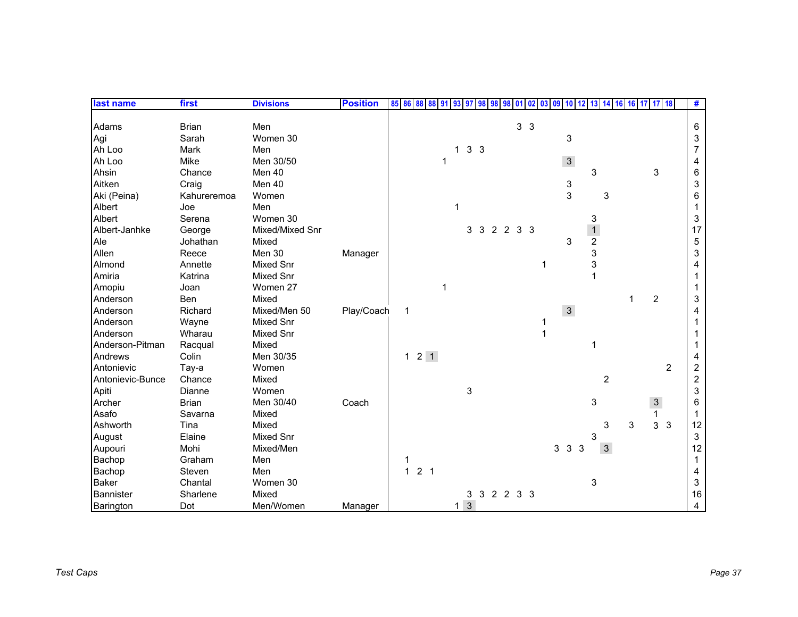| last name        | first        | <b>Divisions</b> | <b>Position</b> | 85 86        | 88             | 88 | 91 | 93           |                | 98          | 98 | -01 | 02             | -03 | 09 | 10           |              | 13                | 16             | l 16 | $\overline{17}$<br>l 17 | <b>18</b>      | #                       |
|------------------|--------------|------------------|-----------------|--------------|----------------|----|----|--------------|----------------|-------------|----|-----|----------------|-----|----|--------------|--------------|-------------------|----------------|------|-------------------------|----------------|-------------------------|
| Adams            | <b>Brian</b> | Men              |                 |              |                |    |    |              |                |             |    |     | 3 <sub>3</sub> |     |    |              |              |                   |                |      |                         |                | 6                       |
| Agi              | Sarah        | Women 30         |                 |              |                |    |    |              |                |             |    |     |                |     |    | 3            |              |                   |                |      |                         |                | 3                       |
| Ah Loo           | Mark         | Men              |                 |              |                |    |    | 1            | 3 <sub>3</sub> |             |    |     |                |     |    |              |              |                   |                |      |                         |                | 7                       |
| Ah Loo           | Mike         | Men 30/50        |                 |              |                |    |    |              |                |             |    |     |                |     |    | $\mathbf{3}$ |              |                   |                |      |                         |                | 4                       |
| Ahsin            | Chance       | Men 40           |                 |              |                |    |    |              |                |             |    |     |                |     |    |              |              | 3                 |                |      | 3                       |                | 6                       |
| Aitken           | Craig        | Men 40           |                 |              |                |    |    |              |                |             |    |     |                |     |    | 3            |              |                   |                |      |                         |                | 3                       |
| Aki (Peina)      | Kahureremoa  | Women            |                 |              |                |    |    |              |                |             |    |     |                |     |    | 3            |              |                   | 3              |      |                         |                | 6                       |
| Albert           | Joe          | Men              |                 |              |                |    |    | 1            |                |             |    |     |                |     |    |              |              |                   |                |      |                         |                |                         |
| Albert           | Serena       | Women 30         |                 |              |                |    |    |              |                |             |    |     |                |     |    |              |              |                   |                |      |                         |                | 3                       |
| Albert-Janhke    | George       | Mixed/Mixed Snr  |                 |              |                |    |    |              |                | 3 3 2 2 3 3 |    |     |                |     |    |              |              | 3<br>$\mathbf{1}$ |                |      |                         |                | 17                      |
| Ale              | Johathan     | Mixed            |                 |              |                |    |    |              |                |             |    |     |                |     |    | 3            |              | $\overline{c}$    |                |      |                         |                | 5                       |
| Allen            | Reece        | Men 30           | Manager         |              |                |    |    |              |                |             |    |     |                |     |    |              |              | 3                 |                |      |                         |                | 3                       |
| Almond           | Annette      | <b>Mixed Snr</b> |                 |              |                |    |    |              |                |             |    |     |                |     |    |              |              | 3                 |                |      |                         |                | 4                       |
| Amiria           | Katrina      | <b>Mixed Snr</b> |                 |              |                |    |    |              |                |             |    |     |                |     |    |              |              | 1                 |                |      |                         |                |                         |
| Amopiu           | Joan         | Women 27         |                 |              |                |    | 1  |              |                |             |    |     |                |     |    |              |              |                   |                |      |                         |                |                         |
| Anderson         | <b>Ben</b>   | Mixed            |                 |              |                |    |    |              |                |             |    |     |                |     |    |              |              |                   |                | 1    | $\overline{2}$          |                | 3                       |
| Anderson         | Richard      | Mixed/Men 50     | Play/Coach      | 1            |                |    |    |              |                |             |    |     |                |     |    | $\mathbf{3}$ |              |                   |                |      |                         |                |                         |
| Anderson         | Wayne        | <b>Mixed Snr</b> |                 |              |                |    |    |              |                |             |    |     |                |     |    |              |              |                   |                |      |                         |                |                         |
| Anderson         | Wharau       | <b>Mixed Snr</b> |                 |              |                |    |    |              |                |             |    |     |                |     |    |              |              |                   |                |      |                         |                |                         |
| Anderson-Pitman  | Racqual      | Mixed            |                 |              |                |    |    |              |                |             |    |     |                |     |    |              |              | 1                 |                |      |                         |                |                         |
| Andrews          | Colin        | Men 30/35        |                 | $\mathbf{1}$ | $2 \quad 1$    |    |    |              |                |             |    |     |                |     |    |              |              |                   |                |      |                         |                | 4                       |
| Antonievic       | Tay-a        | Women            |                 |              |                |    |    |              |                |             |    |     |                |     |    |              |              |                   |                |      |                         | $\overline{2}$ | 2                       |
| Antonievic-Bunce | Chance       | Mixed            |                 |              |                |    |    |              |                |             |    |     |                |     |    |              |              |                   | $\overline{2}$ |      |                         |                | $\overline{\mathbf{c}}$ |
| Apiti            | Dianne       | Women            |                 |              |                |    |    |              | 3              |             |    |     |                |     |    |              |              |                   |                |      |                         |                | 3                       |
| Archer           | <b>Brian</b> | Men 30/40        | Coach           |              |                |    |    |              |                |             |    |     |                |     |    |              |              | 3                 |                |      | $\mathbf{3}$            |                | 6                       |
| Asafo            | Savarna      | Mixed            |                 |              |                |    |    |              |                |             |    |     |                |     |    |              |              |                   |                |      | 1                       |                | 1                       |
| Ashworth         | Tina         | Mixed            |                 |              |                |    |    |              |                |             |    |     |                |     |    |              |              |                   | 3              | 3    |                         | 3 <sup>3</sup> | 12                      |
| August           | Elaine       | <b>Mixed Snr</b> |                 |              |                |    |    |              |                |             |    |     |                |     |    |              |              | 3                 |                |      |                         |                | 3                       |
| Aupouri          | Mohi         | Mixed/Men        |                 |              |                |    |    |              |                |             |    |     |                |     | 3  | $\mathbf{3}$ | $\mathbf{3}$ |                   | $\mathbf{3}$   |      |                         |                | 12                      |
| Bachop           | Graham       | Men              |                 |              |                |    |    |              |                |             |    |     |                |     |    |              |              |                   |                |      |                         |                |                         |
| Bachop           | Steven       | Men              |                 | $\mathbf{1}$ | 2 <sub>1</sub> |    |    |              |                |             |    |     |                |     |    |              |              |                   |                |      |                         |                | 4                       |
| <b>Baker</b>     | Chantal      | Women 30         |                 |              |                |    |    |              |                |             |    |     |                |     |    |              |              | 3                 |                |      |                         |                | 3                       |
| <b>Bannister</b> | Sharlene     | Mixed            |                 |              |                |    |    |              |                | 3 3 2 2 3 3 |    |     |                |     |    |              |              |                   |                |      |                         |                | 16                      |
| Barington        | Dot          | Men/Women        | Manager         |              |                |    |    | $\mathbf{1}$ | $\overline{3}$ |             |    |     |                |     |    |              |              |                   |                |      |                         |                | 4                       |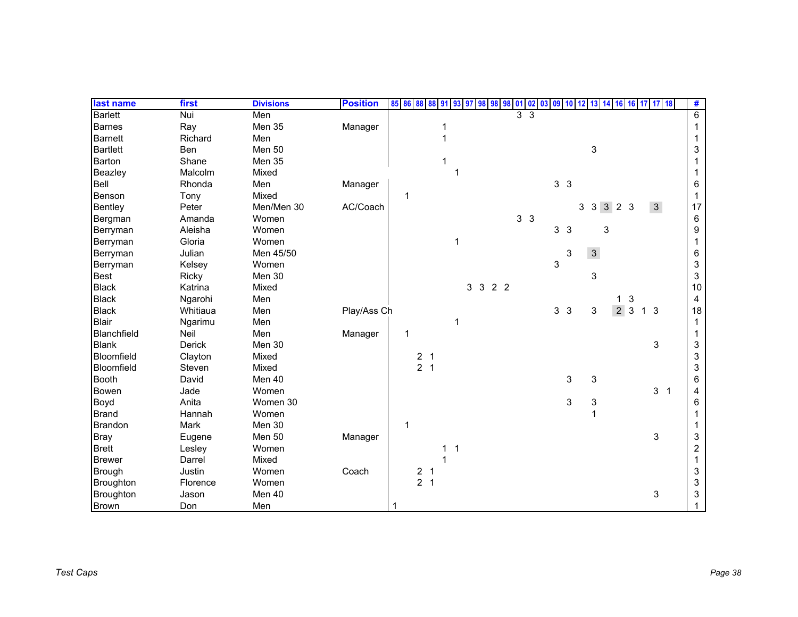| last name       | first    | <b>Divisions</b> | <b>Position</b> | 85 86 | 88             | 88 | 91 | 93          | l 97 | 98<br>98 | 98 | $01$ 02                       |                | 03 09 10 12 | 13           | 14      |   | 16 16 17 17 18   |                |                | #                         |
|-----------------|----------|------------------|-----------------|-------|----------------|----|----|-------------|------|----------|----|-------------------------------|----------------|-------------|--------------|---------|---|------------------|----------------|----------------|---------------------------|
| <b>Barlett</b>  | Nui      | Men              |                 |       |                |    |    |             |      |          |    | $\overline{3}$ $\overline{3}$ |                |             |              |         |   |                  |                |                | $\overline{6}$            |
| <b>Barnes</b>   | Ray      | Men 35           | Manager         |       |                |    |    |             |      |          |    |                               |                |             |              |         |   |                  |                |                |                           |
| <b>Barnett</b>  | Richard  | Men              |                 |       |                |    |    |             |      |          |    |                               |                |             |              |         |   |                  |                |                |                           |
| <b>Bartlett</b> | Ben      | Men 50           |                 |       |                |    |    |             |      |          |    |                               |                |             | 3            |         |   |                  |                |                | 3                         |
| Barton          | Shane    | Men 35           |                 |       |                |    |    |             |      |          |    |                               |                |             |              |         |   |                  |                |                |                           |
| Beazley         | Malcolm  | Mixed            |                 |       |                |    |    |             |      |          |    |                               |                |             |              |         |   |                  |                |                |                           |
| Bell            | Rhonda   | Men              | Manager         |       |                |    |    |             |      |          |    |                               | 3 <sup>3</sup> |             |              |         |   |                  |                |                | 6                         |
| Benson          | Tony     | Mixed            |                 | 1     |                |    |    |             |      |          |    |                               |                |             |              |         |   |                  |                |                |                           |
| Bentley         | Peter    | Men/Men 30       | AC/Coach        |       |                |    |    |             |      |          |    |                               |                |             | 3            | 3 3 2 3 |   |                  |                | $\mathbf{3}$   | 17                        |
| Bergman         | Amanda   | Women            |                 |       |                |    |    |             |      |          |    | 3 <sub>3</sub>                |                |             |              |         |   |                  |                |                | 6                         |
| Berryman        | Aleisha  | Women            |                 |       |                |    |    |             |      |          |    |                               | 3 <sub>3</sub> |             |              | 3       |   |                  |                |                | $\boldsymbol{9}$          |
| Berryman        | Gloria   | Women            |                 |       |                |    |    |             |      |          |    |                               |                |             |              |         |   |                  |                |                |                           |
| Berryman        | Julian   | Men 45/50        |                 |       |                |    |    |             |      |          |    |                               |                | 3           | $\mathbf{3}$ |         |   |                  |                |                | 6                         |
| Berryman        | Kelsey   | Women            |                 |       |                |    |    |             |      |          |    |                               | 3              |             |              |         |   |                  |                |                | 3                         |
| <b>Best</b>     | Ricky    | Men 30           |                 |       |                |    |    |             |      |          |    |                               |                |             | 3            |         |   |                  |                |                | 3                         |
| <b>Black</b>    | Katrina  | Mixed            |                 |       |                |    |    |             |      | 3 3 2 2  |    |                               |                |             |              |         |   |                  |                |                | 10                        |
| <b>Black</b>    | Ngarohi  | Men              |                 |       |                |    |    |             |      |          |    |                               |                |             |              |         | 1 | 3                |                |                | 4                         |
| <b>Black</b>    | Whitiaua | Men              | Play/Ass Ch     |       |                |    |    |             |      |          |    |                               | 3 <sub>3</sub> |             | 3            |         |   | $2 \overline{3}$ | 1 <sub>3</sub> |                | 18                        |
| <b>Blair</b>    | Ngarimu  | Men              |                 |       |                |    |    |             |      |          |    |                               |                |             |              |         |   |                  |                |                |                           |
| Blanchfield     | Neil     | Men              | Manager         | 1     |                |    |    |             |      |          |    |                               |                |             |              |         |   |                  |                |                |                           |
| <b>Blank</b>    | Derick   | Men 30           |                 |       |                |    |    |             |      |          |    |                               |                |             |              |         |   |                  |                | 3              | 3                         |
| Bloomfield      | Clayton  | Mixed            |                 |       | 2 <sub>1</sub> |    |    |             |      |          |    |                               |                |             |              |         |   |                  |                |                | $\ensuremath{\mathsf{3}}$ |
| Bloomfield      | Steven   | Mixed            |                 |       | 2 <sub>1</sub> |    |    |             |      |          |    |                               |                |             |              |         |   |                  |                |                | 3                         |
| <b>Booth</b>    | David    | Men 40           |                 |       |                |    |    |             |      |          |    |                               |                | 3           | 3            |         |   |                  |                |                | 6                         |
| <b>Bowen</b>    | Jade     | Women            |                 |       |                |    |    |             |      |          |    |                               |                |             |              |         |   |                  |                | 3 <sub>1</sub> | 4                         |
| Boyd            | Anita    | Women 30         |                 |       |                |    |    |             |      |          |    |                               |                | 3           | 3            |         |   |                  |                |                | 6                         |
| <b>Brand</b>    | Hannah   | Women            |                 |       |                |    |    |             |      |          |    |                               |                |             | 1            |         |   |                  |                |                |                           |
| <b>Brandon</b>  | Mark     | Men 30           |                 | 1     |                |    |    |             |      |          |    |                               |                |             |              |         |   |                  |                |                |                           |
| <b>Bray</b>     | Eugene   | Men 50           | Manager         |       |                |    |    |             |      |          |    |                               |                |             |              |         |   |                  |                | 3              | 3                         |
| <b>Brett</b>    | Lesley   | Women            |                 |       |                |    |    | $\mathbf 1$ |      |          |    |                               |                |             |              |         |   |                  |                |                | $\overline{c}$            |
| <b>Brewer</b>   | Darrel   | Mixed            |                 |       |                |    |    |             |      |          |    |                               |                |             |              |         |   |                  |                |                |                           |
| <b>Brough</b>   | Justin   | Women            | Coach           |       | $\overline{a}$ | -1 |    |             |      |          |    |                               |                |             |              |         |   |                  |                |                | 3                         |
| Broughton       | Florence | Women            |                 |       | 2 <sub>1</sub> |    |    |             |      |          |    |                               |                |             |              |         |   |                  |                |                | 3                         |
| Broughton       | Jason    | Men 40           |                 |       |                |    |    |             |      |          |    |                               |                |             |              |         |   |                  |                | 3              | 3                         |
| <b>Brown</b>    | Don      | Men              |                 |       |                |    |    |             |      |          |    |                               |                |             |              |         |   |                  |                |                |                           |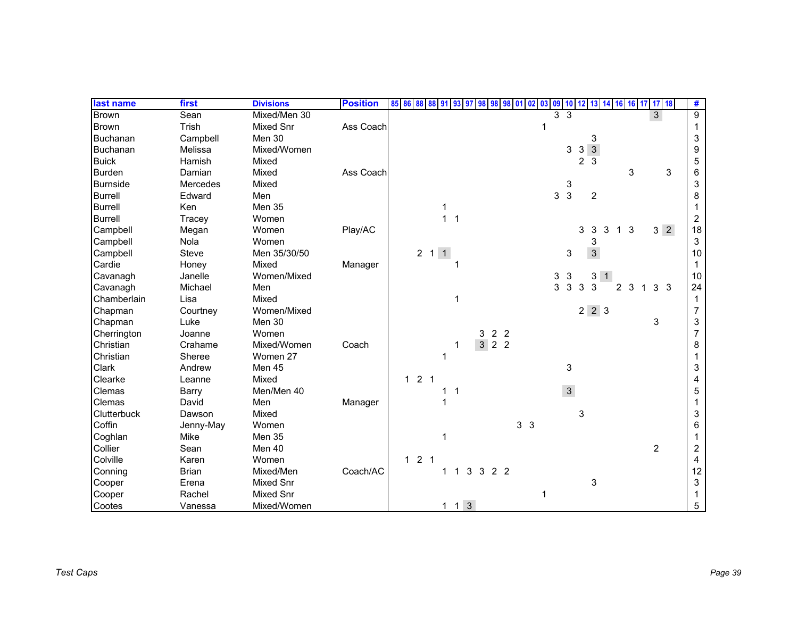| last name       | first        | <b>Divisions</b> | <b>Position</b> | 85<br>86<br>88 | 88                  | <b>91</b> | 93                  | 98             | 98                  | 98<br>01 | 02             | 03 | 09 10 12          |   |                     | 13 14          |              |   | 16 16 17 17 18 |                |   | #                |
|-----------------|--------------|------------------|-----------------|----------------|---------------------|-----------|---------------------|----------------|---------------------|----------|----------------|----|-------------------|---|---------------------|----------------|--------------|---|----------------|----------------|---|------------------|
| <b>Brown</b>    | Sean         | Mixed/Men 30     |                 |                |                     |           |                     |                |                     |          |                |    | 3 <sub>3</sub>    |   |                     |                |              |   |                | $\mathbf{3}$   |   | 9                |
| <b>Brown</b>    | Trish        | <b>Mixed Snr</b> | Ass Coach       |                |                     |           |                     |                |                     |          |                |    |                   |   |                     |                |              |   |                |                |   |                  |
| Buchanan        | Campbell     | Men 30           |                 |                |                     |           |                     |                |                     |          |                |    |                   |   | 3                   |                |              |   |                |                |   | 3                |
| Buchanan        | Melissa      | Mixed/Women      |                 |                |                     |           |                     |                |                     |          |                |    | 3                 |   | 3 <sup>3</sup>      |                |              |   |                |                |   | 9                |
| <b>Buick</b>    | Hamish       | Mixed            |                 |                |                     |           |                     |                |                     |          |                |    |                   |   | 2 <sub>3</sub>      |                |              |   |                |                |   | 5                |
| <b>Burden</b>   | Damian       | Mixed            | Ass Coach       |                |                     |           |                     |                |                     |          |                |    |                   |   |                     |                |              | 3 |                |                | 3 | 6                |
| <b>Burnside</b> | Mercedes     | Mixed            |                 |                |                     |           |                     |                |                     |          |                |    | 3                 |   |                     |                |              |   |                |                |   | 3                |
| <b>Burrell</b>  | Edward       | Men              |                 |                |                     |           |                     |                |                     |          |                |    | $\mathbf{3}$<br>3 |   | $\overline{c}$      |                |              |   |                |                |   | 8                |
| <b>Burrell</b>  | Ken          | Men 35           |                 |                |                     |           |                     |                |                     |          |                |    |                   |   |                     |                |              |   |                |                |   |                  |
| <b>Burrell</b>  | Tracey       | Women            |                 |                |                     |           | $\overline{1}$      |                |                     |          |                |    |                   |   |                     |                |              |   |                |                |   | 2                |
| Campbell        | Megan        | Women            | Play/AC         |                |                     |           |                     |                |                     |          |                |    |                   | 3 | 3                   | 3              | $\mathbf{1}$ | 3 |                | 3 <sup>2</sup> |   | 18               |
| Campbell        | Nola         | Women            |                 |                |                     |           |                     |                |                     |          |                |    |                   |   | 3                   |                |              |   |                |                |   | 3                |
| Campbell        | Steve        | Men 35/30/50     |                 |                | $2 \quad 1 \quad 1$ |           |                     |                |                     |          |                |    | 3                 |   | $\mathbf{3}$        |                |              |   |                |                |   | $10$             |
| Cardie          | Honey        | Mixed            | Manager         |                |                     |           |                     |                |                     |          |                |    |                   |   |                     |                |              |   |                |                |   |                  |
| Cavanagh        | Janelle      | Women/Mixed      |                 |                |                     |           |                     |                |                     |          |                |    | 3<br>3            |   |                     | 3 <sup>1</sup> |              |   |                |                |   | 10               |
| Cavanagh        | Michael      | Men              |                 |                |                     |           |                     |                |                     |          |                |    | 3<br>$\mathbf{3}$ | 3 | 3                   |                | 2            | 3 |                | 3 <sub>3</sub> |   | 24               |
| Chamberlain     | Lisa         | Mixed            |                 |                |                     |           |                     |                |                     |          |                |    |                   |   |                     |                |              |   |                |                |   | 1                |
| Chapman         | Courtney     | Women/Mixed      |                 |                |                     |           |                     |                |                     |          |                |    |                   |   | $2 \quad 2 \quad 3$ |                |              |   |                |                |   | $\overline{7}$   |
| Chapman         | Luke         | Men 30           |                 |                |                     |           |                     |                |                     |          |                |    |                   |   |                     |                |              |   |                | 3              |   | 3                |
| Cherrington     | Joanne       | Women            |                 |                |                     |           |                     | 3              | 2 <sub>2</sub>      |          |                |    |                   |   |                     |                |              |   |                |                |   | $\overline{7}$   |
| Christian       | Crahame      | Mixed/Women      | Coach           |                |                     |           |                     |                | $3 \quad 2 \quad 2$ |          |                |    |                   |   |                     |                |              |   |                |                |   | 8                |
| Christian       | Sheree       | Women 27         |                 |                |                     |           |                     |                |                     |          |                |    |                   |   |                     |                |              |   |                |                |   |                  |
| Clark           | Andrew       | Men 45           |                 |                |                     |           |                     |                |                     |          |                |    | 3                 |   |                     |                |              |   |                |                |   | 3                |
| Clearke         | Leanne       | Mixed            |                 | $\mathbf{1}$   | 2 <sub>1</sub>      |           |                     |                |                     |          |                |    |                   |   |                     |                |              |   |                |                |   | 4                |
| Clemas          | Barry        | Men/Men 40       |                 |                |                     | 1         | $\mathbf 1$         |                |                     |          |                |    | $\mathbf{3}$      |   |                     |                |              |   |                |                |   | 5                |
| Clemas          | David        | Men              | Manager         |                |                     |           |                     |                |                     |          |                |    |                   |   |                     |                |              |   |                |                |   |                  |
| Clutterbuck     | Dawson       | Mixed            |                 |                |                     |           |                     |                |                     |          |                |    |                   | 3 |                     |                |              |   |                |                |   | 3                |
| Coffin          | Jenny-May    | Women            |                 |                |                     |           |                     |                |                     |          | 3 <sub>3</sub> |    |                   |   |                     |                |              |   |                |                |   | 6                |
| Coghlan         | Mike         | Men 35           |                 |                |                     |           |                     |                |                     |          |                |    |                   |   |                     |                |              |   |                |                |   |                  |
| Collier         | Sean         | Men 40           |                 |                |                     |           |                     |                |                     |          |                |    |                   |   |                     |                |              |   |                | $\overline{2}$ |   | $\boldsymbol{2}$ |
| Colville        | Karen        | Women            |                 | $\mathbf{1}$   | 2 <sub>1</sub>      |           |                     |                |                     |          |                |    |                   |   |                     |                |              |   |                |                |   | 4                |
| Conning         | <b>Brian</b> | Mixed/Men        | Coach/AC        |                |                     |           | -1                  | 3 <sup>1</sup> | 3 2 2               |          |                |    |                   |   |                     |                |              |   |                |                |   | 12               |
| Cooper          | Erena        | <b>Mixed Snr</b> |                 |                |                     |           |                     |                |                     |          |                |    |                   |   | 3                   |                |              |   |                |                |   | 3                |
| Cooper          | Rachel       | <b>Mixed Snr</b> |                 |                |                     |           |                     |                |                     |          |                | 1  |                   |   |                     |                |              |   |                |                |   |                  |
| Cootes          | Vanessa      | Mixed/Women      |                 |                |                     |           | $1 \quad 1 \quad 3$ |                |                     |          |                |    |                   |   |                     |                |              |   |                |                |   | 5                |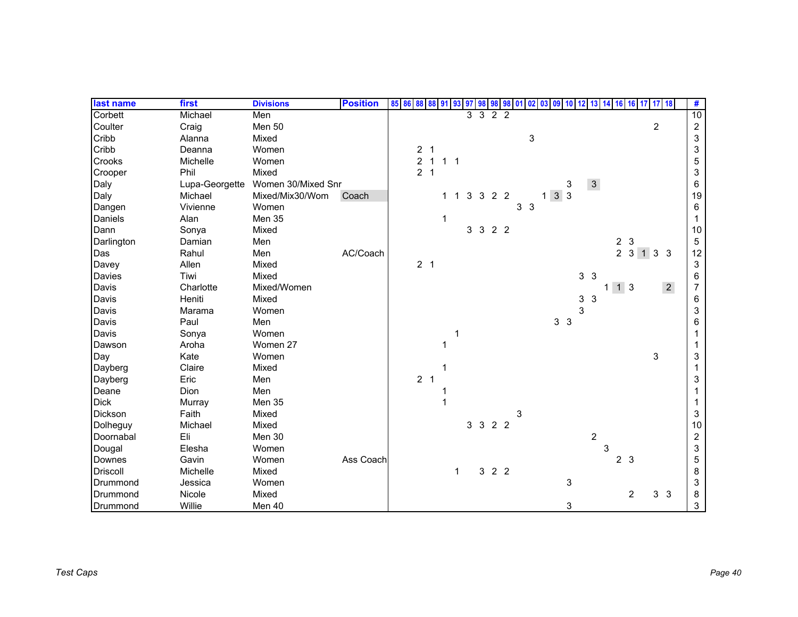| last name       | first          | <b>Divisions</b>   | <b>Position</b> | 85 86 88 88 91 |                |           | 93           | 97           |         |   | 98 98 98 01 02 03 | 09 | 10                         | 12 | 13             | 14         | 16                       | <b>16</b>      | 17                  | $17$ 18        |                | #                         |
|-----------------|----------------|--------------------|-----------------|----------------|----------------|-----------|--------------|--------------|---------|---|-------------------|----|----------------------------|----|----------------|------------|--------------------------|----------------|---------------------|----------------|----------------|---------------------------|
| Corbett         | Michael        | Men                |                 |                |                |           |              |              | 3322    |   |                   |    |                            |    |                |            |                          |                |                     |                |                | 10                        |
| Coulter         | Craig          | Men 50             |                 |                |                |           |              |              |         |   |                   |    |                            |    |                |            |                          |                |                     | $\overline{2}$ |                | $\overline{c}$            |
| Cribb           | Alanna         | Mixed              |                 |                |                |           |              |              |         |   | 3                 |    |                            |    |                |            |                          |                |                     |                |                | $\ensuremath{\mathsf{3}}$ |
| Cribb           | Deanna         | Women              |                 | $\overline{2}$ | $\mathbf 1$    |           |              |              |         |   |                   |    |                            |    |                |            |                          |                |                     |                |                | $\mathsf 3$               |
| Crooks          | Michelle       | Women              |                 | $\overline{c}$ | $\mathbf{1}$   | $1\quad1$ |              |              |         |   |                   |    |                            |    |                |            |                          |                |                     |                |                | 5                         |
| Crooper         | Phil           | Mixed              |                 | $\overline{2}$ | $\overline{1}$ |           |              |              |         |   |                   |    |                            |    |                |            |                          |                |                     |                |                | $\mathsf 3$               |
| Daly            | Lupa-Georgette | Women 30/Mixed Snr |                 |                |                |           |              |              |         |   |                   |    | 3                          |    | $\mathbf{3}$   |            |                          |                |                     |                |                | 6                         |
| Daly            | Michael        | Mixed/Mix30/Wom    | Coach           |                |                |           | $\mathbf 1$  | $\mathbf{3}$ | 3 2 2   |   |                   |    | $\mathbf{3}$<br>$\sqrt{3}$ |    |                |            |                          |                |                     |                |                | 19                        |
| Dangen          | Vivienne       | Women              |                 |                |                |           |              |              |         | 3 | $\mathbf{3}$      |    |                            |    |                |            |                          |                |                     |                |                | 6                         |
| Daniels         | Alan           | Men 35             |                 |                |                |           |              |              |         |   |                   |    |                            |    |                |            |                          |                |                     |                |                |                           |
| Dann            | Sonya          | Mixed              |                 |                |                |           |              |              | 3 3 2 2 |   |                   |    |                            |    |                |            |                          |                |                     |                |                | 10                        |
| Darlington      | Damian         | Men                |                 |                |                |           |              |              |         |   |                   |    |                            |    |                |            |                          | 2 <sub>3</sub> |                     |                |                | 5                         |
| Das             | Rahul          | Men                | AC/Coach        |                |                |           |              |              |         |   |                   |    |                            |    |                |            |                          |                | $2 \quad 3 \quad 1$ | 3 <sup>3</sup> |                | 12                        |
| Davey           | Allen          | Mixed              |                 | 2 <sub>1</sub> |                |           |              |              |         |   |                   |    |                            |    |                |            |                          |                |                     |                |                | $\sqrt{3}$                |
| Davies          | Tiwi           | Mixed              |                 |                |                |           |              |              |         |   |                   |    |                            |    | 3 <sub>3</sub> |            |                          |                |                     |                |                | 6                         |
| Davis           | Charlotte      | Mixed/Women        |                 |                |                |           |              |              |         |   |                   |    |                            |    |                | 1          | $1 \overline{\smash{3}}$ |                |                     |                | $\overline{2}$ | $\overline{7}$            |
| Davis           | Heniti         | Mixed              |                 |                |                |           |              |              |         |   |                   |    |                            | 3  | 3              |            |                          |                |                     |                |                | 6                         |
| Davis           | Marama         | Women              |                 |                |                |           |              |              |         |   |                   |    |                            | 3  |                |            |                          |                |                     |                |                | 3                         |
| Davis           | Paul           | Men                |                 |                |                |           |              |              |         |   |                   |    | 3 <sub>3</sub>             |    |                |            |                          |                |                     |                |                | 6                         |
| Davis           | Sonya          | Women              |                 |                |                |           |              |              |         |   |                   |    |                            |    |                |            |                          |                |                     |                |                |                           |
| Dawson          | Aroha          | Women 27           |                 |                |                |           |              |              |         |   |                   |    |                            |    |                |            |                          |                |                     |                |                |                           |
| Day             | Kate           | Women              |                 |                |                |           |              |              |         |   |                   |    |                            |    |                |            |                          |                |                     | 3              |                | 3                         |
| Dayberg         | Claire         | Mixed              |                 |                |                |           |              |              |         |   |                   |    |                            |    |                |            |                          |                |                     |                |                |                           |
| Dayberg         | Eric           | Men                |                 | $\overline{2}$ | $\overline{1}$ |           |              |              |         |   |                   |    |                            |    |                |            |                          |                |                     |                |                | 3                         |
| Deane           | Dion           | Men                |                 |                |                |           |              |              |         |   |                   |    |                            |    |                |            |                          |                |                     |                |                |                           |
| <b>Dick</b>     | Murray         | Men 35             |                 |                |                |           |              |              |         |   |                   |    |                            |    |                |            |                          |                |                     |                |                |                           |
| Dickson         | Faith          | Mixed              |                 |                |                |           |              |              |         | 3 |                   |    |                            |    |                |            |                          |                |                     |                |                | 3                         |
| Dolheguy        | Michael        | Mixed              |                 |                |                |           |              |              | 3 3 2 2 |   |                   |    |                            |    |                |            |                          |                |                     |                |                | 10                        |
| Doornabal       | Eli            | Men 30             |                 |                |                |           |              |              |         |   |                   |    |                            |    | $\overline{2}$ |            |                          |                |                     |                |                | $\overline{c}$            |
| Dougal          | Elesha         | Women              |                 |                |                |           |              |              |         |   |                   |    |                            |    |                | $\sqrt{3}$ |                          |                |                     |                |                | $\ensuremath{\mathsf{3}}$ |
| Downes          | Gavin          | Women              | Ass Coach       |                |                |           |              |              |         |   |                   |    |                            |    |                |            | 2 <sub>3</sub>           |                |                     |                |                | 5                         |
| <b>Driscoll</b> | Michelle       | Mixed              |                 |                |                |           | $\mathbf{1}$ |              | 322     |   |                   |    |                            |    |                |            |                          |                |                     |                |                | 8                         |
| Drummond        | Jessica        | Women              |                 |                |                |           |              |              |         |   |                   |    | $\ensuremath{\mathsf{3}}$  |    |                |            |                          |                |                     |                |                | $\ensuremath{\mathsf{3}}$ |
| Drummond        | Nicole         | Mixed              |                 |                |                |           |              |              |         |   |                   |    |                            |    |                |            |                          | $\overline{2}$ |                     | 3 <sup>3</sup> |                | 8                         |
| Drummond        | Willie         | Men 40             |                 |                |                |           |              |              |         |   |                   |    | 3                          |    |                |            |                          |                |                     |                |                | 3                         |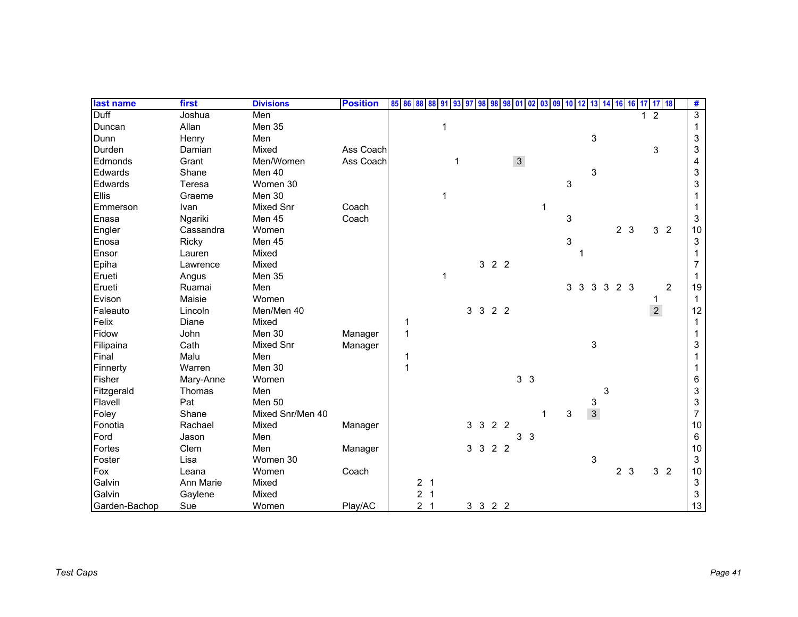| last name     | first     | <b>Divisions</b> | <b>Position</b> | 85 86 88 |                | 88<br>91 |   | 98             | 98             | 98 | -01            | 02<br>03 | 09<br>10 | 12                |              | $13 \ 14$ | 16             | 16             | 17 17 18 |                |                | #                         |
|---------------|-----------|------------------|-----------------|----------|----------------|----------|---|----------------|----------------|----|----------------|----------|----------|-------------------|--------------|-----------|----------------|----------------|----------|----------------|----------------|---------------------------|
| Duff          | Joshua    | Men              |                 |          |                |          |   |                |                |    |                |          |          |                   |              |           |                |                |          | $\overline{2}$ |                | $\overline{3}$            |
| Duncan        | Allan     | Men 35           |                 |          |                |          |   |                |                |    |                |          |          |                   |              |           |                |                |          |                |                |                           |
| Dunn          | Henry     | Men              |                 |          |                |          |   |                |                |    |                |          |          |                   | 3            |           |                |                |          |                |                | 3                         |
| Durden        | Damian    | Mixed            | Ass Coach       |          |                |          |   |                |                |    |                |          |          |                   |              |           |                |                |          | 3              |                | 3                         |
| Edmonds       | Grant     | Men/Women        | Ass Coach       |          |                |          | 1 |                |                |    | $\mathfrak{S}$ |          |          |                   |              |           |                |                |          |                |                | 4                         |
| Edwards       | Shane     | Men 40           |                 |          |                |          |   |                |                |    |                |          |          |                   | 3            |           |                |                |          |                |                | 3                         |
| Edwards       | Teresa    | Women 30         |                 |          |                |          |   |                |                |    |                |          |          | 3                 |              |           |                |                |          |                |                | 3                         |
| Ellis         | Graeme    | Men 30           |                 |          |                |          |   |                |                |    |                |          |          |                   |              |           |                |                |          |                |                |                           |
| Emmerson      | Ivan      | <b>Mixed Snr</b> | Coach           |          |                |          |   |                |                |    |                |          |          |                   |              |           |                |                |          |                |                |                           |
| Enasa         | Ngariki   | Men 45           | Coach           |          |                |          |   |                |                |    |                |          |          | 3                 |              |           |                |                |          |                |                | 3                         |
| Engler        | Cassandra | Women            |                 |          |                |          |   |                |                |    |                |          |          |                   |              |           |                | 2 <sub>3</sub> |          | 3 <sub>2</sub> |                | 10                        |
| Enosa         | Ricky     | Men 45           |                 |          |                |          |   |                |                |    |                |          |          | 3                 |              |           |                |                |          |                |                | $\ensuremath{\mathsf{3}}$ |
| Ensor         | Lauren    | Mixed            |                 |          |                |          |   |                |                |    |                |          |          |                   |              |           |                |                |          |                |                |                           |
| Epiha         | Lawrence  | Mixed            |                 |          |                |          |   |                | 322            |    |                |          |          |                   |              |           |                |                |          |                |                | $\overline{7}$            |
| Erueti        | Angus     | Men 35           |                 |          |                |          |   |                |                |    |                |          |          |                   |              |           |                |                |          |                |                |                           |
| Erueti        | Ruamai    | Men              |                 |          |                |          |   |                |                |    |                |          |          | 3<br>$\mathbf{3}$ | 3            | 3         | 2 <sub>3</sub> |                |          |                | $\overline{2}$ | 19                        |
| Evison        | Maisie    | Women            |                 |          |                |          |   |                |                |    |                |          |          |                   |              |           |                |                |          |                |                | 1                         |
| Faleauto      | Lincoln   | Men/Men 40       |                 |          |                |          |   |                | 3 3 2 2        |    |                |          |          |                   |              |           |                |                |          | $\overline{2}$ |                | 12                        |
| Felix         | Diane     | Mixed            |                 | 1        |                |          |   |                |                |    |                |          |          |                   |              |           |                |                |          |                |                | $\mathbf{1}$              |
| Fidow         | John      | Men 30           | Manager         | 1        |                |          |   |                |                |    |                |          |          |                   |              |           |                |                |          |                |                |                           |
| Filipaina     | Cath      | Mixed Snr        | Manager         |          |                |          |   |                |                |    |                |          |          |                   | 3            |           |                |                |          |                |                | 3                         |
| Final         | Malu      | Men              |                 |          |                |          |   |                |                |    |                |          |          |                   |              |           |                |                |          |                |                |                           |
| Finnerty      | Warren    | Men 30           |                 | 1        |                |          |   |                |                |    |                |          |          |                   |              |           |                |                |          |                |                |                           |
| Fisher        | Mary-Anne | Women            |                 |          |                |          |   |                |                |    | 3 <sub>3</sub> |          |          |                   |              |           |                |                |          |                |                | 6                         |
| Fitzgerald    | Thomas    | Men              |                 |          |                |          |   |                |                |    |                |          |          |                   |              | 3         |                |                |          |                |                | 3                         |
| Flavell       | Pat       | Men 50           |                 |          |                |          |   |                |                |    |                |          |          |                   | 3            |           |                |                |          |                |                | 3                         |
| Foley         | Shane     | Mixed Snr/Men 40 |                 |          |                |          |   |                |                |    |                |          |          | 3                 | $\mathbf{3}$ |           |                |                |          |                |                | $\overline{7}$            |
| Fonotia       | Rachael   | Mixed            | Manager         |          |                |          |   | 3 <sub>3</sub> | 2 <sub>2</sub> |    |                |          |          |                   |              |           |                |                |          |                |                | $10$                      |
| Ford          | Jason     | Men              |                 |          |                |          |   |                |                |    | 3 <sub>3</sub> |          |          |                   |              |           |                |                |          |                |                | 6                         |
| Fortes        | Clem      | Men              | Manager         |          |                |          |   | 3 <sub>3</sub> | 2 <sub>2</sub> |    |                |          |          |                   |              |           |                |                |          |                |                | 10                        |
| Foster        | Lisa      | Women 30         |                 |          |                |          |   |                |                |    |                |          |          |                   | 3            |           |                |                |          |                |                | $\mathbf{3}$              |
| Fox           | Leana     | Women            | Coach           |          |                |          |   |                |                |    |                |          |          |                   |              |           |                | 2 <sub>3</sub> |          | 3 <sup>2</sup> |                | $10$                      |
| Galvin        | Ann Marie | Mixed            |                 |          | 2 <sub>1</sub> |          |   |                |                |    |                |          |          |                   |              |           |                |                |          |                |                | 3                         |
| Galvin        | Gaylene   | Mixed            |                 |          | $\overline{c}$ | 1        |   |                |                |    |                |          |          |                   |              |           |                |                |          |                |                | 3                         |
| Garden-Bachop | Sue       | Women            | Play/AC         |          | 2 <sub>1</sub> |          |   |                | 3 3 2 2        |    |                |          |          |                   |              |           |                |                |          |                |                | 13                        |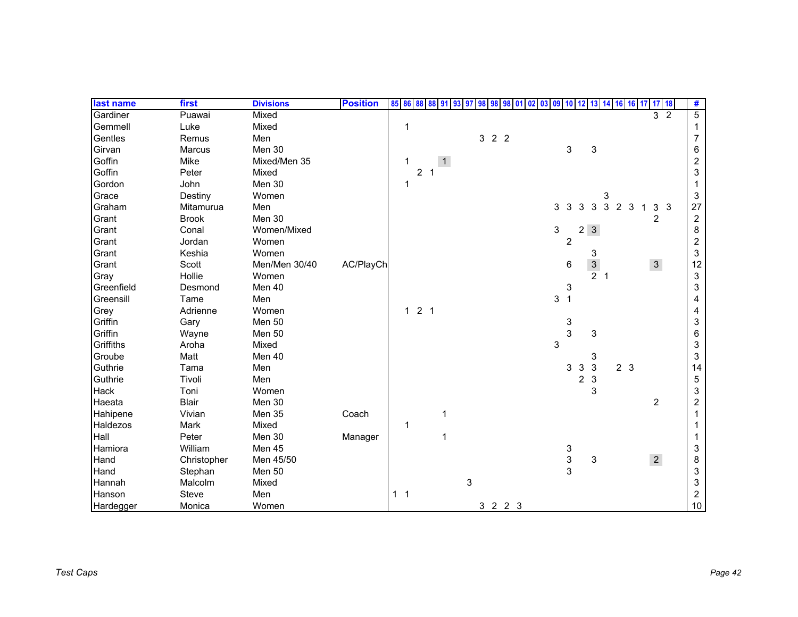| last name  | first         | <b>Divisions</b> | <b>Position</b> | 85             | 86           | 88             | 88<br>-91 |                |             | 98 | 98  | 98<br>-01 | 02 | 03 | 09             | 10                        | 12               | 13                        | 14 |                | 16 16 17 | 17 18           | #                |
|------------|---------------|------------------|-----------------|----------------|--------------|----------------|-----------|----------------|-------------|----|-----|-----------|----|----|----------------|---------------------------|------------------|---------------------------|----|----------------|----------|-----------------|------------------|
| Gardiner   | Puawai        | Mixed            |                 |                |              |                |           |                |             |    |     |           |    |    |                |                           |                  |                           |    |                |          | $3\overline{2}$ | $\overline{5}$   |
| Gemmell    | Luke          | Mixed            |                 |                |              |                |           |                |             |    |     |           |    |    |                |                           |                  |                           |    |                |          |                 |                  |
| Gentles    | Remus         | Men              |                 |                |              |                |           |                |             |    | 322 |           |    |    |                |                           |                  |                           |    |                |          |                 | $\overline{7}$   |
| Girvan     | <b>Marcus</b> | Men 30           |                 |                |              |                |           |                |             |    |     |           |    |    |                | 3                         |                  | 3                         |    |                |          |                 | 6                |
| Goffin     | Mike          | Mixed/Men 35     |                 |                | 1            |                |           | $\overline{1}$ |             |    |     |           |    |    |                |                           |                  |                           |    |                |          |                 | $\overline{c}$   |
| Goffin     | Peter         | Mixed            |                 |                |              | $\overline{c}$ |           |                |             |    |     |           |    |    |                |                           |                  |                           |    |                |          |                 | 3                |
| Gordon     | John          | Men 30           |                 |                | 1            |                |           |                |             |    |     |           |    |    |                |                           |                  |                           |    |                |          |                 |                  |
| Grace      | Destiny       | Women            |                 |                |              |                |           |                |             |    |     |           |    |    |                |                           |                  |                           | 3  |                |          |                 | 3                |
| Graham     | Mitamurua     | Men              |                 |                |              |                |           |                |             |    |     |           |    |    | 3              | 3                         | 3                | 3                         | 3  | 2              | 3        | 3 <sup>3</sup>  | 27               |
| Grant      | <b>Brook</b>  | Men 30           |                 |                |              |                |           |                |             |    |     |           |    |    |                |                           |                  |                           |    |                |          | 2               | $\boldsymbol{2}$ |
| Grant      | Conal         | Women/Mixed      |                 |                |              |                |           |                |             |    |     |           |    |    | $\mathfrak{S}$ |                           | $2 \overline{3}$ |                           |    |                |          |                 | 8                |
| Grant      | Jordan        | Women            |                 |                |              |                |           |                |             |    |     |           |    |    |                | $\overline{2}$            |                  |                           |    |                |          |                 | $\overline{c}$   |
| Grant      | Keshia        | Women            |                 |                |              |                |           |                |             |    |     |           |    |    |                |                           |                  | 3                         |    |                |          |                 | 3                |
| Grant      | Scott         | Men/Men 30/40    | AC/PlayCh       |                |              |                |           |                |             |    |     |           |    |    |                | 6                         |                  | $\mathbf{3}$              |    |                |          | $\mathbf{3}$    | 12               |
| Gray       | Hollie        | Women            |                 |                |              |                |           |                |             |    |     |           |    |    |                |                           |                  | 2 <sub>1</sub>            |    |                |          |                 | $\sqrt{3}$       |
| Greenfield | Desmond       | Men 40           |                 |                |              |                |           |                |             |    |     |           |    |    |                | 3                         |                  |                           |    |                |          |                 | 3                |
| Greensill  | Tame          | Men              |                 |                |              |                |           |                |             |    |     |           |    |    | $\mathbf{3}$   | $\overline{1}$            |                  |                           |    |                |          |                 | 4                |
| Grey       | Adrienne      | Women            |                 |                | $\mathbf{1}$ | 2 <sub>1</sub> |           |                |             |    |     |           |    |    |                |                           |                  |                           |    |                |          |                 | 4                |
| Griffin    | Gary          | <b>Men 50</b>    |                 |                |              |                |           |                |             |    |     |           |    |    |                | $\ensuremath{\mathsf{3}}$ |                  |                           |    |                |          |                 | 3                |
| Griffin    | Wayne         | Men 50           |                 |                |              |                |           |                |             |    |     |           |    |    |                | $\overline{3}$            |                  | 3                         |    |                |          |                 | 6                |
| Griffiths  | Aroha         | Mixed            |                 |                |              |                |           |                |             |    |     |           |    |    | $\mathfrak{S}$ |                           |                  |                           |    |                |          |                 | 3                |
| Groube     | Matt          | Men 40           |                 |                |              |                |           |                |             |    |     |           |    |    |                |                           |                  | 3                         |    |                |          |                 | 3                |
| Guthrie    | Tama          | Men              |                 |                |              |                |           |                |             |    |     |           |    |    |                | 3                         | 3                | $\mathbf{3}$              |    | 2 <sub>3</sub> |          |                 | 14               |
| Guthrie    | Tivoli        | Men              |                 |                |              |                |           |                |             |    |     |           |    |    |                |                           | 2 <sub>3</sub>   |                           |    |                |          |                 | $\mathbf 5$      |
| Hack       | Toni          | Women            |                 |                |              |                |           |                |             |    |     |           |    |    |                |                           |                  | 3                         |    |                |          |                 | 3                |
| Haeata     | <b>Blair</b>  | Men 30           |                 |                |              |                |           |                |             |    |     |           |    |    |                |                           |                  |                           |    |                |          | $\overline{c}$  | $\overline{a}$   |
| Hahipene   | Vivian        | Men 35           | Coach           |                |              |                |           | 1              |             |    |     |           |    |    |                |                           |                  |                           |    |                |          |                 |                  |
| Haldezos   | Mark          | Mixed            |                 |                | 1            |                |           |                |             |    |     |           |    |    |                |                           |                  |                           |    |                |          |                 |                  |
| Hall       | Peter         | Men 30           | Manager         |                |              |                |           |                |             |    |     |           |    |    |                |                           |                  |                           |    |                |          |                 |                  |
| Hamiora    | William       | Men 45           |                 |                |              |                |           |                |             |    |     |           |    |    |                |                           |                  |                           |    |                |          |                 | 3                |
| Hand       | Christopher   | Men 45/50        |                 |                |              |                |           |                |             |    |     |           |    |    |                | $\frac{3}{3}$             |                  | $\ensuremath{\mathsf{3}}$ |    |                |          | $\overline{2}$  | 8                |
| Hand       | Stephan       | Men 50           |                 |                |              |                |           |                |             |    |     |           |    |    |                | 3                         |                  |                           |    |                |          |                 | 3                |
| Hannah     | Malcolm       | Mixed            |                 |                |              |                |           |                | $\mathsf 3$ |    |     |           |    |    |                |                           |                  |                           |    |                |          |                 | 3                |
| Hanson     | Steve         | Men              |                 | 1 <sub>1</sub> |              |                |           |                |             |    |     |           |    |    |                |                           |                  |                           |    |                |          |                 | $\overline{a}$   |
| Hardegger  | Monica        | Women            |                 |                |              |                |           |                |             |    |     | 3 2 2 3   |    |    |                |                           |                  |                           |    |                |          |                 | 10               |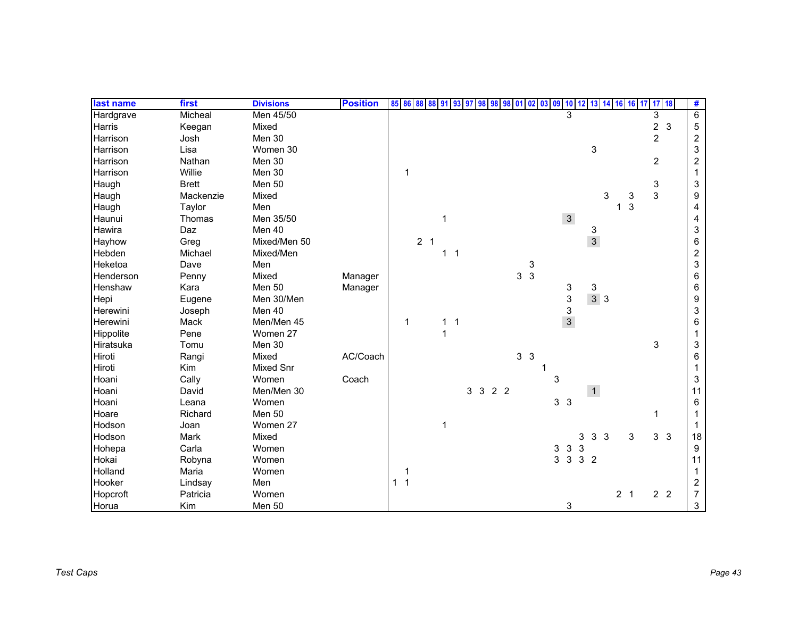| last name | first        | <b>Divisions</b> | <b>Position</b> | 85 86                          | 88             | 88 91        | 93 97        | 98      | 98 | 98 01 02 03    |   | <b>09</b>         |               |                |                              | 10 12 13 14 16 16 17 |                | 1718           | #                |
|-----------|--------------|------------------|-----------------|--------------------------------|----------------|--------------|--------------|---------|----|----------------|---|-------------------|---------------|----------------|------------------------------|----------------------|----------------|----------------|------------------|
| Hardgrave | Micheal      | Men 45/50        |                 |                                |                |              |              |         |    |                |   |                   | 3             |                |                              |                      | 3              |                | 6                |
| Harris    | Keegan       | Mixed            |                 |                                |                |              |              |         |    |                |   |                   |               |                |                              |                      | $\overline{c}$ | 3              | 5                |
| Harrison  | Josh         | Men 30           |                 |                                |                |              |              |         |    |                |   |                   |               |                |                              |                      | $\overline{c}$ |                | $\boldsymbol{2}$ |
| Harrison  | Lisa         | Women 30         |                 |                                |                |              |              |         |    |                |   |                   |               |                | 3                            |                      |                |                | 3                |
| Harrison  | Nathan       | Men 30           |                 |                                |                |              |              |         |    |                |   |                   |               |                |                              |                      | $\overline{c}$ |                | $\overline{a}$   |
| Harrison  | Willie       | Men 30           |                 | 1                              |                |              |              |         |    |                |   |                   |               |                |                              |                      |                |                |                  |
| Haugh     | <b>Brett</b> | <b>Men 50</b>    |                 |                                |                |              |              |         |    |                |   |                   |               |                |                              |                      | 3              |                | 3                |
| Haugh     | Mackenzie    | Mixed            |                 |                                |                |              |              |         |    |                |   |                   |               |                | 3                            | 3                    | 3              |                | 9                |
| Haugh     | Taylor       | Men              |                 |                                |                |              |              |         |    |                |   |                   |               |                |                              | 3                    |                |                | 4                |
| Haunui    | Thomas       | Men 35/50        |                 |                                |                | 1            |              |         |    |                |   |                   | $\mathbf{3}$  |                |                              |                      |                |                | 4                |
| Hawira    | Daz          | Men 40           |                 |                                |                |              |              |         |    |                |   |                   |               |                | 3                            |                      |                |                | 3                |
| Hayhow    | Greg         | Mixed/Men 50     |                 |                                | 2 <sub>1</sub> |              |              |         |    |                |   |                   |               |                | $\mathfrak{S}$               |                      |                |                | 6                |
| Hebden    | Michael      | Mixed/Men        |                 |                                |                | $\mathbf{1}$ | $\mathbf{1}$ |         |    |                |   |                   |               |                |                              |                      |                |                | $\boldsymbol{2}$ |
| Heketoa   | Dave         | Men              |                 |                                |                |              |              |         |    |                | 3 |                   |               |                |                              |                      |                |                | 3                |
| Henderson | Penny        | Mixed            | Manager         |                                |                |              |              |         |    | 3 <sub>3</sub> |   |                   |               |                |                              |                      |                |                | 6                |
| Henshaw   | Kara         | Men 50           | Manager         |                                |                |              |              |         |    |                |   |                   | 3             |                | 3                            |                      |                |                | 6                |
| Hepi      | Eugene       | Men 30/Men       |                 |                                |                |              |              |         |    |                |   |                   | 3             |                | 3 <sup>3</sup>               |                      |                |                | 9                |
| Herewini  | Joseph       | Men 40           |                 |                                |                |              |              |         |    |                |   |                   | $\frac{3}{3}$ |                |                              |                      |                |                | 3                |
| Herewini  | Mack         | Men/Men 45       |                 | 1                              |                | $\mathbf{1}$ | $\mathbf{1}$ |         |    |                |   |                   |               |                |                              |                      |                |                | 6                |
| Hippolite | Pene         | Women 27         |                 |                                |                |              |              |         |    |                |   |                   |               |                |                              |                      |                |                |                  |
| Hiratsuka | Tomu         | Men 30           |                 |                                |                |              |              |         |    |                |   |                   |               |                |                              |                      | 3              |                | 3                |
| Hiroti    | Rangi        | Mixed            | AC/Coach        |                                |                |              |              |         |    | 3 <sub>3</sub> |   |                   |               |                |                              |                      |                |                | 6                |
| Hiroti    | Kim          | <b>Mixed Snr</b> |                 |                                |                |              |              |         |    |                |   |                   |               |                |                              |                      |                |                |                  |
| Hoani     | Cally        | Women            | Coach           |                                |                |              |              |         |    |                |   | 3                 |               |                |                              |                      |                |                | 3                |
| Hoani     | David        | Men/Men 30       |                 |                                |                |              |              | 3 3 2 2 |    |                |   |                   |               |                | $\overline{1}$               |                      |                |                | 11               |
| Hoani     | Leana        | Women            |                 |                                |                |              |              |         |    |                |   | 3 <sub>3</sub>    |               |                |                              |                      |                |                | 6                |
| Hoare     | Richard      | <b>Men 50</b>    |                 |                                |                |              |              |         |    |                |   |                   |               |                |                              |                      | 1              |                |                  |
| Hodson    | Joan         | Women 27         |                 |                                |                | 1            |              |         |    |                |   |                   |               |                |                              |                      |                |                |                  |
| Hodson    | Mark         | Mixed            |                 |                                |                |              |              |         |    |                |   |                   |               | 3              | $\mathbf{3}$<br>$\mathbf{3}$ | 3                    |                | 3 <sup>3</sup> | 18               |
| Hohepa    | Carla        | Women            |                 |                                |                |              |              |         |    |                |   | 3                 | $\sqrt{3}$    | 3              |                              |                      |                |                | 9                |
| Hokai     | Robyna       | Women            |                 |                                |                |              |              |         |    |                |   | 3<br>$\mathbf{3}$ |               | 3 <sub>2</sub> |                              |                      |                |                | 11               |
| Holland   | Maria        | Women            |                 | 1                              |                |              |              |         |    |                |   |                   |               |                |                              |                      |                |                |                  |
| Hooker    | Lindsay      | Men              |                 | $\overline{1}$<br>$\mathbf{1}$ |                |              |              |         |    |                |   |                   |               |                |                              |                      |                |                | $\overline{c}$   |
| Hopcroft  | Patricia     | Women            |                 |                                |                |              |              |         |    |                |   |                   |               |                |                              | 2 <sub>1</sub>       |                | 2 <sub>2</sub> | $\overline{7}$   |
| Horua     | Kim          | Men 50           |                 |                                |                |              |              |         |    |                |   |                   | 3             |                |                              |                      |                |                | 3                |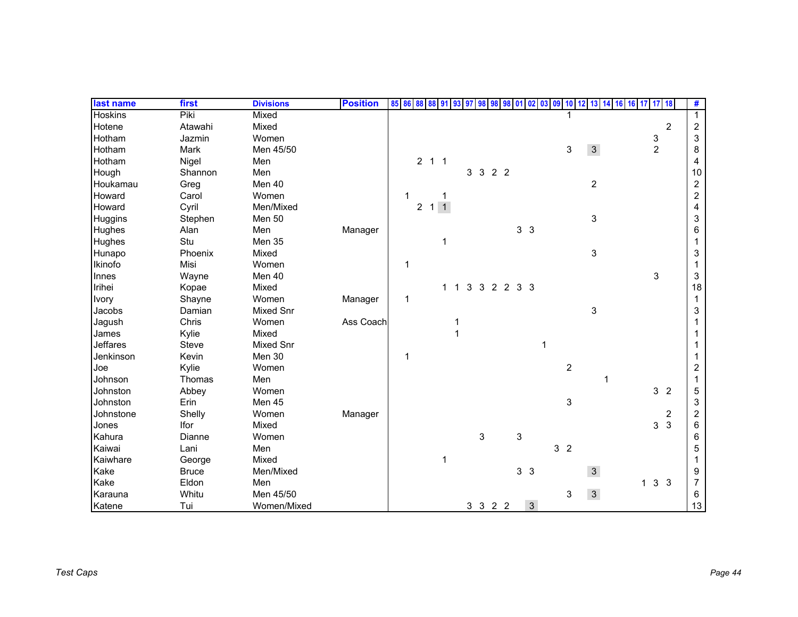| last name       | first        | <b>Divisions</b> | <b>Position</b> | 85 86 88 88 91 93 97 |                |             |                  |   |           |   | 98 98 98 01 02 03 | 09             | 10             | 12<br>13<br>14 | 16 16 17 | <b>18</b><br>17   | #                       |
|-----------------|--------------|------------------|-----------------|----------------------|----------------|-------------|------------------|---|-----------|---|-------------------|----------------|----------------|----------------|----------|-------------------|-------------------------|
| <b>Hoskins</b>  | Piki         | Mixed            |                 |                      |                |             |                  |   |           |   |                   |                |                |                |          |                   | $\mathbf{1}$            |
| Hotene          | Atawahi      | Mixed            |                 |                      |                |             |                  |   |           |   |                   |                |                |                |          | 2                 | $\overline{c}$          |
| Hotham          | Jazmin       | Women            |                 |                      |                |             |                  |   |           |   |                   |                |                |                |          | $\frac{3}{2}$     | 3                       |
| Hotham          | Mark         | Men 45/50        |                 |                      |                |             |                  |   |           |   |                   |                | 3              | $\mathbf{3}$   |          |                   | 8                       |
| Hotham          | Nigel        | Men              |                 |                      | $2$ 1 1        |             |                  |   |           |   |                   |                |                |                |          |                   | 4                       |
| Hough           | Shannon      | Men              |                 |                      |                |             |                  |   | 3 3 2 2   |   |                   |                |                |                |          |                   | 10                      |
| Houkamau        | Greg         | Men 40           |                 |                      |                |             |                  |   |           |   |                   |                |                | $\overline{c}$ |          |                   | $\overline{c}$          |
| Howard          | Carol        | Women            |                 | 1                    |                |             |                  |   |           |   |                   |                |                |                |          |                   | $\overline{c}$          |
| Howard          | Cyril        | Men/Mixed        |                 |                      | $\overline{2}$ | $1 \quad 1$ |                  |   |           |   |                   |                |                |                |          |                   | 4                       |
| Huggins         | Stephen      | Men 50           |                 |                      |                |             |                  |   |           |   |                   |                |                | 3              |          |                   | 3                       |
| Hughes          | Alan         | Men              | Manager         |                      |                |             |                  |   |           |   | 3 <sub>3</sub>    |                |                |                |          |                   | 6                       |
| Hughes          | Stu          | Men 35           |                 |                      |                |             |                  |   |           |   |                   |                |                |                |          |                   |                         |
| Hunapo          | Phoenix      | Mixed            |                 |                      |                |             |                  |   |           |   |                   |                |                | 3              |          |                   | 3                       |
| Ikinofo         | Misi         | Women            |                 | 1                    |                |             |                  |   |           |   |                   |                |                |                |          |                   |                         |
| Innes           | Wayne        | Men 40           |                 |                      |                |             |                  |   |           |   |                   |                |                |                |          | 3                 | 3                       |
| Irihei          | Kopae        | Mixed            |                 |                      |                | $\mathbf 1$ | 3<br>$\mathbf 1$ |   | 3 2 2 3 3 |   |                   |                |                |                |          |                   | 18                      |
| Ivory           | Shayne       | Women            | Manager         | 1                    |                |             |                  |   |           |   |                   |                |                |                |          |                   | 1                       |
| Jacobs          | Damian       | <b>Mixed Snr</b> |                 |                      |                |             |                  |   |           |   |                   |                |                | 3              |          |                   | 3                       |
| Jagush          | Chris        | Women            | Ass Coach       |                      |                |             |                  |   |           |   |                   |                |                |                |          |                   |                         |
| James           | Kylie        | Mixed            |                 |                      |                |             |                  |   |           |   |                   |                |                |                |          |                   |                         |
| <b>Jeffares</b> | Steve        | <b>Mixed Snr</b> |                 |                      |                |             |                  |   |           |   |                   |                |                |                |          |                   |                         |
| Jenkinson       | Kevin        | Men 30           |                 | 1                    |                |             |                  |   |           |   |                   |                |                |                |          |                   |                         |
| Joe             | Kylie        | Women            |                 |                      |                |             |                  |   |           |   |                   |                | $\overline{c}$ |                |          |                   | $\overline{c}$          |
| Johnson         | Thomas       | Men              |                 |                      |                |             |                  |   |           |   |                   |                |                | 1              |          |                   |                         |
| Johnston        | Abbey        | Women            |                 |                      |                |             |                  |   |           |   |                   |                |                |                |          | 3 <sub>2</sub>    | 5                       |
| Johnston        | Erin         | Men 45           |                 |                      |                |             |                  |   |           |   |                   |                | 3              |                |          |                   | 3                       |
| Johnstone       | Shelly       | Women            | Manager         |                      |                |             |                  |   |           |   |                   |                |                |                |          | 2                 | $\overline{\mathbf{c}}$ |
| Jones           | Ifor         | Mixed            |                 |                      |                |             |                  |   |           |   |                   |                |                |                |          | $\mathbf{3}$<br>3 | 6                       |
| Kahura          | Dianne       | Women            |                 |                      |                |             |                  | 3 |           | 3 |                   |                |                |                |          |                   | 6                       |
| Kaiwai          | Lani         | Men              |                 |                      |                |             |                  |   |           |   |                   | 3 <sub>2</sub> |                |                |          |                   | 5                       |
| Kaiwhare        | George       | Mixed            |                 |                      |                |             |                  |   |           |   |                   |                |                |                |          |                   |                         |
| Kake            | <b>Bruce</b> | Men/Mixed        |                 |                      |                |             |                  |   |           |   | 3 <sub>3</sub>    |                |                | $\overline{3}$ |          |                   | 9                       |
| Kake            | Eldon        | Men              |                 |                      |                |             |                  |   |           |   |                   |                |                |                |          | 133               | $\overline{7}$          |
| Karauna         | Whitu        | Men 45/50        |                 |                      |                |             |                  |   |           |   |                   |                | 3              | $\mathbf{3}$   |          |                   | 6                       |
| Katene          | Tui          | Women/Mixed      |                 |                      |                |             |                  |   | 3 3 2 2   |   | $\mathbf{3}$      |                |                |                |          |                   | 13                      |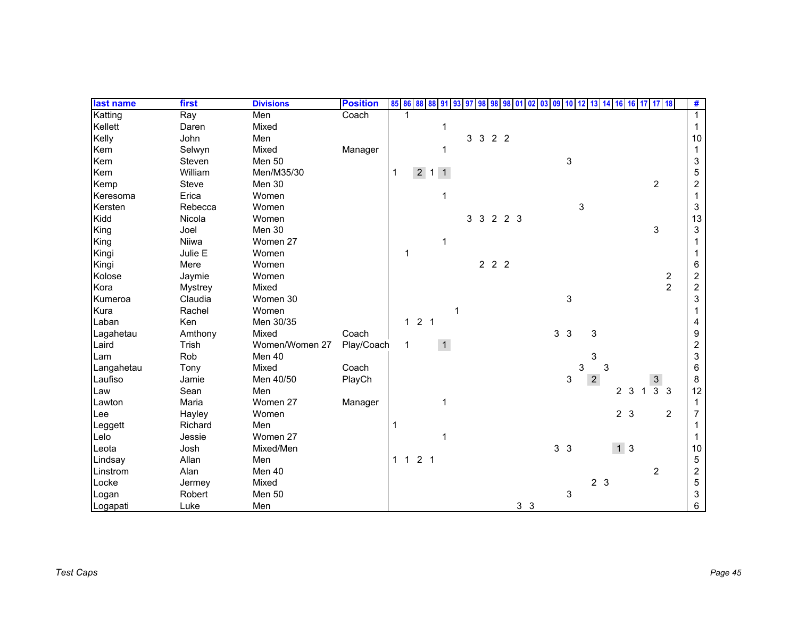| last name  | first          | <b>Divisions</b> | <b>Position</b> | 85 86 88 88 91 |   |                     | 93             | -97 | 98        | 98                  | 98 | -01<br>-02     | 09<br>03 | 10             | 12<br>13 | 14             |                                 | 16 16 17 17 18 |                |                         | #                         |
|------------|----------------|------------------|-----------------|----------------|---|---------------------|----------------|-----|-----------|---------------------|----|----------------|----------|----------------|----------|----------------|---------------------------------|----------------|----------------|-------------------------|---------------------------|
| Katting    | Ray            | Men              | Coach           |                |   |                     |                |     |           |                     |    |                |          |                |          |                |                                 |                |                |                         | $\mathbf{1}$              |
| Kellett    | Daren          | Mixed            |                 |                |   |                     |                |     |           |                     |    |                |          |                |          |                |                                 |                |                |                         | 1                         |
| Kelly      | John           | Men              |                 |                |   |                     |                |     | 3 3 2 2   |                     |    |                |          |                |          |                |                                 |                |                |                         | 10                        |
| Kem        | Selwyn         | Mixed            | Manager         |                |   |                     |                |     |           |                     |    |                |          |                |          |                |                                 |                |                |                         | 1                         |
| Kem        | Steven         | Men 50           |                 |                |   |                     |                |     |           |                     |    |                |          | 3              |          |                |                                 |                |                |                         | 3                         |
| Kem        | William        | Men/M35/30       |                 | 1              |   | $2 \quad 1 \quad 1$ |                |     |           |                     |    |                |          |                |          |                |                                 |                |                |                         | 5                         |
| Kemp       | Steve          | Men 30           |                 |                |   |                     |                |     |           |                     |    |                |          |                |          |                |                                 |                | $\sqrt{2}$     |                         | $\overline{\mathbf{c}}$   |
| Keresoma   | Erica          | Women            |                 |                |   |                     |                |     |           |                     |    |                |          |                |          |                |                                 |                |                |                         | 1                         |
| Kersten    | Rebecca        | Women            |                 |                |   |                     |                |     |           |                     |    |                |          |                | 3        |                |                                 |                |                |                         | 3                         |
| Kidd       | Nicola         | Women            |                 |                |   |                     |                |     | 3 3 2 2 3 |                     |    |                |          |                |          |                |                                 |                |                |                         | 13                        |
| King       | Joel           | Men 30           |                 |                |   |                     |                |     |           |                     |    |                |          |                |          |                |                                 |                | 3              |                         | $\ensuremath{\mathsf{3}}$ |
| King       | Niiwa          | Women 27         |                 |                |   |                     | 1              |     |           |                     |    |                |          |                |          |                |                                 |                |                |                         |                           |
| Kingi      | Julie E        | Women            |                 |                | 1 |                     |                |     |           |                     |    |                |          |                |          |                |                                 |                |                |                         |                           |
| Kingi      | Mere           | Women            |                 |                |   |                     |                |     |           | $2 \quad 2 \quad 2$ |    |                |          |                |          |                |                                 |                |                |                         | 6                         |
| Kolose     | Jaymie         | Women            |                 |                |   |                     |                |     |           |                     |    |                |          |                |          |                |                                 |                |                | $\overline{\mathbf{c}}$ | $\overline{\mathbf{c}}$   |
| Kora       | <b>Mystrey</b> | Mixed            |                 |                |   |                     |                |     |           |                     |    |                |          |                |          |                |                                 |                |                | $\overline{2}$          | $\overline{c}$            |
| Kumeroa    | Claudia        | Women 30         |                 |                |   |                     |                |     |           |                     |    |                |          | 3              |          |                |                                 |                |                |                         | $\mathsf 3$               |
| Kura       | Rachel         | Women            |                 |                |   |                     |                |     |           |                     |    |                |          |                |          |                |                                 |                |                |                         |                           |
| Laban      | Ken            | Men 30/35        |                 |                | 1 | 2 <sub>1</sub>      |                |     |           |                     |    |                |          |                |          |                |                                 |                |                |                         | 4                         |
| Lagahetau  | Amthony        | Mixed            | Coach           |                |   |                     |                |     |           |                     |    |                |          | 3 <sub>3</sub> |          | $\mathsf 3$    |                                 |                |                |                         | 9                         |
| Laird      | Trish          | Women/Women 27   | Play/Coach      |                | 1 |                     | $\overline{1}$ |     |           |                     |    |                |          |                |          |                |                                 |                |                |                         | $\overline{\mathbf{c}}$   |
| Lam        | Rob            | Men 40           |                 |                |   |                     |                |     |           |                     |    |                |          |                |          | 3              |                                 |                |                |                         | 3                         |
| Langahetau | Tony           | Mixed            | Coach           |                |   |                     |                |     |           |                     |    |                |          |                | 3        | 3              |                                 |                |                |                         | 6                         |
| Laufiso    | Jamie          | Men 40/50        | PlayCh          |                |   |                     |                |     |           |                     |    |                |          | 3              |          | $\overline{2}$ |                                 |                | $\mathbf{3}$   |                         | 8                         |
| Law        | Sean           | Men              |                 |                |   |                     |                |     |           |                     |    |                |          |                |          |                | 2 <sub>3</sub>                  | 1              | $\mathbf{3}$   | -3                      | 12                        |
| Lawton     | Maria          | Women 27         | Manager         |                |   |                     | 1              |     |           |                     |    |                |          |                |          |                |                                 |                |                |                         | $\mathbf{1}$              |
| Lee        | Hayley         | Women            |                 |                |   |                     |                |     |           |                     |    |                |          |                |          |                | 2 <sub>3</sub>                  |                |                | $\overline{2}$          | 7                         |
| Leggett    | Richard        | Men              |                 |                |   |                     |                |     |           |                     |    |                |          |                |          |                |                                 |                |                |                         |                           |
| Lelo       | Jessie         | Women 27         |                 |                |   |                     | 1              |     |           |                     |    |                |          |                |          |                |                                 |                |                |                         |                           |
| Leota      | Josh           | Mixed/Men        |                 |                |   |                     |                |     |           |                     |    |                |          | 3 <sup>3</sup> |          |                | $1 \overline{\smash{\big)}\ 3}$ |                |                |                         | 10                        |
| Lindsay    | Allan          | Men              |                 | $1 \quad 1$    |   | 2 <sub>1</sub>      |                |     |           |                     |    |                |          |                |          |                |                                 |                |                |                         | $\mathbf 5$               |
| Linstrom   | Alan           | Men 40           |                 |                |   |                     |                |     |           |                     |    |                |          |                |          |                |                                 |                | $\overline{c}$ |                         | $\boldsymbol{2}$          |
| Locke      | Jermey         | Mixed            |                 |                |   |                     |                |     |           |                     |    |                |          |                |          | 2 <sub>3</sub> |                                 |                |                |                         | 5                         |
| Logan      | Robert         | Men 50           |                 |                |   |                     |                |     |           |                     |    |                |          | 3              |          |                |                                 |                |                |                         | 3                         |
| Logapati   | Luke           | Men              |                 |                |   |                     |                |     |           |                     |    | 3 <sub>3</sub> |          |                |          |                |                                 |                |                |                         | 6                         |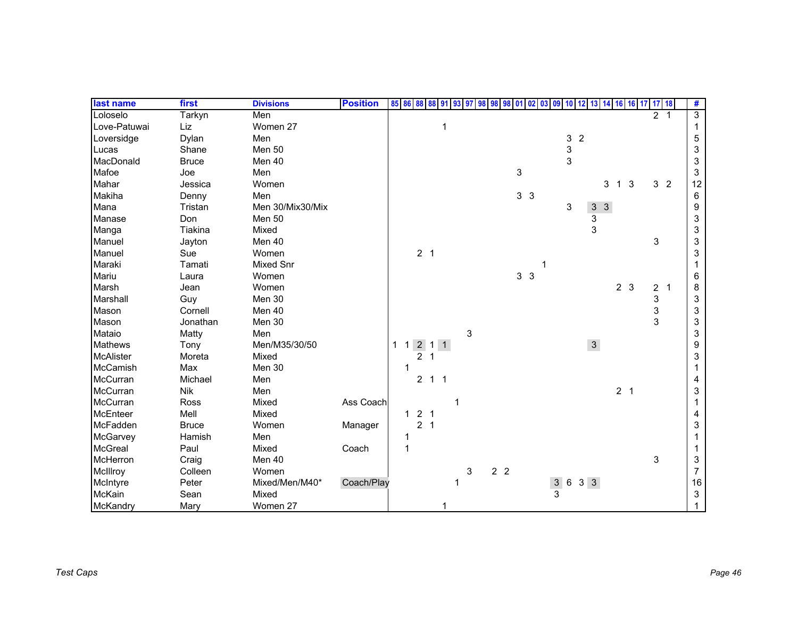| last name        | first        | <b>Divisions</b> | <b>Position</b> | 85 86 | 88             | 88                  | -91 |   | 98             | $\mathbf{0}$ 1 | 02             | 03<br>09 | 10           |                                                            | -13<br>14      | 16     | 16             | 17 | 1718           |              | #                         |
|------------------|--------------|------------------|-----------------|-------|----------------|---------------------|-----|---|----------------|----------------|----------------|----------|--------------|------------------------------------------------------------|----------------|--------|----------------|----|----------------|--------------|---------------------------|
| Loloselo         | Tarkyn       | Men              |                 |       |                |                     |     |   |                |                |                |          |              |                                                            |                |        |                |    | 2 <sup>1</sup> |              | $\overline{3}$            |
| Love-Patuwai     | Liz          | Women 27         |                 |       |                |                     |     |   |                |                |                |          |              |                                                            |                |        |                |    |                |              |                           |
| Loversidge       | Dylan        | Men              |                 |       |                |                     |     |   |                |                |                |          | $\mathbf{3}$ | $\overline{2}$                                             |                |        |                |    |                |              | 5                         |
| Lucas            | Shane        | Men 50           |                 |       |                |                     |     |   |                |                |                |          | 3            |                                                            |                |        |                |    |                |              | 3                         |
| MacDonald        | <b>Bruce</b> | Men 40           |                 |       |                |                     |     |   |                |                |                |          | 3            |                                                            |                |        |                |    |                |              | 3                         |
| Mafoe            | Joe          | Men              |                 |       |                |                     |     |   |                | 3              |                |          |              |                                                            |                |        |                |    |                |              | 3                         |
| Mahar            | Jessica      | Women            |                 |       |                |                     |     |   |                |                |                |          |              |                                                            |                | 3<br>1 | $\mathbf{3}$   |    | 3 <sup>2</sup> |              | 12                        |
| Makiha           | Denny        | Men              |                 |       |                |                     |     |   |                |                | 3 <sub>3</sub> |          |              |                                                            |                |        |                |    |                |              | 6                         |
| Mana             | Tristan      | Men 30/Mix30/Mix |                 |       |                |                     |     |   |                |                |                |          | 3            |                                                            | 3 <sup>3</sup> |        |                |    |                |              | 9                         |
| Manase           | Don          | Men 50           |                 |       |                |                     |     |   |                |                |                |          |              |                                                            | 3              |        |                |    |                |              | 3                         |
| Manga            | Tiakina      | Mixed            |                 |       |                |                     |     |   |                |                |                |          |              |                                                            | 3              |        |                |    |                |              | 3                         |
| Manuel           | Jayton       | Men 40           |                 |       |                |                     |     |   |                |                |                |          |              |                                                            |                |        |                |    | 3              |              | 3                         |
| Manuel           | Sue          | Women            |                 |       |                | 2 <sub>1</sub>      |     |   |                |                |                |          |              |                                                            |                |        |                |    |                |              | $\ensuremath{\mathsf{3}}$ |
| Maraki           | Tamati       | Mixed Snr        |                 |       |                |                     |     |   |                |                |                | 1        |              |                                                            |                |        |                |    |                |              |                           |
| Mariu            | Laura        | Women            |                 |       |                |                     |     |   |                |                | 3 <sub>3</sub> |          |              |                                                            |                |        |                |    |                |              | 6                         |
| Marsh            | Jean         | Women            |                 |       |                |                     |     |   |                |                |                |          |              |                                                            |                |        | 2 <sub>3</sub> |    | $\overline{2}$ | $\mathbf{1}$ | 8                         |
| Marshall         | Guy          | Men 30           |                 |       |                |                     |     |   |                |                |                |          |              |                                                            |                |        |                |    | 3              |              | 3                         |
| Mason            | Cornell      | Men 40           |                 |       |                |                     |     |   |                |                |                |          |              |                                                            |                |        |                |    | 3              |              | 3                         |
| Mason            | Jonathan     | Men 30           |                 |       |                |                     |     |   |                |                |                |          |              |                                                            |                |        |                |    | 3              |              | 3                         |
| Mataio           | Matty        | Men              |                 |       |                |                     |     | 3 |                |                |                |          |              |                                                            |                |        |                |    |                |              | $\ensuremath{\mathsf{3}}$ |
| <b>Mathews</b>   | Tony         | Men/M35/30/50    |                 | 1     | 1              | $2 \quad 1 \quad 1$ |     |   |                |                |                |          |              |                                                            | $\mathbf{3}$   |        |                |    |                |              | $\boldsymbol{9}$          |
| <b>McAlister</b> | Moreta       | Mixed            |                 |       | $\overline{2}$ |                     |     |   |                |                |                |          |              |                                                            |                |        |                |    |                |              | 3                         |
| McCamish         | Max          | Men 30           |                 |       |                |                     |     |   |                |                |                |          |              |                                                            |                |        |                |    |                |              |                           |
| McCurran         | Michael      | Men              |                 |       |                | $2 \t1 \t1$         |     |   |                |                |                |          |              |                                                            |                |        |                |    |                |              | 4                         |
| McCurran         | Nik          | Men              |                 |       |                |                     |     |   |                |                |                |          |              |                                                            |                |        | 2 <sub>1</sub> |    |                |              | 3                         |
| McCurran         | Ross         | Mixed            | Ass Coach       |       |                |                     |     |   |                |                |                |          |              |                                                            |                |        |                |    |                |              |                           |
| <b>McEnteer</b>  | Mell         | Mixed            |                 |       | $\mathbf{1}$   | 2 <sub>1</sub>      |     |   |                |                |                |          |              |                                                            |                |        |                |    |                |              | 4                         |
| McFadden         | <b>Bruce</b> | Women            | Manager         |       |                | 2 <sub>1</sub>      |     |   |                |                |                |          |              |                                                            |                |        |                |    |                |              | 3                         |
| McGarvey         | Hamish       | Men              |                 |       |                |                     |     |   |                |                |                |          |              |                                                            |                |        |                |    |                |              |                           |
| <b>McGreal</b>   | Paul         | Mixed            | Coach           |       |                |                     |     |   |                |                |                |          |              |                                                            |                |        |                |    |                |              |                           |
| McHerron         | Craig        | Men 40           |                 |       |                |                     |     |   |                |                |                |          |              |                                                            |                |        |                |    | 3              |              | 3                         |
| McIllroy         | Colleen      | Women            |                 |       |                |                     |     | 3 | 2 <sub>2</sub> |                |                |          |              |                                                            |                |        |                |    |                |              | $\overline{7}$            |
| McIntyre         | Peter        | Mixed/Men/M40*   | Coach/Play      |       |                |                     |     |   |                |                |                |          |              | $\begin{array}{c cc} 3 & 6 & 3 & 3 \\ 3 & & & \end{array}$ |                |        |                |    |                |              | 16                        |
| McKain           | Sean         | Mixed            |                 |       |                |                     |     |   |                |                |                |          |              |                                                            |                |        |                |    |                |              | 3                         |
| McKandry         | Mary         | Women 27         |                 |       |                |                     |     |   |                |                |                |          |              |                                                            |                |        |                |    |                |              |                           |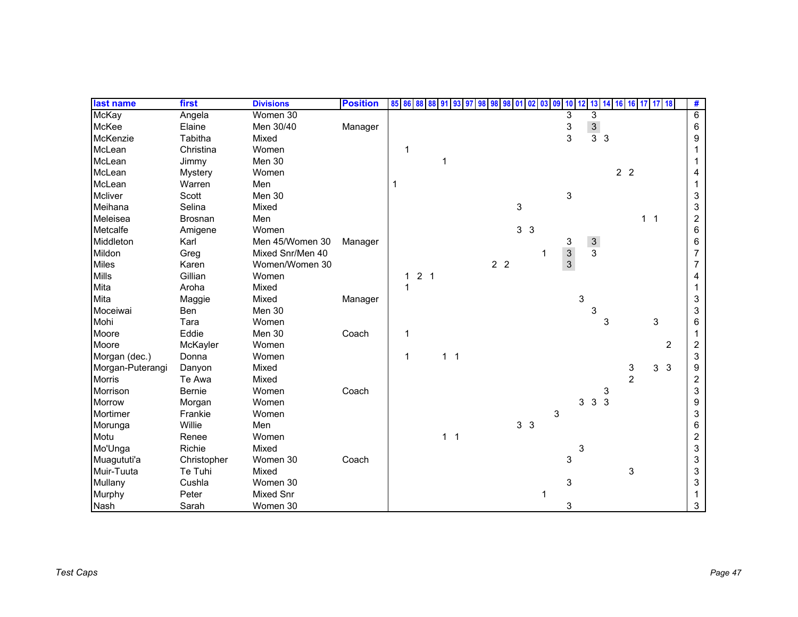| last name        | first          | <b>Divisions</b> | <b>Position</b> | 85 86 | 88             | 88<br>-91 |                | 98             | 98<br>01 | 02             | 03<br>09 | 10             |   | $13$ 14        |   |                | 16 16 17 17 18 |   |              | #                |
|------------------|----------------|------------------|-----------------|-------|----------------|-----------|----------------|----------------|----------|----------------|----------|----------------|---|----------------|---|----------------|----------------|---|--------------|------------------|
| <b>McKay</b>     | Angela         | Women 30         |                 |       |                |           |                |                |          |                |          | 3              |   | 3              |   |                |                |   |              | 6                |
| McKee            | Elaine         | Men 30/40        | Manager         |       |                |           |                |                |          |                |          | 3              |   | $\mathbf{3}$   |   |                |                |   |              | 6                |
| McKenzie         | Tabitha        | Mixed            |                 |       |                |           |                |                |          |                |          | 3              |   | 33             |   |                |                |   |              | 9                |
| McLean           | Christina      | Women            |                 | 1     |                |           |                |                |          |                |          |                |   |                |   |                |                |   |              |                  |
| McLean           | Jimmy          | Men 30           |                 |       |                |           |                |                |          |                |          |                |   |                |   |                |                |   |              |                  |
| McLean           | Mystery        | Women            |                 |       |                |           |                |                |          |                |          |                |   |                |   | 2 <sub>2</sub> |                |   |              |                  |
| McLean           | Warren         | Men              |                 |       |                |           |                |                |          |                |          |                |   |                |   |                |                |   |              |                  |
| Mcliver          | Scott          | Men 30           |                 |       |                |           |                |                |          |                |          | 3              |   |                |   |                |                |   |              | 3                |
| Meihana          | Selina         | Mixed            |                 |       |                |           |                |                |          | 3              |          |                |   |                |   |                |                |   |              | 3                |
| Meleisea         | <b>Brosnan</b> | Men              |                 |       |                |           |                |                |          |                |          |                |   |                |   |                | 1 <sub>1</sub> |   |              | $\overline{c}$   |
| Metcalfe         | Amigene        | Women            |                 |       |                |           |                |                |          | 3 <sub>3</sub> |          |                |   |                |   |                |                |   |              | 6                |
| Middleton        | Karl           | Men 45/Women 30  | Manager         |       |                |           |                |                |          |                |          | 3              |   | $\mathbf{3}$   |   |                |                |   |              | 6                |
| Mildon           | Greg           | Mixed Snr/Men 40 |                 |       |                |           |                |                |          |                |          | $\mathfrak{S}$ |   | $\overline{3}$ |   |                |                |   |              | $\overline{7}$   |
| <b>Miles</b>     | Karen          | Women/Women 30   |                 |       |                |           |                | 2 <sub>2</sub> |          |                |          | $\overline{3}$ |   |                |   |                |                |   |              | 7                |
| <b>Mills</b>     | Gillian        | Women            |                 | 1     | 2 <sub>1</sub> |           |                |                |          |                |          |                |   |                |   |                |                |   |              | 4                |
| Mita             | Aroha          | Mixed            |                 | 1     |                |           |                |                |          |                |          |                |   |                |   |                |                |   |              |                  |
| Mita             | Maggie         | Mixed            | Manager         |       |                |           |                |                |          |                |          |                | 3 |                |   |                |                |   |              | 3                |
| Moceiwai         | Ben            | Men 30           |                 |       |                |           |                |                |          |                |          |                |   | 3              |   |                |                |   |              | 3                |
| Mohi             | Tara           | Women            |                 |       |                |           |                |                |          |                |          |                |   |                | 3 |                |                | 3 |              | 6                |
| Moore            | Eddie          | Men 30           | Coach           | 1     |                |           |                |                |          |                |          |                |   |                |   |                |                |   |              |                  |
| Moore            | McKayler       | Women            |                 |       |                |           |                |                |          |                |          |                |   |                |   |                |                |   | 2            | 2                |
| Morgan (dec.)    | Donna          | Women            |                 | 1     |                |           | 1 <sub>1</sub> |                |          |                |          |                |   |                |   |                |                |   |              | 3                |
| Morgan-Puterangi | Danyon         | Mixed            |                 |       |                |           |                |                |          |                |          |                |   |                |   | $\frac{3}{2}$  |                | 3 | $\mathbf{3}$ | 9                |
| <b>Morris</b>    | Te Awa         | Mixed            |                 |       |                |           |                |                |          |                |          |                |   |                |   |                |                |   |              | $\boldsymbol{2}$ |
| Morrison         | Bernie         | Women            | Coach           |       |                |           |                |                |          |                |          |                |   |                | 3 |                |                |   |              | 3                |
| Morrow           | Morgan         | Women            |                 |       |                |           |                |                |          |                |          |                | 3 | $\mathbf{3}$   | 3 |                |                |   |              | 9                |
| Mortimer         | Frankie        | Women            |                 |       |                |           |                |                |          |                |          | 3              |   |                |   |                |                |   |              | 3                |
| Morunga          | Willie         | Men              |                 |       |                |           |                |                |          | 3 <sub>3</sub> |          |                |   |                |   |                |                |   |              | 6                |
| Motu             | Renee          | Women            |                 |       |                |           | 1 <sub>1</sub> |                |          |                |          |                |   |                |   |                |                |   |              | $\boldsymbol{2}$ |
| Mo'Unga          | Richie         | Mixed            |                 |       |                |           |                |                |          |                |          |                | 3 |                |   |                |                |   |              | 3                |
| Muagututi'a      | Christopher    | Women 30         | Coach           |       |                |           |                |                |          |                |          | 3              |   |                |   |                |                |   |              | 3                |
| Muir-Tuuta       | Te Tuhi        | Mixed            |                 |       |                |           |                |                |          |                |          |                |   |                |   | 3              |                |   |              | 3                |
| Mullany          | Cushla         | Women 30         |                 |       |                |           |                |                |          |                |          | 3              |   |                |   |                |                |   |              | 3                |
| Murphy           | Peter          | <b>Mixed Snr</b> |                 |       |                |           |                |                |          |                | 1        |                |   |                |   |                |                |   |              |                  |
| Nash             | Sarah          | Women 30         |                 |       |                |           |                |                |          |                |          | 3              |   |                |   |                |                |   |              | 3                |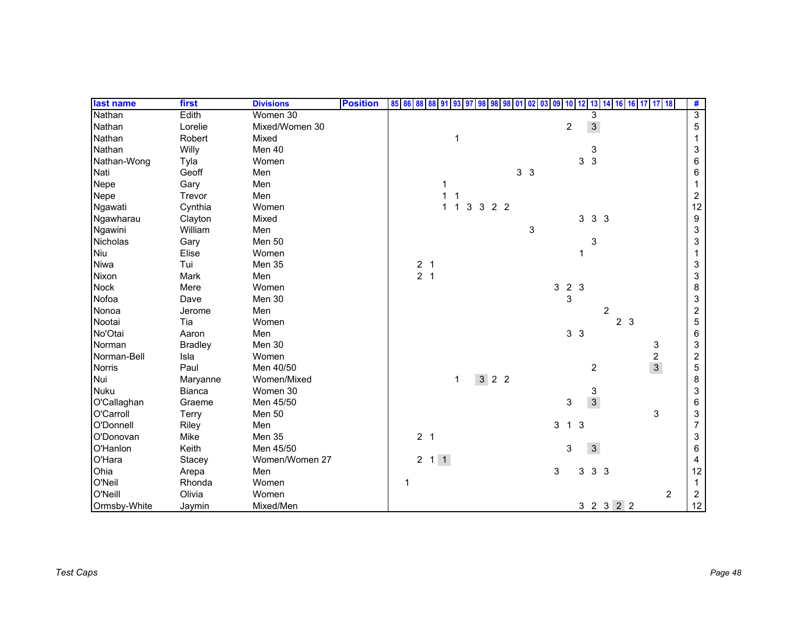| last name     | first          | <b>Divisions</b> | <b>Position</b> | 85 86 88 | 88                  | 91 | 93           | -97 | 98<br>98            | 98             |                | 01 02 03 | 09 | 10             | 13                                  | -14            |                | 16 16 17 17 18 |                | #                         |
|---------------|----------------|------------------|-----------------|----------|---------------------|----|--------------|-----|---------------------|----------------|----------------|----------|----|----------------|-------------------------------------|----------------|----------------|----------------|----------------|---------------------------|
| Nathan        | Edith          | Women 30         |                 |          |                     |    |              |     |                     |                |                |          |    |                | 3                                   |                |                |                |                | $\overline{3}$            |
| Nathan        | Lorelie        | Mixed/Women 30   |                 |          |                     |    |              |     |                     |                |                |          |    | $\overline{2}$ | $\mathfrak{S}$                      |                |                |                |                | 5                         |
| Nathan        | Robert         | Mixed            |                 |          |                     |    | 1            |     |                     |                |                |          |    |                |                                     |                |                |                |                |                           |
| Nathan        | Willy          | Men 40           |                 |          |                     |    |              |     |                     |                |                |          |    |                | 3                                   |                |                |                |                | 3                         |
| Nathan-Wong   | Tyla           | Women            |                 |          |                     |    |              |     |                     |                |                |          |    |                | $\mathbf{3}$<br>3                   |                |                |                |                | 6                         |
| Nati          | Geoff          | Men              |                 |          |                     |    |              |     |                     |                | 3 <sub>3</sub> |          |    |                |                                     |                |                |                |                | 6                         |
| Nepe          | Gary           | Men              |                 |          |                     |    |              |     |                     |                |                |          |    |                |                                     |                |                |                |                |                           |
| Nepe          | Trevor         | Men              |                 |          |                     |    |              |     |                     |                |                |          |    |                |                                     |                |                |                |                | $\overline{\mathbf{c}}$   |
| Ngawati       | Cynthia        | Women            |                 |          |                     |    |              | 3   | 3                   | 2 <sub>2</sub> |                |          |    |                |                                     |                |                |                |                | 12                        |
| Ngawharau     | Clayton        | Mixed            |                 |          |                     |    |              |     |                     |                |                |          |    |                | 3                                   | 3 <sub>3</sub> |                |                |                | 9                         |
| Ngawini       | William        | Men              |                 |          |                     |    |              |     |                     |                |                | 3        |    |                |                                     |                |                |                |                | 3                         |
| Nicholas      | Gary           | Men 50           |                 |          |                     |    |              |     |                     |                |                |          |    |                | $\ensuremath{\mathsf{3}}$           |                |                |                |                | 3                         |
| Niu           | Elise          | Women            |                 |          |                     |    |              |     |                     |                |                |          |    |                | 1                                   |                |                |                |                |                           |
| Niwa          | Tui            | Men 35           |                 |          | $2 \quad 1$         |    |              |     |                     |                |                |          |    |                |                                     |                |                |                |                | 3                         |
| Nixon         | Mark           | Men              |                 |          | 2 <sub>1</sub>      |    |              |     |                     |                |                |          |    |                |                                     |                |                |                |                | $\ensuremath{\mathsf{3}}$ |
| <b>Nock</b>   | Mere           | Women            |                 |          |                     |    |              |     |                     |                |                |          | 3  | 2 <sub>3</sub> |                                     |                |                |                |                | 8                         |
| Nofoa         | Dave           | Men 30           |                 |          |                     |    |              |     |                     |                |                |          |    | 3              |                                     |                |                |                |                | $\ensuremath{\mathsf{3}}$ |
| Nonoa         | Jerome         | Men              |                 |          |                     |    |              |     |                     |                |                |          |    |                |                                     | $\overline{2}$ |                |                |                | $\boldsymbol{2}$          |
| Nootai        | Tia            | Women            |                 |          |                     |    |              |     |                     |                |                |          |    |                |                                     |                | 2 <sub>3</sub> |                |                | 5                         |
| No'Otai       | Aaron          | Men              |                 |          |                     |    |              |     |                     |                |                |          |    | 3 <sub>3</sub> |                                     |                |                |                |                | 6                         |
| Norman        | <b>Bradley</b> | Men 30           |                 |          |                     |    |              |     |                     |                |                |          |    |                |                                     |                |                | 3              |                | $\ensuremath{\mathsf{3}}$ |
| Norman-Bell   | Isla           | Women            |                 |          |                     |    |              |     |                     |                |                |          |    |                |                                     |                |                | $\frac{2}{3}$  |                | $\boldsymbol{2}$          |
| <b>Norris</b> | Paul           | Men 40/50        |                 |          |                     |    |              |     |                     |                |                |          |    |                | $\overline{c}$                      |                |                |                |                | $\,$ 5 $\,$               |
| Nui           | Maryanne       | Women/Mixed      |                 |          |                     |    | $\mathbf{1}$ |     | $3 \quad 2 \quad 2$ |                |                |          |    |                |                                     |                |                |                |                | 8                         |
| <b>Nuku</b>   | <b>Bianca</b>  | Women 30         |                 |          |                     |    |              |     |                     |                |                |          |    |                | 3                                   |                |                |                |                | $\ensuremath{\mathsf{3}}$ |
| O'Callaghan   | Graeme         | Men 45/50        |                 |          |                     |    |              |     |                     |                |                |          |    | 3              | $\mathbf{3}$                        |                |                |                |                | 6                         |
| O'Carroll     | Terry          | Men 50           |                 |          |                     |    |              |     |                     |                |                |          |    |                |                                     |                |                | 3              |                | 3                         |
| O'Donnell     | Riley          | Men              |                 |          |                     |    |              |     |                     |                |                |          | 3  | 1 <sub>3</sub> |                                     |                |                |                |                | $\overline{7}$            |
| O'Donovan     | Mike           | Men 35           |                 |          | 2 <sub>1</sub>      |    |              |     |                     |                |                |          |    |                |                                     |                |                |                |                | 3                         |
| O'Hanlon      | Keith          | Men 45/50        |                 |          |                     |    |              |     |                     |                |                |          |    | 3              | $\overline{3}$                      |                |                |                |                | 6                         |
| O'Hara        | Stacey         | Women/Women 27   |                 |          | $2 \quad 1 \quad 1$ |    |              |     |                     |                |                |          |    |                |                                     |                |                |                |                | 4                         |
| Ohia          | Arepa          | Men              |                 |          |                     |    |              |     |                     |                |                |          | 3  |                | 3                                   | 3 <sub>3</sub> |                |                |                | 12                        |
| O'Neil        | Rhonda         | Women            |                 | 1        |                     |    |              |     |                     |                |                |          |    |                |                                     |                |                |                |                | 1                         |
| O'Neill       | Olivia         | Women            |                 |          |                     |    |              |     |                     |                |                |          |    |                |                                     |                |                |                | $\overline{2}$ | $\overline{c}$            |
| Ormsby-White  | Jaymin         | Mixed/Men        |                 |          |                     |    |              |     |                     |                |                |          |    |                | $3 \quad 2 \quad 3 \quad 2 \quad 2$ |                |                |                |                | 12                        |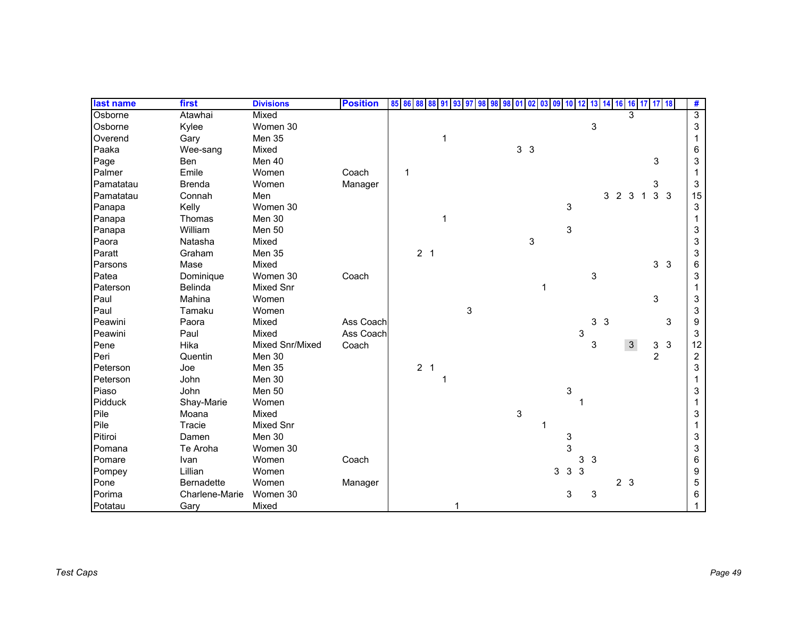| last name | first             | <b>Divisions</b> | <b>Position</b> | 85 86 | 88<br>88       | 91 |   |  | 0 <sub>2</sub><br>$\mathbf{0}$ | 03 | 09<br>10 | 12 | 13 14          |   | 16             | $16$ 17        | 17             | <b>18</b>      | #              |
|-----------|-------------------|------------------|-----------------|-------|----------------|----|---|--|--------------------------------|----|----------|----|----------------|---|----------------|----------------|----------------|----------------|----------------|
| Osborne   | Atawhai           | Mixed            |                 |       |                |    |   |  |                                |    |          |    |                |   |                | 3              |                |                | $\overline{3}$ |
| Osborne   | Kylee             | Women 30         |                 |       |                |    |   |  |                                |    |          |    | 3              |   |                |                |                |                | 3              |
| Overend   | Gary              | Men 35           |                 |       |                |    |   |  |                                |    |          |    |                |   |                |                |                |                |                |
| Paaka     | Wee-sang          | Mixed            |                 |       |                |    |   |  | 3 <sub>3</sub>                 |    |          |    |                |   |                |                |                |                | 6              |
| Page      | <b>Ben</b>        | Men 40           |                 |       |                |    |   |  |                                |    |          |    |                |   |                |                | 3              |                | 3              |
| Palmer    | Emile             | Women            | Coach           | 1     |                |    |   |  |                                |    |          |    |                |   |                |                |                |                |                |
| Pamatatau | <b>Brenda</b>     | Women            | Manager         |       |                |    |   |  |                                |    |          |    |                |   |                |                | 3              |                | 3              |
| Pamatatau | Connah            | Men              |                 |       |                |    |   |  |                                |    |          |    |                | 3 | 2 3            | $\overline{1}$ |                | 3 <sub>3</sub> | 15             |
| Panapa    | Kelly             | Women 30         |                 |       |                |    |   |  |                                |    | 3        |    |                |   |                |                |                |                | 3              |
| Panapa    | Thomas            | Men 30           |                 |       |                |    |   |  |                                |    |          |    |                |   |                |                |                |                |                |
| Panapa    | William           | Men 50           |                 |       |                |    |   |  |                                |    | 3        |    |                |   |                |                |                |                | 3              |
| Paora     | Natasha           | Mixed            |                 |       |                |    |   |  | $\mathsf 3$                    |    |          |    |                |   |                |                |                |                | 3              |
| Paratt    | Graham            | Men 35           |                 |       | 2 <sub>1</sub> |    |   |  |                                |    |          |    |                |   |                |                |                |                | 3              |
| Parsons   | Mase              | Mixed            |                 |       |                |    |   |  |                                |    |          |    |                |   |                |                |                | 3 <sup>3</sup> | 6              |
| Patea     | Dominique         | Women 30         | Coach           |       |                |    |   |  |                                |    |          |    | 3              |   |                |                |                |                | 3              |
| Paterson  | <b>Belinda</b>    | <b>Mixed Snr</b> |                 |       |                |    |   |  |                                | 1  |          |    |                |   |                |                |                |                |                |
| Paul      | Mahina            | Women            |                 |       |                |    |   |  |                                |    |          |    |                |   |                |                | 3              |                | 3              |
| Paul      | Tamaku            | Women            |                 |       |                |    | 3 |  |                                |    |          |    |                |   |                |                |                |                | 3              |
| Peawini   | Paora             | Mixed            | Ass Coach       |       |                |    |   |  |                                |    |          |    | 3 <sub>3</sub> |   |                |                |                | 3              | 9              |
| Peawini   | Paul              | Mixed            | Ass Coach       |       |                |    |   |  |                                |    |          | 3  |                |   |                |                |                |                | 3              |
| Pene      | Hika              | Mixed Snr/Mixed  | Coach           |       |                |    |   |  |                                |    |          |    | 3              |   |                | $\mathbf{3}$   | 3              | $\mathbf{3}$   | 12             |
| Peri      | Quentin           | Men 30           |                 |       |                |    |   |  |                                |    |          |    |                |   |                |                | $\overline{2}$ |                | $\overline{c}$ |
| Peterson  | Joe               | <b>Men 35</b>    |                 |       | 2 <sub>1</sub> |    |   |  |                                |    |          |    |                |   |                |                |                |                | 3              |
| Peterson  | John              | Men 30           |                 |       |                |    |   |  |                                |    |          |    |                |   |                |                |                |                |                |
| Piaso     | John              | Men 50           |                 |       |                |    |   |  |                                |    | 3        |    |                |   |                |                |                |                | 3              |
| Pidduck   | Shay-Marie        | Women            |                 |       |                |    |   |  |                                |    |          |    |                |   |                |                |                |                |                |
| Pile      | Moana             | Mixed            |                 |       |                |    |   |  | 3                              |    |          |    |                |   |                |                |                |                | 3              |
| Pile      | Tracie            | <b>Mixed Snr</b> |                 |       |                |    |   |  |                                |    |          |    |                |   |                |                |                |                |                |
| Pitiroi   | Damen             | Men 30           |                 |       |                |    |   |  |                                |    | 3        |    |                |   |                |                |                |                | 3              |
| Pomana    | Te Aroha          | Women 30         |                 |       |                |    |   |  |                                |    | 3        |    |                |   |                |                |                |                | 3              |
| Pomare    | Ivan              | Women            | Coach           |       |                |    |   |  |                                |    |          | 3  | $\mathbf{3}$   |   |                |                |                |                | 6              |
| Pompey    | Lillian           | Women            |                 |       |                |    |   |  |                                |    | 3<br>3   | 3  |                |   |                |                |                |                | 9              |
| Pone      | <b>Bernadette</b> | Women            | Manager         |       |                |    |   |  |                                |    |          |    |                |   | 2 <sub>3</sub> |                |                |                | 5              |
| Porima    | Charlene-Marie    | Women 30         |                 |       |                |    |   |  |                                |    |          | 3  | 3              |   |                |                |                |                | 6              |
| Potatau   | Gary              | Mixed            |                 |       |                |    |   |  |                                |    |          |    |                |   |                |                |                |                |                |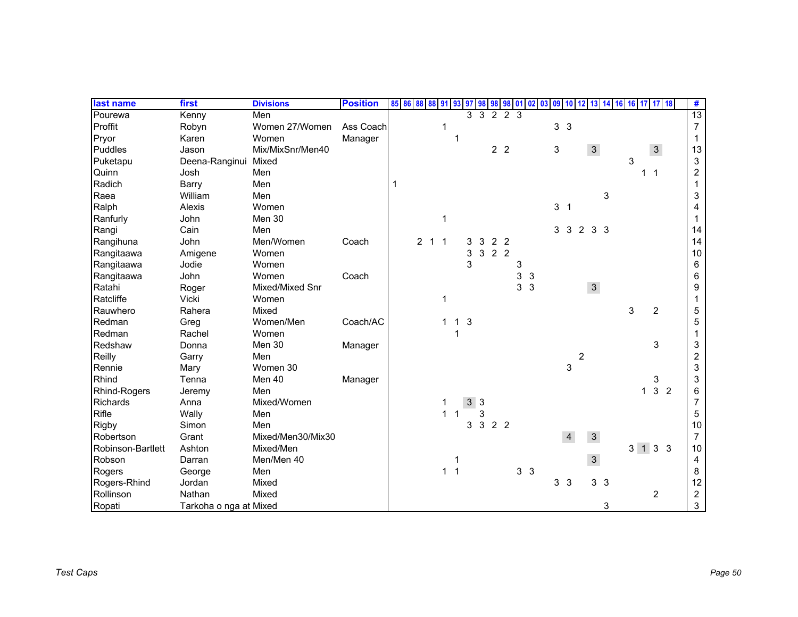| last name         | first                  | <b>Divisions</b>  | <b>Position</b> | 85 86 88 88 91 93 97 98 98 98 01 02 03 |                |                |             |   |                     |                |                |              |                | 09 10          | 12             | 13             | 14 | 16 16 17 17 18 |             |                |                | #                       |
|-------------------|------------------------|-------------------|-----------------|----------------------------------------|----------------|----------------|-------------|---|---------------------|----------------|----------------|--------------|----------------|----------------|----------------|----------------|----|----------------|-------------|----------------|----------------|-------------------------|
| Pourewa           | Kenny                  | Men               |                 |                                        |                |                |             |   | 33223               |                |                |              |                |                |                |                |    |                |             |                |                | 13                      |
| Proffit           | Robyn                  | Women 27/Women    | Ass Coach       |                                        |                |                |             |   |                     |                |                |              |                | 3 <sub>3</sub> |                |                |    |                |             |                |                | $\overline{7}$          |
| Pryor             | Karen                  | Women             | Manager         |                                        |                |                | 1           |   |                     |                |                |              |                |                |                |                |    |                |             |                |                |                         |
| Puddles           | Jason                  | Mix/MixSnr/Men40  |                 |                                        |                |                |             |   |                     | 2 <sub>2</sub> |                |              | 3              |                |                | $\mathbf{3}$   |    |                |             | $\mathbf{3}$   |                | 13                      |
| Puketapu          | Deena-Ranginui         | Mixed             |                 |                                        |                |                |             |   |                     |                |                |              |                |                |                |                |    | 3              |             |                |                | 3                       |
| Quinn             | Josh                   | Men               |                 |                                        |                |                |             |   |                     |                |                |              |                |                |                |                |    |                |             | 1              |                | $\overline{\mathbf{c}}$ |
| Radich            | Barry                  | Men               |                 |                                        |                |                |             |   |                     |                |                |              |                |                |                |                |    |                |             |                |                |                         |
| Raea              | William                | Men               |                 |                                        |                |                |             |   |                     |                |                |              |                |                |                |                | 3  |                |             |                |                | 3                       |
| Ralph             | Alexis                 | Women             |                 |                                        |                |                |             |   |                     |                |                |              | 3 <sub>1</sub> |                |                |                |    |                |             |                |                | 4                       |
| Ranfurly          | John                   | Men 30            |                 |                                        |                |                |             |   |                     |                |                |              |                |                |                |                |    |                |             |                |                |                         |
| Rangi             | Cain                   | Men               |                 |                                        |                |                |             |   |                     |                |                |              | 3              | $\mathbf{3}$   | $\overline{2}$ | 3 <sub>3</sub> |    |                |             |                |                | 14                      |
| Rangihuna         | John                   | Men/Women         | Coach           |                                        | 2 <sub>1</sub> | $\overline{1}$ |             | 3 | 3                   | 2 <sub>2</sub> |                |              |                |                |                |                |    |                |             |                |                | 14                      |
| Rangitaawa        | Amigene                | Women             |                 |                                        |                |                |             | 3 | $3 \quad 2 \quad 2$ |                |                |              |                |                |                |                |    |                |             |                |                | 10                      |
| Rangitaawa        | Jodie                  | Women             |                 |                                        |                |                |             | 3 |                     |                | 3              |              |                |                |                |                |    |                |             |                |                | 6                       |
| Rangitaawa        | John                   | Women             | Coach           |                                        |                |                |             |   |                     |                | 3              | 3            |                |                |                |                |    |                |             |                |                | 6                       |
| Ratahi            | Roger                  | Mixed/Mixed Snr   |                 |                                        |                |                |             |   |                     |                | 3              | $\mathbf{3}$ |                |                |                | $\mathbf{3}$   |    |                |             |                |                | 9                       |
| Ratcliffe         | Vicki                  | Women             |                 |                                        |                |                |             |   |                     |                |                |              |                |                |                |                |    |                |             |                |                |                         |
| Rauwhero          | Rahera                 | Mixed             |                 |                                        |                |                |             |   |                     |                |                |              |                |                |                |                |    | 3              |             | $\overline{c}$ |                | 5                       |
| Redman            | Greg                   | Women/Men         | Coach/AC        |                                        |                |                |             | 3 |                     |                |                |              |                |                |                |                |    |                |             |                |                | 5                       |
| Redman            | Rachel                 | Women             |                 |                                        |                |                |             |   |                     |                |                |              |                |                |                |                |    |                |             |                |                |                         |
| Redshaw           | Donna                  | Men 30            | Manager         |                                        |                |                |             |   |                     |                |                |              |                |                |                |                |    |                |             | 3              |                | 3                       |
| Reilly            | Garry                  | Men               |                 |                                        |                |                |             |   |                     |                |                |              |                |                | $\overline{c}$ |                |    |                |             |                |                | $\overline{\mathbf{c}}$ |
| Rennie            | Mary                   | Women 30          |                 |                                        |                |                |             |   |                     |                |                |              |                | 3              |                |                |    |                |             |                |                | 3                       |
| Rhind             | Tenna                  | Men 40            | Manager         |                                        |                |                |             |   |                     |                |                |              |                |                |                |                |    |                |             | 3              |                | 3                       |
| Rhind-Rogers      | Jeremy                 | Men               |                 |                                        |                |                |             |   |                     |                |                |              |                |                |                |                |    |                | 1           | 3              | $\overline{2}$ | 6                       |
| Richards          | Anna                   | Mixed/Women       |                 |                                        |                |                |             | 3 | $\mathbf{3}$        |                |                |              |                |                |                |                |    |                |             |                |                | $\overline{7}$          |
| Rifle             | Wally                  | Men               |                 |                                        |                |                |             |   | 3                   |                |                |              |                |                |                |                |    |                |             |                |                | 5                       |
| Rigby             | Simon                  | Men               |                 |                                        |                |                |             | 3 | $\mathbf{3}$        | 2 <sub>2</sub> |                |              |                |                |                |                |    |                |             |                |                | 10                      |
| Robertson         | Grant                  | Mixed/Men30/Mix30 |                 |                                        |                |                |             |   |                     |                |                |              |                | $\overline{4}$ |                | $\mathbf{3}$   |    |                |             |                |                | $\overline{7}$          |
| Robinson-Bartlett | Ashton                 | Mixed/Men         |                 |                                        |                |                |             |   |                     |                |                |              |                |                |                |                |    |                | $3 \quad 1$ |                | 3 <sub>3</sub> | 10                      |
| Robson            | Darran                 | Men/Men 40        |                 |                                        |                |                |             |   |                     |                |                |              |                |                |                | $\overline{3}$ |    |                |             |                |                | 4                       |
| Rogers            | George                 | Men               |                 |                                        |                | 1              | $\mathbf 1$ |   |                     |                | 3 <sub>3</sub> |              |                |                |                |                |    |                |             |                |                | 8                       |
| Rogers-Rhind      | Jordan                 | Mixed             |                 |                                        |                |                |             |   |                     |                |                |              |                | 3 <sup>3</sup> |                | 3 <sub>3</sub> |    |                |             |                |                | 12                      |
| Rollinson         | Nathan                 | Mixed             |                 |                                        |                |                |             |   |                     |                |                |              |                |                |                |                |    |                |             | $\overline{c}$ |                | $\overline{c}$          |
| Ropati            | Tarkoha o nga at Mixed |                   |                 |                                        |                |                |             |   |                     |                |                |              |                |                |                |                | 3  |                |             |                |                | 3                       |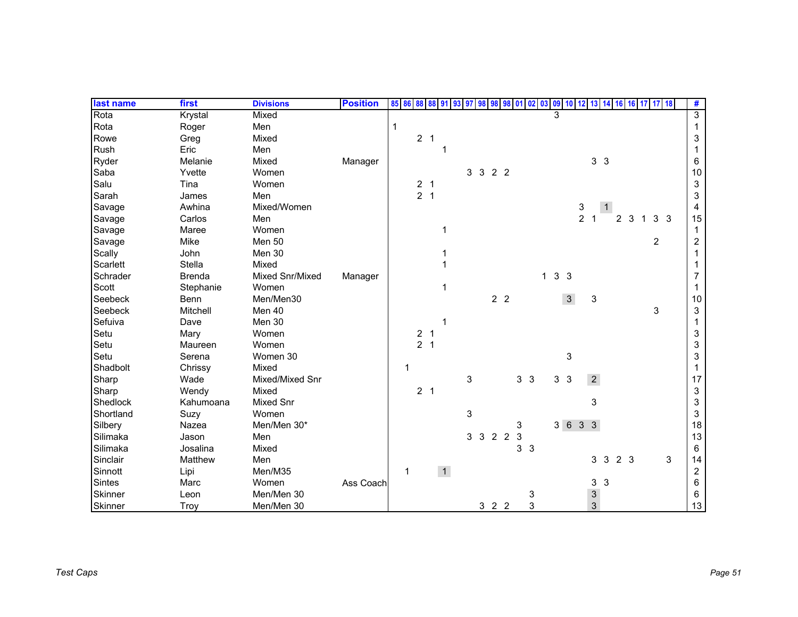| last name      | first         | <b>Divisions</b> | <b>Position</b> | 85 86 | 88             | 88             | 91             | 93<br>97 | 98 | 98                  | 98             |            | 01 02          | 03           |                |              |                |                           | 09 10 12 13 14 16 16 17 17 18 |                |   |                |   | #                         |
|----------------|---------------|------------------|-----------------|-------|----------------|----------------|----------------|----------|----|---------------------|----------------|------------|----------------|--------------|----------------|--------------|----------------|---------------------------|-------------------------------|----------------|---|----------------|---|---------------------------|
| Rota           | Krystal       | Mixed            |                 |       |                |                |                |          |    |                     |                |            |                |              | 3              |              |                |                           |                               |                |   |                |   | $\overline{3}$            |
| Rota           | Roger         | Men              |                 |       |                |                |                |          |    |                     |                |            |                |              |                |              |                |                           |                               |                |   |                |   |                           |
| Rowe           | Greg          | Mixed            |                 |       | 2 <sub>1</sub> |                |                |          |    |                     |                |            |                |              |                |              |                |                           |                               |                |   |                |   | 3                         |
| Rush           | Eric          | Men              |                 |       |                |                |                |          |    |                     |                |            |                |              |                |              |                |                           |                               |                |   |                |   |                           |
| Ryder          | Melanie       | Mixed            | Manager         |       |                |                |                |          |    |                     |                |            |                |              |                |              |                | 3 <sub>3</sub>            |                               |                |   |                |   | 6                         |
| Saba           | Yvette        | Women            |                 |       |                |                |                |          |    | 3 3 2 2             |                |            |                |              |                |              |                |                           |                               |                |   |                |   | $10$                      |
| Salu           | Tina          | Women            |                 |       | 2 <sub>1</sub> |                |                |          |    |                     |                |            |                |              |                |              |                |                           |                               |                |   |                |   | 3                         |
| Sarah          | James         | Men              |                 |       | 2 <sub>1</sub> |                |                |          |    |                     |                |            |                |              |                |              |                |                           |                               |                |   |                |   | 3                         |
| Savage         | Awhina        | Mixed/Women      |                 |       |                |                |                |          |    |                     |                |            |                |              |                |              | 3              |                           |                               |                |   |                |   | 4                         |
| Savage         | Carlos        | Men              |                 |       |                |                |                |          |    |                     |                |            |                |              |                |              | $\overline{2}$ | - 1                       |                               | 2              | 3 | 3              | 3 | 15                        |
| Savage         | Maree         | Women            |                 |       |                |                |                |          |    |                     |                |            |                |              |                |              |                |                           |                               |                |   |                |   | $\mathbf 1$               |
| Savage         | Mike          | Men 50           |                 |       |                |                |                |          |    |                     |                |            |                |              |                |              |                |                           |                               |                |   | $\overline{2}$ |   | $\overline{c}$            |
| Scally         | John          | Men 30           |                 |       |                |                |                |          |    |                     |                |            |                |              |                |              |                |                           |                               |                |   |                |   |                           |
| Scarlett       | Stella        | Mixed            |                 |       |                |                |                |          |    |                     |                |            |                |              |                |              |                |                           |                               |                |   |                |   |                           |
| Schrader       | <b>Brenda</b> | Mixed Snr/Mixed  | Manager         |       |                |                |                |          |    |                     |                |            |                | $\mathbf{1}$ | 3 <sub>3</sub> |              |                |                           |                               |                |   |                |   | 7                         |
| Scott          | Stephanie     | Women            |                 |       |                |                |                |          |    |                     |                |            |                |              |                |              |                |                           |                               |                |   |                |   |                           |
| Seebeck        | Benn          | Men/Men30        |                 |       |                |                |                |          |    |                     | 2 <sub>2</sub> |            |                |              |                | $\mathbf{3}$ |                | $\ensuremath{\mathsf{3}}$ |                               |                |   |                |   | 10                        |
| Seebeck        | Mitchell      | Men 40           |                 |       |                |                |                |          |    |                     |                |            |                |              |                |              |                |                           |                               |                |   | 3              |   | $\ensuremath{\mathsf{3}}$ |
| Sefuiva        | Dave          | Men 30           |                 |       |                |                |                |          |    |                     |                |            |                |              |                |              |                |                           |                               |                |   |                |   |                           |
| Setu           | Mary          | Women            |                 |       | $\overline{a}$ |                |                |          |    |                     |                |            |                |              |                |              |                |                           |                               |                |   |                |   | 3                         |
| Setu           | Maureen       | Women            |                 |       | $\overline{2}$ | $\overline{1}$ |                |          |    |                     |                |            |                |              |                |              |                |                           |                               |                |   |                |   | 3                         |
| Setu           | Serena        | Women 30         |                 |       |                |                |                |          |    |                     |                |            |                |              |                | 3            |                |                           |                               |                |   |                |   | 3                         |
| Shadbolt       | Chrissy       | Mixed            |                 | 1     |                |                |                |          |    |                     |                |            |                |              |                |              |                |                           |                               |                |   |                |   |                           |
| Sharp          | Wade          | Mixed/Mixed Snr  |                 |       |                |                |                | 3        |    |                     |                |            | 3 <sub>3</sub> |              | 3 <sub>3</sub> |              |                | 2 <sup>1</sup>            |                               |                |   |                |   | 17                        |
| Sharp          | Wendy         | Mixed            |                 |       | 2 <sub>1</sub> |                |                |          |    |                     |                |            |                |              |                |              |                |                           |                               |                |   |                |   | $\ensuremath{\mathsf{3}}$ |
| Shedlock       | Kahumoana     | <b>Mixed Snr</b> |                 |       |                |                |                |          |    |                     |                |            |                |              |                |              |                | 3                         |                               |                |   |                |   | 3                         |
| Shortland      | Suzy          | Women            |                 |       |                |                |                | 3        |    |                     |                |            |                |              |                |              |                |                           |                               |                |   |                |   | 3                         |
| Silbery        | Nazea         | Men/Men 30*      |                 |       |                |                |                |          |    |                     |                | 3          |                |              |                |              | 3 6 3 3        |                           |                               |                |   |                |   | 18                        |
| Silimaka       | Jason         | Men              |                 |       |                |                |                |          |    | 3 3 2 2             |                | $\sqrt{3}$ |                |              |                |              |                |                           |                               |                |   |                |   | 13                        |
| Silimaka       | Josalina      | Mixed            |                 |       |                |                |                |          |    |                     |                |            | 3 <sub>3</sub> |              |                |              |                |                           |                               |                |   |                |   | 6                         |
| Sinclair       | Matthew       | Men              |                 |       |                |                |                |          |    |                     |                |            |                |              |                |              |                | 3 <sub>3</sub>            |                               | 2 <sub>3</sub> |   |                | 3 | 14                        |
| Sinnott        | Lipi          | Men/M35          |                 | 1     |                |                | $\overline{1}$ |          |    |                     |                |            |                |              |                |              |                |                           |                               |                |   |                |   | $\overline{c}$            |
| <b>Sintes</b>  | Marc          | Women            | Ass Coach       |       |                |                |                |          |    |                     |                |            |                |              |                |              |                | 3 <sub>3</sub>            |                               |                |   |                |   | $\,6$                     |
| Skinner        | Leon          | Men/Men 30       |                 |       |                |                |                |          |    |                     |                |            | 3              |              |                |              |                | $\mathbf{3}$              |                               |                |   |                |   | 6                         |
| <b>Skinner</b> | Troy          | Men/Men 30       |                 |       |                |                |                |          |    | $3 \quad 2 \quad 2$ |                |            | 3              |              |                |              |                | $\overline{3}$            |                               |                |   |                |   | 13                        |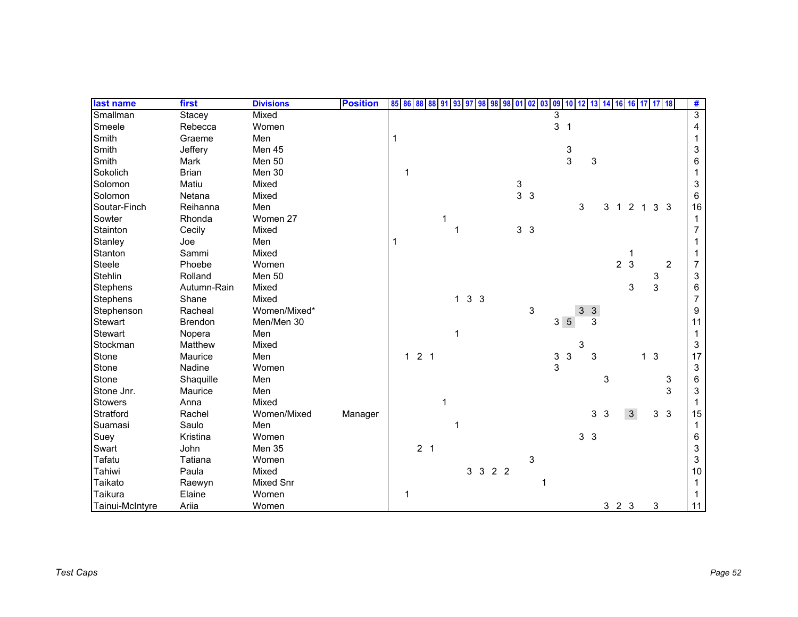| last name       | first        | <b>Divisions</b> | <b>Position</b> | 85 86        | 88 | 88             | 91 | 93           | 97             | 98 98 98 01 |   | 02             | <b>03</b> | 09 | $10 \ 12$       |   |                |   |                |   | 13 14 16 16 17 17 18 |                |                | #                         |
|-----------------|--------------|------------------|-----------------|--------------|----|----------------|----|--------------|----------------|-------------|---|----------------|-----------|----|-----------------|---|----------------|---|----------------|---|----------------------|----------------|----------------|---------------------------|
| Smallman        | Stacey       | Mixed            |                 |              |    |                |    |              |                |             |   |                |           | 3  |                 |   |                |   |                |   |                      |                |                | $\overline{3}$            |
| Smeele          | Rebecca      | Women            |                 |              |    |                |    |              |                |             |   |                |           | 3  | $\overline{1}$  |   |                |   |                |   |                      |                |                | 4                         |
| Smith           | Graeme       | Men              |                 |              |    |                |    |              |                |             |   |                |           |    |                 |   |                |   |                |   |                      |                |                |                           |
| Smith           | Jeffery      | Men 45           |                 |              |    |                |    |              |                |             |   |                |           |    | $\frac{3}{3}$   |   |                |   |                |   |                      |                |                | 3                         |
| Smith           | Mark         | Men 50           |                 |              |    |                |    |              |                |             |   |                |           |    |                 |   | 3              |   |                |   |                      |                |                | 6                         |
| Sokolich        | <b>Brian</b> | Men 30           |                 | 1            |    |                |    |              |                |             |   |                |           |    |                 |   |                |   |                |   |                      |                |                |                           |
| Solomon         | Matiu        | Mixed            |                 |              |    |                |    |              |                |             | 3 |                |           |    |                 |   |                |   |                |   |                      |                |                | 3                         |
| Solomon         | Netana       | Mixed            |                 |              |    |                |    |              |                |             |   | 3 <sup>3</sup> |           |    |                 |   |                |   |                |   |                      |                |                | 6                         |
| Soutar-Finch    | Reihanna     | Men              |                 |              |    |                |    |              |                |             |   |                |           |    |                 | 3 |                | 3 | 1              | 2 | $\mathbf 1$          | 3 <sub>3</sub> |                | 16                        |
| Sowter          | Rhonda       | Women 27         |                 |              |    |                |    |              |                |             |   |                |           |    |                 |   |                |   |                |   |                      |                |                | 1                         |
| Stainton        | Cecily       | Mixed            |                 |              |    |                |    |              |                |             |   | 3 <sub>3</sub> |           |    |                 |   |                |   |                |   |                      |                |                | $\overline{7}$            |
| Stanley         | Joe          | Men              |                 |              |    |                |    |              |                |             |   |                |           |    |                 |   |                |   |                |   |                      |                |                |                           |
| Stanton         | Sammi        | Mixed            |                 |              |    |                |    |              |                |             |   |                |           |    |                 |   |                |   |                |   |                      |                |                |                           |
| Steele          | Phoebe       | Women            |                 |              |    |                |    |              |                |             |   |                |           |    |                 |   |                |   | 2 <sub>3</sub> |   |                      |                | $\overline{2}$ | 7                         |
| Stehlin         | Rolland      | Men 50           |                 |              |    |                |    |              |                |             |   |                |           |    |                 |   |                |   |                |   |                      | 3              |                | 3                         |
| <b>Stephens</b> | Autumn-Rain  | Mixed            |                 |              |    |                |    |              |                |             |   |                |           |    |                 |   |                |   |                | 3 |                      | 3              |                | 6                         |
| <b>Stephens</b> | Shane        | Mixed            |                 |              |    |                |    | $\mathbf{1}$ | 3 <sub>3</sub> |             |   |                |           |    |                 |   |                |   |                |   |                      |                |                | $\overline{7}$            |
| Stephenson      | Racheal      | Women/Mixed*     |                 |              |    |                |    |              |                |             |   |                | 3         |    |                 | 3 | $\mathbf{3}$   |   |                |   |                      |                |                | 9                         |
| <b>Stewart</b>  | Brendon      | Men/Men 30       |                 |              |    |                |    |              |                |             |   |                |           |    | $3\overline{5}$ |   | 3              |   |                |   |                      |                |                | 11                        |
| <b>Stewart</b>  | Nopera       | Men              |                 |              |    |                |    |              |                |             |   |                |           |    |                 |   |                |   |                |   |                      |                |                | 1                         |
| Stockman        | Matthew      | Mixed            |                 |              |    |                |    |              |                |             |   |                |           |    |                 | 3 |                |   |                |   |                      |                |                | 3                         |
| Stone           | Maurice      | Men              |                 | $\mathbf{1}$ |    | 2 <sub>1</sub> |    |              |                |             |   |                |           | 3  | $\mathbf{3}$    |   | 3              |   |                |   | $\mathbf{1}$         | $\mathbf{3}$   |                | 17                        |
| Stone           | Nadine       | Women            |                 |              |    |                |    |              |                |             |   |                |           | 3  |                 |   |                |   |                |   |                      |                |                | $\sqrt{3}$                |
| Stone           | Shaquille    | Men              |                 |              |    |                |    |              |                |             |   |                |           |    |                 |   |                | 3 |                |   |                      |                | 3              | 6                         |
| Stone Jnr.      | Maurice      | Men              |                 |              |    |                |    |              |                |             |   |                |           |    |                 |   |                |   |                |   |                      |                | 3              | $\ensuremath{\mathsf{3}}$ |
| <b>Stowers</b>  | Anna         | Mixed            |                 |              |    |                |    |              |                |             |   |                |           |    |                 |   |                |   |                |   |                      |                |                | $\mathbf 1$               |
| Stratford       | Rachel       | Women/Mixed      | Manager         |              |    |                |    |              |                |             |   |                |           |    |                 |   | 3              | 3 |                | 3 |                      | 3 <sup>3</sup> |                | 15                        |
| Suamasi         | Saulo        | Men              |                 |              |    |                |    |              |                |             |   |                |           |    |                 |   |                |   |                |   |                      |                |                | -1                        |
| Suey            | Kristina     | Women            |                 |              |    |                |    |              |                |             |   |                |           |    |                 |   | 3 <sub>3</sub> |   |                |   |                      |                |                | 6                         |
| Swart           | John         | Men 35           |                 |              |    | 2 <sub>1</sub> |    |              |                |             |   |                |           |    |                 |   |                |   |                |   |                      |                |                | $\ensuremath{\mathsf{3}}$ |
| Tafatu          | Tatiana      | Women            |                 |              |    |                |    |              |                |             |   | 3              |           |    |                 |   |                |   |                |   |                      |                |                | 3                         |
| Tahiwi          | Paula        | Mixed            |                 |              |    |                |    |              |                | 3 3 2 2     |   |                |           |    |                 |   |                |   |                |   |                      |                |                | 10                        |
| Taikato         | Raewyn       | Mixed Snr        |                 |              |    |                |    |              |                |             |   |                | 1         |    |                 |   |                |   |                |   |                      |                |                |                           |
| Taikura         | Elaine       | Women            |                 | 1            |    |                |    |              |                |             |   |                |           |    |                 |   |                |   |                |   |                      |                |                |                           |
| Tainui-McIntyre | Ariia        | Women            |                 |              |    |                |    |              |                |             |   |                |           |    |                 |   |                |   | 323            |   |                      | 3              |                | 11                        |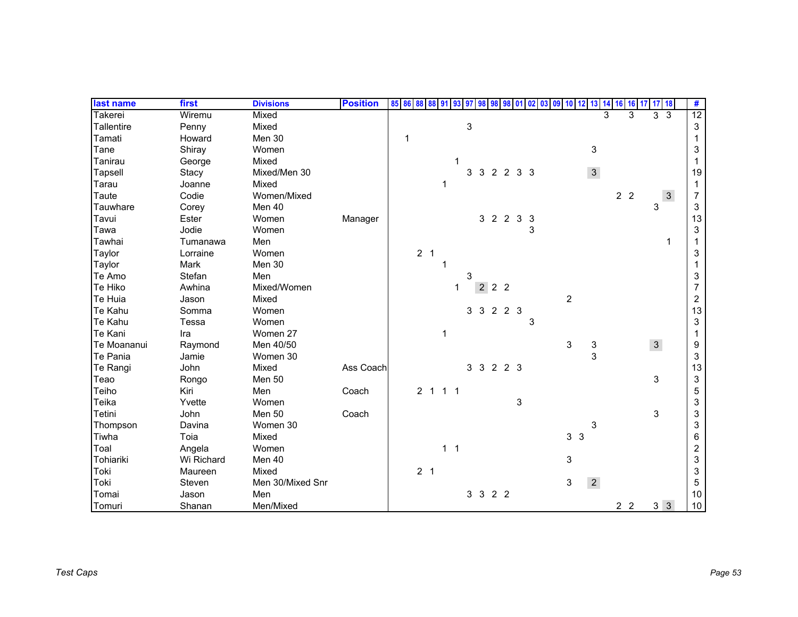| last name   | first      | <b>Divisions</b> | <b>Position</b> | 85 86 | 88             | 88 91   | 93             | 97 |           | 98                  | 98 <sup>1</sup> |                | 01 02 03 09 10 12 13 14 16 |                  |                |   |                | 16<br>17 | $17$ 18        |                | #  |
|-------------|------------|------------------|-----------------|-------|----------------|---------|----------------|----|-----------|---------------------|-----------------|----------------|----------------------------|------------------|----------------|---|----------------|----------|----------------|----------------|----|
| Takerei     | Wiremu     | Mixed            |                 |       |                |         |                |    |           |                     |                 |                |                            |                  |                | 3 |                | 3        |                | 3 <sub>3</sub> | 12 |
| Tallentire  | Penny      | Mixed            |                 |       |                |         |                | 3  |           |                     |                 |                |                            |                  |                |   |                |          |                |                | 3  |
| Tamati      | Howard     | Men 30           |                 | 1     |                |         |                |    |           |                     |                 |                |                            |                  |                |   |                |          |                |                |    |
| Tane        | Shiray     | Women            |                 |       |                |         |                |    |           |                     |                 |                |                            |                  | 3              |   |                |          |                |                | 3  |
| Tanirau     | George     | Mixed            |                 |       |                |         |                |    |           |                     |                 |                |                            |                  |                |   |                |          |                |                |    |
| Tapsell     | Stacy      | Mixed/Men 30     |                 |       |                |         |                | 3  | 3         | $\overline{2}$      | $\overline{2}$  | 3 <sub>3</sub> |                            |                  | $\mathbf{3}$   |   |                |          |                |                | 19 |
| Tarau       | Joanne     | Mixed            |                 |       |                |         |                |    |           |                     |                 |                |                            |                  |                |   |                |          |                |                |    |
| Taute       | Codie      | Women/Mixed      |                 |       |                |         |                |    |           |                     |                 |                |                            |                  |                |   | 2 <sub>2</sub> |          |                | $\mathbf{3}$   |    |
| Tauwhare    | Corey      | Men 40           |                 |       |                |         |                |    |           |                     |                 |                |                            |                  |                |   |                |          | 3              |                | 3  |
| Tavui       | Ester      | Women            | Manager         |       |                |         |                |    |           |                     | 3 2 2 3         |                | $\mathbf{3}$               |                  |                |   |                |          |                |                | 13 |
| Tawa        | Jodie      | Women            |                 |       |                |         |                |    |           |                     |                 |                | 3                          |                  |                |   |                |          |                |                | 3  |
| Tawhai      | Tumanawa   | Men              |                 |       |                |         |                |    |           |                     |                 |                |                            |                  |                |   |                |          |                | 1              |    |
| Taylor      | Lorraine   | Women            |                 |       | 2 <sub>1</sub> |         |                |    |           |                     |                 |                |                            |                  |                |   |                |          |                |                | 3  |
| Taylor      | Mark       | Men 30           |                 |       |                |         |                |    |           |                     |                 |                |                            |                  |                |   |                |          |                |                |    |
| Te Amo      | Stefan     | Men              |                 |       |                |         |                | 3  |           |                     |                 |                |                            |                  |                |   |                |          |                |                | 3  |
| Te Hiko     | Awhina     | Mixed/Women      |                 |       |                |         |                |    |           | $2 \quad 2 \quad 2$ |                 |                |                            |                  |                |   |                |          |                |                |    |
| Te Huia     | Jason      | Mixed            |                 |       |                |         |                |    |           |                     |                 |                |                            | $\boldsymbol{2}$ |                |   |                |          |                |                | 2  |
| Te Kahu     | Somma      | Women            |                 |       |                |         |                |    | 3 3 2 2 3 |                     |                 |                |                            |                  |                |   |                |          |                |                | 13 |
| Te Kahu     | Tessa      | Women            |                 |       |                |         |                |    |           |                     |                 |                | 3                          |                  |                |   |                |          |                |                | 3  |
| Te Kani     | Ira        | Women 27         |                 |       |                |         |                |    |           |                     |                 |                |                            |                  |                |   |                |          |                |                |    |
| Te Moananui | Raymond    | Men 40/50        |                 |       |                |         |                |    |           |                     |                 |                |                            | 3                | 3              |   |                |          | 3 <sup>1</sup> |                | 9  |
| Te Pania    | Jamie      | Women 30         |                 |       |                |         |                |    |           |                     |                 |                |                            |                  | 3              |   |                |          |                |                | 3  |
| Te Rangi    | John       | Mixed            | Ass Coach       |       |                |         |                |    | 3 3 2 2 3 |                     |                 |                |                            |                  |                |   |                |          |                |                | 13 |
| Teao        | Rongo      | Men 50           |                 |       |                |         |                |    |           |                     |                 |                |                            |                  |                |   |                |          | 3              |                | 3  |
| Teiho       | Kiri       | Men              | Coach           |       |                | 2 1 1 1 |                |    |           |                     |                 |                |                            |                  |                |   |                |          |                |                | 5  |
| Teika       | Yvette     | Women            |                 |       |                |         |                |    |           |                     |                 | 3              |                            |                  |                |   |                |          |                |                | 3  |
| Tetini      | John       | <b>Men 50</b>    | Coach           |       |                |         |                |    |           |                     |                 |                |                            |                  |                |   |                |          | 3              |                | 3  |
| Thompson    | Davina     | Women 30         |                 |       |                |         |                |    |           |                     |                 |                |                            |                  | 3              |   |                |          |                |                | 3  |
| Tiwha       | Toia       | Mixed            |                 |       |                |         |                |    |           |                     |                 |                |                            | 3 <sub>3</sub>   |                |   |                |          |                |                | 6  |
| Toal        | Angela     | Women            |                 |       |                |         | 1 <sub>1</sub> |    |           |                     |                 |                |                            |                  |                |   |                |          |                |                | 2  |
| Tohiariki   | Wi Richard | Men 40           |                 |       |                |         |                |    |           |                     |                 |                |                            | 3                |                |   |                |          |                |                | 3  |
| Toki        | Maureen    | Mixed            |                 |       | 2 <sub>1</sub> |         |                |    |           |                     |                 |                |                            |                  |                |   |                |          |                |                | 3  |
| Toki        | Steven     | Men 30/Mixed Snr |                 |       |                |         |                |    |           |                     |                 |                |                            | 3                | $\overline{2}$ |   |                |          |                |                | 5  |
| Tomai       | Jason      | Men              |                 |       |                |         |                |    | 3 3 2 2   |                     |                 |                |                            |                  |                |   |                |          |                |                | 10 |
| Tomuri      | Shanan     | Men/Mixed        |                 |       |                |         |                |    |           |                     |                 |                |                            |                  |                |   | 2 <sub>2</sub> |          |                | $3 \quad 3$    | 10 |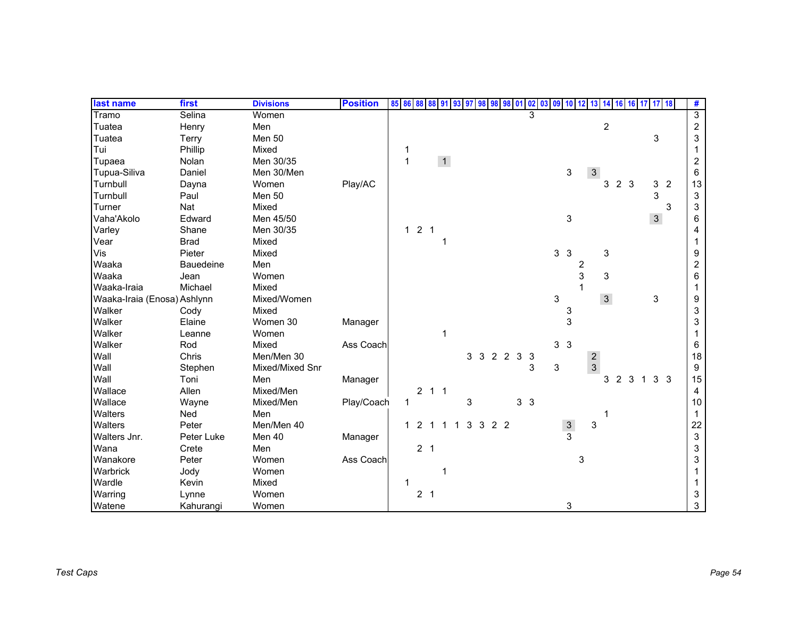| last name                   | first            | <b>Divisions</b> | <b>Position</b> | 85 86        | 88             | 88             | 91           | 93 | 97 | 98 | 98        | 98 | 01             | 02 03 09 10 12 |                |               |                | 13             | 14             | 16             |   | 16 17 17 18 |                |                | #                |
|-----------------------------|------------------|------------------|-----------------|--------------|----------------|----------------|--------------|----|----|----|-----------|----|----------------|----------------|----------------|---------------|----------------|----------------|----------------|----------------|---|-------------|----------------|----------------|------------------|
| Tramo                       | Selina           | Women            |                 |              |                |                |              |    |    |    |           |    |                | 3              |                |               |                |                |                |                |   |             |                |                | $\overline{3}$   |
| Tuatea                      | Henry            | Men              |                 |              |                |                |              |    |    |    |           |    |                |                |                |               |                |                | $\overline{2}$ |                |   |             |                |                | $\boldsymbol{2}$ |
| Tuatea                      | Terry            | Men 50           |                 |              |                |                |              |    |    |    |           |    |                |                |                |               |                |                |                |                |   |             | 3              |                | 3                |
| Tui                         | Phillip          | Mixed            |                 |              |                |                |              |    |    |    |           |    |                |                |                |               |                |                |                |                |   |             |                |                |                  |
| Tupaea                      | Nolan            | Men 30/35        |                 | 1            |                |                | $\mathbf{1}$ |    |    |    |           |    |                |                |                |               |                |                |                |                |   |             |                |                | 2                |
| Tupua-Siliva                | Daniel           | Men 30/Men       |                 |              |                |                |              |    |    |    |           |    |                |                |                | 3             |                | 3              |                |                |   |             |                |                | 6                |
| Turnbull                    | Dayna            | Women            | Play/AC         |              |                |                |              |    |    |    |           |    |                |                |                |               |                |                | 3              | 2 <sub>3</sub> |   |             | 3              | $\overline{2}$ | 13               |
| Turnbull                    | Paul             | Men 50           |                 |              |                |                |              |    |    |    |           |    |                |                |                |               |                |                |                |                |   |             | 3              |                | 3                |
| Turner                      | Nat              | Mixed            |                 |              |                |                |              |    |    |    |           |    |                |                |                |               |                |                |                |                |   |             |                | 3              | 3                |
| Vaha'Akolo                  | Edward           | Men 45/50        |                 |              |                |                |              |    |    |    |           |    |                |                |                | 3             |                |                |                |                |   |             | $\mathbf{3}$   |                | 6                |
| Varley                      | Shane            | Men 30/35        |                 | $\mathbf{1}$ |                | 2 <sub>1</sub> |              |    |    |    |           |    |                |                |                |               |                |                |                |                |   |             |                |                | 4                |
| Vear                        | <b>Brad</b>      | Mixed            |                 |              |                |                |              |    |    |    |           |    |                |                |                |               |                |                |                |                |   |             |                |                |                  |
| Vis                         | Pieter           | Mixed            |                 |              |                |                |              |    |    |    |           |    |                |                | 3 <sub>3</sub> |               |                |                | 3              |                |   |             |                |                | 9                |
| Waaka                       | <b>Bauedeine</b> | Men              |                 |              |                |                |              |    |    |    |           |    |                |                |                |               | $\overline{c}$ |                |                |                |   |             |                |                | $\overline{c}$   |
| Waaka                       | Jean             | Women            |                 |              |                |                |              |    |    |    |           |    |                |                |                |               | 3              |                | 3              |                |   |             |                |                | 6                |
| Waaka-Iraia                 | Michael          | Mixed            |                 |              |                |                |              |    |    |    |           |    |                |                |                |               |                |                |                |                |   |             |                |                |                  |
| Waaka-Iraia (Enosa) Ashlynn |                  | Mixed/Women      |                 |              |                |                |              |    |    |    |           |    |                |                | 3              |               |                |                | $\mathbf{3}$   |                |   |             | 3              |                | 9                |
| Walker                      | Cody             | Mixed            |                 |              |                |                |              |    |    |    |           |    |                |                |                | 3             |                |                |                |                |   |             |                |                | 3                |
| Walker                      | Elaine           | Women 30         | Manager         |              |                |                |              |    |    |    |           |    |                |                |                | 3             |                |                |                |                |   |             |                |                | 3                |
| Walker                      | Leanne           | Women            |                 |              |                |                |              |    |    |    |           |    |                |                |                |               |                |                |                |                |   |             |                |                |                  |
| Walker                      | Rod              | Mixed            | Ass Coach       |              |                |                |              |    |    |    |           |    |                |                | 3 <sub>3</sub> |               |                |                |                |                |   |             |                |                | 6                |
| Wall                        | Chris            | Men/Men 30       |                 |              |                |                |              |    |    |    | 3 3 2 2 3 |    |                | $\mathbf{3}$   |                |               |                | $\overline{2}$ |                |                |   |             |                |                | 18               |
| Wall                        | Stephen          | Mixed/Mixed Snr  |                 |              |                |                |              |    |    |    |           |    |                | 3              | 3              |               |                | $\overline{3}$ |                |                |   |             |                |                | 9                |
| Wall                        | Toni             | Men              | Manager         |              |                |                |              |    |    |    |           |    |                |                |                |               |                |                | 3              | 2              | 3 | 1           | 3 <sup>3</sup> |                | 15               |
| Wallace                     | Allen            | Mixed/Men        |                 |              |                | $2$ 1 1        |              |    |    |    |           |    |                |                |                |               |                |                |                |                |   |             |                |                | 4                |
| Wallace                     | Wayne            | Mixed/Men        | Play/Coach      | 1            |                |                |              |    | 3  |    |           |    | 3 <sub>3</sub> |                |                |               |                |                |                |                |   |             |                |                | 10               |
| <b>Walters</b>              | Ned              | Men              |                 |              |                |                |              |    |    |    |           |    |                |                |                |               |                |                | 1              |                |   |             |                |                | 1                |
| <b>Walters</b>              | Peter            | Men/Men 40       |                 | 1            | $\overline{2}$ | $\mathbf{1}$   | -1           | -1 | 3  |    | 322       |    |                |                |                | $\frac{3}{3}$ |                | 3              |                |                |   |             |                |                | 22               |
| Walters Jnr.                | Peter Luke       | Men 40           | Manager         |              |                |                |              |    |    |    |           |    |                |                |                |               |                |                |                |                |   |             |                |                | 3                |
| Wana                        | Crete            | Men              |                 |              |                | 2 <sub>1</sub> |              |    |    |    |           |    |                |                |                |               |                |                |                |                |   |             |                |                | 3                |
| Wanakore                    | Peter            | Women            | Ass Coach       |              |                |                |              |    |    |    |           |    |                |                |                |               | 3              |                |                |                |   |             |                |                | 3                |
| Warbrick                    | Jody             | Women            |                 |              |                |                |              |    |    |    |           |    |                |                |                |               |                |                |                |                |   |             |                |                |                  |
| Wardle                      | Kevin            | Mixed            |                 |              |                |                |              |    |    |    |           |    |                |                |                |               |                |                |                |                |   |             |                |                |                  |
| Warring                     | Lynne            | Women            |                 |              |                | 2 <sub>1</sub> |              |    |    |    |           |    |                |                |                |               |                |                |                |                |   |             |                |                | 3                |
| Watene                      | Kahurangi        | Women            |                 |              |                |                |              |    |    |    |           |    |                |                |                | 3             |                |                |                |                |   |             |                |                | 3                |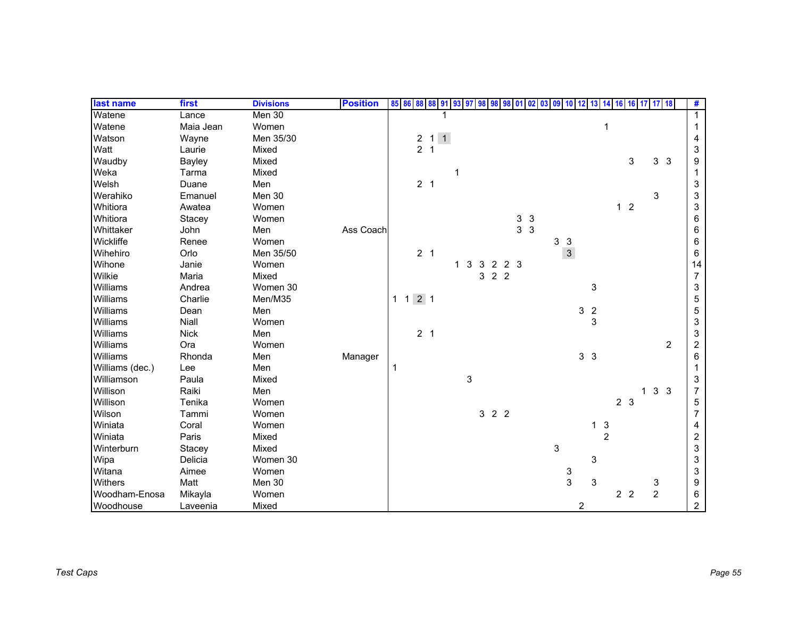| last name       | first       | <b>Divisions</b> | <b>Position</b> | 85 86 88     |                                  | 88 | 91      | 93 | <b>97</b> | 98 | 98<br>98            | $\mathbf{0}$ 1 | 02             | 03<br>09     | 10             |                | 13<br>$\overline{14}$ | 16             |                |             | 16 17 17 18    |                | #                         |
|-----------------|-------------|------------------|-----------------|--------------|----------------------------------|----|---------|----|-----------|----|---------------------|----------------|----------------|--------------|----------------|----------------|-----------------------|----------------|----------------|-------------|----------------|----------------|---------------------------|
| Watene          | Lance       | Men 30           |                 |              |                                  |    |         |    |           |    |                     |                |                |              |                |                |                       |                |                |             |                |                |                           |
| Watene          | Maia Jean   | Women            |                 |              |                                  |    |         |    |           |    |                     |                |                |              |                |                |                       | 1              |                |             |                |                |                           |
| Watson          | Wayne       | Men 35/30        |                 |              |                                  |    | $2 1 1$ |    |           |    |                     |                |                |              |                |                |                       |                |                |             |                |                |                           |
| Watt            | Laurie      | Mixed            |                 |              | $\overline{2}$                   | -1 |         |    |           |    |                     |                |                |              |                |                |                       |                |                |             |                |                | 3                         |
| Waudby          | Bayley      | Mixed            |                 |              |                                  |    |         |    |           |    |                     |                |                |              |                |                |                       |                | 3              |             |                | 3 <sub>3</sub> | 9                         |
| Weka            | Tarma       | Mixed            |                 |              |                                  |    |         |    |           |    |                     |                |                |              |                |                |                       |                |                |             |                |                |                           |
| Welsh           | Duane       | Men              |                 |              | 2 <sub>1</sub>                   |    |         |    |           |    |                     |                |                |              |                |                |                       |                |                |             |                |                | 3                         |
| Werahiko        | Emanuel     | Men 30           |                 |              |                                  |    |         |    |           |    |                     |                |                |              |                |                |                       |                |                |             | 3              |                | $\ensuremath{\mathsf{3}}$ |
| Whitiora        | Awatea      | Women            |                 |              |                                  |    |         |    |           |    |                     |                |                |              |                |                |                       |                | $1 \quad 2$    |             |                |                | 3                         |
| Whitiora        | Stacey      | Women            |                 |              |                                  |    |         |    |           |    |                     |                | 3 <sup>3</sup> |              |                |                |                       |                |                |             |                |                | 6                         |
| Whittaker       | John        | Men              | Ass Coach       |              |                                  |    |         |    |           |    |                     |                | 3 <sub>3</sub> |              |                |                |                       |                |                |             |                |                | 6                         |
| Wickliffe       | Renee       | Women            |                 |              |                                  |    |         |    |           |    |                     |                |                |              | 3 <sub>3</sub> |                |                       |                |                |             |                |                | 6                         |
| Wihehiro        | Orlo        | Men 35/50        |                 |              | 2 <sub>1</sub>                   |    |         |    |           |    |                     |                |                |              | $\mathbf{3}$   |                |                       |                |                |             |                |                | 6                         |
| Wihone          | Janie       | Women            |                 |              |                                  |    |         | 1  | 3         | 3  | 2 <sup>7</sup>      | 2 <sub>3</sub> |                |              |                |                |                       |                |                |             |                |                | 14                        |
| Wilkie          | Maria       | Mixed            |                 |              |                                  |    |         |    |           | 3  | 2 <sub>2</sub>      |                |                |              |                |                |                       |                |                |             |                |                | $\overline{7}$            |
| Williams        | Andrea      | Women 30         |                 |              |                                  |    |         |    |           |    |                     |                |                |              |                |                | 3                     |                |                |             |                |                | 3                         |
| Williams        | Charlie     | Men/M35          |                 | $\mathbf{1}$ | 2 <sup>1</sup><br>1 <sup>1</sup> |    |         |    |           |    |                     |                |                |              |                |                |                       |                |                |             |                |                | $\mathbf 5$               |
| Williams        | Dean        | Men              |                 |              |                                  |    |         |    |           |    |                     |                |                |              |                | 3              | $\sqrt{2}$            |                |                |             |                |                | 5                         |
| Williams        | Niall       | Women            |                 |              |                                  |    |         |    |           |    |                     |                |                |              |                |                | 3                     |                |                |             |                |                | $\ensuremath{\mathsf{3}}$ |
| Williams        | <b>Nick</b> | Men              |                 |              | 2 <sub>1</sub>                   |    |         |    |           |    |                     |                |                |              |                |                |                       |                |                |             |                |                | $\ensuremath{\mathsf{3}}$ |
| Williams        | Ora         | Women            |                 |              |                                  |    |         |    |           |    |                     |                |                |              |                |                |                       |                |                |             |                | $\overline{2}$ | $\boldsymbol{2}$          |
| Williams        | Rhonda      | Men              | Manager         |              |                                  |    |         |    |           |    |                     |                |                |              |                | 3 <sub>3</sub> |                       |                |                |             |                |                | 6                         |
| Williams (dec.) | Lee         | Men              |                 |              |                                  |    |         |    |           |    |                     |                |                |              |                |                |                       |                |                |             |                |                |                           |
| Williamson      | Paula       | Mixed            |                 |              |                                  |    |         |    | 3         |    |                     |                |                |              |                |                |                       |                |                |             |                |                | 3                         |
| Willison        | Raiki       | Men              |                 |              |                                  |    |         |    |           |    |                     |                |                |              |                |                |                       |                |                | $\mathbf 1$ | 3 <sub>3</sub> |                | $\overline{7}$            |
| Willison        | Tenika      | Women            |                 |              |                                  |    |         |    |           |    |                     |                |                |              |                |                |                       |                | 2 <sub>3</sub> |             |                |                | 5                         |
| Wilson          | Tammi       | Women            |                 |              |                                  |    |         |    |           |    | $3 \quad 2 \quad 2$ |                |                |              |                |                |                       |                |                |             |                |                | $\overline{7}$            |
| Winiata         | Coral       | Women            |                 |              |                                  |    |         |    |           |    |                     |                |                |              |                |                | 1 <sub>3</sub>        |                |                |             |                |                | 4                         |
| Winiata         | Paris       | Mixed            |                 |              |                                  |    |         |    |           |    |                     |                |                |              |                |                |                       | $\overline{2}$ |                |             |                |                | $\boldsymbol{2}$          |
| Winterburn      | Stacey      | Mixed            |                 |              |                                  |    |         |    |           |    |                     |                |                | $\mathbf{3}$ |                |                |                       |                |                |             |                |                | $\ensuremath{\mathsf{3}}$ |
| Wipa            | Delicia     | Women 30         |                 |              |                                  |    |         |    |           |    |                     |                |                |              |                |                | 3                     |                |                |             |                |                | $\ensuremath{\mathsf{3}}$ |
| Witana          | Aimee       | Women            |                 |              |                                  |    |         |    |           |    |                     |                |                |              | 3              |                |                       |                |                |             |                |                | $\ensuremath{\mathsf{3}}$ |
| Withers         | Matt        | Men 30           |                 |              |                                  |    |         |    |           |    |                     |                |                |              | $\overline{3}$ |                | 3                     |                |                |             | 3              |                | 9                         |
| Woodham-Enosa   | Mikayla     | Women            |                 |              |                                  |    |         |    |           |    |                     |                |                |              |                |                |                       |                | 2 <sub>2</sub> |             | $\overline{2}$ |                | 6                         |
| Woodhouse       | Laveenia    | Mixed            |                 |              |                                  |    |         |    |           |    |                     |                |                |              |                | $\overline{c}$ |                       |                |                |             |                |                | $\overline{2}$            |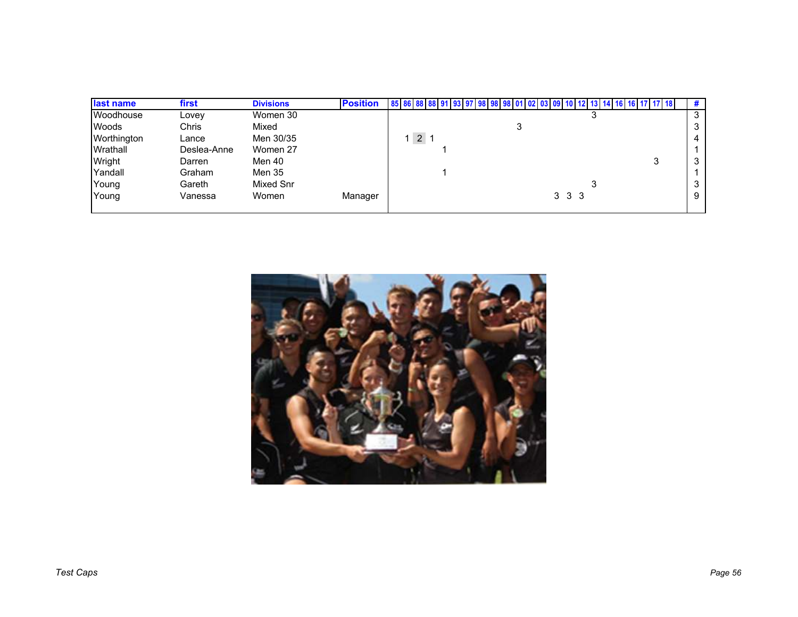| last name    | first       | <b>Divisions</b> | <b>Position</b> | 85   86   88   88   91   93   97   98   98   98   01   02   03   09   10   12   13   14   16   16   17   17   18 |       |   | #  |
|--------------|-------------|------------------|-----------------|------------------------------------------------------------------------------------------------------------------|-------|---|----|
| Woodhouse    | Lovev       | Women 30         |                 |                                                                                                                  |       |   | 3  |
| <b>Woods</b> | Chris       | Mixed            |                 |                                                                                                                  |       |   | 3  |
| Worthington  | Lance       | Men 30/35        |                 | 2 <sub>1</sub>                                                                                                   |       |   | 4  |
| Wrathall     | Deslea-Anne | Women 27         |                 |                                                                                                                  |       |   |    |
| Wright       | Darren      | Men 40           |                 |                                                                                                                  |       | 3 | د. |
| Yandall      | Graham      | Men 35           |                 |                                                                                                                  |       |   |    |
| Young        | Gareth      | Mixed Snr        |                 |                                                                                                                  |       |   | 3  |
| Young        | Vanessa     | Women            | Manager         |                                                                                                                  | 3 3 3 |   | 9  |
|              |             |                  |                 |                                                                                                                  |       |   |    |

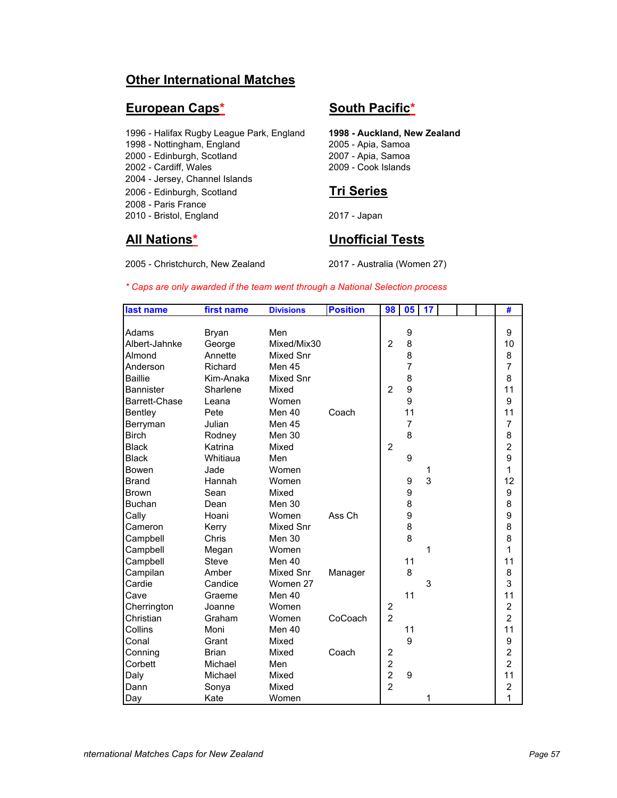### **Other International Matches**

## **European Caps\* South Pacific\***

- 1996 Halifax Rugby League Park, England **1998 Auckland, New Zealand**
- 1998 Nottingham, England 2005 Apia, Samoa
- 2000 Edinburgh, Scotland 2007 Apia, Samoa
- 
- 2004 Jersey, Channel Islands
- 2006 Edinburgh, Scotland **Tri Series**
- 2008 Paris France
- 2010 Bristol, England 2017 Japan

2005 - Christchurch, New Zealand 2017 - Australia (Women 27)

- 
- 2002 Cardiff, Wales 2009 Cook Islands

## **All Nations\* Unofficial Tests**

| last name              | first name   | <b>Divisions</b> | <b>Position</b> | 98                      | 05             | 17 |  | #              |
|------------------------|--------------|------------------|-----------------|-------------------------|----------------|----|--|----------------|
|                        |              | Men              |                 |                         |                |    |  |                |
| Adams<br>Albert-Jahnke | <b>Bryan</b> | Mixed/Mix30      |                 | $\overline{2}$          | 9<br>8         |    |  | 9<br>10        |
|                        | George       |                  |                 |                         |                |    |  |                |
| Almond                 | Annette      | <b>Mixed Snr</b> |                 |                         | 8              |    |  | 8              |
| Anderson               | Richard      | <b>Men 45</b>    |                 |                         | $\overline{7}$ |    |  | $\overline{7}$ |
| <b>Baillie</b>         | Kim-Anaka    | <b>Mixed Snr</b> |                 |                         | 8              |    |  | 8              |
| <b>Bannister</b>       | Sharlene     | Mixed            |                 | $\overline{2}$          | 9              |    |  | 11             |
| Barrett-Chase          | Leana        | Women            |                 |                         | 9              |    |  | 9              |
| Bentley                | Pete         | Men 40           | Coach           |                         | 11             |    |  | 11             |
| Berryman               | Julian       | Men 45           |                 |                         | $\overline{7}$ |    |  | $\overline{7}$ |
| <b>Birch</b>           | Rodney       | Men 30           |                 |                         | 8              |    |  | 8              |
| <b>Black</b>           | Katrina      | Mixed            |                 | $\overline{2}$          |                |    |  | $\overline{a}$ |
| <b>Black</b>           | Whitiaua     | Men              |                 |                         | 9              |    |  | $\overline{9}$ |
| Bowen                  | Jade         | Women            |                 |                         |                | 1  |  | $\overline{1}$ |
| <b>Brand</b>           | Hannah       | Women            |                 |                         | 9              | 3  |  | 12             |
| <b>Brown</b>           | Sean         | Mixed            |                 |                         | 9              |    |  | 9              |
| <b>Buchan</b>          | Dean         | Men 30           |                 |                         | 8              |    |  | 8              |
| Cally                  | Hoani        | Women            | Ass Ch          |                         | 9              |    |  | 9              |
| Cameron                | Kerry        | <b>Mixed Snr</b> |                 |                         | 8              |    |  | 8              |
| Campbell               | Chris        | Men 30           |                 |                         | 8              |    |  | 8              |
| Campbell               | Megan        | Women            |                 |                         |                | 1  |  | 1              |
| Campbell               | <b>Steve</b> | Men 40           |                 |                         | 11             |    |  | 11             |
| Campilan               | Amber        | Mixed Snr        | Manager         |                         | 8              |    |  | 8              |
| Cardie                 | Candice      | Women 27         |                 |                         |                | 3  |  | 3              |
| Cave                   | Graeme       | Men 40           |                 |                         | 11             |    |  | 11             |
| Cherrington            | Joanne       | Women            |                 | $\boldsymbol{2}$        |                |    |  | $\overline{c}$ |
| Christian              | Graham       | Women            | CoCoach         | $\overline{2}$          |                |    |  | $\overline{a}$ |
| Collins                | Moni         | Men 40           |                 |                         | 11             |    |  | 11             |
| Conal                  | Grant        | Mixed            |                 |                         | 9              |    |  | 9              |
| Conning                | <b>Brian</b> | Mixed            | Coach           | $\overline{\mathbf{c}}$ |                |    |  | $\overline{a}$ |
| Corbett                | Michael      | Men              |                 | $\overline{a}$          |                |    |  | $\overline{2}$ |
| Daly                   | Michael      | Mixed            |                 | $\overline{a}$          | 9              |    |  | 11             |
| Dann                   | Sonya        | Mixed            |                 | $\overline{2}$          |                |    |  | $\overline{c}$ |
|                        | Kate         | Women            |                 |                         |                | 1  |  | 1              |
| Day                    |              |                  |                 |                         |                |    |  |                |

*\* Caps are only awarded if the team went through a National Selection process*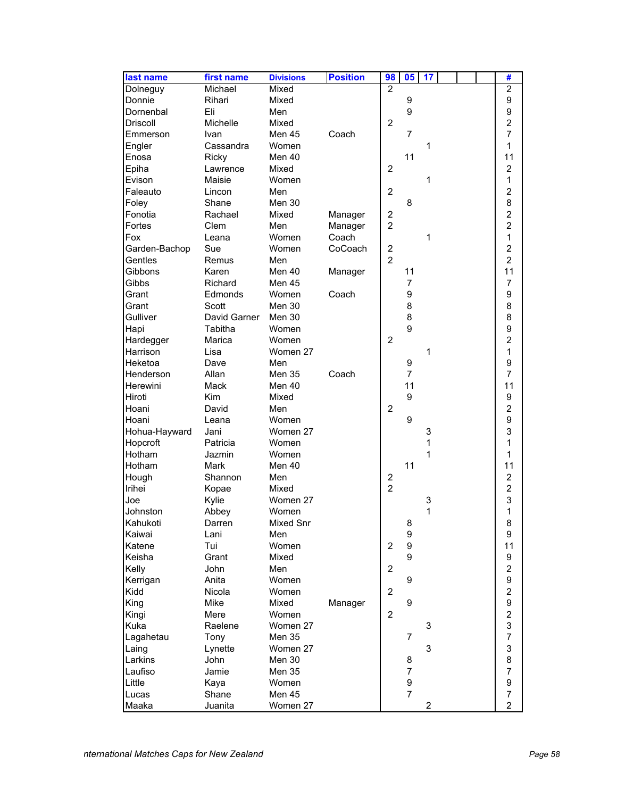| last name          | first name      | <b>Divisions</b>   | <b>Position</b> | 98                      | 05                  | 17                      |  | #                        |
|--------------------|-----------------|--------------------|-----------------|-------------------------|---------------------|-------------------------|--|--------------------------|
| Dolneguy           | Michael         | Mixed              |                 | $\overline{2}$          |                     |                         |  | $\overline{2}$           |
| Donnie             | Rihari          | Mixed              |                 |                         | 9                   |                         |  | 9                        |
| Dornenbal          | Eli             | Men                |                 |                         | 9                   |                         |  | 9                        |
| <b>Driscoll</b>    | Michelle        | Mixed              |                 | $\overline{2}$          |                     |                         |  | $\overline{c}$           |
| Emmerson           | <b>Ivan</b>     | Men 45             | Coach           |                         | $\overline{7}$      |                         |  | $\overline{7}$           |
| Engler             | Cassandra       | Women              |                 |                         |                     | 1                       |  | 1                        |
| Enosa              | Ricky           | Men 40             |                 |                         | 11                  |                         |  | 11                       |
| Epiha              | Lawrence        | Mixed              |                 | $\overline{2}$          |                     |                         |  | $\overline{c}$           |
| Evison             | Maisie          | Women              |                 |                         |                     | 1                       |  | $\mathbf 1$              |
| Faleauto           | Lincon          | Men                |                 | $\overline{2}$          |                     |                         |  | $\overline{c}$           |
| Foley              | Shane           | Men 30             |                 |                         | 8                   |                         |  | 8                        |
| Fonotia            | Rachael         | Mixed              | Manager         | $\overline{c}$          |                     |                         |  | $\overline{c}$           |
| Fortes             | Clem            | Men                | Manager         | $\overline{2}$          |                     |                         |  | $\overline{c}$           |
| Fox                | Leana           | Women              | Coach           |                         |                     | 1                       |  | $\overline{1}$           |
| Garden-Bachop      | Sue             | Women              | CoCoach         | $\overline{\mathbf{c}}$ |                     |                         |  | $\overline{c}$           |
| Gentles            | Remus           | Men                |                 | $\overline{2}$          |                     |                         |  | $\overline{2}$           |
| Gibbons            | Karen           | Men 40             | Manager         |                         | 11                  |                         |  | 11                       |
| Gibbs              | Richard         | Men 45             |                 |                         | 7                   |                         |  | $\overline{7}$           |
| Grant              | Edmonds         | Women              | Coach           |                         | 9                   |                         |  | 9                        |
| Grant              | Scott           | Men 30             |                 |                         | 8                   |                         |  | 8                        |
| Gulliver           | David Garner    | Men 30             |                 |                         | 8                   |                         |  | 8                        |
| Hapi               | Tabitha         | Women              |                 |                         | 9                   |                         |  | 9                        |
| Hardegger          | Marica          | Women              |                 | $\overline{c}$          |                     |                         |  | $\overline{c}$           |
| Harrison           | Lisa            | Women 27           |                 |                         |                     | 1                       |  | 1                        |
| Heketoa            | Dave            | Men                |                 |                         | 9                   |                         |  | 9                        |
| Henderson          | Allan           | <b>Men 35</b>      | Coach           |                         | $\overline{7}$      |                         |  | $\overline{7}$           |
| Herewini           | Mack            | Men 40             |                 |                         | 11                  |                         |  | 11                       |
| Hiroti             | Kim             | Mixed              |                 |                         | 9                   |                         |  | 9                        |
| lHoani             | David           | Men                |                 | $\overline{2}$          |                     |                         |  | $\overline{c}$           |
| Hoani              | Leana           | Women              |                 |                         | $\boldsymbol{9}$    |                         |  | 9                        |
| Hohua-Hayward      | Jani            | Women 27           |                 |                         |                     | 3                       |  | 3                        |
| Hopcroft           | Patricia        | Women              |                 |                         |                     | 1                       |  | 1                        |
| Hotham             | Jazmin          | Women              |                 |                         |                     | 1                       |  | 1                        |
| Hotham             | Mark            | Men 40             |                 |                         | 11                  |                         |  | 11                       |
| Hough              | Shannon         | Men                |                 | $\overline{\mathbf{c}}$ |                     |                         |  | $\overline{\mathbf{c}}$  |
| Irihei             | Kopae           | Mixed              |                 | $\overline{2}$          |                     |                         |  | $\overline{c}$           |
| Joe                | Kylie           | Women 27           |                 |                         |                     | 3                       |  | 3                        |
| Johnston           | Abbey           | Women              |                 |                         |                     | 1                       |  | $\mathbf{1}$             |
| Kahukoti           | Darren          | Mixed Snr          |                 |                         | 8                   |                         |  | 8                        |
| Kaiwai             | Lani            | Men                |                 |                         | 9                   |                         |  | 9                        |
| Katene             | Tui             | Women              |                 | $\overline{c}$          | 9                   |                         |  | 11                       |
| Keisha             | Grant           | Mixed              |                 |                         | 9                   |                         |  | 9                        |
| Kelly              | John            | Men                |                 | $\overline{c}$          |                     |                         |  | $\overline{c}$           |
| Kerrigan           | Anita           | Women              |                 |                         | 9                   |                         |  | 9                        |
| Kidd               | Nicola          | Women              |                 | $\overline{c}$          |                     |                         |  | $\overline{a}$           |
| King               | Mike            | Mixed              | Manager         |                         | 9                   |                         |  | 9                        |
| Kingi              | Mere            | Women              |                 | $\overline{c}$          |                     |                         |  | $\overline{a}$           |
| Kuka               | Raelene         | Women 27           |                 |                         |                     | 3                       |  | 3                        |
|                    |                 |                    |                 |                         | $\overline{7}$      |                         |  | $\overline{\mathcal{I}}$ |
| Lagahetau<br>Laing | Tony<br>Lynette | Men 35<br>Women 27 |                 |                         |                     | 3                       |  | 3                        |
|                    |                 |                    |                 |                         |                     |                         |  |                          |
| Larkins            | John            | Men 30             |                 |                         | 8                   |                         |  | 8                        |
| Laufiso            | Jamie           | Men 35             |                 |                         | $\overline{7}$      |                         |  | $\boldsymbol{7}$         |
| Little             | Kaya            | Women              |                 |                         | 9<br>$\overline{7}$ |                         |  | 9<br>$\overline{7}$      |
| Lucas              | Shane           | Men 45             |                 |                         |                     |                         |  |                          |
| Maaka              | Juanita         | Women 27           |                 |                         |                     | $\overline{\mathbf{c}}$ |  | $\overline{a}$           |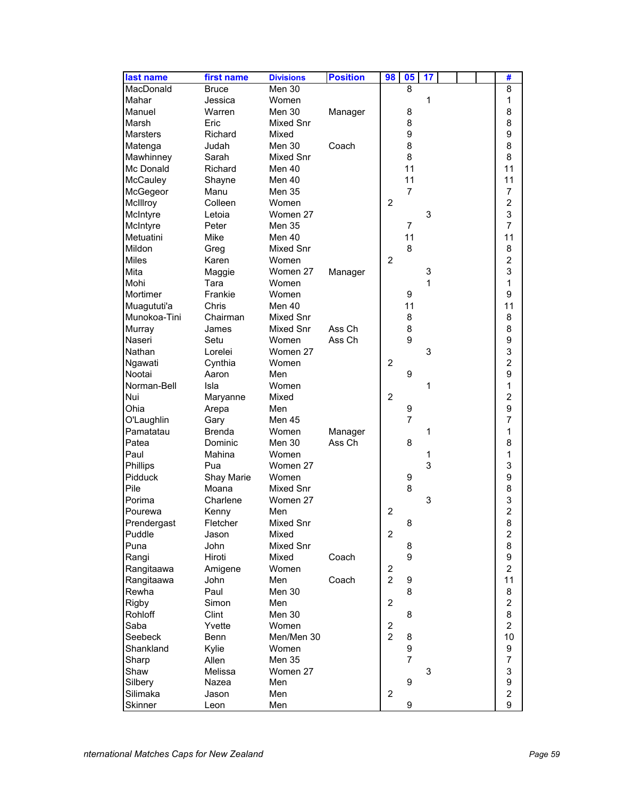| last name           | first name    | <b>Divisions</b> | <b>Position</b> | 98                  | 05             | 17 |  | #                       |
|---------------------|---------------|------------------|-----------------|---------------------|----------------|----|--|-------------------------|
| MacDonald           | <b>Bruce</b>  | Men 30           |                 |                     | 8              |    |  | 8                       |
| Mahar               | Jessica       | Women            |                 |                     |                | 1  |  | 1                       |
| Manuel              | Warren        | Men 30           | Manager         |                     | 8              |    |  | 8                       |
| Marsh               | Eric          | Mixed Snr        |                 |                     | 8              |    |  | 8                       |
| <b>Marsters</b>     | Richard       | Mixed            |                 |                     | 9              |    |  | 9                       |
| Matenga             | Judah         | Men 30           | Coach           |                     | 8              |    |  | 8                       |
| Mawhinney           | Sarah         | Mixed Snr        |                 |                     | 8              |    |  | 8                       |
| Mc Donald           | Richard       | Men 40           |                 |                     | 11             |    |  | 11                      |
| McCauley            | Shayne        | Men 40           |                 |                     | 11             |    |  | 11                      |
| McGegeor            | Manu          | <b>Men 35</b>    |                 |                     | $\overline{7}$ |    |  | $\overline{7}$          |
| McIllroy            | Colleen       | Women            |                 | $\overline{2}$      |                |    |  | $\overline{a}$          |
| McIntyre            | Letoia        | Women 27         |                 |                     |                | 3  |  | 3                       |
|                     |               |                  |                 |                     |                |    |  | $\overline{7}$          |
| McIntyre            | Peter         | <b>Men 35</b>    |                 |                     | 7              |    |  |                         |
| Metuatini           | Mike          | Men 40           |                 |                     | 11             |    |  | 11                      |
| <b>Mildon</b>       | Greg          | Mixed Snr        |                 |                     | 8              |    |  | 8                       |
| <b>Miles</b>        | Karen         | Women            |                 | $\overline{2}$      |                |    |  | $\overline{c}$          |
| Mita                | Maggie        | Women 27         | Manager         |                     |                | 3  |  | 3                       |
| Mohi                | Tara          | Women            |                 |                     |                | 1  |  | 1                       |
| Mortimer            | Frankie       | Women            |                 |                     | 9              |    |  | 9                       |
| Muagututi'a         | Chris         | Men 40           |                 |                     | 11             |    |  | 11                      |
| Munokoa-Tini        | Chairman      | <b>Mixed Snr</b> |                 |                     | 8              |    |  | 8                       |
| Murray              | James         | <b>Mixed Snr</b> | Ass Ch          |                     | 8              |    |  | 8                       |
| Naseri              | Setu          | Women            | Ass Ch          |                     | 9              |    |  | 9                       |
| Nathan              | Lorelei       | Women 27         |                 |                     |                | 3  |  | $\frac{3}{2}$           |
| Ngawati             | Cynthia       | Women            |                 | $\overline{2}$      |                |    |  |                         |
| Nootai              | Aaron         | Men              |                 |                     | 9              |    |  | 9                       |
| Norman-Bell         | Isla          | Women            |                 |                     |                | 1  |  | $\mathbf{1}$            |
| Nui                 | Maryanne      | Mixed            |                 | $\overline{2}$      |                |    |  | $\overline{c}$          |
| Ohia                | Arepa         | Men              |                 |                     | 9              |    |  | 9                       |
| O'Laughlin          | Gary          | Men 45           |                 |                     | $\overline{7}$ |    |  | 7                       |
| Pamatatau           | <b>Brenda</b> | Women            | Manager         |                     |                | 1  |  | 1                       |
| Patea               | Dominic       | Men 30           | Ass Ch          |                     | 8              |    |  | 8                       |
| Paul                | Mahina        | Women            |                 |                     |                | 1  |  | 1                       |
| Phillips            | Pua           | Women 27         |                 |                     |                | 3  |  | 3                       |
| Pidduck             | Shay Marie    | Women            |                 |                     | 9              |    |  | 9                       |
| Pile                | Moana         | Mixed Snr        |                 |                     | 8              |    |  | 8                       |
| Porima              | Charlene      | Women 27         |                 |                     |                | 3  |  | 3                       |
| Pourewa             | Kenny         | Men              |                 | $\overline{2}$      |                |    |  | $\overline{a}$          |
| Prendergast         | Fletcher      | Mixed Snr        |                 |                     | 8              |    |  | 8                       |
| Puddle              | Jason         | Mixed            |                 | $\overline{c}$      |                |    |  | $\overline{\mathbf{c}}$ |
| Puna                | John          | Mixed Snr        |                 |                     | 8              |    |  | 8                       |
|                     | Hiroti        | Mixed            | Coach           |                     | 9              |    |  | 9                       |
| Rangi<br>Rangitaawa |               | Women            |                 |                     |                |    |  | $\overline{a}$          |
|                     | Amigene       |                  |                 | 2<br>$\overline{2}$ |                |    |  | 11                      |
| Rangitaawa          | John          | Men              | Coach           |                     | 9<br>8         |    |  |                         |
| Rewha               | Paul          | Men 30           |                 | $\overline{c}$      |                |    |  | 8<br>$\overline{c}$     |
| <b>Rigby</b>        | Simon         | Men              |                 |                     |                |    |  |                         |
| Rohloff             | Clint         | Men 30           |                 |                     | 8              |    |  | 8                       |
| Saba                | Yvette        | Women            |                 | $\overline{c}$      |                |    |  | $\overline{c}$          |
| Seebeck             | Benn          | Men/Men 30       |                 | $\overline{2}$      | 8              |    |  | 10                      |
| Shankland           | Kylie         | Women            |                 |                     | 9              |    |  | 9                       |
| Sharp               | Allen         | <b>Men 35</b>    |                 |                     | $\overline{7}$ |    |  | $\boldsymbol{7}$        |
| Shaw                | Melissa       | Women 27         |                 |                     |                | 3  |  | 3                       |
| Silbery             | Nazea         | Men              |                 |                     | 9              |    |  | 9                       |
| Silimaka            | Jason         | Men              |                 | $\overline{2}$      |                |    |  | $\overline{a}$          |
| Skinner             | Leon          | Men              |                 |                     | 9              |    |  | 9                       |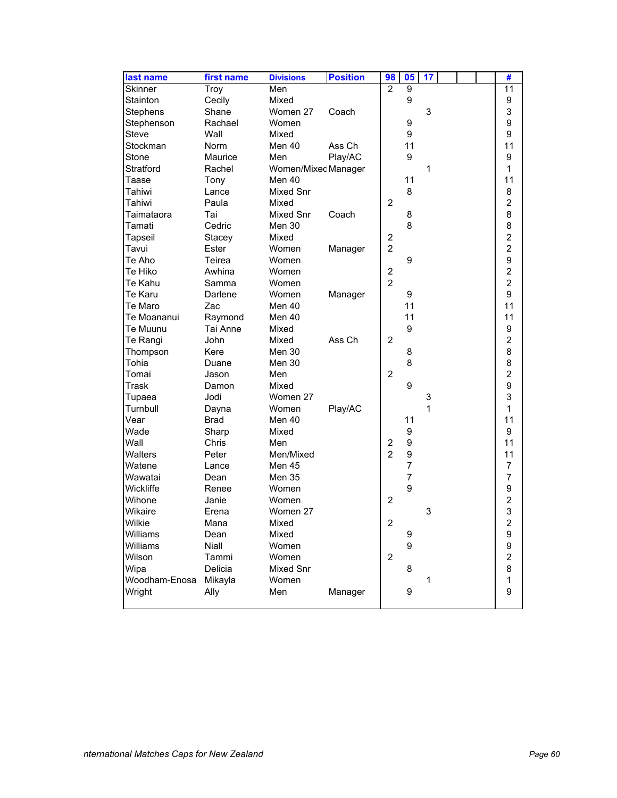| last name       | first name  | <b>Divisions</b>    | <b>Position</b> | 98               | 05             | 17 |  | #              |
|-----------------|-------------|---------------------|-----------------|------------------|----------------|----|--|----------------|
| Skinner         | Troy        | Men                 |                 | $\mathfrak{p}$   | 9              |    |  | 11             |
| Stainton        | Cecily      | Mixed               |                 |                  | 9              |    |  | 9              |
| <b>Stephens</b> | Shane       | Women 27            | Coach           |                  |                | 3  |  | 3              |
| Stephenson      | Rachael     | Women               |                 |                  | 9              |    |  | 9              |
| <b>Steve</b>    | Wall        | Mixed               |                 |                  | 9              |    |  | 9              |
| Stockman        | Norm        | Men 40              | Ass Ch          |                  | 11             |    |  | 11             |
| Stone           | Maurice     | Men                 | Play/AC         |                  | 9              |    |  | 9              |
| Stratford       | Rachel      | Women/Mixed Manager |                 |                  |                | 1  |  | 1              |
| Taase           | Tony        | Men 40              |                 |                  | 11             |    |  | 11             |
| Tahiwi          | Lance       | <b>Mixed Snr</b>    |                 |                  | 8              |    |  | 8              |
| Tahiwi          | Paula       | Mixed               |                 | $\overline{2}$   |                |    |  | $\overline{c}$ |
| Taimataora      | Tai         | <b>Mixed Snr</b>    | Coach           |                  | 8              |    |  | 8              |
| Tamati          | Cedric      | Men 30              |                 |                  | 8              |    |  | 8              |
| Tapseil         | Stacey      | Mixed               |                 | $\boldsymbol{2}$ |                |    |  | $\overline{c}$ |
| Tavui           | Ester       | Women               | Manager         | $\overline{2}$   |                |    |  | $\overline{a}$ |
| Te Aho          | Teirea      | Women               |                 |                  | 9              |    |  | 9              |
| Te Hiko         | Awhina      | Women               |                 | $\overline{c}$   |                |    |  | $\overline{a}$ |
| Te Kahu         | Samma       | Women               |                 | $\overline{2}$   |                |    |  | $\overline{2}$ |
| Te Karu         | Darlene     | Women               | Manager         |                  | 9              |    |  | 9              |
| Te Maro         | Zac         | Men 40              |                 |                  | 11             |    |  | 11             |
| Te Moananui     | Raymond     | Men 40              |                 |                  | 11             |    |  | 11             |
| <b>Te Muunu</b> | Tai Anne    | Mixed               |                 |                  | 9              |    |  | 9              |
| Te Rangi        | John        | Mixed               | Ass Ch          | $\overline{2}$   |                |    |  | $\overline{c}$ |
| Thompson        | Kere        | Men 30              |                 |                  | 8              |    |  | 8              |
| Tohia           | Duane       | Men 30              |                 |                  | 8              |    |  | 8              |
| Tomai           | Jason       | Men                 |                 | $\overline{2}$   |                |    |  | $\overline{a}$ |
| Trask           | Damon       | Mixed               |                 |                  | 9              |    |  | 9              |
| Tupaea          | Jodi        | Women 27            |                 |                  |                | 3  |  | 3              |
| Turnbull        | Dayna       | Women               | Play/AC         |                  |                | 1  |  | 1              |
| Vear            | <b>Brad</b> | Men 40              |                 |                  | 11             |    |  | 11             |
| Wade            | Sharp       | Mixed               |                 |                  | 9              |    |  | 9              |
| Wall            | Chris       | Men                 |                 | 2                | 9              |    |  | 11             |
| Walters         | Peter       | Men/Mixed           |                 | $\overline{2}$   | 9              |    |  | 11             |
| Watene          | Lance       | <b>Men 45</b>       |                 |                  | $\overline{7}$ |    |  | 7              |
| Wawatai         | Dean        | Men 35              |                 |                  | $\overline{7}$ |    |  | $\overline{7}$ |
| Wickliffe       | Renee       | Women               |                 |                  | 9              |    |  | 9              |
| Wihone          | Janie       | Women               |                 | $\overline{c}$   |                |    |  | $\overline{c}$ |
| Wikaire         | Erena       | Women 27            |                 |                  |                | 3  |  | 3              |
| Wilkie          | Mana        | Mixed               |                 | $\overline{c}$   |                |    |  | $\overline{c}$ |
| Williams        | Dean        | Mixed               |                 |                  | 9              |    |  | 9              |
| Williams        | Niall       | Women               |                 |                  | 9              |    |  | 9              |
| Wilson          | Tammi       | Women               |                 | $\overline{2}$   |                |    |  | $\overline{c}$ |
| Wipa            | Delicia     | Mixed Snr           |                 |                  | 8              |    |  | 8              |
| Woodham-Enosa   | Mikayla     | Women               |                 |                  |                | 1  |  | 1              |
| Wright          | Ally        | Men                 | Manager         |                  | 9              |    |  | 9              |
|                 |             |                     |                 |                  |                |    |  |                |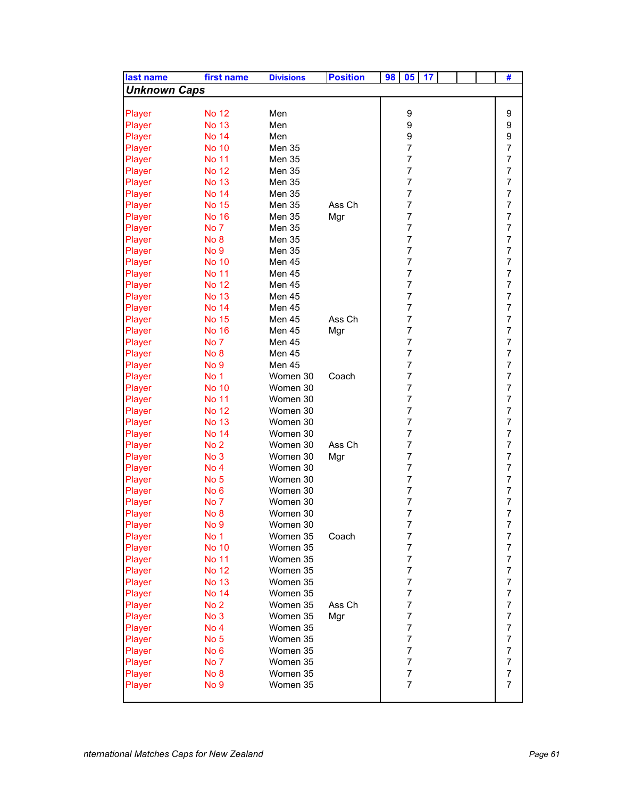| last name           | first name      | <b>Divisions</b> | <b>Position</b> | 98<br>17<br>05           | #                        |
|---------------------|-----------------|------------------|-----------------|--------------------------|--------------------------|
| <b>Unknown Caps</b> |                 |                  |                 |                          |                          |
|                     |                 |                  |                 |                          |                          |
| Player              | <b>No 12</b>    | Men              |                 | 9                        | 9                        |
| Player              | <b>No 13</b>    | Men              |                 | 9                        | 9                        |
| Player              | <b>No 14</b>    | Men              |                 | 9                        | 9                        |
| Player              | <b>No 10</b>    | Men 35           |                 | $\overline{7}$           | $\overline{7}$           |
| Player              | <b>No 11</b>    | Men 35           |                 | $\overline{7}$           | $\overline{7}$           |
| Player              | <b>No 12</b>    | Men 35           |                 | $\overline{7}$           | $\overline{7}$           |
| Player              | <b>No 13</b>    | Men 35           |                 | 7                        | $\overline{7}$           |
| Player              | <b>No 14</b>    | Men 35           |                 | 7                        | $\overline{7}$           |
| Player              | <b>No 15</b>    | Men 35           | Ass Ch          | 7                        | $\overline{7}$           |
| Player              | <b>No 16</b>    | <b>Men 35</b>    | Mgr             | 7                        | $\overline{7}$           |
| Player              | No 7            | Men 35           |                 | 7                        | $\overline{7}$           |
| Player              | No <sub>8</sub> | Men 35           |                 | 7                        | $\overline{7}$           |
| Player              | No <sub>9</sub> | Men 35           |                 | $\overline{7}$           | $\overline{7}$           |
| Player              | <b>No 10</b>    | Men 45           |                 | $\overline{7}$           | $\overline{7}$           |
| Player              | <b>No 11</b>    | Men 45           |                 | $\overline{7}$           | $\overline{7}$           |
| Player              | <b>No 12</b>    | Men 45           |                 | $\overline{7}$           | $\overline{\mathcal{I}}$ |
| Player              | <b>No 13</b>    | Men 45           |                 | 7                        | $\overline{7}$           |
| Player              | <b>No 14</b>    | Men 45           |                 | 7                        | $\overline{7}$           |
| Player              | <b>No 15</b>    | Men 45           | Ass Ch          | 7                        | $\overline{7}$           |
| Player              | <b>No 16</b>    | Men 45           | Mgr             | 7                        | $\overline{7}$           |
| Player              | No 7            | Men 45           |                 | 7                        | $\overline{7}$           |
| Player              | No <sub>8</sub> | Men 45           |                 | $\overline{7}$           | $\overline{7}$           |
| Player              | No <sub>9</sub> | Men 45           |                 | 7                        | $\overline{7}$           |
| Player              | No 1            | Women 30         | Coach           | 7                        | $\overline{7}$           |
| Player              | <b>No 10</b>    | Women 30         |                 | 7                        | $\overline{7}$           |
| Player              | <b>No 11</b>    | Women 30         |                 | 7                        | $\overline{7}$           |
| Player              | <b>No 12</b>    | Women 30         |                 | 7                        | $\overline{7}$           |
| Player              | <b>No 13</b>    | Women 30         |                 | 7                        | $\overline{7}$           |
| Player              | <b>No 14</b>    | Women 30         |                 | 7                        | $\overline{7}$           |
| Player              | No <sub>2</sub> | Women 30         | Ass Ch          | 7                        | $\overline{7}$           |
| Player              | No 3            | Women 30         | Mgr             | $\overline{7}$           | $\overline{7}$           |
| Player              | No <sub>4</sub> | Women 30         |                 | $\overline{7}$           | $\overline{7}$           |
| Player              | No <sub>5</sub> | Women 30         |                 | $\overline{7}$           | $\overline{7}$           |
| Player              | No <sub>6</sub> | Women 30         |                 | $\overline{7}$           | $\overline{7}$           |
| Player              | No 7            | Women 30         |                 | $\overline{7}$           | $\overline{7}$           |
| Player              | No <sub>8</sub> | Women 30         |                 | $\overline{7}$           | $\overline{7}$           |
| Player              | No <sub>9</sub> | Women 30         |                 | ſ                        | ſ                        |
| Player              | No 1            | Women 35         | Coach           | $\overline{7}$           | $\overline{7}$           |
| Player              | <b>No 10</b>    | Women 35         |                 | $\overline{7}$           | $\boldsymbol{7}$         |
| Player              | <b>No 11</b>    | Women 35         |                 | $\overline{7}$           | $\overline{\mathcal{I}}$ |
| Player              | <b>No 12</b>    | Women 35         |                 | $\overline{7}$           | $\boldsymbol{7}$         |
| Player              | <b>No 13</b>    | Women 35         |                 | $\overline{7}$           | $\overline{\mathcal{I}}$ |
| Player              | <b>No 14</b>    | Women 35         |                 | $\overline{\mathcal{I}}$ | $\boldsymbol{7}$         |
| Player              | No <sub>2</sub> | Women 35         | Ass Ch          | $\boldsymbol{7}$         | $\boldsymbol{7}$         |
| Player              | No 3            | Women 35         | Mgr             | $\overline{7}$           | $\overline{7}$           |
| Player              | No <sub>4</sub> | Women 35         |                 | $\overline{7}$           | $\overline{7}$           |
| Player              | No <sub>5</sub> | Women 35         |                 | $\overline{7}$           | $\overline{7}$           |
| Player              | No <sub>6</sub> | Women 35         |                 | $\overline{7}$           | $\overline{\mathcal{I}}$ |
| Player              | No 7            | Women 35         |                 | $\overline{7}$           | $\overline{\mathcal{I}}$ |
| Player              | No 8            | Women 35         |                 | $\overline{7}$           | $\overline{7}$           |
| Player              | No 9            | Women 35         |                 | $\overline{7}$           | $\overline{7}$           |
|                     |                 |                  |                 |                          |                          |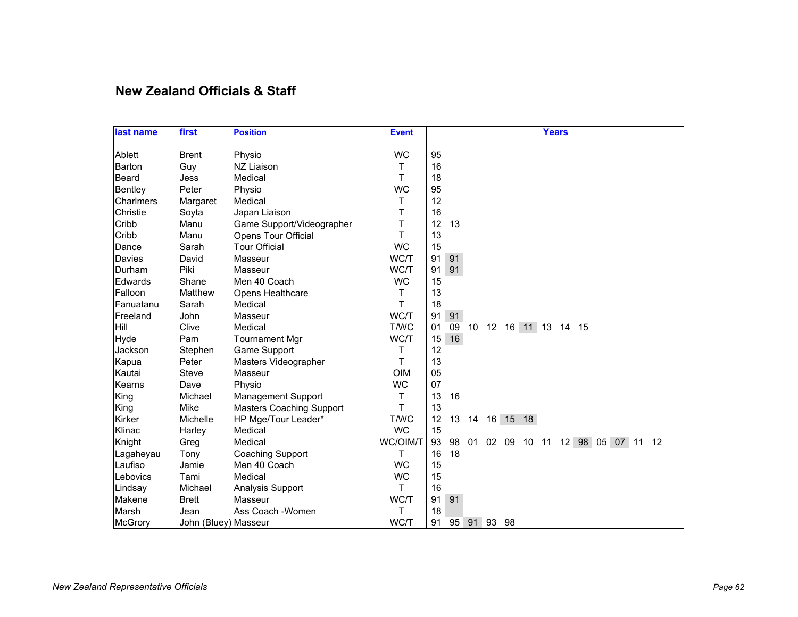## **New Zealand Officials & Staff**

| last name     | first                | <b>Position</b>                 | <b>Event</b> |    |    |          |                   | <b>Years</b> |  |                            |  |    |  |
|---------------|----------------------|---------------------------------|--------------|----|----|----------|-------------------|--------------|--|----------------------------|--|----|--|
|               |                      |                                 |              |    |    |          |                   |              |  |                            |  |    |  |
| Ablett        | <b>Brent</b>         | Physio                          | <b>WC</b>    | 95 |    |          |                   |              |  |                            |  |    |  |
| <b>Barton</b> | Guy                  | NZ Liaison                      | Τ            | 16 |    |          |                   |              |  |                            |  |    |  |
| <b>Beard</b>  | Jess                 | Medical                         | T            | 18 |    |          |                   |              |  |                            |  |    |  |
| Bentley       | Peter                | Physio                          | <b>WC</b>    | 95 |    |          |                   |              |  |                            |  |    |  |
| Charlmers     | Margaret             | Medical                         | Τ            | 12 |    |          |                   |              |  |                            |  |    |  |
| Christie      | Soyta                | Japan Liaison                   | T            | 16 |    |          |                   |              |  |                            |  |    |  |
| Cribb         | Manu                 | Game Support/Videographer       | Τ            | 12 | 13 |          |                   |              |  |                            |  |    |  |
| Cribb         | Manu                 | <b>Opens Tour Official</b>      | т            | 13 |    |          |                   |              |  |                            |  |    |  |
| Dance         | Sarah                | <b>Tour Official</b>            | <b>WC</b>    | 15 |    |          |                   |              |  |                            |  |    |  |
| <b>Davies</b> | David                | Masseur                         | WC/T         | 91 | 91 |          |                   |              |  |                            |  |    |  |
| Durham        | Piki                 | Masseur                         | WC/T         | 91 | 91 |          |                   |              |  |                            |  |    |  |
| Edwards       | Shane                | Men 40 Coach                    | <b>WC</b>    | 15 |    |          |                   |              |  |                            |  |    |  |
| Falloon       | Matthew              | Opens Healthcare                | Τ            | 13 |    |          |                   |              |  |                            |  |    |  |
| Fanuatanu     | Sarah                | Medical                         | т            | 18 |    |          |                   |              |  |                            |  |    |  |
| Freeland      | John                 | Masseur                         | WC/T         | 91 | 91 |          |                   |              |  |                            |  |    |  |
| Hill          | Clive                | Medical                         | T/WC         | 01 | 09 | 10       | 12 16 11 13 14 15 |              |  |                            |  |    |  |
| Hyde          | Pam                  | <b>Tournament Mgr</b>           | WC/T         | 15 | 16 |          |                   |              |  |                            |  |    |  |
| Jackson       | Stephen              | Game Support                    | Т            | 12 |    |          |                   |              |  |                            |  |    |  |
| Kapua         | Peter                | Masters Videographer            | т            | 13 |    |          |                   |              |  |                            |  |    |  |
| Kautai        | <b>Steve</b>         | Masseur                         | <b>OIM</b>   | 05 |    |          |                   |              |  |                            |  |    |  |
| Kearns        | Dave                 | Physio                          | <b>WC</b>    | 07 |    |          |                   |              |  |                            |  |    |  |
| King          | Michael              | <b>Management Support</b>       | Τ            | 13 | 16 |          |                   |              |  |                            |  |    |  |
| King          | Mike                 | <b>Masters Coaching Support</b> | T            | 13 |    |          |                   |              |  |                            |  |    |  |
| Kirker        | Michelle             | HP Mge/Tour Leader*             | T/WC         | 12 | 13 |          | 14 16 15 18       |              |  |                            |  |    |  |
| Klinac        | Harley               | Medical                         | <b>WC</b>    | 15 |    |          |                   |              |  |                            |  |    |  |
| Knight        | Greg                 | Medical                         | WC/OIM/T     | 93 | 98 | 01       |                   |              |  | 02 09 10 11 12 98 05 07 11 |  | 12 |  |
| Lagaheyau     | Tony                 | Coaching Support                | т            | 16 | 18 |          |                   |              |  |                            |  |    |  |
| Laufiso       | Jamie                | Men 40 Coach                    | <b>WC</b>    | 15 |    |          |                   |              |  |                            |  |    |  |
| Lebovics      | Tami                 | Medical                         | <b>WC</b>    | 15 |    |          |                   |              |  |                            |  |    |  |
| Lindsay       | Michael              | Analysis Support                | T            | 16 |    |          |                   |              |  |                            |  |    |  |
| Makene        | <b>Brett</b>         | Masseur                         | WC/T         | 91 | 91 |          |                   |              |  |                            |  |    |  |
| Marsh         | Jean                 | Ass Coach - Women               | т            | 18 |    |          |                   |              |  |                            |  |    |  |
| McGrory       | John (Bluey) Masseur |                                 | WC/T         | 91 |    | 95 91 93 | 98                |              |  |                            |  |    |  |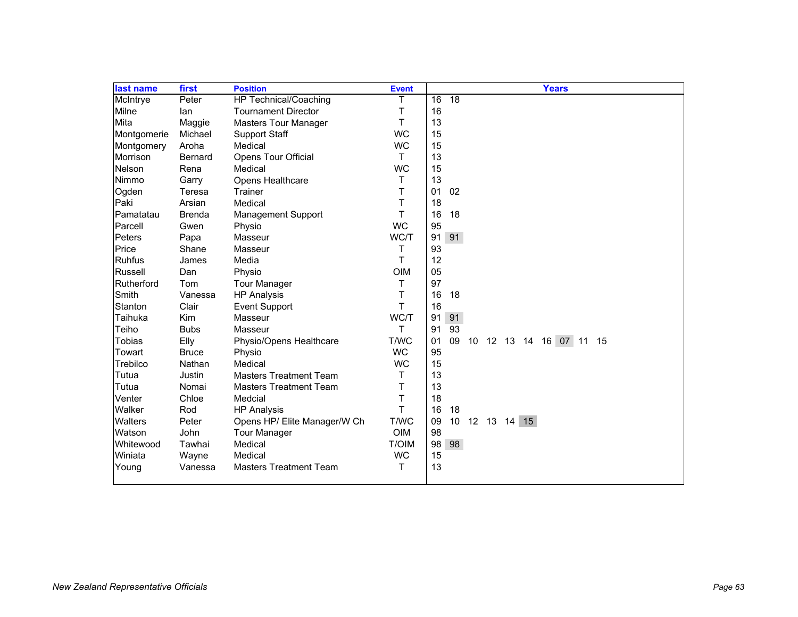| last name      | first          | <b>Position</b>               | <b>Event</b> | <b>Years</b>                           |
|----------------|----------------|-------------------------------|--------------|----------------------------------------|
| McIntrye       | Peter          | <b>HP Technical/Coaching</b>  | Т            | $\overline{16}$<br>$\overline{18}$     |
| Milne          | lan            | <b>Tournament Director</b>    | Т            | 16                                     |
| Mita           | Maggie         | <b>Masters Tour Manager</b>   | т            | 13                                     |
| Montgomerie    | Michael        | <b>Support Staff</b>          | <b>WC</b>    | 15                                     |
| Montgomery     | Aroha          | Medical                       | <b>WC</b>    | 15                                     |
| Morrison       | <b>Bernard</b> | <b>Opens Tour Official</b>    | T            | 13                                     |
| Nelson         | Rena           | Medical                       | <b>WC</b>    | 15                                     |
| Nimmo          | Garry          | Opens Healthcare              | Τ            | 13                                     |
| Ogden          | Teresa         | Trainer                       | T            | 01<br>02                               |
| Paki           | Arsian         | Medical                       | Т            | 18                                     |
| Pamatatau      | <b>Brenda</b>  | <b>Management Support</b>     | т            | 16<br>18                               |
| Parcell        | Gwen           | Physio                        | <b>WC</b>    | 95                                     |
| Peters         | Papa           | Masseur                       | WC/T         | 91<br>91                               |
| Price          | Shane          | Masseur                       | Τ            | 93                                     |
| <b>Ruhfus</b>  | James          | Media                         | T            | 12                                     |
| Russell        | Dan            | Physio                        | <b>OIM</b>   | 05                                     |
| Rutherford     | Tom            | <b>Tour Manager</b>           | Τ            | 97                                     |
| Smith          | Vanessa        | <b>HP Analysis</b>            | Τ            | 16<br>18                               |
| Stanton        | Clair          | <b>Event Support</b>          | Т            | 16                                     |
| Taihuka        | Kim            | Masseur                       | WC/T         | 91<br>91                               |
| Teiho          | <b>Bubs</b>    | Masseur                       | Τ            | 91<br>93                               |
| <b>Tobias</b>  | Elly           | Physio/Opens Healthcare       | T/WC         | 01<br>09<br>10<br>12 13 14 16 07 11 15 |
| Towart         | <b>Bruce</b>   | Physio                        | <b>WC</b>    | 95                                     |
| Trebilco       | Nathan         | Medical                       | <b>WC</b>    | 15                                     |
| Tutua          | Justin         | <b>Masters Treatment Team</b> | Τ            | 13                                     |
| Tutua          | Nomai          | <b>Masters Treatment Team</b> | T            | 13                                     |
| Venter         | Chloe          | Medcial                       | Τ            | 18                                     |
| Walker         | Rod            | <b>HP</b> Analysis            | T            | 16<br>18                               |
| <b>Walters</b> | Peter          | Opens HP/ Elite Manager/W Ch  | T/WC         | 10 <sup>°</sup><br>12 13 14 15<br>09   |
| Watson         | John           | <b>Tour Manager</b>           | <b>OIM</b>   | 98                                     |
| Whitewood      | Tawhai         | Medical                       | T/OIM        | 98<br>98                               |
| Winiata        | Wayne          | Medical                       | <b>WC</b>    | 15                                     |
| Young          | Vanessa        | <b>Masters Treatment Team</b> | т            | 13                                     |
|                |                |                               |              |                                        |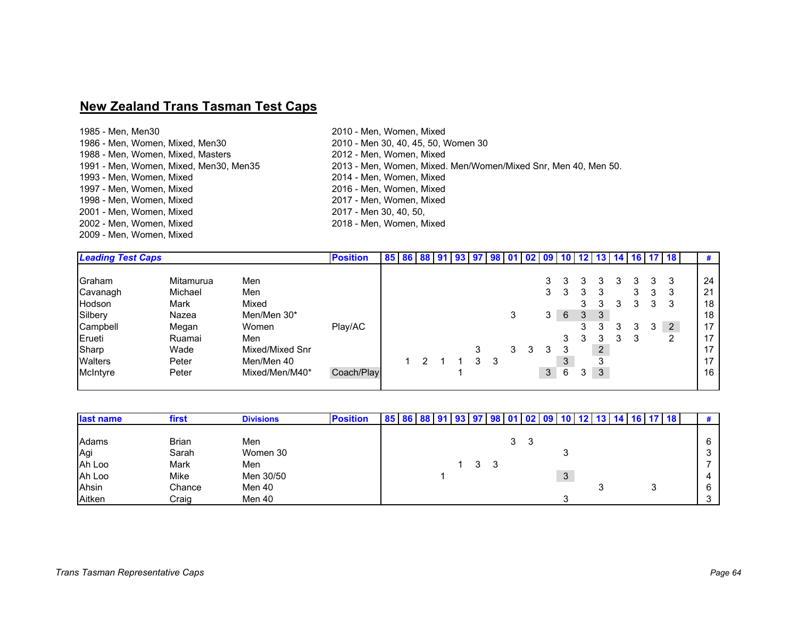# **New Zealand Trans Tasman Test Caps**

| 1985 - Men, Men30                      |
|----------------------------------------|
| 1986 - Men, Women, Mixed, Men30        |
| 1988 - Men. Women. Mixed. Masters      |
| 1991 - Men, Women, Mixed, Men30, Men35 |
| 1993 - Men, Women, Mixed               |
| 1997 - Men. Women. Mixed               |
| 1998 - Men, Women, Mixed               |
| 2001 - Men. Women. Mixed               |
| 2002 - Men. Women. Mixed               |
| 2009 - Men, Women, Mixed               |

 2010 - Men, Women, Mixed 2010 - Men 30, 40, 45, 50, Women 30 2012 - Men, Women, Mixed 2013 - Men, Women, Mixed. Men/Women/Mixed Snr, Men 40, Men 50. 2014 - Men, Women, Mixed 2016 - Men, Women, Mixed 2017 - Men, Women, Mixed 2017 - Men 30, 40, 50, 2018 - Men, Women, Mixed

| <b>Leading Test Caps</b> |           |                 | <b>Position</b> |  |               |  |   | 85 86 88 91 93 97 98 01 02 09 10 12 13 14 16 17 18 |   |   |                |   |   |   |   |    |   |                | #  |
|--------------------------|-----------|-----------------|-----------------|--|---------------|--|---|----------------------------------------------------|---|---|----------------|---|---|---|---|----|---|----------------|----|
|                          |           |                 |                 |  |               |  |   |                                                    |   |   |                |   |   |   |   |    |   |                |    |
| Graham                   | Mitamurua | Men             |                 |  |               |  |   |                                                    |   |   |                |   |   |   | 3 | 3  | 3 |                | 24 |
| Cavanagh                 | Michael   | Men             |                 |  |               |  |   |                                                    |   |   | 3              |   | 3 | 3 |   | 3. | 3 |                | 21 |
| Hodson                   | Mark      | Mixed           |                 |  |               |  |   |                                                    |   |   |                |   |   | 3 | 3 | 3  | 3 |                | 18 |
| Silbery                  | Nazea     | Men/Men 30*     |                 |  |               |  |   |                                                    | 3 |   | 3 <sup>1</sup> | 6 | 3 | 3 |   |    |   |                | 18 |
| Campbell                 | Megan     | Women           | Play/AC         |  |               |  |   |                                                    |   |   |                |   |   | 3 | 3 | 3  | 3 | $\overline{2}$ | 17 |
| Erueti                   | Ruamai    | Men             |                 |  |               |  |   |                                                    |   |   |                | 3 | 3 | 3 | 3 | 3  |   | ົ              | 17 |
| Sharp                    | Wade      | Mixed/Mixed Snr |                 |  |               |  | 3 |                                                    | 3 | 3 | 3              |   |   | 2 |   |    |   |                | 17 |
| <b>Walters</b>           | Peter     | Men/Men 40      |                 |  | $\mathcal{P}$ |  | 3 | -3                                                 |   |   |                | 3 |   |   |   |    |   |                | 17 |
| McIntyre                 | Peter     | Mixed/Men/M40*  | Coach/Play      |  |               |  |   |                                                    |   |   | 3              | 6 | 3 | 3 |   |    |   |                | 16 |

| last name | first        | <b>Divisions</b> | <b>Position</b> | 85   86   88   91   93   97   98   01   02   09   1 |   |     |  |   | $10$ 12 |  | 13   14   16   17   18 |    |
|-----------|--------------|------------------|-----------------|-----------------------------------------------------|---|-----|--|---|---------|--|------------------------|----|
|           |              |                  |                 |                                                     |   |     |  |   |         |  |                        |    |
| Adams     | <b>Brian</b> | Men              |                 |                                                     |   | 3 3 |  |   |         |  |                        | 6  |
| Agi       | Sarah        | Women 30         |                 |                                                     |   |     |  |   |         |  |                        | ູບ |
| Ah Loo    | Mark         | Men              |                 |                                                     | 3 |     |  |   |         |  |                        |    |
| Ah Loo    | Mike         | Men 30/50        |                 |                                                     |   |     |  | 3 |         |  |                        | 4  |
| Ahsin     | Chance       | Men 40           |                 |                                                     |   |     |  |   |         |  |                        | 6  |
| Aitken    | Craig        | Men 40           |                 |                                                     |   |     |  |   |         |  |                        |    |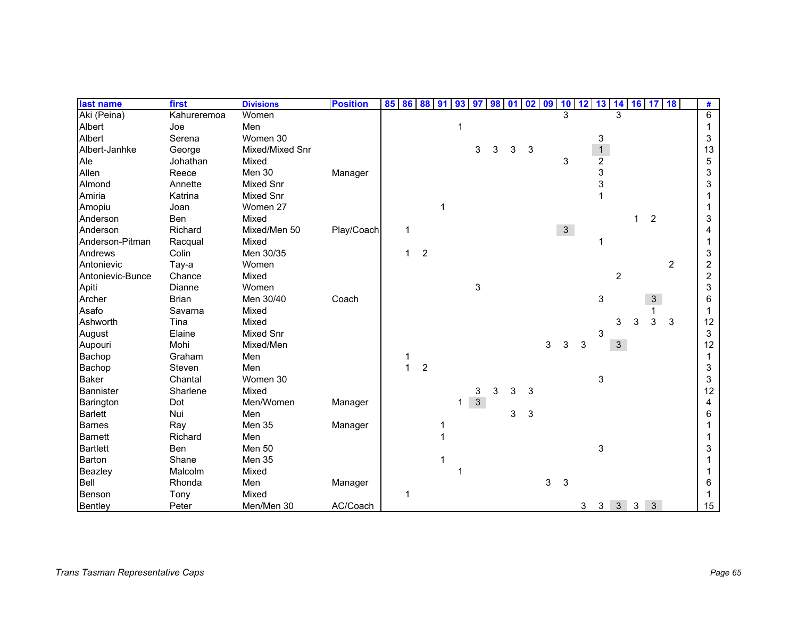| last name        | first        | <b>Divisions</b> | <b>Position</b> | 85 86 88 91 |                      |                | 93 | 97           | 98 | 01 | 02 | 09 | 10             | 12 13 14 16 17 18 |                |                |                 |                  |                | #              |
|------------------|--------------|------------------|-----------------|-------------|----------------------|----------------|----|--------------|----|----|----|----|----------------|-------------------|----------------|----------------|-----------------|------------------|----------------|----------------|
| Aki (Peina)      | Kahureremoa  | Women            |                 |             |                      |                |    |              |    |    |    |    | 3              |                   |                | 3              |                 |                  |                | 6              |
| Albert           | Joe          | Men              |                 |             |                      |                |    |              |    |    |    |    |                |                   |                |                |                 |                  |                |                |
| Albert           | Serena       | Women 30         |                 |             |                      |                |    |              |    |    |    |    |                |                   | 3              |                |                 |                  |                | 3              |
| Albert-Janhke    | George       | Mixed/Mixed Snr  |                 |             |                      |                |    | 3            | 3  | 3  | 3  |    |                |                   | $\mathbf{1}$   |                |                 |                  |                | 13             |
| Ale              | Johathan     | Mixed            |                 |             |                      |                |    |              |    |    |    |    | 3              |                   | 2              |                |                 |                  |                | 5              |
| Allen            | Reece        | Men 30           | Manager         |             |                      |                |    |              |    |    |    |    |                |                   | 3              |                |                 |                  |                | 3              |
| Almond           | Annette      | <b>Mixed Snr</b> |                 |             |                      |                |    |              |    |    |    |    |                |                   | 3              |                |                 |                  |                | 3              |
| Amiria           | Katrina      | Mixed Snr        |                 |             |                      |                |    |              |    |    |    |    |                |                   |                |                |                 |                  |                |                |
| Amopiu           | Joan         | Women 27         |                 |             |                      |                |    |              |    |    |    |    |                |                   |                |                |                 |                  |                |                |
| Anderson         | Ben          | Mixed            |                 |             |                      |                |    |              |    |    |    |    |                |                   |                |                |                 | $\boldsymbol{2}$ |                | 3              |
| Anderson         | Richard      | Mixed/Men 50     | Play/Coach      |             | 1                    |                |    |              |    |    |    |    | 3 <sup>1</sup> |                   |                |                |                 |                  |                |                |
| Anderson-Pitman  | Racqual      | Mixed            |                 |             |                      |                |    |              |    |    |    |    |                |                   | -1             |                |                 |                  |                |                |
| Andrews          | Colin        | Men 30/35        |                 |             | $\mathbf 1$          | $\overline{2}$ |    |              |    |    |    |    |                |                   |                |                |                 |                  |                | 3              |
| Antonievic       | Tay-a        | Women            |                 |             |                      |                |    |              |    |    |    |    |                |                   |                |                |                 |                  | $\overline{2}$ | $\overline{c}$ |
| Antonievic-Bunce | Chance       | Mixed            |                 |             |                      |                |    |              |    |    |    |    |                |                   |                | $\overline{c}$ |                 |                  |                | $\overline{2}$ |
| Apiti            | Dianne       | Women            |                 |             |                      |                |    | 3            |    |    |    |    |                |                   |                |                |                 |                  |                | 3              |
| Archer           | <b>Brian</b> | Men 30/40        | Coach           |             |                      |                |    |              |    |    |    |    |                |                   | 3              |                |                 | 3 <sup>1</sup>   |                | 6              |
| Asafo            | Savarna      | Mixed            |                 |             |                      |                |    |              |    |    |    |    |                |                   |                |                |                 |                  |                |                |
| Ashworth         | Tina         | Mixed            |                 |             |                      |                |    |              |    |    |    |    |                |                   |                | 3              | 3               | 3                | 3              | 12             |
| August           | Elaine       | <b>Mixed Snr</b> |                 |             |                      |                |    |              |    |    |    |    |                |                   | 3              |                |                 |                  |                | 3              |
| Aupouri          | Mohi         | Mixed/Men        |                 |             |                      |                |    |              |    |    |    | 3  | 3              | 3                 |                | 3 <sup>1</sup> |                 |                  |                | 12             |
| Bachop           | Graham       | Men              |                 |             |                      |                |    |              |    |    |    |    |                |                   |                |                |                 |                  |                |                |
| Bachop           | Steven       | Men              |                 |             | $\blacktriangleleft$ | $\overline{c}$ |    |              |    |    |    |    |                |                   |                |                |                 |                  |                | 3              |
| <b>Baker</b>     | Chantal      | Women 30         |                 |             |                      |                |    |              |    |    |    |    |                |                   | 3              |                |                 |                  |                | 3              |
| <b>Bannister</b> | Sharlene     | Mixed            |                 |             |                      |                |    | 3            | 3  | 3  | 3  |    |                |                   |                |                |                 |                  |                | 12             |
| Barington        | Dot          | Men/Women        | Manager         |             |                      |                | 1  | $\mathbf{3}$ |    |    |    |    |                |                   |                |                |                 |                  |                | 4              |
| <b>Barlett</b>   | Nui          | Men              |                 |             |                      |                |    |              |    | 3  | 3  |    |                |                   |                |                |                 |                  |                | 6              |
| <b>Barnes</b>    | Ray          | Men 35           | Manager         |             |                      |                |    |              |    |    |    |    |                |                   |                |                |                 |                  |                |                |
| <b>Barnett</b>   | Richard      | Men              |                 |             |                      |                |    |              |    |    |    |    |                |                   |                |                |                 |                  |                |                |
| <b>Bartlett</b>  | Ben          | Men 50           |                 |             |                      |                |    |              |    |    |    |    |                |                   | 3              |                |                 |                  |                | 3              |
| <b>Barton</b>    | Shane        | <b>Men 35</b>    |                 |             |                      |                |    |              |    |    |    |    |                |                   |                |                |                 |                  |                |                |
| Beazley          | Malcolm      | Mixed            |                 |             |                      |                |    |              |    |    |    |    |                |                   |                |                |                 |                  |                |                |
| Bell             | Rhonda       | Men              | Manager         |             |                      |                |    |              |    |    |    | 3  | 3              |                   |                |                |                 |                  |                | 6              |
| Benson           | Tony         | Mixed            |                 |             |                      |                |    |              |    |    |    |    |                |                   |                |                |                 |                  |                |                |
| <b>Bentley</b>   | Peter        | Men/Men 30       | AC/Coach        |             |                      |                |    |              |    |    |    |    |                | 3                 | 3 <sup>1</sup> |                | $3 \mid 3 \mid$ | $\mathbf{3}$     |                | 15             |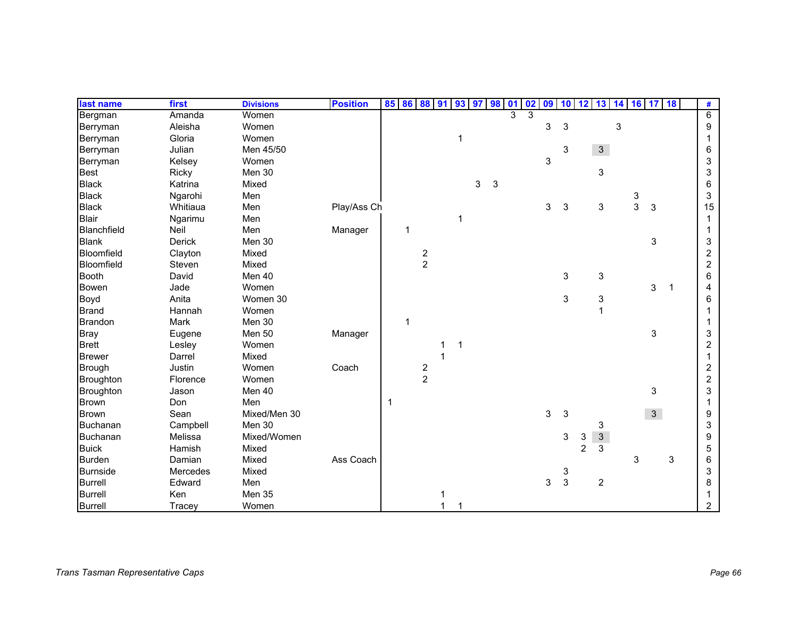| last name       | first        | <b>Divisions</b> | <b>Position</b> | 85 86 88 91 93 97 |               |   |   | 98 | 01 | 02 | 09 | 10 <sup>1</sup> | 12             | <b>13</b>                 | 14 16 17 18 |                |   | #              |
|-----------------|--------------|------------------|-----------------|-------------------|---------------|---|---|----|----|----|----|-----------------|----------------|---------------------------|-------------|----------------|---|----------------|
| Bergman         | Amanda       | Women            |                 |                   |               |   |   |    | 3  | 3  |    |                 |                |                           |             |                |   | 6              |
| Berryman        | Aleisha      | Women            |                 |                   |               |   |   |    |    |    | 3  | 3               |                | 3                         |             |                |   | 9              |
| Berryman        | Gloria       | Women            |                 |                   |               |   |   |    |    |    |    |                 |                |                           |             |                |   |                |
| Berryman        | Julian       | Men 45/50        |                 |                   |               |   |   |    |    |    |    | 3               |                | 3 <sup>1</sup>            |             |                |   | 6              |
| Berryman        | Kelsey       | Women            |                 |                   |               |   |   |    |    |    | 3  |                 |                |                           |             |                |   | 3              |
| <b>Best</b>     | <b>Ricky</b> | Men 30           |                 |                   |               |   |   |    |    |    |    |                 |                | 3                         |             |                |   | 3              |
| <b>Black</b>    | Katrina      | Mixed            |                 |                   |               |   | 3 | 3  |    |    |    |                 |                |                           |             |                |   | 6              |
| <b>Black</b>    | Ngarohi      | Men              |                 |                   |               |   |   |    |    |    |    |                 |                |                           | 3           |                |   | 3              |
| <b>Black</b>    | Whitiaua     | Men              | Play/Ass Ch     |                   |               |   |   |    |    |    | 3  | 3               |                | $\ensuremath{\mathsf{3}}$ | 3           | $\mathbf{3}$   |   | 15             |
| <b>Blair</b>    | Ngarimu      | Men              |                 |                   |               |   |   |    |    |    |    |                 |                |                           |             |                |   |                |
| Blanchfield     | Neil         | Men              | Manager         |                   |               |   |   |    |    |    |    |                 |                |                           |             |                |   |                |
| <b>Blank</b>    | Derick       | Men 30           |                 |                   |               |   |   |    |    |    |    |                 |                |                           |             | 3              |   | 3              |
| Bloomfield      | Clayton      | Mixed            |                 |                   | $\frac{2}{2}$ |   |   |    |    |    |    |                 |                |                           |             |                |   | $\overline{c}$ |
| Bloomfield      | Steven       | Mixed            |                 |                   |               |   |   |    |    |    |    |                 |                |                           |             |                |   | $\overline{c}$ |
| <b>Booth</b>    | David        | Men 40           |                 |                   |               |   |   |    |    |    |    | 3               |                | 3                         |             |                |   | 6              |
| Bowen           | Jade         | Women            |                 |                   |               |   |   |    |    |    |    |                 |                |                           |             | 3              | 1 | 4              |
| Boyd            | Anita        | Women 30         |                 |                   |               |   |   |    |    |    |    | 3               |                | 3                         |             |                |   | 6              |
| <b>Brand</b>    | Hannah       | Women            |                 |                   |               |   |   |    |    |    |    |                 |                | $\overline{1}$            |             |                |   |                |
| <b>Brandon</b>  | Mark         | Men 30           |                 |                   |               |   |   |    |    |    |    |                 |                |                           |             |                |   |                |
| <b>Bray</b>     | Eugene       | Men 50           | Manager         |                   |               |   |   |    |    |    |    |                 |                |                           |             | 3              |   | 3              |
| <b>Brett</b>    | Lesley       | Women            |                 |                   |               | 1 |   |    |    |    |    |                 |                |                           |             |                |   | $\overline{2}$ |
| <b>Brewer</b>   | Darrel       | Mixed            |                 |                   |               |   |   |    |    |    |    |                 |                |                           |             |                |   |                |
| Brough          | Justin       | Women            | Coach           |                   | $\frac{2}{2}$ |   |   |    |    |    |    |                 |                |                           |             |                |   | $\overline{c}$ |
| Broughton       | Florence     | Women            |                 |                   |               |   |   |    |    |    |    |                 |                |                           |             |                |   | $\overline{2}$ |
| Broughton       | Jason        | Men 40           |                 |                   |               |   |   |    |    |    |    |                 |                |                           |             | 3              |   | 3              |
| <b>Brown</b>    | Don          | Men              |                 | 1                 |               |   |   |    |    |    |    |                 |                |                           |             |                |   |                |
| <b>Brown</b>    | Sean         | Mixed/Men 30     |                 |                   |               |   |   |    |    |    | 3  | 3               |                |                           |             | 3 <sup>1</sup> |   | 9              |
| Buchanan        | Campbell     | Men 30           |                 |                   |               |   |   |    |    |    |    |                 |                | 3                         |             |                |   | 3              |
| Buchanan        | Melissa      | Mixed/Women      |                 |                   |               |   |   |    |    |    |    | 3               | 3              | $\mathfrak{S}$            |             |                |   | 9              |
| <b>Buick</b>    | Hamish       | Mixed            |                 |                   |               |   |   |    |    |    |    |                 | $\overline{2}$ | 3                         |             |                |   | 5              |
| <b>Burden</b>   | Damian       | Mixed            | Ass Coach       |                   |               |   |   |    |    |    |    |                 |                |                           | 3           |                | 3 | 6              |
| <b>Burnside</b> | Mercedes     | Mixed            |                 |                   |               |   |   |    |    |    |    | 3               |                |                           |             |                |   | 3              |
| <b>Burrell</b>  | Edward       | Men              |                 |                   |               |   |   |    |    |    | 3  | 3               |                | $\overline{2}$            |             |                |   | 8              |
| <b>Burrell</b>  | Ken          | Men 35           |                 |                   |               |   |   |    |    |    |    |                 |                |                           |             |                |   |                |
| <b>Burrell</b>  | Tracey       | Women            |                 |                   |               |   |   |    |    |    |    |                 |                |                           |             |                |   | $\overline{2}$ |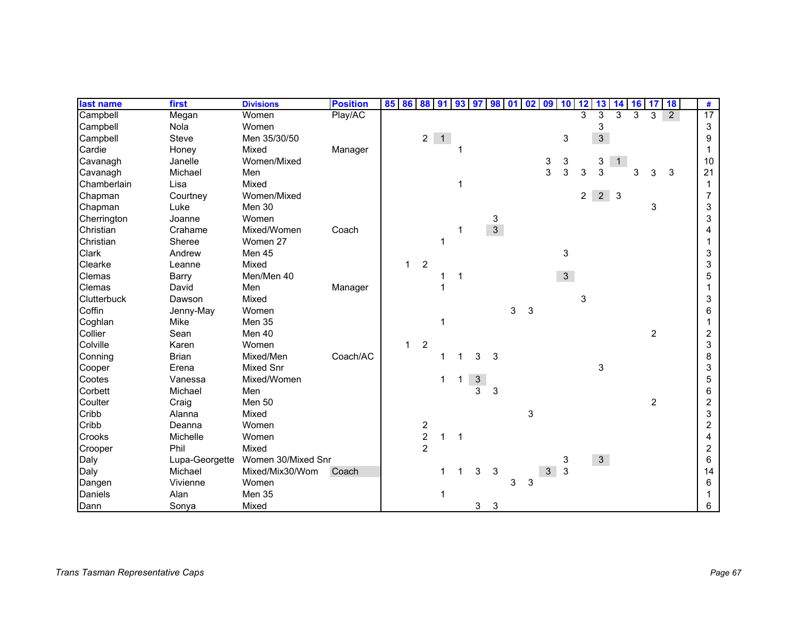| last name   | first          | <b>Divisions</b>   | <b>Position</b> | 85 86 88 91 93 97 |              |                                            |             |                           | 98             | 01 | 02 | 09             | 10             | 12             | 13             | 14           | <b>16</b> | 17             | <b>18</b>   | #              |
|-------------|----------------|--------------------|-----------------|-------------------|--------------|--------------------------------------------|-------------|---------------------------|----------------|----|----|----------------|----------------|----------------|----------------|--------------|-----------|----------------|-------------|----------------|
| Campbell    | Megan          | Women              | Play/AC         |                   |              |                                            |             |                           |                |    |    |                |                | 3              | 3              | 3            | 3         | ما             | $2^{\circ}$ | 17             |
| Campbell    | Nola           | Women              |                 |                   |              |                                            |             |                           |                |    |    |                |                |                | 3              |              |           |                |             | 3              |
| Campbell    | <b>Steve</b>   | Men 35/30/50       |                 |                   |              |                                            | $2 \quad 1$ |                           |                |    |    |                | 3              |                | $\mathfrak{S}$ |              |           |                |             | 9              |
| Cardie      | Honey          | Mixed              | Manager         |                   |              |                                            |             |                           |                |    |    |                |                |                |                |              |           |                |             |                |
| Cavanagh    | Janelle        | Women/Mixed        |                 |                   |              |                                            |             |                           |                |    |    | 3              | 3              |                | 3              | $\mathbf{1}$ |           |                |             | 10             |
| Cavanagh    | Michael        | Men                |                 |                   |              |                                            |             |                           |                |    |    | 3              | 3              | 3              | 3              |              | 3         | 3              | 3           | 21             |
| Chamberlain | Lisa           | Mixed              |                 |                   |              |                                            |             |                           |                |    |    |                |                |                |                |              |           |                |             | 1              |
| Chapman     | Courtney       | Women/Mixed        |                 |                   |              |                                            |             |                           |                |    |    |                |                | $\overline{2}$ | $2 \quad 3$    |              |           |                |             | $\overline{7}$ |
| Chapman     | Luke           | Men 30             |                 |                   |              |                                            |             |                           |                |    |    |                |                |                |                |              |           | 3              |             | 3              |
| Cherrington | Joanne         | Women              |                 |                   |              |                                            |             |                           | 3              |    |    |                |                |                |                |              |           |                |             | 3              |
| Christian   | Crahame        | Mixed/Women        | Coach           |                   |              |                                            |             |                           | $\overline{3}$ |    |    |                |                |                |                |              |           |                |             |                |
| Christian   | Sheree         | Women 27           |                 |                   |              |                                            |             |                           |                |    |    |                |                |                |                |              |           |                |             |                |
| Clark       | Andrew         | Men 45             |                 |                   |              |                                            |             |                           |                |    |    |                | 3              |                |                |              |           |                |             | 3              |
| Clearke     | Leanne         | Mixed              |                 |                   | $\mathbf{1}$ | $\overline{2}$                             |             |                           |                |    |    |                |                |                |                |              |           |                |             | 3              |
| Clemas      | <b>Barry</b>   | Men/Men 40         |                 |                   |              |                                            |             |                           |                |    |    |                | 3 <sup>1</sup> |                |                |              |           |                |             | 5              |
| Clemas      | David          | Men                | Manager         |                   |              |                                            |             |                           |                |    |    |                |                |                |                |              |           |                |             |                |
| Clutterbuck | Dawson         | Mixed              |                 |                   |              |                                            |             |                           |                |    |    |                |                | 3              |                |              |           |                |             | 3              |
| Coffin      | Jenny-May      | Women              |                 |                   |              |                                            |             |                           |                | 3  | 3  |                |                |                |                |              |           |                |             | 6              |
| Coghlan     | Mike           | Men 35             |                 |                   |              |                                            |             |                           |                |    |    |                |                |                |                |              |           |                |             |                |
| Collier     | Sean           | Men 40             |                 |                   |              |                                            |             |                           |                |    |    |                |                |                |                |              |           | $\overline{2}$ |             | 2              |
| Colville    | Karen          | Women              |                 |                   | $\mathbf 1$  | $\overline{2}$                             |             |                           |                |    |    |                |                |                |                |              |           |                |             | 3              |
| Conning     | <b>Brian</b>   | Mixed/Men          | Coach/AC        |                   |              |                                            |             | 3                         | 3              |    |    |                |                |                |                |              |           |                |             | 8              |
| Cooper      | Erena          | <b>Mixed Snr</b>   |                 |                   |              |                                            |             |                           |                |    |    |                |                |                | 3              |              |           |                |             | 3              |
| Cootes      | Vanessa        | Mixed/Women        |                 |                   |              |                                            | 1           | $\ensuremath{\mathsf{3}}$ |                |    |    |                |                |                |                |              |           |                |             | 5              |
| Corbett     | Michael        | Men                |                 |                   |              |                                            |             | 3                         | 3              |    |    |                |                |                |                |              |           |                |             | 6              |
| Coulter     | Craig          | Men 50             |                 |                   |              |                                            |             |                           |                |    |    |                |                |                |                |              |           | $\overline{2}$ |             | $\overline{c}$ |
| Cribb       | Alanna         | Mixed              |                 |                   |              |                                            |             |                           |                |    | 3  |                |                |                |                |              |           |                |             | 3              |
| Cribb       | Deanna         | Women              |                 |                   |              |                                            |             |                           |                |    |    |                |                |                |                |              |           |                |             | 2              |
| Crooks      | Michelle       | Women              |                 |                   |              | $\begin{array}{c} 2 \\ 2 \\ 2 \end{array}$ | 1           |                           |                |    |    |                |                |                |                |              |           |                |             | 4              |
| Crooper     | Phil           | Mixed              |                 |                   |              |                                            |             |                           |                |    |    |                |                |                |                |              |           |                |             | $\overline{c}$ |
| Daly        | Lupa-Georgette | Women 30/Mixed Snr |                 |                   |              |                                            |             |                           |                |    |    |                | 3              |                | 3 <sup>1</sup> |              |           |                |             | 6              |
| Daly        | Michael        | Mixed/Mix30/Wom    | Coach           |                   |              |                                            |             | 3                         | 3              |    |    | $\mathfrak{S}$ | 3              |                |                |              |           |                |             | 14             |
| Dangen      | Vivienne       | Women              |                 |                   |              |                                            |             |                           |                | 3  | 3  |                |                |                |                |              |           |                |             | 6              |
| Daniels     | Alan           | <b>Men 35</b>      |                 |                   |              |                                            | 1           |                           |                |    |    |                |                |                |                |              |           |                |             |                |
| Dann        | Sonya          | Mixed              |                 |                   |              |                                            |             | $\mathbf{3}$              | 3              |    |    |                |                |                |                |              |           |                |             | 6              |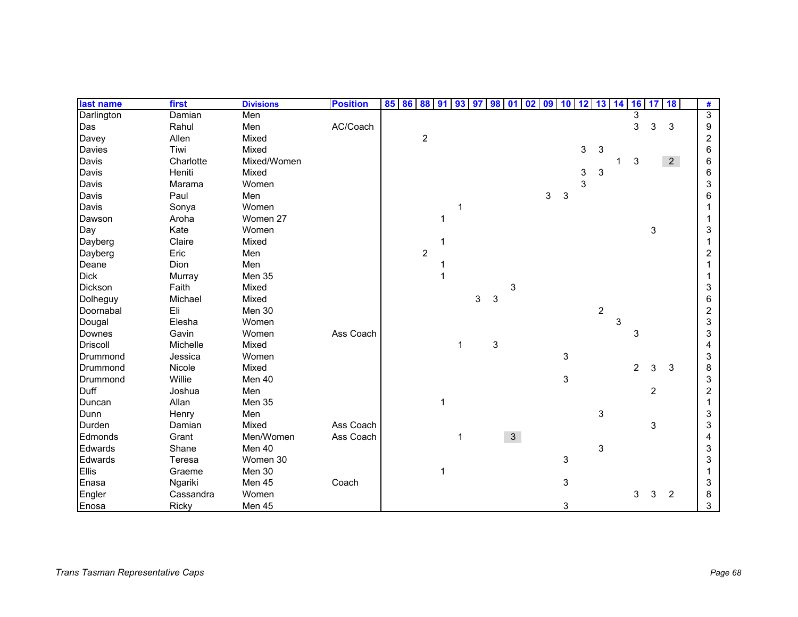| last name         | first     | <b>Divisions</b> | <b>Position</b> | 85<br>86 88 91 |                         |             | 93                   | 97 | 98 | $\mathbf{0}$ 1 | 02 | 09 | 10 | 12 | 13             | -14 | 16 | 17             | 18             | #              |
|-------------------|-----------|------------------|-----------------|----------------|-------------------------|-------------|----------------------|----|----|----------------|----|----|----|----|----------------|-----|----|----------------|----------------|----------------|
| <b>Darlington</b> | Damian    | Men              |                 |                |                         |             |                      |    |    |                |    |    |    |    |                |     | 3  |                |                | $\overline{3}$ |
| Das               | Rahul     | Men              | AC/Coach        |                |                         |             |                      |    |    |                |    |    |    |    |                |     | 3  | 3              | 3              | 9              |
| Davey             | Allen     | Mixed            |                 |                | $\overline{\mathbf{c}}$ |             |                      |    |    |                |    |    |    |    |                |     |    |                |                | $\overline{2}$ |
| Davies            | Tiwi      | Mixed            |                 |                |                         |             |                      |    |    |                |    |    |    | 3  | 3              |     |    |                |                | 6              |
| Davis             | Charlotte | Mixed/Women      |                 |                |                         |             |                      |    |    |                |    |    |    |    |                | 1   | 3  |                | 2 <sup>7</sup> | 6              |
| Davis             | Heniti    | Mixed            |                 |                |                         |             |                      |    |    |                |    |    |    | 3  | $\sqrt{3}$     |     |    |                |                | 6              |
| Davis             | Marama    | Women            |                 |                |                         |             |                      |    |    |                |    |    |    | 3  |                |     |    |                |                | 3              |
| Davis             | Paul      | Men              |                 |                |                         |             |                      |    |    |                |    | 3  | 3  |    |                |     |    |                |                | 6              |
| Davis             | Sonya     | Women            |                 |                |                         |             |                      |    |    |                |    |    |    |    |                |     |    |                |                |                |
| Dawson            | Aroha     | Women 27         |                 |                |                         |             |                      |    |    |                |    |    |    |    |                |     |    |                |                |                |
| Day               | Kate      | Women            |                 |                |                         |             |                      |    |    |                |    |    |    |    |                |     |    | $\mathbf{3}$   |                | 3              |
| Dayberg           | Claire    | Mixed            |                 |                |                         |             |                      |    |    |                |    |    |    |    |                |     |    |                |                |                |
| Dayberg           | Eric      | Men              |                 |                | $\overline{c}$          |             |                      |    |    |                |    |    |    |    |                |     |    |                |                | 2              |
| Deane             | Dion      | Men              |                 |                |                         |             |                      |    |    |                |    |    |    |    |                |     |    |                |                |                |
| <b>Dick</b>       | Murray    | Men 35           |                 |                |                         |             |                      |    |    |                |    |    |    |    |                |     |    |                |                |                |
| Dickson           | Faith     | Mixed            |                 |                |                         |             |                      |    |    | 3              |    |    |    |    |                |     |    |                |                | 3              |
| Dolheguy          | Michael   | Mixed            |                 |                |                         |             |                      | 3  | 3  |                |    |    |    |    |                |     |    |                |                | 6              |
| Doornabal         | Eli       | Men 30           |                 |                |                         |             |                      |    |    |                |    |    |    |    | $\overline{2}$ |     |    |                |                | $\overline{c}$ |
| Dougal            | Elesha    | Women            |                 |                |                         |             |                      |    |    |                |    |    |    |    |                | 3   |    |                |                | 3              |
| <b>Downes</b>     | Gavin     | Women            | Ass Coach       |                |                         |             |                      |    |    |                |    |    |    |    |                |     | 3  |                |                | 3              |
| <b>Driscoll</b>   | Michelle  | Mixed            |                 |                |                         |             | $\blacktriangleleft$ |    | 3  |                |    |    |    |    |                |     |    |                |                | 4              |
| Drummond          | Jessica   | Women            |                 |                |                         |             |                      |    |    |                |    |    | 3  |    |                |     |    |                |                | 3              |
| Drummond          | Nicole    | Mixed            |                 |                |                         |             |                      |    |    |                |    |    |    |    |                |     | 2  | 3              | 3              | 8              |
| Drummond          | Willie    | Men 40           |                 |                |                         |             |                      |    |    |                |    |    | 3  |    |                |     |    |                |                | 3              |
| Duff              | Joshua    | Men              |                 |                |                         |             |                      |    |    |                |    |    |    |    |                |     |    | $\overline{2}$ |                | $\overline{2}$ |
| Duncan            | Allan     | Men 35           |                 |                |                         | $\mathbf 1$ |                      |    |    |                |    |    |    |    |                |     |    |                |                |                |
| Dunn              | Henry     | Men              |                 |                |                         |             |                      |    |    |                |    |    |    |    | 3              |     |    |                |                | 3              |
| Durden            | Damian    | Mixed            | Ass Coach       |                |                         |             |                      |    |    |                |    |    |    |    |                |     |    | 3              |                | 3              |
| Edmonds           | Grant     | Men/Women        | Ass Coach       |                |                         |             | 1                    |    |    | $\mathbf{3}$   |    |    |    |    |                |     |    |                |                |                |
| Edwards           | Shane     | Men 40           |                 |                |                         |             |                      |    |    |                |    |    |    |    | $\mathbf{3}$   |     |    |                |                | 3              |
| Edwards           | Teresa    | Women 30         |                 |                |                         |             |                      |    |    |                |    |    | 3  |    |                |     |    |                |                | 3              |
| Ellis             | Graeme    | Men 30           |                 |                |                         |             |                      |    |    |                |    |    |    |    |                |     |    |                |                |                |
| Enasa             | Ngariki   | Men 45           | Coach           |                |                         |             |                      |    |    |                |    |    | 3  |    |                |     |    |                |                | 3              |
| Engler            | Cassandra | Women            |                 |                |                         |             |                      |    |    |                |    |    |    |    |                |     | 3  | 3              | 2              | 8              |
| Enosa             | Ricky     | Men 45           |                 |                |                         |             |                      |    |    |                |    |    | 3  |    |                |     |    |                |                | 3              |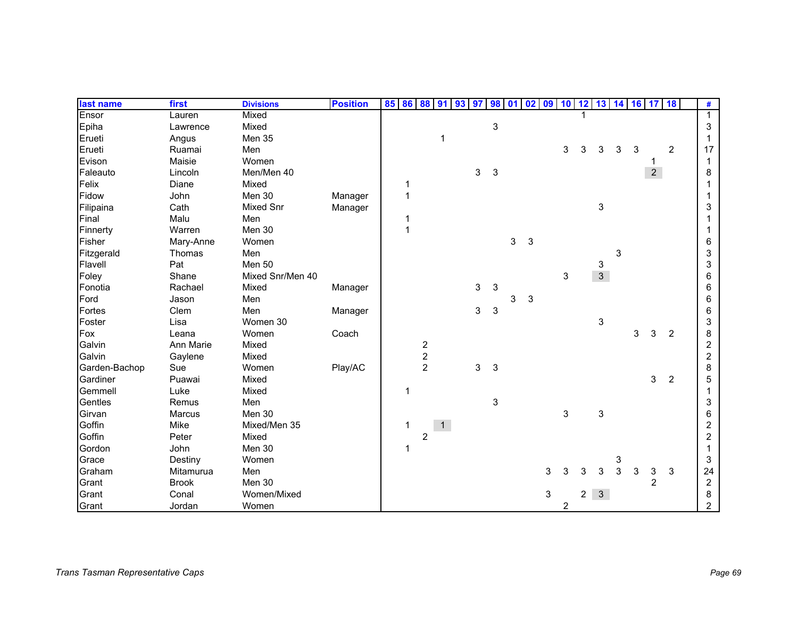| last name     | first        | <b>Divisions</b> | <b>Position</b> |   |                                            | 85 86 88 91 93 | 97           | 98             | 0 <sub>1</sub> | 02 | 09 | 10 | 12             | 13             | 14 16 17   |   |                | <b>18</b>      |                |
|---------------|--------------|------------------|-----------------|---|--------------------------------------------|----------------|--------------|----------------|----------------|----|----|----|----------------|----------------|------------|---|----------------|----------------|----------------|
| Ensor         | Lauren       | Mixed            |                 |   |                                            |                |              |                |                |    |    |    |                |                |            |   |                |                | $\mathbf{1}$   |
| Epiha         | Lawrence     | Mixed            |                 |   |                                            |                |              | 3              |                |    |    |    |                |                |            |   |                |                | 3              |
| Erueti        | Angus        | Men 35           |                 |   |                                            |                |              |                |                |    |    |    |                |                |            |   |                |                |                |
| Erueti        | Ruamai       | Men              |                 |   |                                            |                |              |                |                |    |    | 3  | 3              | 3              | 3          | 3 |                | $\overline{2}$ | 17             |
| Evison        | Maisie       | Women            |                 |   |                                            |                |              |                |                |    |    |    |                |                |            |   |                |                |                |
| Faleauto      | Lincoln      | Men/Men 40       |                 |   |                                            |                | 3            | 3              |                |    |    |    |                |                |            |   | $\overline{2}$ |                | 8              |
| Felix         | Diane        | Mixed            |                 |   |                                            |                |              |                |                |    |    |    |                |                |            |   |                |                |                |
| Fidow         | John         | Men 30           | Manager         |   |                                            |                |              |                |                |    |    |    |                |                |            |   |                |                |                |
| Filipaina     | Cath         | <b>Mixed Snr</b> | Manager         |   |                                            |                |              |                |                |    |    |    |                | 3              |            |   |                |                | 3              |
| Final         | Malu         | Men              |                 |   |                                            |                |              |                |                |    |    |    |                |                |            |   |                |                |                |
| Finnerty      | Warren       | Men 30           |                 |   |                                            |                |              |                |                |    |    |    |                |                |            |   |                |                |                |
| Fisher        | Mary-Anne    | Women            |                 |   |                                            |                |              |                | 3              | 3  |    |    |                |                |            |   |                |                | 6              |
| Fitzgerald    | Thomas       | Men              |                 |   |                                            |                |              |                |                |    |    |    |                |                | $\sqrt{3}$ |   |                |                | 3              |
| Flavell       | Pat          | Men 50           |                 |   |                                            |                |              |                |                |    |    |    |                | 3              |            |   |                |                | 3              |
| Foley         | Shane        | Mixed Snr/Men 40 |                 |   |                                            |                |              |                |                |    |    | 3  |                | 3 <sup>1</sup> |            |   |                |                | 6              |
| Fonotia       | Rachael      | Mixed            | Manager         |   |                                            |                | $\mathbf{3}$ | 3              |                |    |    |    |                |                |            |   |                |                | 6              |
| Ford          | Jason        | Men              |                 |   |                                            |                |              |                | 3              | 3  |    |    |                |                |            |   |                |                | 6              |
| Fortes        | Clem         | Men              | Manager         |   |                                            |                | $\mathbf{3}$ | $\mathfrak{Z}$ |                |    |    |    |                |                |            |   |                |                | 6              |
| Foster        | Lisa         | Women 30         |                 |   |                                            |                |              |                |                |    |    |    |                | 3              |            |   |                |                | 3              |
| Fox           | Leana        | Women            | Coach           |   |                                            |                |              |                |                |    |    |    |                |                |            | 3 | 3              | $\overline{2}$ | 8              |
| Galvin        | Ann Marie    | Mixed            |                 |   |                                            |                |              |                |                |    |    |    |                |                |            |   |                |                | $\overline{c}$ |
| Galvin        | Gaylene      | Mixed            |                 |   | $\begin{array}{c} 2 \\ 2 \\ 2 \end{array}$ |                |              |                |                |    |    |    |                |                |            |   |                |                | $\overline{c}$ |
| Garden-Bachop | Sue          | Women            | Play/AC         |   |                                            |                | 3            | $\sqrt{3}$     |                |    |    |    |                |                |            |   |                |                | 8              |
| Gardiner      | Puawai       | Mixed            |                 |   |                                            |                |              |                |                |    |    |    |                |                |            |   | 3              | $\overline{2}$ | 5              |
| Gemmell       | Luke         | Mixed            |                 |   |                                            |                |              |                |                |    |    |    |                |                |            |   |                |                |                |
| Gentles       | Remus        | Men              |                 |   |                                            |                |              | 3              |                |    |    |    |                |                |            |   |                |                | 3              |
| Girvan        | Marcus       | Men 30           |                 |   |                                            |                |              |                |                |    |    | 3  |                | 3              |            |   |                |                | 6              |
| Goffin        | Mike         | Mixed/Men 35     |                 |   |                                            | 1              |              |                |                |    |    |    |                |                |            |   |                |                | 2              |
| Goffin        | Peter        | Mixed            |                 |   | $\overline{c}$                             |                |              |                |                |    |    |    |                |                |            |   |                |                | $\overline{2}$ |
| Gordon        | John         | Men 30           |                 | 1 |                                            |                |              |                |                |    |    |    |                |                |            |   |                |                |                |
| Grace         | Destiny      | Women            |                 |   |                                            |                |              |                |                |    |    |    |                |                | 3          |   |                |                | 3              |
| Graham        | Mitamurua    | Men              |                 |   |                                            |                |              |                |                |    | 3  | 3  | 3              | 3              | 3          | 3 | 3              | 3              | 24             |
| Grant         | <b>Brook</b> | Men 30           |                 |   |                                            |                |              |                |                |    |    |    |                |                |            |   | $\overline{2}$ |                | $\overline{2}$ |
| Grant         | Conal        | Women/Mixed      |                 |   |                                            |                |              |                |                |    | 3  |    | $\overline{c}$ | $\mathbf{3}$   |            |   |                |                | 8              |
| Grant         | Jordan       | Women            |                 |   |                                            |                |              |                |                |    |    | 2  |                |                |            |   |                |                | $\overline{2}$ |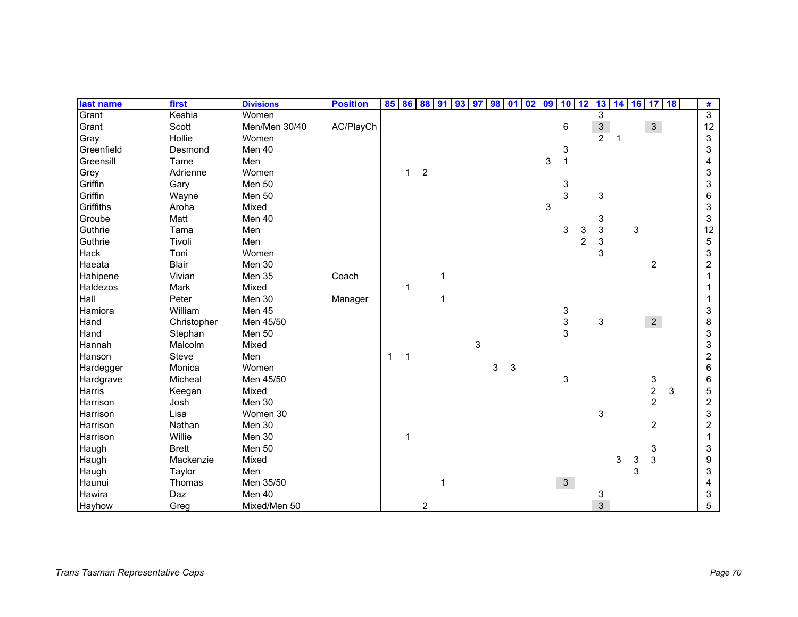| last name  | first        | <b>Divisions</b> | <b>Position</b> | 85 86 88 91 |             |                |   |   | 93 97 98 01 |            | 02 | 09         | 10                        | 12             | 13             | 14 | 16 | 17                        | <b>18</b> | #                |
|------------|--------------|------------------|-----------------|-------------|-------------|----------------|---|---|-------------|------------|----|------------|---------------------------|----------------|----------------|----|----|---------------------------|-----------|------------------|
| Grant      | Keshia       | Women            |                 |             |             |                |   |   |             |            |    |            |                           |                | 3              |    |    |                           |           | $\overline{3}$   |
| Grant      | Scott        | Men/Men 30/40    | AC/PlayCh       |             |             |                |   |   |             |            |    |            | 6                         |                | $\frac{3}{2}$  |    |    | $\mathbf{3}$              |           | 12               |
| Gray       | Hollie       | Women            |                 |             |             |                |   |   |             |            |    |            |                           |                |                | 1  |    |                           |           | 3                |
| Greenfield | Desmond      | Men 40           |                 |             |             |                |   |   |             |            |    |            | 3                         |                |                |    |    |                           |           | 3                |
| Greensill  | Tame         | Men              |                 |             |             |                |   |   |             |            |    | 3          | 1                         |                |                |    |    |                           |           | 4                |
| Grey       | Adrienne     | Women            |                 |             | $\mathbf 1$ | $\overline{2}$ |   |   |             |            |    |            |                           |                |                |    |    |                           |           | 3                |
| Griffin    | Gary         | Men 50           |                 |             |             |                |   |   |             |            |    |            | $\ensuremath{\mathsf{3}}$ |                |                |    |    |                           |           | 3                |
| Griffin    | Wayne        | Men 50           |                 |             |             |                |   |   |             |            |    |            | 3                         |                | 3              |    |    |                           |           | 6                |
| Griffiths  | Aroha        | Mixed            |                 |             |             |                |   |   |             |            |    | $\sqrt{3}$ |                           |                |                |    |    |                           |           | 3                |
| Groube     | Matt         | Men 40           |                 |             |             |                |   |   |             |            |    |            |                           |                | 3              |    |    |                           |           | 3                |
| Guthrie    | Tama         | Men              |                 |             |             |                |   |   |             |            |    |            | 3                         | 3              | 3              |    | 3  |                           |           | 12               |
| Guthrie    | Tivoli       | Men              |                 |             |             |                |   |   |             |            |    |            |                           | $\overline{c}$ | 3              |    |    |                           |           | 5                |
| Hack       | Toni         | Women            |                 |             |             |                |   |   |             |            |    |            |                           |                | 3              |    |    |                           |           | 3                |
| Haeata     | <b>Blair</b> | Men 30           |                 |             |             |                |   |   |             |            |    |            |                           |                |                |    |    | $\overline{c}$            |           | $\overline{c}$   |
| Hahipene   | Vivian       | Men 35           | Coach           |             |             |                | 1 |   |             |            |    |            |                           |                |                |    |    |                           |           | 1                |
| Haldezos   | Mark         | Mixed            |                 |             | 1           |                |   |   |             |            |    |            |                           |                |                |    |    |                           |           |                  |
| Hall       | Peter        | Men 30           | Manager         |             |             |                | 1 |   |             |            |    |            |                           |                |                |    |    |                           |           |                  |
| Hamiora    | William      | Men 45           |                 |             |             |                |   |   |             |            |    |            | 3                         |                |                |    |    |                           |           | 3                |
| Hand       | Christopher  | Men 45/50        |                 |             |             |                |   |   |             |            |    |            | 3                         |                | 3              |    |    | 2 <sup>7</sup>            |           | 8                |
| Hand       | Stephan      | Men 50           |                 |             |             |                |   |   |             |            |    |            | 3                         |                |                |    |    |                           |           | 3                |
| Hannah     | Malcolm      | Mixed            |                 |             |             |                |   | 3 |             |            |    |            |                           |                |                |    |    |                           |           | 3                |
| Hanson     | <b>Steve</b> | Men              |                 | 1           | 1           |                |   |   |             |            |    |            |                           |                |                |    |    |                           |           | $\overline{c}$   |
| Hardegger  | Monica       | Women            |                 |             |             |                |   |   | 3           | $\sqrt{3}$ |    |            |                           |                |                |    |    |                           |           | 6                |
| Hardgrave  | Micheal      | Men 45/50        |                 |             |             |                |   |   |             |            |    |            | 3                         |                |                |    |    | 3                         |           | 6                |
| Harris     | Keegan       | Mixed            |                 |             |             |                |   |   |             |            |    |            |                           |                |                |    |    | $\overline{\mathbf{c}}$   | 3         | 5                |
| Harrison   | Josh         | Men 30           |                 |             |             |                |   |   |             |            |    |            |                           |                |                |    |    | $\overline{c}$            |           | $\boldsymbol{2}$ |
| Harrison   | Lisa         | Women 30         |                 |             |             |                |   |   |             |            |    |            |                           |                | 3              |    |    |                           |           | 3                |
| Harrison   | Nathan       | Men 30           |                 |             |             |                |   |   |             |            |    |            |                           |                |                |    |    | $\overline{c}$            |           | $\overline{c}$   |
| Harrison   | Willie       | Men 30           |                 |             | 1           |                |   |   |             |            |    |            |                           |                |                |    |    |                           |           | 1                |
| Haugh      | <b>Brett</b> | Men 50           |                 |             |             |                |   |   |             |            |    |            |                           |                |                |    |    | 3                         |           | 3                |
| Haugh      | Mackenzie    | Mixed            |                 |             |             |                |   |   |             |            |    |            |                           |                |                | 3  | 3  | $\ensuremath{\mathsf{3}}$ |           | 9                |
| Haugh      | Taylor       | Men              |                 |             |             |                |   |   |             |            |    |            |                           |                |                |    | 3  |                           |           | 3                |
| Haunui     | Thomas       | Men 35/50        |                 |             |             |                |   |   |             |            |    |            | 3 <sup>1</sup>            |                |                |    |    |                           |           | 4                |
| Hawira     | Daz          | Men 40           |                 |             |             |                |   |   |             |            |    |            |                           |                | 3              |    |    |                           |           | 3                |
| Hayhow     | Greg         | Mixed/Men 50     |                 |             |             | $\overline{c}$ |   |   |             |            |    |            |                           |                | $\overline{3}$ |    |    |                           |           | 5                |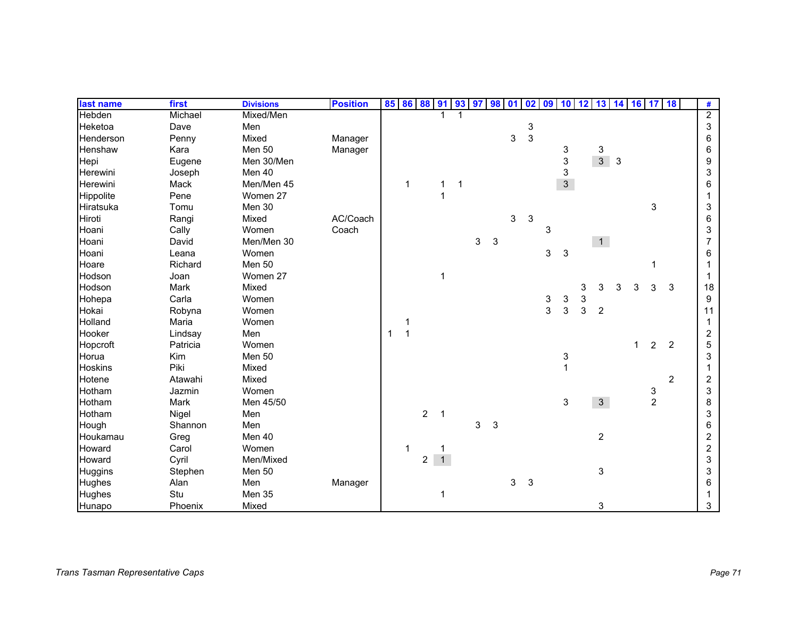| last name      | first      | <b>Divisions</b> | <b>Position</b> | 85 86 88 91 93 97 |   |                |                |   |   | <b>98</b> | 01 | 02 | 09 | 10 12 13 14 16 17 18 |   |                |              |              |                |                | #              |
|----------------|------------|------------------|-----------------|-------------------|---|----------------|----------------|---|---|-----------|----|----|----|----------------------|---|----------------|--------------|--------------|----------------|----------------|----------------|
| Hebden         | Michael    | Mixed/Men        |                 |                   |   |                |                |   |   |           |    |    |    |                      |   |                |              |              |                |                | $\overline{2}$ |
| Heketoa        | Dave       | Men              |                 |                   |   |                |                |   |   |           |    | 3  |    |                      |   |                |              |              |                |                | 3              |
| Henderson      | Penny      | Mixed            | Manager         |                   |   |                |                |   |   |           | 3  | 3  |    |                      |   |                |              |              |                |                | 6              |
| Henshaw        | Kara       | Men 50           | Manager         |                   |   |                |                |   |   |           |    |    |    | 3                    |   | 3              |              |              |                |                | 6              |
| Hepi           | Eugene     | Men 30/Men       |                 |                   |   |                |                |   |   |           |    |    |    | 3                    |   | 3 <sup>1</sup> | $\mathbf{3}$ |              |                |                | 9              |
| Herewini       | Joseph     | Men 40           |                 |                   |   |                |                |   |   |           |    |    |    | 3                    |   |                |              |              |                |                | 3              |
| Herewini       | Mack       | Men/Men 45       |                 |                   |   |                |                | 1 |   |           |    |    |    | $\mathbf{3}$         |   |                |              |              |                |                | 6              |
| Hippolite      | Pene       | Women 27         |                 |                   |   |                |                |   |   |           |    |    |    |                      |   |                |              |              |                |                |                |
| Hiratsuka      | Tomu       | Men 30           |                 |                   |   |                |                |   |   |           |    |    |    |                      |   |                |              |              | 3              |                | 3              |
| Hiroti         | Rangi      | Mixed            | AC/Coach        |                   |   |                |                |   |   |           | 3  | 3  |    |                      |   |                |              |              |                |                | 6              |
| Hoani          | Cally      | Women            | Coach           |                   |   |                |                |   |   |           |    |    | 3  |                      |   |                |              |              |                |                | 3              |
| Hoani          | David      | Men/Men 30       |                 |                   |   |                |                |   | 3 | 3         |    |    |    |                      |   | 1              |              |              |                |                | $\overline{7}$ |
| Hoani          | Leana      | Women            |                 |                   |   |                |                |   |   |           |    |    | 3  | $\sqrt{3}$           |   |                |              |              |                |                | 6              |
| Hoare          | Richard    | Men 50           |                 |                   |   |                |                |   |   |           |    |    |    |                      |   |                |              |              |                |                |                |
| Hodson         | Joan       | Women 27         |                 |                   |   |                | 1              |   |   |           |    |    |    |                      |   |                |              |              |                |                |                |
| Hodson         | Mark       | Mixed            |                 |                   |   |                |                |   |   |           |    |    |    |                      | 3 | 3              | 3            | 3            | 3              | 3              | 18             |
| Hohepa         | Carla      | Women            |                 |                   |   |                |                |   |   |           |    |    | 3  | 3                    | 3 |                |              |              |                |                | 9              |
| Hokai          | Robyna     | Women            |                 |                   |   |                |                |   |   |           |    |    | 3  | 3                    | 3 | $\overline{2}$ |              |              |                |                | 11             |
| Holland        | Maria      | Women            |                 |                   |   |                |                |   |   |           |    |    |    |                      |   |                |              |              |                |                |                |
| Hooker         | Lindsay    | Men              |                 | 1                 | 1 |                |                |   |   |           |    |    |    |                      |   |                |              |              |                |                | 2              |
| Hopcroft       | Patricia   | Women            |                 |                   |   |                |                |   |   |           |    |    |    |                      |   |                |              | $\mathbf{1}$ | $\overline{a}$ | $\overline{c}$ | 5              |
| Horua          | <b>Kim</b> | Men 50           |                 |                   |   |                |                |   |   |           |    |    |    | 3                    |   |                |              |              |                |                | 3              |
| <b>Hoskins</b> | Piki       | Mixed            |                 |                   |   |                |                |   |   |           |    |    |    | $\mathbf{1}$         |   |                |              |              |                |                |                |
| Hotene         | Atawahi    | Mixed            |                 |                   |   |                |                |   |   |           |    |    |    |                      |   |                |              |              |                | $\overline{2}$ | $\overline{c}$ |
| Hotham         | Jazmin     | Women            |                 |                   |   |                |                |   |   |           |    |    |    |                      |   |                |              |              | 3              |                | 3              |
| Hotham         | Mark       | Men 45/50        |                 |                   |   |                |                |   |   |           |    |    |    | 3                    |   | 3 <sup>1</sup> |              |              | $\overline{c}$ |                | 8              |
| Hotham         | Nigel      | Men              |                 |                   |   | $\overline{c}$ | 1              |   |   |           |    |    |    |                      |   |                |              |              |                |                | 3              |
| Hough          | Shannon    | Men              |                 |                   |   |                |                |   | 3 | 3         |    |    |    |                      |   |                |              |              |                |                | 6              |
| Houkamau       | Greg       | Men 40           |                 |                   |   |                |                |   |   |           |    |    |    |                      |   | $\overline{2}$ |              |              |                |                | $\overline{c}$ |
| Howard         | Carol      | Women            |                 |                   | 1 |                | 1              |   |   |           |    |    |    |                      |   |                |              |              |                |                | $\overline{c}$ |
| Howard         | Cyril      | Men/Mixed        |                 |                   |   | $\overline{c}$ | $\overline{1}$ |   |   |           |    |    |    |                      |   |                |              |              |                |                | 3              |
| <b>Huggins</b> | Stephen    | Men 50           |                 |                   |   |                |                |   |   |           |    |    |    |                      |   | $\mathbf{3}$   |              |              |                |                | 3              |
| Hughes         | Alan       | Men              | Manager         |                   |   |                |                |   |   |           | 3  | 3  |    |                      |   |                |              |              |                |                | 6              |
| Hughes         | Stu        | Men 35           |                 |                   |   |                |                |   |   |           |    |    |    |                      |   |                |              |              |                |                |                |
| Hunapo         | Phoenix    | Mixed            |                 |                   |   |                |                |   |   |           |    |    |    |                      |   | 3              |              |              |                |                | 3              |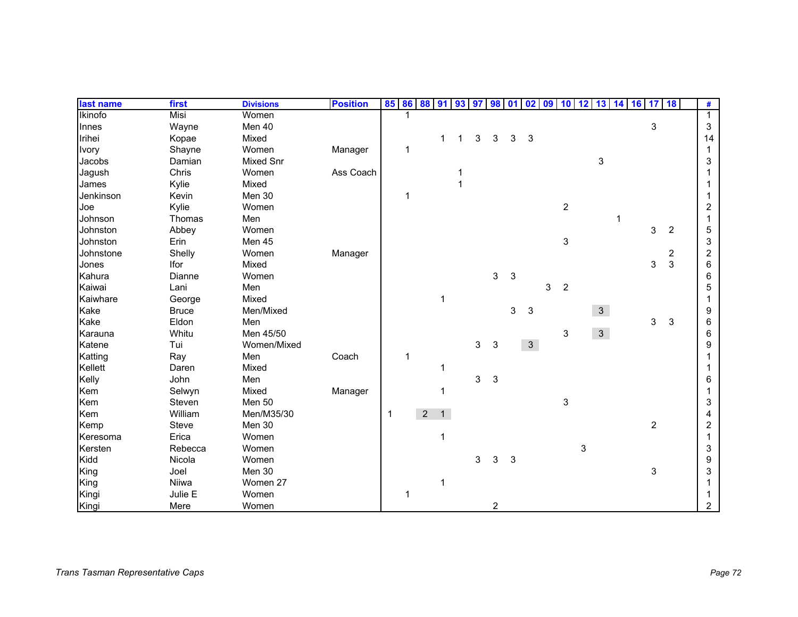| last name      | first        | <b>Divisions</b> | <b>Position</b> | 85 |   | 86 88 91       |                | 93 | 97 | 98             | 01 | 02             | 09 | 10             | 12         | 13             | 14 | $16$ 17 |                | 18                      | #              |  |
|----------------|--------------|------------------|-----------------|----|---|----------------|----------------|----|----|----------------|----|----------------|----|----------------|------------|----------------|----|---------|----------------|-------------------------|----------------|--|
| <b>Ikinofo</b> | Misi         | Women            |                 |    |   |                |                |    |    |                |    |                |    |                |            |                |    |         |                |                         | $\mathbf{1}$   |  |
| Innes          | Wayne        | Men 40           |                 |    |   |                |                |    |    |                |    |                |    |                |            |                |    |         | 3              |                         | 3              |  |
| Irihei         | Kopae        | Mixed            |                 |    |   |                |                |    | 3  | 3              | 3  | 3              |    |                |            |                |    |         |                |                         | 14             |  |
| Ivory          | Shayne       | Women            | Manager         |    | 1 |                |                |    |    |                |    |                |    |                |            |                |    |         |                |                         | 1              |  |
| Jacobs         | Damian       | Mixed Snr        |                 |    |   |                |                |    |    |                |    |                |    |                |            | 3              |    |         |                |                         | 3              |  |
| Jagush         | Chris        | Women            | Ass Coach       |    |   |                |                |    |    |                |    |                |    |                |            |                |    |         |                |                         |                |  |
| James          | Kylie        | Mixed            |                 |    |   |                |                |    |    |                |    |                |    |                |            |                |    |         |                |                         |                |  |
| Jenkinson      | Kevin        | Men 30           |                 |    | 1 |                |                |    |    |                |    |                |    |                |            |                |    |         |                |                         |                |  |
| Joe            | Kylie        | Women            |                 |    |   |                |                |    |    |                |    |                |    | $\overline{2}$ |            |                |    |         |                |                         | 2              |  |
| Johnson        | Thomas       | Men              |                 |    |   |                |                |    |    |                |    |                |    |                |            |                |    |         |                |                         |                |  |
| Johnston       | Abbey        | Women            |                 |    |   |                |                |    |    |                |    |                |    |                |            |                |    |         | 3              | $\overline{c}$          | 5              |  |
| Johnston       | Erin         | Men 45           |                 |    |   |                |                |    |    |                |    |                |    | 3              |            |                |    |         |                |                         | 3              |  |
| Johnstone      | Shelly       | Women            | Manager         |    |   |                |                |    |    |                |    |                |    |                |            |                |    |         |                | $\overline{\mathbf{c}}$ | $\overline{c}$ |  |
| Jones          | Ifor         | Mixed            |                 |    |   |                |                |    |    |                |    |                |    |                |            |                |    |         | 3              | 3                       | 6              |  |
| Kahura         | Dianne       | Women            |                 |    |   |                |                |    |    | 3              | 3  |                |    |                |            |                |    |         |                |                         | 6              |  |
| Kaiwai         | Lani         | Men              |                 |    |   |                |                |    |    |                |    |                | 3  | $\overline{2}$ |            |                |    |         |                |                         | 5              |  |
| Kaiwhare       | George       | Mixed            |                 |    |   |                |                |    |    |                |    |                |    |                |            |                |    |         |                |                         |                |  |
| Kake           | <b>Bruce</b> | Men/Mixed        |                 |    |   |                |                |    |    |                | 3  | 3              |    |                |            | 3 <sup>1</sup> |    |         |                |                         | 9              |  |
| Kake           | Eldon        | Men              |                 |    |   |                |                |    |    |                |    |                |    |                |            |                |    |         | 3              | 3                       | 6              |  |
| Karauna        | Whitu        | Men 45/50        |                 |    |   |                |                |    |    |                |    |                |    | 3              |            | 3 <sup>1</sup> |    |         |                |                         | 6              |  |
| Katene         | Tui          | Women/Mixed      |                 |    |   |                |                |    | 3  | 3              |    | 3 <sup>7</sup> |    |                |            |                |    |         |                |                         | 9              |  |
| Katting        | Ray          | Men              | Coach           |    | 1 |                |                |    |    |                |    |                |    |                |            |                |    |         |                |                         |                |  |
| Kellett        | Daren        | Mixed            |                 |    |   |                |                |    |    |                |    |                |    |                |            |                |    |         |                |                         |                |  |
| Kelly          | John         | Men              |                 |    |   |                |                |    | 3  | 3              |    |                |    |                |            |                |    |         |                |                         | 6              |  |
| Kem            | Selwyn       | Mixed            | Manager         |    |   |                | 1              |    |    |                |    |                |    |                |            |                |    |         |                |                         |                |  |
| Kem            | Steven       | Men 50           |                 |    |   |                |                |    |    |                |    |                |    | 3              |            |                |    |         |                |                         | 3              |  |
| Kem            | William      | Men/M35/30       |                 | 1  |   | $\overline{2}$ | $\overline{1}$ |    |    |                |    |                |    |                |            |                |    |         |                |                         | 4              |  |
| Kemp           | Steve        | Men 30           |                 |    |   |                |                |    |    |                |    |                |    |                |            |                |    |         | $\overline{c}$ |                         | $\overline{c}$ |  |
| Keresoma       | Erica        | Women            |                 |    |   |                | 1              |    |    |                |    |                |    |                |            |                |    |         |                |                         |                |  |
| Kersten        | Rebecca      | Women            |                 |    |   |                |                |    |    |                |    |                |    |                | $\sqrt{3}$ |                |    |         |                |                         | 3              |  |
| Kidd           | Nicola       | Women            |                 |    |   |                |                |    | 3  | 3              | 3  |                |    |                |            |                |    |         |                |                         | 9              |  |
| King           | Joel         | Men 30           |                 |    |   |                |                |    |    |                |    |                |    |                |            |                |    |         | 3              |                         | 3              |  |
| King           | Niiwa        | Women 27         |                 |    |   |                |                |    |    |                |    |                |    |                |            |                |    |         |                |                         |                |  |
| Kingi          | Julie E      | Women            |                 |    | 1 |                |                |    |    |                |    |                |    |                |            |                |    |         |                |                         |                |  |
| Kingi          | Mere         | Women            |                 |    |   |                |                |    |    | $\overline{c}$ |    |                |    |                |            |                |    |         |                |                         | $\overline{2}$ |  |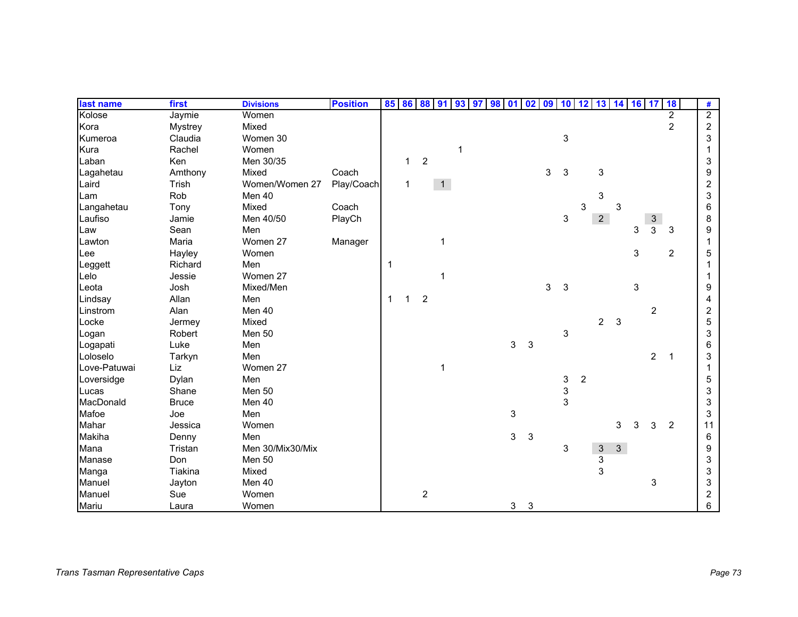| last name    | first          | <b>Divisions</b> | <b>Position</b> |   |   |                | 85 86 88 91 93 97 |   | 98 | 01         | 02 |   |   |                | 09 10 12 13 14 16 17      |              |   |                | 18             | #              |
|--------------|----------------|------------------|-----------------|---|---|----------------|-------------------|---|----|------------|----|---|---|----------------|---------------------------|--------------|---|----------------|----------------|----------------|
| Kolose       | Jaymie         | Women            |                 |   |   |                |                   |   |    |            |    |   |   |                |                           |              |   |                | $\overline{2}$ | $\overline{2}$ |
| Kora         | <b>Mystrey</b> | Mixed            |                 |   |   |                |                   |   |    |            |    |   |   |                |                           |              |   |                | $\overline{2}$ | $\overline{c}$ |
| Kumeroa      | Claudia        | Women 30         |                 |   |   |                |                   |   |    |            |    |   | 3 |                |                           |              |   |                |                | 3              |
| Kura         | Rachel         | Women            |                 |   |   |                |                   | 1 |    |            |    |   |   |                |                           |              |   |                |                |                |
| Laban        | Ken            | Men 30/35        |                 |   | 1 | $\sqrt{2}$     |                   |   |    |            |    |   |   |                |                           |              |   |                |                | 3              |
| Lagahetau    | Amthony        | Mixed            | Coach           |   |   |                |                   |   |    |            |    | 3 | 3 |                | 3                         |              |   |                |                | 9              |
| Laird        | Trish          | Women/Women 27   | Play/Coach      |   | 1 |                | 1                 |   |    |            |    |   |   |                |                           |              |   |                |                | $\overline{c}$ |
| Lam          | Rob            | Men 40           |                 |   |   |                |                   |   |    |            |    |   |   |                | 3                         |              |   |                |                | 3              |
| Langahetau   | Tony           | Mixed            | Coach           |   |   |                |                   |   |    |            |    |   |   | 3              |                           | 3            |   |                |                | 6              |
| Laufiso      | Jamie          | Men 40/50        | PlayCh          |   |   |                |                   |   |    |            |    |   | 3 |                | 2 <sup>7</sup>            |              |   | $\sqrt{3}$     |                | 8              |
| Law          | Sean           | Men              |                 |   |   |                |                   |   |    |            |    |   |   |                |                           |              | 3 | 3              | 3              | 9              |
| Lawton       | Maria          | Women 27         | Manager         |   |   |                | $\mathbf 1$       |   |    |            |    |   |   |                |                           |              |   |                |                |                |
| Lee          | Hayley         | Women            |                 |   |   |                |                   |   |    |            |    |   |   |                |                           |              | 3 |                | $\overline{2}$ | 5              |
| Leggett      | Richard        | Men              |                 | 1 |   |                |                   |   |    |            |    |   |   |                |                           |              |   |                |                |                |
| Lelo         | Jessie         | Women 27         |                 |   |   |                |                   |   |    |            |    |   |   |                |                           |              |   |                |                |                |
| Leota        | Josh           | Mixed/Men        |                 |   |   |                |                   |   |    |            |    | 3 | 3 |                |                           |              | 3 |                |                | 9              |
| Lindsay      | Allan          | Men              |                 | 1 | 1 | $\overline{2}$ |                   |   |    |            |    |   |   |                |                           |              |   |                |                | 4              |
| Linstrom     | Alan           | Men 40           |                 |   |   |                |                   |   |    |            |    |   |   |                |                           |              |   | $\overline{2}$ |                | $\overline{c}$ |
| Locke        | Jermey         | Mixed            |                 |   |   |                |                   |   |    |            |    |   |   |                | $\overline{2}$            | 3            |   |                |                | 5              |
| Logan        | Robert         | <b>Men 50</b>    |                 |   |   |                |                   |   |    |            |    |   | 3 |                |                           |              |   |                |                | 3              |
| Logapati     | Luke           | Men              |                 |   |   |                |                   |   |    | 3          | 3  |   |   |                |                           |              |   |                |                | 6              |
| Loloselo     | Tarkyn         | Men              |                 |   |   |                |                   |   |    |            |    |   |   |                |                           |              |   | $\overline{2}$ | $\mathbf 1$    | 3              |
| Love-Patuwai | Liz            | Women 27         |                 |   |   |                | $\mathbf 1$       |   |    |            |    |   |   |                |                           |              |   |                |                |                |
| Loversidge   | Dylan          | Men              |                 |   |   |                |                   |   |    |            |    |   | 3 | $\overline{c}$ |                           |              |   |                |                | 5              |
| Lucas        | Shane          | <b>Men 50</b>    |                 |   |   |                |                   |   |    |            |    |   | 3 |                |                           |              |   |                |                | 3              |
| MacDonald    | <b>Bruce</b>   | Men 40           |                 |   |   |                |                   |   |    |            |    |   | 3 |                |                           |              |   |                |                | 3              |
| Mafoe        | Joe            | Men              |                 |   |   |                |                   |   |    | $\sqrt{3}$ |    |   |   |                |                           |              |   |                |                | 3              |
| Mahar        | Jessica        | Women            |                 |   |   |                |                   |   |    |            |    |   |   |                |                           | 3            | 3 | 3              | $\overline{2}$ | 11             |
| Makiha       | Denny          | Men              |                 |   |   |                |                   |   |    | 3          | 3  |   |   |                |                           |              |   |                |                | 6              |
| Mana         | Tristan        | Men 30/Mix30/Mix |                 |   |   |                |                   |   |    |            |    |   | 3 |                | $\ensuremath{\mathsf{3}}$ | $\mathbf{3}$ |   |                |                | 9              |
| Manase       | Don            | <b>Men 50</b>    |                 |   |   |                |                   |   |    |            |    |   |   |                | 3                         |              |   |                |                | 3              |
| Manga        | Tiakina        | Mixed            |                 |   |   |                |                   |   |    |            |    |   |   |                | 3                         |              |   |                |                | 3              |
| Manuel       | Jayton         | Men 40           |                 |   |   |                |                   |   |    |            |    |   |   |                |                           |              |   | $\mathbf{3}$   |                | 3              |
| Manuel       | Sue            | Women            |                 |   |   | $\overline{2}$ |                   |   |    |            |    |   |   |                |                           |              |   |                |                | $\overline{c}$ |
| Mariu        | Laura          | Women            |                 |   |   |                |                   |   |    | 3          | 3  |   |   |                |                           |              |   |                |                | 6              |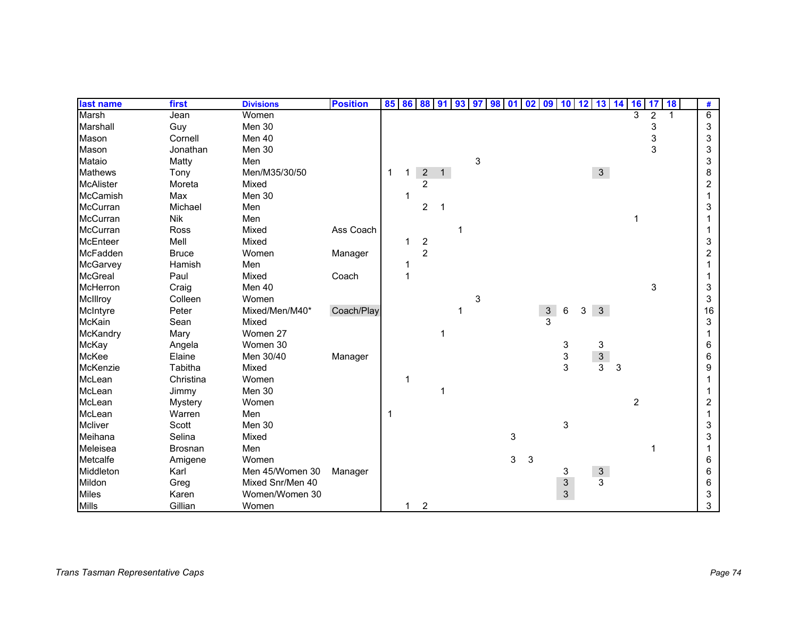| last name        | first          | <b>Divisions</b> | <b>Position</b> |   |   |                | 85 86 88 91 93 97 |   | 98<br>01 |   | 09<br>02 | 10                 | 12 | 13             | 14 | <b>16</b>      | 17 | 18 | #              |
|------------------|----------------|------------------|-----------------|---|---|----------------|-------------------|---|----------|---|----------|--------------------|----|----------------|----|----------------|----|----|----------------|
| Marsh            | Jean           | Women            |                 |   |   |                |                   |   |          |   |          |                    |    |                |    | 3              | 2  |    | 6              |
| Marshall         | Guy            | Men 30           |                 |   |   |                |                   |   |          |   |          |                    |    |                |    |                | 3  |    | 3              |
| Mason            | Cornell        | Men 40           |                 |   |   |                |                   |   |          |   |          |                    |    |                |    |                | 3  |    | 3              |
| Mason            | Jonathan       | Men 30           |                 |   |   |                |                   |   |          |   |          |                    |    |                |    |                | 3  |    | 3              |
| Mataio           | Matty          | Men              |                 |   |   |                |                   | 3 |          |   |          |                    |    |                |    |                |    |    | 3              |
| <b>Mathews</b>   | Tony           | Men/M35/30/50    |                 | 1 |   | $\overline{c}$ | $\mathbf{1}$      |   |          |   |          |                    |    | 3 <sup>1</sup> |    |                |    |    | 8              |
| <b>McAlister</b> | Moreta         | Mixed            |                 |   |   | 2              |                   |   |          |   |          |                    |    |                |    |                |    |    | $\overline{c}$ |
| McCamish         | Max            | Men 30           |                 |   |   |                |                   |   |          |   |          |                    |    |                |    |                |    |    |                |
| McCurran         | Michael        | Men              |                 |   |   | $\overline{c}$ |                   |   |          |   |          |                    |    |                |    |                |    |    | 3              |
| McCurran         | <b>Nik</b>     | Men              |                 |   |   |                |                   |   |          |   |          |                    |    |                |    |                |    |    |                |
| McCurran         | <b>Ross</b>    | Mixed            | Ass Coach       |   |   |                |                   |   |          |   |          |                    |    |                |    |                |    |    |                |
| <b>McEnteer</b>  | Mell           | Mixed            |                 |   |   | $\overline{c}$ |                   |   |          |   |          |                    |    |                |    |                |    |    | 3              |
| McFadden         | <b>Bruce</b>   | Women            | Manager         |   |   | $\overline{2}$ |                   |   |          |   |          |                    |    |                |    |                |    |    | 2              |
| McGarvey         | Hamish         | Men              |                 |   |   |                |                   |   |          |   |          |                    |    |                |    |                |    |    |                |
| <b>McGreal</b>   | Paul           | Mixed            | Coach           |   |   |                |                   |   |          |   |          |                    |    |                |    |                |    |    |                |
| McHerron         | Craig          | Men 40           |                 |   |   |                |                   |   |          |   |          |                    |    |                |    |                | 3  |    | 3              |
| McIllroy         | Colleen        | Women            |                 |   |   |                |                   | 3 |          |   |          |                    |    |                |    |                |    |    | 3              |
| McIntyre         | Peter          | Mixed/Men/M40*   | Coach/Play      |   |   |                |                   |   |          |   |          | $\frac{3}{3}$<br>6 | 3  | $\mathbf{3}$   |    |                |    |    | 16             |
| McKain           | Sean           | Mixed            |                 |   |   |                |                   |   |          |   |          |                    |    |                |    |                |    |    | 3              |
| McKandry         | Mary           | Women 27         |                 |   |   |                |                   |   |          |   |          |                    |    |                |    |                |    |    |                |
| McKay            | Angela         | Women 30         |                 |   |   |                |                   |   |          |   |          | 3                  |    | 3              |    |                |    |    | 6              |
| McKee            | Elaine         | Men 30/40        | Manager         |   |   |                |                   |   |          |   |          | 3                  |    | $\mathbf{3}$   |    |                |    |    | 6              |
| McKenzie         | Tabitha        | Mixed            |                 |   |   |                |                   |   |          |   |          | 3                  |    | $\overline{3}$ | 3  |                |    |    | 9              |
| McLean           | Christina      | Women            |                 |   |   |                |                   |   |          |   |          |                    |    |                |    |                |    |    |                |
| McLean           | Jimmy          | Men 30           |                 |   |   |                |                   |   |          |   |          |                    |    |                |    |                |    |    |                |
| McLean           | <b>Mystery</b> | Women            |                 |   |   |                |                   |   |          |   |          |                    |    |                |    | $\overline{c}$ |    |    | 2              |
| McLean           | Warren         | Men              |                 | 1 |   |                |                   |   |          |   |          |                    |    |                |    |                |    |    |                |
| Mcliver          | Scott          | Men 30           |                 |   |   |                |                   |   |          |   |          | 3                  |    |                |    |                |    |    | 3              |
| Meihana          | Selina         | Mixed            |                 |   |   |                |                   |   |          | 3 |          |                    |    |                |    |                |    |    | 3              |
| Meleisea         | <b>Brosnan</b> | Men              |                 |   |   |                |                   |   |          |   |          |                    |    |                |    |                | 1  |    |                |
| Metcalfe         | Amigene        | Women            |                 |   |   |                |                   |   |          | 3 | 3        |                    |    |                |    |                |    |    | 6              |
| Middleton        | Karl           | Men 45/Women 30  | Manager         |   |   |                |                   |   |          |   |          | 3                  |    | $\mathbf{3}$   |    |                |    |    | 6              |
| Mildon           | Greg           | Mixed Snr/Men 40 |                 |   |   |                |                   |   |          |   |          | $\sqrt{3}$         |    | $\overline{3}$ |    |                |    |    | 6              |
| <b>Miles</b>     | Karen          | Women/Women 30   |                 |   |   |                |                   |   |          |   |          | $\mathsf 3$        |    |                |    |                |    |    | 3              |
| Mills            | Gillian        | Women            |                 |   | 1 | $\overline{2}$ |                   |   |          |   |          |                    |    |                |    |                |    |    | 3              |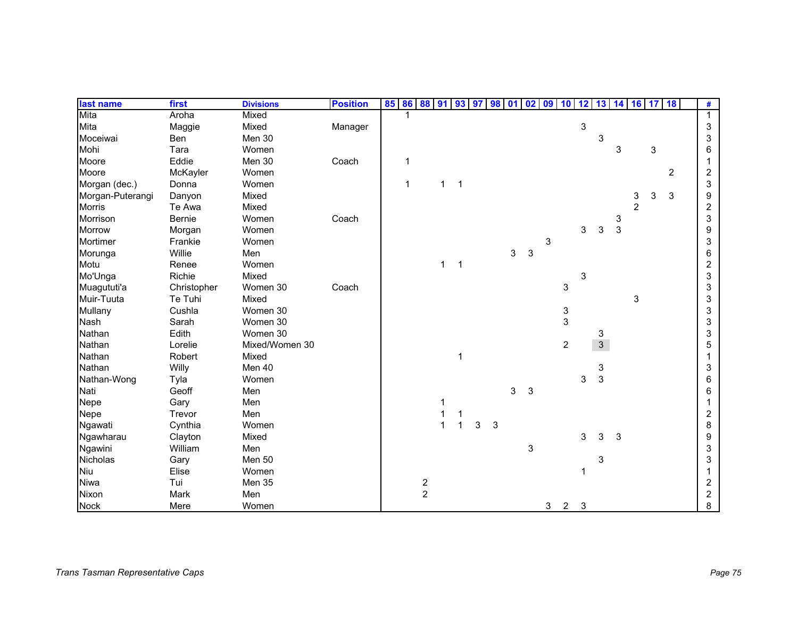| last name        | first       | <b>Divisions</b> | <b>Position</b> | 85 86 88 91 93 97 |                                       |              |              |   | 98 | 01 | 02 | 09 | 10             | 12           | 13           | 14           | 16 17          |              | 18             | #              |
|------------------|-------------|------------------|-----------------|-------------------|---------------------------------------|--------------|--------------|---|----|----|----|----|----------------|--------------|--------------|--------------|----------------|--------------|----------------|----------------|
| Mita             | Aroha       | Mixed            |                 |                   |                                       |              |              |   |    |    |    |    |                |              |              |              |                |              |                | $\mathbf{1}$   |
| Mita             | Maggie      | Mixed            | Manager         |                   |                                       |              |              |   |    |    |    |    |                | 3            |              |              |                |              |                | 3              |
| Moceiwai         | Ben         | Men 30           |                 |                   |                                       |              |              |   |    |    |    |    |                |              | 3            |              |                |              |                | 3              |
| Mohi             | Tara        | Women            |                 |                   |                                       |              |              |   |    |    |    |    |                |              |              | 3            |                | 3            |                | 6              |
| Moore            | Eddie       | Men 30           | Coach           | 1                 |                                       |              |              |   |    |    |    |    |                |              |              |              |                |              |                |                |
| Moore            | McKayler    | Women            |                 |                   |                                       |              |              |   |    |    |    |    |                |              |              |              |                |              | $\overline{2}$ | 2              |
| Morgan (dec.)    | Donna       | Women            |                 | 1                 |                                       | $\mathbf{1}$ | $\mathbf 1$  |   |    |    |    |    |                |              |              |              |                |              |                | 3              |
| Morgan-Puterangi | Danyon      | Mixed            |                 |                   |                                       |              |              |   |    |    |    |    |                |              |              |              | 3              | $\mathbf{3}$ | 3              | 9              |
| <b>Morris</b>    | Te Awa      | Mixed            |                 |                   |                                       |              |              |   |    |    |    |    |                |              |              |              | $\overline{2}$ |              |                | $\overline{c}$ |
| Morrison         | Bernie      | Women            | Coach           |                   |                                       |              |              |   |    |    |    |    |                |              |              | 3            |                |              |                | 3              |
| Morrow           | Morgan      | Women            |                 |                   |                                       |              |              |   |    |    |    |    |                | 3            | 3            | $\mathbf{3}$ |                |              |                | 9              |
| Mortimer         | Frankie     | Women            |                 |                   |                                       |              |              |   |    |    |    | 3  |                |              |              |              |                |              |                | 3              |
| Morunga          | Willie      | Men              |                 |                   |                                       |              |              |   |    | 3  | 3  |    |                |              |              |              |                |              |                | 6              |
| Motu             | Renee       | Women            |                 |                   |                                       | 1            | $\mathbf 1$  |   |    |    |    |    |                |              |              |              |                |              |                | $\overline{c}$ |
| Mo'Unga          | Richie      | Mixed            |                 |                   |                                       |              |              |   |    |    |    |    |                | 3            |              |              |                |              |                | 3              |
| Muagututi'a      | Christopher | Women 30         | Coach           |                   |                                       |              |              |   |    |    |    |    | 3              |              |              |              |                |              |                | 3              |
| Muir-Tuuta       | Te Tuhi     | Mixed            |                 |                   |                                       |              |              |   |    |    |    |    |                |              |              |              | 3              |              |                | 3              |
| Mullany          | Cushla      | Women 30         |                 |                   |                                       |              |              |   |    |    |    |    | 3              |              |              |              |                |              |                | 3              |
| Nash             | Sarah       | Women 30         |                 |                   |                                       |              |              |   |    |    |    |    | 3              |              |              |              |                |              |                | 3              |
| Nathan           | Edith       | Women 30         |                 |                   |                                       |              |              |   |    |    |    |    |                |              | 3            |              |                |              |                | 3              |
| Nathan           | Lorelie     | Mixed/Women 30   |                 |                   |                                       |              |              |   |    |    |    |    | $\overline{2}$ |              | $\mathbf{3}$ |              |                |              |                | 5              |
| Nathan           | Robert      | Mixed            |                 |                   |                                       |              | $\mathbf{1}$ |   |    |    |    |    |                |              |              |              |                |              |                |                |
| Nathan           | Willy       | Men 40           |                 |                   |                                       |              |              |   |    |    |    |    |                |              | 3            |              |                |              |                | 3              |
| Nathan-Wong      | Tyla        | Women            |                 |                   |                                       |              |              |   |    |    |    |    |                | 3            | 3            |              |                |              |                | 6              |
| Nati             | Geoff       | Men              |                 |                   |                                       |              |              |   |    | 3  | 3  |    |                |              |              |              |                |              |                | 6              |
| Nepe             | Gary        | Men              |                 |                   |                                       | 1            |              |   |    |    |    |    |                |              |              |              |                |              |                |                |
| Nepe             | Trevor      | Men              |                 |                   |                                       | 1            |              |   |    |    |    |    |                |              |              |              |                |              |                | 2              |
| Ngawati          | Cynthia     | Women            |                 |                   |                                       |              |              | 3 | 3  |    |    |    |                |              |              |              |                |              |                | 8              |
| Ngawharau        | Clayton     | Mixed            |                 |                   |                                       |              |              |   |    |    |    |    |                | 3            | 3            | 3            |                |              |                | 9              |
| Ngawini          | William     | Men              |                 |                   |                                       |              |              |   |    |    | 3  |    |                |              |              |              |                |              |                | 3              |
| Nicholas         | Gary        | <b>Men 50</b>    |                 |                   |                                       |              |              |   |    |    |    |    |                |              | 3            |              |                |              |                | 3              |
| <b>Niu</b>       | Elise       | Women            |                 |                   |                                       |              |              |   |    |    |    |    |                | 1            |              |              |                |              |                |                |
| Niwa             | Tui         | <b>Men 35</b>    |                 |                   | $\begin{array}{c} 2 \\ 2 \end{array}$ |              |              |   |    |    |    |    |                |              |              |              |                |              |                | 2              |
| Nixon            | Mark        | Men              |                 |                   |                                       |              |              |   |    |    |    |    |                |              |              |              |                |              |                | 2              |
| <b>Nock</b>      | Mere        | Women            |                 |                   |                                       |              |              |   |    |    |    | 3  | $\overline{2}$ | $\mathbf{3}$ |              |              |                |              |                | 8              |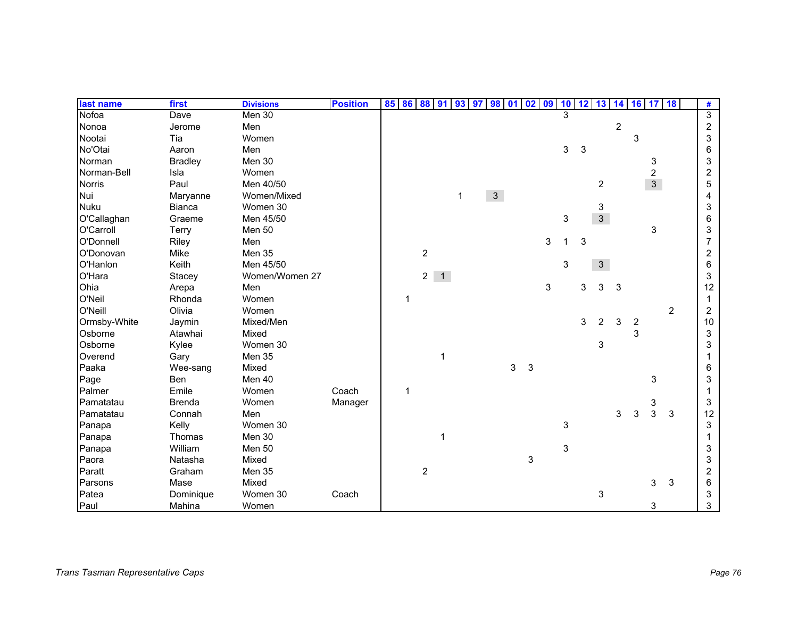| last name     | first          | <b>Divisions</b> | <b>Position</b> | 85 86 88 91 93 |                  |             |   | 97 | 98 01          |   | 02 | 09 |   |   | $10$ 12 13 14 16 17 |                |   |                | 18             | #              |
|---------------|----------------|------------------|-----------------|----------------|------------------|-------------|---|----|----------------|---|----|----|---|---|---------------------|----------------|---|----------------|----------------|----------------|
| Nofoa         | Dave           | Men 30           |                 |                |                  |             |   |    |                |   |    |    |   |   |                     |                |   |                |                | $\overline{3}$ |
| Nonoa         | Jerome         | Men              |                 |                |                  |             |   |    |                |   |    |    |   |   |                     | $\overline{2}$ |   |                |                | $\overline{c}$ |
| Nootai        | Tia            | Women            |                 |                |                  |             |   |    |                |   |    |    |   |   |                     |                | 3 |                |                | 3              |
| No'Otai       | Aaron          | Men              |                 |                |                  |             |   |    |                |   |    |    | 3 | 3 |                     |                |   |                |                | 6              |
| Norman        | <b>Bradley</b> | Men 30           |                 |                |                  |             |   |    |                |   |    |    |   |   |                     |                |   | 3              |                | 3              |
| Norman-Bell   | Isla           | Women            |                 |                |                  |             |   |    |                |   |    |    |   |   |                     |                |   | $\overline{c}$ |                | $\overline{c}$ |
| <b>Norris</b> | Paul           | Men 40/50        |                 |                |                  |             |   |    |                |   |    |    |   |   | $\overline{c}$      |                |   | 3 <sup>1</sup> |                | 5              |
| Nui           | Maryanne       | Women/Mixed      |                 |                |                  |             | 1 |    | 3 <sup>7</sup> |   |    |    |   |   |                     |                |   |                |                | 4              |
| <b>Nuku</b>   | <b>Bianca</b>  | Women 30         |                 |                |                  |             |   |    |                |   |    |    |   |   | 3                   |                |   |                |                | 3              |
| O'Callaghan   | Graeme         | Men 45/50        |                 |                |                  |             |   |    |                |   |    |    | 3 |   | 3 <sup>1</sup>      |                |   |                |                | 6              |
| O'Carroll     | Terry          | Men 50           |                 |                |                  |             |   |    |                |   |    |    |   |   |                     |                |   | 3              |                | 3              |
| O'Donnell     | Riley          | Men              |                 |                |                  |             |   |    |                |   |    | 3  | 1 | 3 |                     |                |   |                |                | 7              |
| O'Donovan     | Mike           | Men 35           |                 |                | $\boldsymbol{2}$ |             |   |    |                |   |    |    |   |   |                     |                |   |                |                | $\overline{2}$ |
| O'Hanlon      | Keith          | Men 45/50        |                 |                |                  |             |   |    |                |   |    |    | 3 |   | 3 <sup>1</sup>      |                |   |                |                | 6              |
| O'Hara        | Stacey         | Women/Women 27   |                 |                |                  | $2 \quad 1$ |   |    |                |   |    |    |   |   |                     |                |   |                |                | 3              |
| Ohia          | Arepa          | Men              |                 |                |                  |             |   |    |                |   |    | 3  |   | 3 | 3                   | 3              |   |                |                | 12             |
| O'Neil        | Rhonda         | Women            |                 | 1              |                  |             |   |    |                |   |    |    |   |   |                     |                |   |                |                | 1              |
| O'Neill       | Olivia         | Women            |                 |                |                  |             |   |    |                |   |    |    |   |   |                     |                |   |                | $\overline{2}$ | $\overline{c}$ |
| Ormsby-White  | Jaymin         | Mixed/Men        |                 |                |                  |             |   |    |                |   |    |    |   | 3 | $\overline{2}$      | 3              | 2 |                |                | 10             |
| Osborne       | Atawhai        | Mixed            |                 |                |                  |             |   |    |                |   |    |    |   |   |                     |                | 3 |                |                | 3              |
| Osborne       | Kylee          | Women 30         |                 |                |                  |             |   |    |                |   |    |    |   |   | 3                   |                |   |                |                | 3              |
| Overend       | Gary           | Men 35           |                 |                |                  |             |   |    |                |   |    |    |   |   |                     |                |   |                |                |                |
| Paaka         | Wee-sang       | Mixed            |                 |                |                  |             |   |    |                | 3 | 3  |    |   |   |                     |                |   |                |                | 6              |
| Page          | Ben            | Men 40           |                 |                |                  |             |   |    |                |   |    |    |   |   |                     |                |   | 3              |                | 3              |
| Palmer        | Emile          | Women            | Coach           | 1              |                  |             |   |    |                |   |    |    |   |   |                     |                |   |                |                |                |
| Pamatatau     | <b>Brenda</b>  | Women            | Manager         |                |                  |             |   |    |                |   |    |    |   |   |                     |                |   | 3              |                | 3              |
| Pamatatau     | Connah         | Men              |                 |                |                  |             |   |    |                |   |    |    |   |   |                     | 3              | 3 | 3              | $\mathbf{3}$   | 12             |
| Panapa        | Kelly          | Women 30         |                 |                |                  |             |   |    |                |   |    |    | 3 |   |                     |                |   |                |                | 3              |
| Panapa        | Thomas         | Men 30           |                 |                |                  |             |   |    |                |   |    |    |   |   |                     |                |   |                |                |                |
| Panapa        | William        | Men 50           |                 |                |                  |             |   |    |                |   |    |    | 3 |   |                     |                |   |                |                | 3              |
| Paora         | Natasha        | Mixed            |                 |                |                  |             |   |    |                |   | 3  |    |   |   |                     |                |   |                |                | 3              |
| Paratt        | Graham         | Men 35           |                 |                | $\overline{c}$   |             |   |    |                |   |    |    |   |   |                     |                |   |                |                | $\overline{2}$ |
| Parsons       | Mase           | Mixed            |                 |                |                  |             |   |    |                |   |    |    |   |   |                     |                |   | 3              | 3              | 6              |
| Patea         | Dominique      | Women 30         | Coach           |                |                  |             |   |    |                |   |    |    |   |   | 3                   |                |   |                |                | 3              |
| Paul          | Mahina         | Women            |                 |                |                  |             |   |    |                |   |    |    |   |   |                     |                |   | 3              |                | 3              |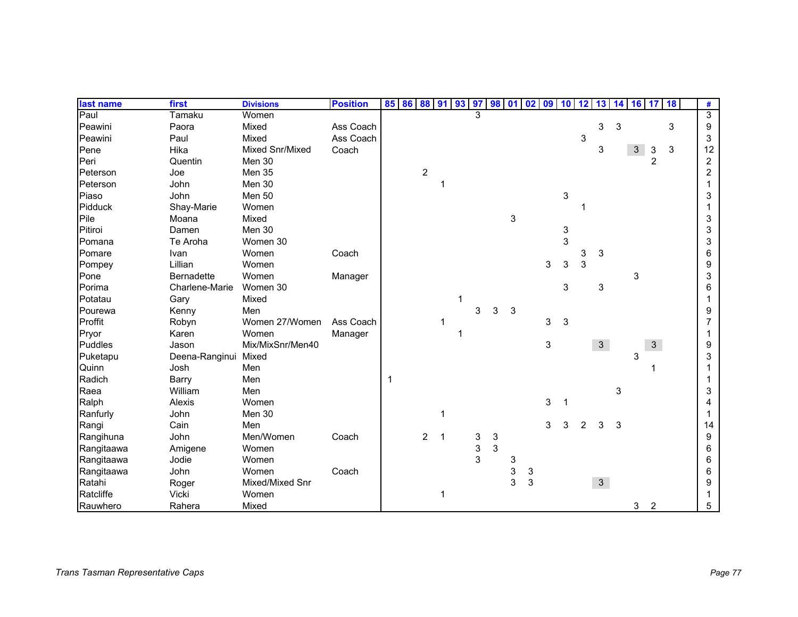| last name  | first                | <b>Divisions</b> | <b>Position</b> | 85 86 88 91 93 |                |   | 97                        | 98                        | 01 | 02 | 09 | 10 | 12 | 13             | 14 | 16             | -17            | 18 | #              |
|------------|----------------------|------------------|-----------------|----------------|----------------|---|---------------------------|---------------------------|----|----|----|----|----|----------------|----|----------------|----------------|----|----------------|
| Paul       | Tamaku               | Women            |                 |                |                |   | 3                         |                           |    |    |    |    |    |                |    |                |                |    | $\overline{3}$ |
| Peawini    | Paora                | Mixed            | Ass Coach       |                |                |   |                           |                           |    |    |    |    |    | 3              | 3  |                |                | 3  | 9              |
| Peawini    | Paul                 | Mixed            | Ass Coach       |                |                |   |                           |                           |    |    |    |    | 3  |                |    |                |                |    | 3              |
| Pene       | Hika                 | Mixed Snr/Mixed  | Coach           |                |                |   |                           |                           |    |    |    |    |    | 3              |    | 3 <sup>1</sup> | 3              | 3  | 12             |
| Peri       | Quentin              | Men 30           |                 |                |                |   |                           |                           |    |    |    |    |    |                |    |                | $\overline{2}$ |    | $\overline{c}$ |
| Peterson   | Joe                  | Men 35           |                 |                | $\overline{c}$ |   |                           |                           |    |    |    |    |    |                |    |                |                |    | $\overline{c}$ |
| Peterson   | John                 | Men 30           |                 |                |                |   |                           |                           |    |    |    |    |    |                |    |                |                |    |                |
| Piaso      | John                 | Men 50           |                 |                |                |   |                           |                           |    |    |    | 3  |    |                |    |                |                |    | 3              |
| Pidduck    | Shay-Marie           | Women            |                 |                |                |   |                           |                           |    |    |    |    |    |                |    |                |                |    |                |
| Pile       | Moana                | Mixed            |                 |                |                |   |                           |                           | 3  |    |    |    |    |                |    |                |                |    | 3              |
| Pitiroi    | Damen                | Men 30           |                 |                |                |   |                           |                           |    |    |    | 3  |    |                |    |                |                |    | 3              |
| Pomana     | Te Aroha             | Women 30         |                 |                |                |   |                           |                           |    |    |    | 3  |    |                |    |                |                |    | 3              |
| Pomare     | Ivan                 | Women            | Coach           |                |                |   |                           |                           |    |    |    |    | 3  | 3              |    |                |                |    | 6              |
| Pompey     | Lillian              | Women            |                 |                |                |   |                           |                           |    |    | 3  | 3  | 3  |                |    |                |                |    | 9              |
| Pone       | <b>Bernadette</b>    | Women            | Manager         |                |                |   |                           |                           |    |    |    |    |    |                |    | 3              |                |    | 3              |
| Porima     | Charlene-Marie       | Women 30         |                 |                |                |   |                           |                           |    |    |    | 3  |    | 3              |    |                |                |    | 6              |
| Potatau    | Gary                 | Mixed            |                 |                |                |   |                           |                           |    |    |    |    |    |                |    |                |                |    |                |
| Pourewa    | Kenny                | Men              |                 |                |                |   | 3                         | 3                         | 3  |    |    |    |    |                |    |                |                |    | 9              |
| Proffit    | Robyn                | Women 27/Women   | Ass Coach       |                |                |   |                           |                           |    |    | 3  | 3  |    |                |    |                |                |    |                |
| Pryor      | Karen                | Women            | Manager         |                |                |   |                           |                           |    |    |    |    |    |                |    |                |                |    |                |
| Puddles    | Jason                | Mix/MixSnr/Men40 |                 |                |                |   |                           |                           |    |    | 3  |    |    | 3 <sup>1</sup> |    |                | 3 <sup>1</sup> |    | 9              |
| Puketapu   | Deena-Ranginui Mixed |                  |                 |                |                |   |                           |                           |    |    |    |    |    |                |    | 3              |                |    | 3              |
| Quinn      | Josh                 | Men              |                 |                |                |   |                           |                           |    |    |    |    |    |                |    |                |                |    |                |
| Radich     | Barry                | Men              |                 | 1              |                |   |                           |                           |    |    |    |    |    |                |    |                |                |    |                |
| Raea       | William              | Men              |                 |                |                |   |                           |                           |    |    |    |    |    |                | 3  |                |                |    | 3              |
| Ralph      | Alexis               | Women            |                 |                |                |   |                           |                           |    |    | 3  | 1  |    |                |    |                |                |    |                |
| Ranfurly   | John                 | Men 30           |                 |                |                | 1 |                           |                           |    |    |    |    |    |                |    |                |                |    |                |
| Rangi      | Cain                 | Men              |                 |                |                |   |                           |                           |    |    | 3  | 3  | 2  | 3              | 3  |                |                |    | 14             |
| Rangihuna  | John                 | Men/Women        | Coach           |                | $\overline{c}$ | 1 | $\ensuremath{\mathsf{3}}$ | $\ensuremath{\mathsf{3}}$ |    |    |    |    |    |                |    |                |                |    | 9              |
| Rangitaawa | Amigene              | Women            |                 |                |                |   | 3                         | 3                         |    |    |    |    |    |                |    |                |                |    | 6              |
| Rangitaawa | Jodie                | Women            |                 |                |                |   | 3                         |                           | 3  |    |    |    |    |                |    |                |                |    | 6              |
| Rangitaawa | John                 | Women            | Coach           |                |                |   |                           |                           | 3  | 3  |    |    |    |                |    |                |                |    | 6              |
| Ratahi     | Roger                | Mixed/Mixed Snr  |                 |                |                |   |                           |                           | 3  | 3  |    |    |    | 3 <sup>1</sup> |    |                |                |    | 9              |
| Ratcliffe  | Vicki                | Women            |                 |                |                | 1 |                           |                           |    |    |    |    |    |                |    |                |                |    |                |
| Rauwhero   | Rahera               | Mixed            |                 |                |                |   |                           |                           |    |    |    |    |    |                |    | $\mathbf{3}$   | $\overline{2}$ |    | 5              |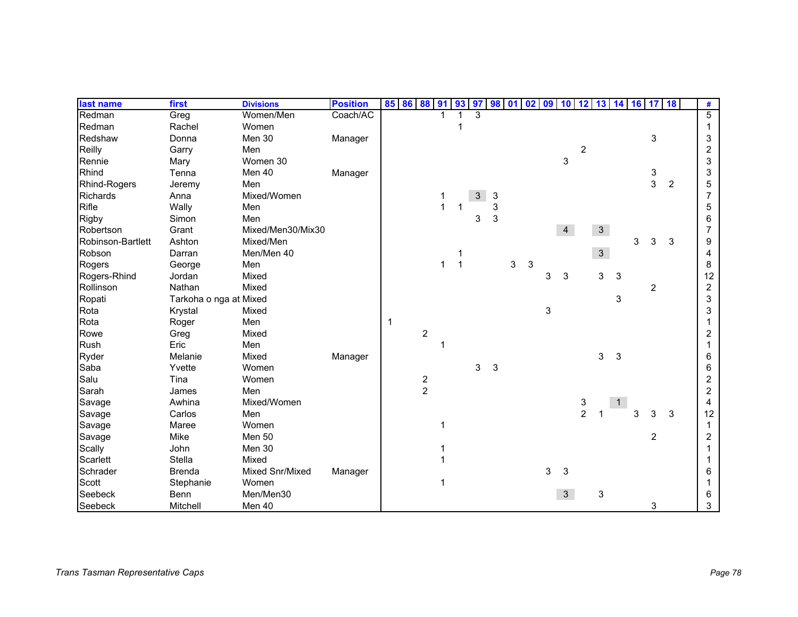| last name         | first                  | <b>Divisions</b>  | <b>Position</b> | 85 86 88 91 93 |                |   |                | 97 | <b>98</b> | $\boxed{01}$ | 02 | 09 | 10              | 12             | 13             | 14 16 17 18 |   |                |                | #              |
|-------------------|------------------------|-------------------|-----------------|----------------|----------------|---|----------------|----|-----------|--------------|----|----|-----------------|----------------|----------------|-------------|---|----------------|----------------|----------------|
| Redman            | Greg                   | Women/Men         | Coach/AC        |                |                |   |                | 3  |           |              |    |    |                 |                |                |             |   |                |                | $\overline{5}$ |
| Redman            | Rachel                 | Women             |                 |                |                |   |                |    |           |              |    |    |                 |                |                |             |   |                |                |                |
| Redshaw           | Donna                  | Men 30            | Manager         |                |                |   |                |    |           |              |    |    |                 |                |                |             |   | 3              |                | 3              |
| Reilly            | Garry                  | Men               |                 |                |                |   |                |    |           |              |    |    |                 | $\overline{c}$ |                |             |   |                |                | $\overline{c}$ |
| Rennie            | Mary                   | Women 30          |                 |                |                |   |                |    |           |              |    |    | 3               |                |                |             |   |                |                | 3              |
| Rhind             | Tenna                  | Men 40            | Manager         |                |                |   |                |    |           |              |    |    |                 |                |                |             |   | 3              |                | 3              |
| Rhind-Rogers      | Jeremy                 | Men               |                 |                |                |   |                |    |           |              |    |    |                 |                |                |             |   | 3              | $\overline{2}$ | 5              |
| <b>Richards</b>   | Anna                   | Mixed/Women       |                 |                |                |   |                | 3  | 3         |              |    |    |                 |                |                |             |   |                |                | $\overline{7}$ |
| Rifle             | Wally                  | Men               |                 |                |                |   |                |    | 3         |              |    |    |                 |                |                |             |   |                |                | 5              |
| <b>Rigby</b>      | Simon                  | Men               |                 |                |                |   |                | 3  | 3         |              |    |    |                 |                |                |             |   |                |                | 6              |
| Robertson         | Grant                  | Mixed/Men30/Mix30 |                 |                |                |   |                |    |           |              |    |    | $\overline{4}$  |                | 3 <sup>1</sup> |             |   |                |                | $\overline{7}$ |
| Robinson-Bartlett | Ashton                 | Mixed/Men         |                 |                |                |   |                |    |           |              |    |    |                 |                |                |             | 3 | 3              | 3              | 9              |
| Robson            | Darran                 | Men/Men 40        |                 |                |                |   |                |    |           |              |    |    |                 |                | 3 <sup>1</sup> |             |   |                |                | 4              |
| Rogers            | George                 | Men               |                 |                |                | 1 | $\overline{1}$ |    |           | 3            | 3  |    |                 |                |                |             |   |                |                | 8              |
| Rogers-Rhind      | Jordan                 | Mixed             |                 |                |                |   |                |    |           |              |    | 3  | $\sqrt{3}$      |                | 3              | 3           |   |                |                | 12             |
| Rollinson         | Nathan                 | Mixed             |                 |                |                |   |                |    |           |              |    |    |                 |                |                |             |   | $\overline{c}$ |                | $\overline{c}$ |
| Ropati            | Tarkoha o nga at Mixed |                   |                 |                |                |   |                |    |           |              |    |    |                 |                |                | 3           |   |                |                | 3              |
| Rota              | Krystal                | Mixed             |                 |                |                |   |                |    |           |              |    | 3  |                 |                |                |             |   |                |                | 3              |
| Rota              | Roger                  | Men               |                 | 1              |                |   |                |    |           |              |    |    |                 |                |                |             |   |                |                |                |
| Rowe              | Greg                   | Mixed             |                 |                | $\overline{c}$ |   |                |    |           |              |    |    |                 |                |                |             |   |                |                | 2              |
| Rush              | Eric                   | Men               |                 |                |                |   |                |    |           |              |    |    |                 |                |                |             |   |                |                |                |
| Ryder             | Melanie                | Mixed             | Manager         |                |                |   |                |    |           |              |    |    |                 |                | 3              | 3           |   |                |                | 6              |
| Saba              | Yvette                 | Women             |                 |                |                |   |                | 3  | 3         |              |    |    |                 |                |                |             |   |                |                | 6              |
| Salu              | Tina                   | Women             |                 |                | $\frac{2}{2}$  |   |                |    |           |              |    |    |                 |                |                |             |   |                |                | $\overline{2}$ |
| Sarah             | James                  | Men               |                 |                |                |   |                |    |           |              |    |    |                 |                |                |             |   |                |                | $\overline{2}$ |
| Savage            | Awhina                 | Mixed/Women       |                 |                |                |   |                |    |           |              |    |    |                 | $\frac{3}{2}$  |                |             |   |                |                | 4              |
| Savage            | Carlos                 | Men               |                 |                |                |   |                |    |           |              |    |    |                 |                |                |             |   | 3              | 3              | 12             |
| Savage            | Maree                  | Women             |                 |                |                |   |                |    |           |              |    |    |                 |                |                |             |   |                |                | 1              |
| Savage            | Mike                   | Men 50            |                 |                |                |   |                |    |           |              |    |    |                 |                |                |             |   | $\overline{c}$ |                | $\overline{c}$ |
| Scally            | John                   | Men 30            |                 |                |                |   |                |    |           |              |    |    |                 |                |                |             |   |                |                |                |
| Scarlett          | Stella                 | Mixed             |                 |                |                |   |                |    |           |              |    |    |                 |                |                |             |   |                |                |                |
| Schrader          | <b>Brenda</b>          | Mixed Snr/Mixed   | Manager         |                |                |   |                |    |           |              |    | 3  | 3               |                |                |             |   |                |                | 6              |
| Scott             | Stephanie              | Women             |                 |                |                |   |                |    |           |              |    |    |                 |                |                |             |   |                |                |                |
| Seebeck           | Benn                   | Men/Men30         |                 |                |                |   |                |    |           |              |    |    | $3\overline{3}$ |                | $\sqrt{3}$     |             |   |                |                | 6              |
| Seebeck           | Mitchell               | Men 40            |                 |                |                |   |                |    |           |              |    |    |                 |                |                |             |   | 3              |                | 3              |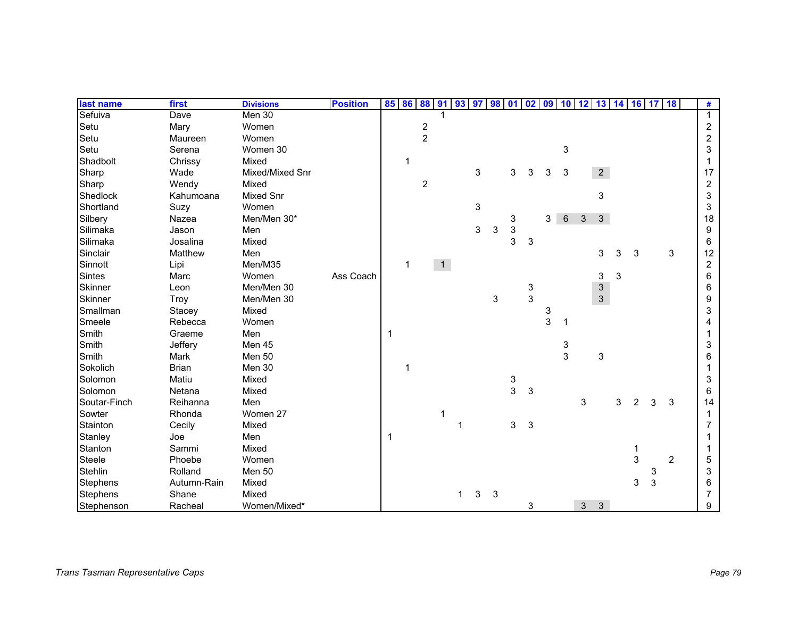| last name       | first        | <b>Divisions</b> | <b>Position</b> | 85 86 88 91 |   |                |                | 93 97       |                           | 98 | 01             | 02 09         |   | 10 | 12 13 14 16 17 |                |              |                |                | 18             |                |
|-----------------|--------------|------------------|-----------------|-------------|---|----------------|----------------|-------------|---------------------------|----|----------------|---------------|---|----|----------------|----------------|--------------|----------------|----------------|----------------|----------------|
| Sefuiva         | Dave         | Men 30           |                 |             |   |                |                |             |                           |    |                |               |   |    |                |                |              |                |                |                | $\mathbf{1}$   |
| Setu            | Mary         | Women            |                 |             |   | $\frac{2}{2}$  |                |             |                           |    |                |               |   |    |                |                |              |                |                |                | $\overline{c}$ |
| Setu            | Maureen      | Women            |                 |             |   |                |                |             |                           |    |                |               |   |    |                |                |              |                |                |                | $\overline{c}$ |
| Setu            | Serena       | Women 30         |                 |             |   |                |                |             |                           |    |                |               |   | 3  |                |                |              |                |                |                | 3              |
| Shadbolt        | Chrissy      | Mixed            |                 |             | 1 |                |                |             |                           |    |                |               |   |    |                |                |              |                |                |                |                |
| Sharp           | Wade         | Mixed/Mixed Snr  |                 |             |   |                |                |             | $\ensuremath{\mathsf{3}}$ |    | 3              | 3             | 3 | 3  |                | 2 <sup>1</sup> |              |                |                |                | 17             |
| Sharp           | Wendy        | Mixed            |                 |             |   | $\overline{c}$ |                |             |                           |    |                |               |   |    |                |                |              |                |                |                | $\overline{c}$ |
| Shedlock        | Kahumoana    | <b>Mixed Snr</b> |                 |             |   |                |                |             |                           |    |                |               |   |    |                | 3              |              |                |                |                | 3              |
| Shortland       | Suzy         | Women            |                 |             |   |                |                |             | $\sqrt{3}$                |    |                |               |   |    |                |                |              |                |                |                | 3              |
| Silbery         | Nazea        | Men/Men 30*      |                 |             |   |                |                |             |                           |    | 3              |               | 3 | 6  | 3              | 3              |              |                |                |                | 18             |
| Silimaka        | Jason        | Men              |                 |             |   |                |                |             | 3                         | 3  | $\mathsf 3$    |               |   |    |                |                |              |                |                |                | 9              |
| Silimaka        | Josalina     | Mixed            |                 |             |   |                |                |             |                           |    | 3              | 3             |   |    |                |                |              |                |                |                | 6              |
| Sinclair        | Matthew      | Men              |                 |             |   |                |                |             |                           |    |                |               |   |    |                | 3              | 3            | 3              |                | 3              | 12             |
| Sinnott         | Lipi         | Men/M35          |                 |             | 1 |                | $\overline{1}$ |             |                           |    |                |               |   |    |                |                |              |                |                |                | $\overline{c}$ |
| <b>Sintes</b>   | Marc         | Women            | Ass Coach       |             |   |                |                |             |                           |    |                |               |   |    |                | 3              | $\mathbf{3}$ |                |                |                | 6              |
| <b>Skinner</b>  | Leon         | Men/Men 30       |                 |             |   |                |                |             |                           |    |                | $\frac{3}{3}$ |   |    |                | $\mathfrak{S}$ |              |                |                |                | 6              |
| Skinner         | Troy         | Men/Men 30       |                 |             |   |                |                |             |                           | 3  |                |               |   |    |                | 3 <sup>1</sup> |              |                |                |                | 9              |
| Smallman        | Stacey       | Mixed            |                 |             |   |                |                |             |                           |    |                |               | 3 |    |                |                |              |                |                |                | 3              |
| Smeele          | Rebecca      | Women            |                 |             |   |                |                |             |                           |    |                |               | 3 |    |                |                |              |                |                |                |                |
| Smith           | Graeme       | Men              |                 | 1           |   |                |                |             |                           |    |                |               |   |    |                |                |              |                |                |                |                |
| Smith           | Jeffery      | Men 45           |                 |             |   |                |                |             |                           |    |                |               |   | 3  |                |                |              |                |                |                | 3              |
| Smith           | Mark         | Men 50           |                 |             |   |                |                |             |                           |    |                |               |   | 3  |                | 3              |              |                |                |                | 6              |
| Sokolich        | <b>Brian</b> | Men 30           |                 |             |   |                |                |             |                           |    |                |               |   |    |                |                |              |                |                |                |                |
| Solomon         | Matiu        | Mixed            |                 |             |   |                |                |             |                           |    | 3              |               |   |    |                |                |              |                |                |                | 3              |
| Solomon         | Netana       | Mixed            |                 |             |   |                |                |             |                           |    | $\overline{3}$ | 3             |   |    |                |                |              |                |                |                | 6              |
| Soutar-Finch    | Reihanna     | Men              |                 |             |   |                |                |             |                           |    |                |               |   |    | 3              |                | 3            | $\overline{2}$ | 3              | 3              | 14             |
| Sowter          | Rhonda       | Women 27         |                 |             |   |                |                |             |                           |    |                |               |   |    |                |                |              |                |                |                | 1              |
| Stainton        | Cecily       | Mixed            |                 |             |   |                |                |             |                           |    | 3              | 3             |   |    |                |                |              |                |                |                |                |
| Stanley         | Joe          | Men              |                 | 1           |   |                |                |             |                           |    |                |               |   |    |                |                |              |                |                |                |                |
| Stanton         | Sammi        | Mixed            |                 |             |   |                |                |             |                           |    |                |               |   |    |                |                |              |                |                |                |                |
| Steele          | Phoebe       | Women            |                 |             |   |                |                |             |                           |    |                |               |   |    |                |                |              | 3              |                | $\overline{2}$ | 5              |
| Stehlin         | Rolland      | Men 50           |                 |             |   |                |                |             |                           |    |                |               |   |    |                |                |              |                | 3              |                | 3              |
| <b>Stephens</b> | Autumn-Rain  | Mixed            |                 |             |   |                |                |             |                           |    |                |               |   |    |                |                |              | 3              | $\mathfrak{Z}$ |                | 6              |
| <b>Stephens</b> | Shane        | Mixed            |                 |             |   |                |                | $\mathbf 1$ | 3                         | 3  |                |               |   |    |                |                |              |                |                |                | $\overline{7}$ |
| Stephenson      | Racheal      | Women/Mixed*     |                 |             |   |                |                |             |                           |    |                | 3             |   |    | $\mathbf{3}$   | 3              |              |                |                |                | 9              |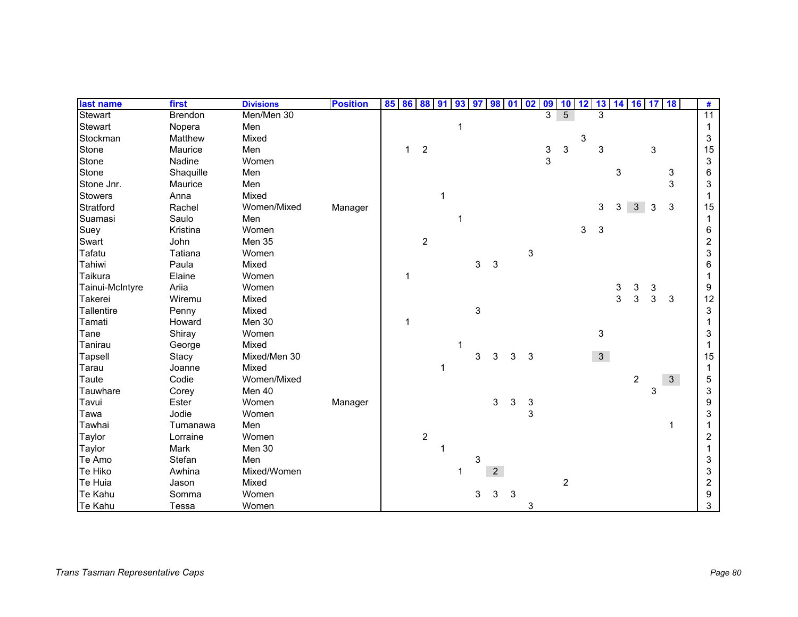| last name       | first          | <b>Divisions</b> | <b>Position</b> |   |                | 85 86 88 91 93 97 |   | 98             | 01 | 02 | 09 | 10             | 12          | 13             | 14 16 17 |                |              | 18             | #               |
|-----------------|----------------|------------------|-----------------|---|----------------|-------------------|---|----------------|----|----|----|----------------|-------------|----------------|----------|----------------|--------------|----------------|-----------------|
| <b>Stewart</b>  | <b>Brendon</b> | Men/Men 30       |                 |   |                |                   |   |                |    |    | 3  | 5              |             | 3              |          |                |              |                | $\overline{11}$ |
| <b>Stewart</b>  | Nopera         | Men              |                 |   |                |                   |   |                |    |    |    |                |             |                |          |                |              |                |                 |
| Stockman        | Matthew        | Mixed            |                 |   |                |                   |   |                |    |    |    |                | 3           |                |          |                |              |                | 3               |
| Stone           | Maurice        | Men              |                 | 1 | $\overline{2}$ |                   |   |                |    |    | 3  | 3              |             | 3              |          |                | $\sqrt{3}$   |                | 15              |
| Stone           | Nadine         | Women            |                 |   |                |                   |   |                |    |    | 3  |                |             |                |          |                |              |                | 3               |
| Stone           | Shaquille      | Men              |                 |   |                |                   |   |                |    |    |    |                |             |                | 3        |                |              | 3              | 6               |
| Stone Jnr.      | Maurice        | Men              |                 |   |                |                   |   |                |    |    |    |                |             |                |          |                |              | 3              | 3               |
| <b>Stowers</b>  | Anna           | Mixed            |                 |   |                |                   |   |                |    |    |    |                |             |                |          |                |              |                |                 |
| Stratford       | Rachel         | Women/Mixed      | Manager         |   |                |                   |   |                |    |    |    |                |             | 3              | 3        | 3              | 3            | 3              | 15              |
| Suamasi         | Saulo          | Men              |                 |   |                |                   |   |                |    |    |    |                |             |                |          |                |              |                |                 |
| Suey            | Kristina       | Women            |                 |   |                |                   |   |                |    |    |    |                | $\mathsf 3$ | 3              |          |                |              |                | 6               |
| Swart           | John           | Men 35           |                 |   | $\overline{2}$ |                   |   |                |    |    |    |                |             |                |          |                |              |                | 2               |
| Tafatu          | Tatiana        | Women            |                 |   |                |                   |   |                |    | 3  |    |                |             |                |          |                |              |                | 3               |
| Tahiwi          | Paula          | Mixed            |                 |   |                |                   | 3 | $\sqrt{3}$     |    |    |    |                |             |                |          |                |              |                | 6               |
| Taikura         | Elaine         | Women            |                 | 1 |                |                   |   |                |    |    |    |                |             |                |          |                |              |                |                 |
| Tainui-McIntyre | Ariia          | Women            |                 |   |                |                   |   |                |    |    |    |                |             |                | 3        | 3              | 3            |                | 9               |
| Takerei         | Wiremu         | Mixed            |                 |   |                |                   |   |                |    |    |    |                |             |                | 3        | $\mathbf{3}$   | $\mathbf{3}$ | $\mathbf{3}$   | 12              |
| Tallentire      | Penny          | Mixed            |                 |   |                |                   | 3 |                |    |    |    |                |             |                |          |                |              |                | 3               |
| Tamati          | Howard         | Men 30           |                 |   |                |                   |   |                |    |    |    |                |             |                |          |                |              |                |                 |
| Tane            | Shiray         | Women            |                 |   |                |                   |   |                |    |    |    |                |             | 3              |          |                |              |                | 3               |
| Tanirau         | George         | Mixed            |                 |   |                |                   |   |                |    |    |    |                |             |                |          |                |              |                |                 |
| Tapsell         | Stacy          | Mixed/Men 30     |                 |   |                |                   | 3 | 3              | 3  | 3  |    |                |             | 3 <sup>1</sup> |          |                |              |                | 15              |
| Tarau           | Joanne         | Mixed            |                 |   |                |                   |   |                |    |    |    |                |             |                |          |                |              |                |                 |
| Taute           | Codie          | Women/Mixed      |                 |   |                |                   |   |                |    |    |    |                |             |                |          | $\overline{2}$ |              | 3 <sup>1</sup> | 5               |
| Tauwhare        | Corey          | Men 40           |                 |   |                |                   |   |                |    |    |    |                |             |                |          |                | 3            |                | 3               |
| Tavui           | Ester          | Women            | Manager         |   |                |                   |   | 3              | 3  | 3  |    |                |             |                |          |                |              |                | 9               |
| Tawa            | Jodie          | Women            |                 |   |                |                   |   |                |    | 3  |    |                |             |                |          |                |              |                | 3               |
| Tawhai          | Tumanawa       | Men              |                 |   |                |                   |   |                |    |    |    |                |             |                |          |                |              |                |                 |
| Taylor          | Lorraine       | Women            |                 |   | $\overline{c}$ |                   |   |                |    |    |    |                |             |                |          |                |              |                | 2               |
| Taylor          | Mark           | Men 30           |                 |   |                |                   |   |                |    |    |    |                |             |                |          |                |              |                |                 |
| Te Amo          | Stefan         | Men              |                 |   |                |                   | 3 |                |    |    |    |                |             |                |          |                |              |                | 3               |
| Te Hiko         | Awhina         | Mixed/Women      |                 |   |                | 1                 |   | $\overline{2}$ |    |    |    |                |             |                |          |                |              |                | 3               |
| Te Huia         | Jason          | Mixed            |                 |   |                |                   |   |                |    |    |    | $\overline{2}$ |             |                |          |                |              |                | 2               |
| Te Kahu         | Somma          | Women            |                 |   |                |                   | 3 | 3              | 3  |    |    |                |             |                |          |                |              |                | 9               |
| Te Kahu         | Tessa          | Women            |                 |   |                |                   |   |                |    | 3  |    |                |             |                |          |                |              |                | 3               |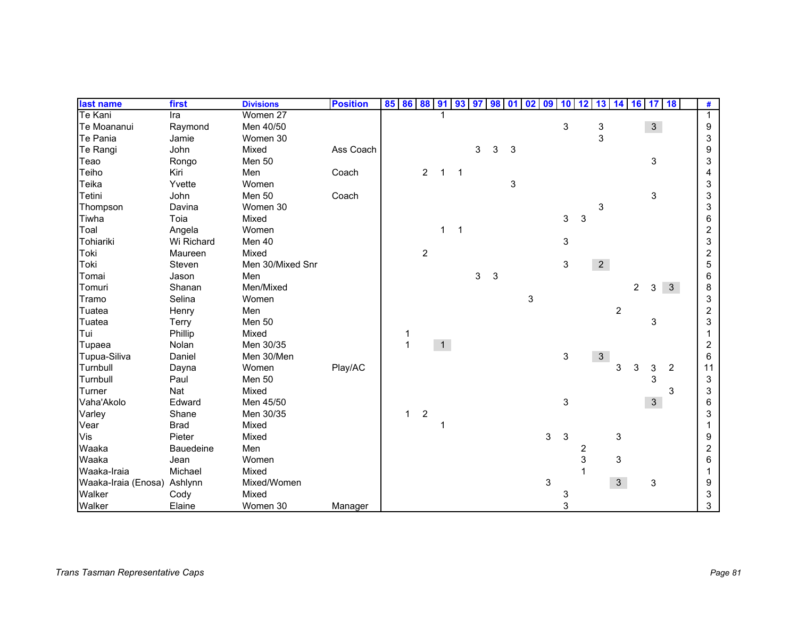| last name                   | first       | <b>Divisions</b> | <b>Position</b> | 85 86 88 91 93 97 |                |   |             |   | 98 | 01 | 02         | 09 | 10 | 12                        | 13             | 14             | 16             | 17             | <b>18</b>      | #              |
|-----------------------------|-------------|------------------|-----------------|-------------------|----------------|---|-------------|---|----|----|------------|----|----|---------------------------|----------------|----------------|----------------|----------------|----------------|----------------|
| Te Kani                     | Ira         | Women 27         |                 |                   |                |   |             |   |    |    |            |    |    |                           |                |                |                |                |                | 1              |
| Te Moananui                 | Raymond     | Men 40/50        |                 |                   |                |   |             |   |    |    |            |    | 3  |                           | 3              |                |                | 3 <sup>7</sup> |                | 9              |
| Te Pania                    | Jamie       | Women 30         |                 |                   |                |   |             |   |    |    |            |    |    |                           | 3              |                |                |                |                | 3              |
| Te Rangi                    | John        | Mixed            | Ass Coach       |                   |                |   |             | 3 | 3  | 3  |            |    |    |                           |                |                |                |                |                | 9              |
| Teao                        | Rongo       | Men 50           |                 |                   |                |   |             |   |    |    |            |    |    |                           |                |                |                | 3              |                | 3              |
| Teiho                       | Kiri        | Men              | Coach           |                   | $\overline{2}$ | 1 | $\mathbf 1$ |   |    |    |            |    |    |                           |                |                |                |                |                | 4              |
| Teika                       | Yvette      | Women            |                 |                   |                |   |             |   |    | 3  |            |    |    |                           |                |                |                |                |                | 3              |
| Tetini                      | John        | Men 50           | Coach           |                   |                |   |             |   |    |    |            |    |    |                           |                |                |                | $\mathfrak{S}$ |                | 3              |
| Thompson                    | Davina      | Women 30         |                 |                   |                |   |             |   |    |    |            |    |    |                           | 3              |                |                |                |                | 3              |
| Tiwha                       | Toia        | Mixed            |                 |                   |                |   |             |   |    |    |            |    | 3  | 3                         |                |                |                |                |                | 6              |
| Toal                        | Angela      | Women            |                 |                   |                |   |             |   |    |    |            |    |    |                           |                |                |                |                |                | 2              |
| Tohiariki                   | Wi Richard  | Men 40           |                 |                   |                |   |             |   |    |    |            |    | 3  |                           |                |                |                |                |                | 3              |
| Toki                        | Maureen     | Mixed            |                 |                   | $\overline{2}$ |   |             |   |    |    |            |    |    |                           |                |                |                |                |                | $\overline{c}$ |
| Toki                        | Steven      | Men 30/Mixed Snr |                 |                   |                |   |             |   |    |    |            |    | 3  |                           | 2 <sup>7</sup> |                |                |                |                | 5              |
| Tomai                       | Jason       | Men              |                 |                   |                |   |             | 3 | 3  |    |            |    |    |                           |                |                |                |                |                | 6              |
| Tomuri                      | Shanan      | Men/Mixed        |                 |                   |                |   |             |   |    |    |            |    |    |                           |                |                | $\overline{2}$ | 3              | 3 <sup>1</sup> | 8              |
| Tramo                       | Selina      | Women            |                 |                   |                |   |             |   |    |    | $\sqrt{3}$ |    |    |                           |                |                |                |                |                | 3              |
| Tuatea                      | Henry       | Men              |                 |                   |                |   |             |   |    |    |            |    |    |                           |                | $\overline{2}$ |                |                |                | $\overline{2}$ |
| Tuatea                      | Terry       | Men 50           |                 |                   |                |   |             |   |    |    |            |    |    |                           |                |                |                | 3              |                | 3              |
| Tui                         | Phillip     | Mixed            |                 |                   |                |   |             |   |    |    |            |    |    |                           |                |                |                |                |                |                |
| Tupaea                      | Nolan       | Men 30/35        |                 | 1                 |                | 1 |             |   |    |    |            |    |    |                           |                |                |                |                |                | 2              |
| Tupua-Siliva                | Daniel      | Men 30/Men       |                 |                   |                |   |             |   |    |    |            |    | 3  |                           | $\mathbf{3}$   |                |                |                |                | 6              |
| Turnbull                    | Dayna       | Women            | Play/AC         |                   |                |   |             |   |    |    |            |    |    |                           |                | 3              | 3              | 3              | $\overline{c}$ | 11             |
| Turnbull                    | Paul        | Men 50           |                 |                   |                |   |             |   |    |    |            |    |    |                           |                |                |                | 3              |                | 3              |
| Turner                      | Nat         | Mixed            |                 |                   |                |   |             |   |    |    |            |    |    |                           |                |                |                |                | 3              | 3              |
| Vaha'Akolo                  | Edward      | Men 45/50        |                 |                   |                |   |             |   |    |    |            |    | 3  |                           |                |                |                | $\mathbf{3}$   |                | 6              |
| Varley                      | Shane       | Men 30/35        |                 | $\mathbf{1}$      | $\overline{c}$ |   |             |   |    |    |            |    |    |                           |                |                |                |                |                | 3              |
| Vear                        | <b>Brad</b> | Mixed            |                 |                   |                |   |             |   |    |    |            |    |    |                           |                |                |                |                |                |                |
| Vis                         | Pieter      | Mixed            |                 |                   |                |   |             |   |    |    |            | 3  | 3  |                           |                | 3              |                |                |                | 9              |
| Waaka                       | Bauedeine   | Men              |                 |                   |                |   |             |   |    |    |            |    |    | 2                         |                |                |                |                |                | $\overline{2}$ |
| Waaka                       | Jean        | Women            |                 |                   |                |   |             |   |    |    |            |    |    | $\ensuremath{\mathsf{3}}$ |                | 3              |                |                |                | 6              |
| Waaka-Iraia                 | Michael     | Mixed            |                 |                   |                |   |             |   |    |    |            |    |    | 1                         |                |                |                |                |                |                |
| Waaka-Iraia (Enosa) Ashlynn |             | Mixed/Women      |                 |                   |                |   |             |   |    |    |            | 3  |    |                           |                | 3 <sup>1</sup> |                | 3              |                | 9              |
| Walker                      | Cody        | Mixed            |                 |                   |                |   |             |   |    |    |            |    | 3  |                           |                |                |                |                |                | 3              |
| Walker                      | Elaine      | Women 30         | Manager         |                   |                |   |             |   |    |    |            |    | 3  |                           |                |                |                |                |                | 3              |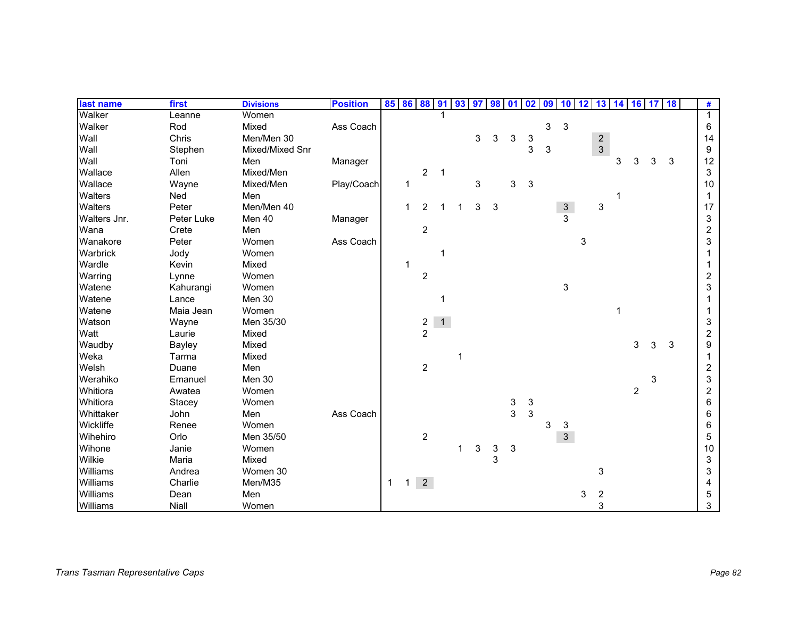| last name    | first      | <b>Divisions</b> | <b>Position</b> | 85 86 88 91 93 97 |   |                |   |   | 98 | 01 | 02         | 09 | 10           | 12 | 13            | 14 | 16 17          |   | <b>18</b> |                |
|--------------|------------|------------------|-----------------|-------------------|---|----------------|---|---|----|----|------------|----|--------------|----|---------------|----|----------------|---|-----------|----------------|
| Walker       | Leanne     | Women            |                 |                   |   |                |   |   |    |    |            |    |              |    |               |    |                |   |           | $\mathbf{1}$   |
| Walker       | Rod        | Mixed            | Ass Coach       |                   |   |                |   |   |    |    |            | 3  | 3            |    |               |    |                |   |           | 6              |
| Wall         | Chris      | Men/Men 30       |                 |                   |   |                |   | 3 | 3  | 3  | 3          |    |              |    | $\frac{2}{3}$ |    |                |   |           | 14             |
| Wall         | Stephen    | Mixed/Mixed Snr  |                 |                   |   |                |   |   |    |    | 3          | 3  |              |    |               |    |                |   |           | 9              |
| Wall         | Toni       | Men              | Manager         |                   |   |                |   |   |    |    |            |    |              |    |               | 3  |                | 3 | 3         | 12             |
| Wallace      | Allen      | Mixed/Men        |                 |                   |   | $\overline{c}$ |   |   |    |    |            |    |              |    |               |    |                |   |           | 3              |
| Wallace      | Wayne      | Mixed/Men        | Play/Coach      |                   |   |                |   | 3 |    | 3  | 3          |    |              |    |               |    |                |   |           | 10             |
| Walters      | Ned        | Men              |                 |                   |   |                |   |   |    |    |            |    |              |    |               |    |                |   |           |                |
| Walters      | Peter      | Men/Men 40       |                 |                   |   | 2              |   | 3 | 3  |    |            |    | $\mathbf{3}$ |    | 3             |    |                |   |           | 17             |
| Walters Jnr. | Peter Luke | Men 40           | Manager         |                   |   |                |   |   |    |    |            |    | 3            |    |               |    |                |   |           | 3              |
| Wana         | Crete      | Men              |                 |                   |   | $\overline{c}$ |   |   |    |    |            |    |              |    |               |    |                |   |           | $\overline{c}$ |
| Wanakore     | Peter      | Women            | Ass Coach       |                   |   |                |   |   |    |    |            |    |              | 3  |               |    |                |   |           | 3              |
| Warbrick     | Jody       | Women            |                 |                   |   |                |   |   |    |    |            |    |              |    |               |    |                |   |           |                |
| Wardle       | Kevin      | Mixed            |                 |                   |   |                |   |   |    |    |            |    |              |    |               |    |                |   |           |                |
| Warring      | Lynne      | Women            |                 |                   |   | $\overline{c}$ |   |   |    |    |            |    |              |    |               |    |                |   |           | 2              |
| Watene       | Kahurangi  | Women            |                 |                   |   |                |   |   |    |    |            |    | 3            |    |               |    |                |   |           | 3              |
| Watene       | Lance      | Men 30           |                 |                   |   |                |   |   |    |    |            |    |              |    |               |    |                |   |           |                |
| Watene       | Maia Jean  | Women            |                 |                   |   |                |   |   |    |    |            |    |              |    |               | -1 |                |   |           |                |
| Watson       | Wayne      | Men 35/30        |                 |                   |   | $\frac{2}{2}$  | 1 |   |    |    |            |    |              |    |               |    |                |   |           | 3              |
| Watt         | Laurie     | Mixed            |                 |                   |   |                |   |   |    |    |            |    |              |    |               |    |                |   |           | $\overline{c}$ |
| Waudby       | Bayley     | Mixed            |                 |                   |   |                |   |   |    |    |            |    |              |    |               |    | 3              | 3 | 3         | 9              |
| Weka         | Tarma      | Mixed            |                 |                   |   |                |   |   |    |    |            |    |              |    |               |    |                |   |           |                |
| Welsh        | Duane      | Men              |                 |                   |   | $\overline{c}$ |   |   |    |    |            |    |              |    |               |    |                |   |           | 2              |
| Werahiko     | Emanuel    | Men 30           |                 |                   |   |                |   |   |    |    |            |    |              |    |               |    |                | 3 |           | 3              |
| Whitiora     | Awatea     | Women            |                 |                   |   |                |   |   |    |    |            |    |              |    |               |    | $\overline{2}$ |   |           | $\overline{2}$ |
| Whitiora     | Stacey     | Women            |                 |                   |   |                |   |   |    | 3  | $\sqrt{3}$ |    |              |    |               |    |                |   |           | 6              |
| Whittaker    | John       | Men              | Ass Coach       |                   |   |                |   |   |    | 3  | 3          |    |              |    |               |    |                |   |           | 6              |
| Wickliffe    | Renee      | Women            |                 |                   |   |                |   |   |    |    |            | 3  | 3            |    |               |    |                |   |           | 6              |
| Wihehiro     | Orlo       | Men 35/50        |                 |                   |   | $\overline{c}$ |   |   |    |    |            |    | $\mathbf{3}$ |    |               |    |                |   |           | 5              |
| Wihone       | Janie      | Women            |                 |                   |   |                |   | 3 | 3  | 3  |            |    |              |    |               |    |                |   |           | 10             |
| Wilkie       | Maria      | Mixed            |                 |                   |   |                |   |   | 3  |    |            |    |              |    |               |    |                |   |           | 3              |
| Williams     | Andrea     | Women 30         |                 |                   |   |                |   |   |    |    |            |    |              |    | 3             |    |                |   |           | 3              |
| Williams     | Charlie    | Men/M35          |                 | 1                 | 1 | $2^{\circ}$    |   |   |    |    |            |    |              |    |               |    |                |   |           | 4              |
| Williams     | Dean       | Men              |                 |                   |   |                |   |   |    |    |            |    |              | 3  | 2             |    |                |   |           | 5              |
| Williams     | Niall      | Women            |                 |                   |   |                |   |   |    |    |            |    |              |    | 3             |    |                |   |           | 3              |